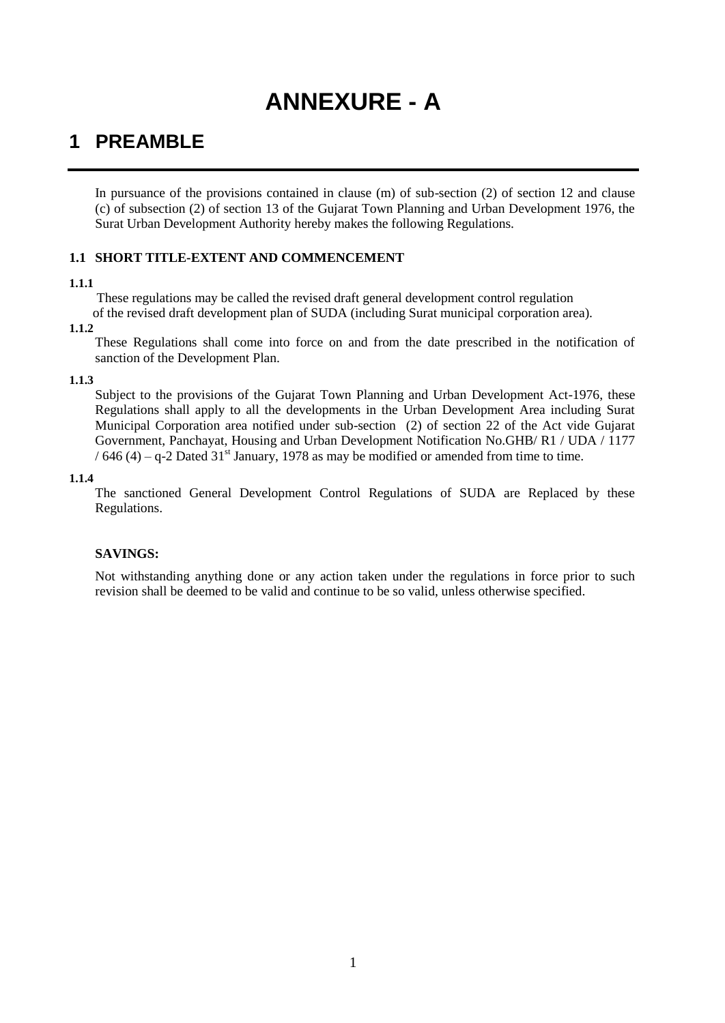# **ANNEXURE - A**

## **1 PREAMBLE**

In pursuance of the provisions contained in clause (m) of sub-section (2) of section 12 and clause (c) of subsection (2) of section 13 of the Gujarat Town Planning and Urban Development 1976, the Surat Urban Development Authority hereby makes the following Regulations.

## **1.1 SHORT TITLE-EXTENT AND COMMENCEMENT**

## **1.1.1**

These regulations may be called the revised draft general development control regulation of the revised draft development plan of SUDA (including Surat municipal corporation area).

## **1.1.2**

These Regulations shall come into force on and from the date prescribed in the notification of sanction of the Development Plan.

## **1.1.3**

Subject to the provisions of the Gujarat Town Planning and Urban Development Act-1976, these Regulations shall apply to all the developments in the Urban Development Area including Surat Municipal Corporation area notified under sub-section (2) of section 22 of the Act vide Gujarat Government, Panchayat, Housing and Urban Development Notification No.GHB/ R1 / UDA / 1177 / 646 (4) – q-2 Dated 31<sup>st</sup> January, 1978 as may be modified or amended from time to time.

## **1.1.4**

The sanctioned General Development Control Regulations of SUDA are Replaced by these Regulations.

## **SAVINGS:**

Not withstanding anything done or any action taken under the regulations in force prior to such revision shall be deemed to be valid and continue to be so valid, unless otherwise specified.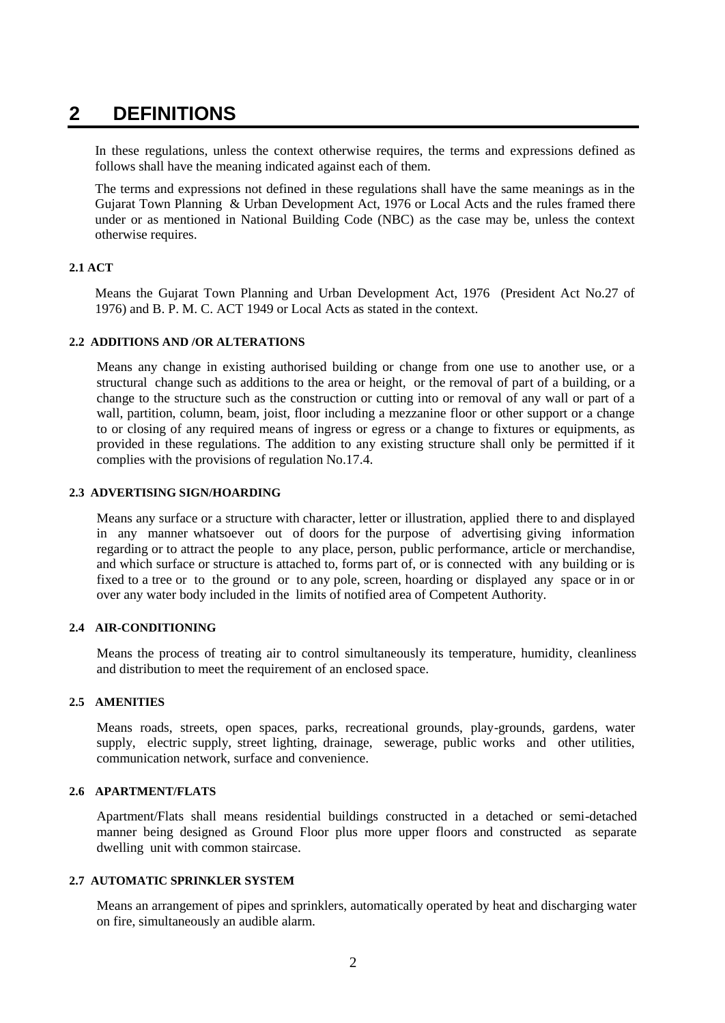## **2 DEFINITIONS**

In these regulations, unless the context otherwise requires, the terms and expressions defined as follows shall have the meaning indicated against each of them.

The terms and expressions not defined in these regulations shall have the same meanings as in the Gujarat Town Planning & Urban Development Act, 1976 or Local Acts and the rules framed there under or as mentioned in National Building Code (NBC) as the case may be, unless the context otherwise requires.

## **2.1 ACT**

Means the Gujarat Town Planning and Urban Development Act, 1976 (President Act No.27 of 1976) and B. P. M. C. ACT 1949 or Local Acts as stated in the context.

## **2.2 ADDITIONS AND /OR ALTERATIONS**

Means any change in existing authorised building or change from one use to another use, or a structural change such as additions to the area or height, or the removal of part of a building, or a change to the structure such as the construction or cutting into or removal of any wall or part of a wall, partition, column, beam, joist, floor including a mezzanine floor or other support or a change to or closing of any required means of ingress or egress or a change to fixtures or equipments, as provided in these regulations. The addition to any existing structure shall only be permitted if it complies with the provisions of regulation No.17.4.

## **2.3 ADVERTISING SIGN/HOARDING**

Means any surface or a structure with character, letter or illustration, applied there to and displayed in any manner whatsoever out of doors for the purpose of advertising giving information regarding or to attract the people to any place, person, public performance, article or merchandise, and which surface or structure is attached to, forms part of, or is connected with any building or is fixed to a tree or to the ground or to any pole, screen, hoarding or displayed any space or in or over any water body included in the limits of notified area of Competent Authority.

## **2.4 AIR-CONDITIONING**

Means the process of treating air to control simultaneously its temperature, humidity, cleanliness and distribution to meet the requirement of an enclosed space.

## **2.5 AMENITIES**

Means roads, streets, open spaces, parks, recreational grounds, play-grounds, gardens, water supply, electric supply, street lighting, drainage, sewerage, public works and other utilities, communication network, surface and convenience.

## **2.6 APARTMENT/FLATS**

Apartment/Flats shall means residential buildings constructed in a detached or semi-detached manner being designed as Ground Floor plus more upper floors and constructed as separate dwelling unit with common staircase.

#### **2.7 AUTOMATIC SPRINKLER SYSTEM**

Means an arrangement of pipes and sprinklers, automatically operated by heat and discharging water on fire, simultaneously an audible alarm.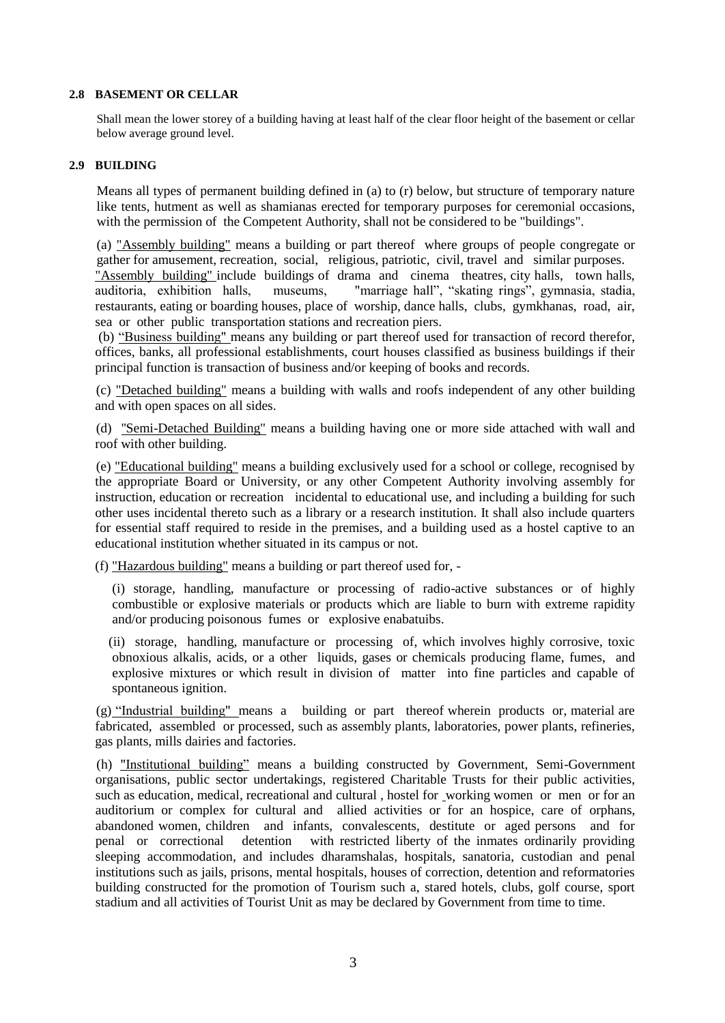## **2.8 BASEMENT OR CELLAR**

Shall mean the lower storey of a building having at least half of the clear floor height of the basement or cellar below average ground level.

#### **2.9 BUILDING**

Means all types of permanent building defined in (a) to (r) below, but structure of temporary nature like tents, hutment as well as shamianas erected for temporary purposes for ceremonial occasions, with the permission of the Competent Authority, shall not be considered to be "buildings".

(a) "Assembly building" means a building or part thereof where groups of people congregate or gather for amusement, recreation, social, religious, patriotic, civil, travel and similar purposes. "Assembly building" include buildings of drama and cinema theatres, city halls, town halls, auditoria, exhibition halls, museums, "marriage hall", "skating rings", gymnasia, stadia, restaurants, eating or boarding houses, place of worship, dance halls, clubs, gymkhanas, road, air, sea or other public transportation stations and recreation piers.

(b) "Business building" means any building or part thereof used for transaction of record therefor, offices, banks, all professional establishments, court houses classified as business buildings if their principal function is transaction of business and/or keeping of books and records.

(c) "Detached building" means a building with walls and roofs independent of any other building and with open spaces on all sides.

(d) ''Semi-Detached Building" means a building having one or more side attached with wall and roof with other building.

(e) "Educational building" means a building exclusively used for a school or college, recognised by the appropriate Board or University, or any other Competent Authority involving assembly for instruction, education or recreation incidental to educational use, and including a building for such other uses incidental thereto such as a library or a research institution. It shall also include quarters for essential staff required to reside in the premises, and a building used as a hostel captive to an educational institution whether situated in its campus or not.

(f) "Hazardous building" means a building or part thereof used for, -

(i) storage, handling, manufacture or processing of radio-active substances or of highly combustible or explosive materials or products which are liable to burn with extreme rapidity and/or producing poisonous fumes or explosive enabatuibs.

(ii) storage, handling, manufacture or processing of, which involves highly corrosive, toxic obnoxious alkalis, acids, or a other liquids, gases or chemicals producing flame, fumes, and explosive mixtures or which result in division of matter into fine particles and capable of spontaneous ignition.

(g) "Industrial building" means a building or part thereof wherein products or, material are fabricated, assembled or processed, such as assembly plants, laboratories, power plants, refineries, gas plants, mills dairies and factories.

(h) "Institutional building" means a building constructed by Government, Semi-Government organisations, public sector undertakings, registered Charitable Trusts for their public activities, such as education, medical, recreational and cultural , hostel for working women or men or for an auditorium or complex for cultural and allied activities or for an hospice, care of orphans, abandoned women, children and infants, convalescents, destitute or aged persons and for penal or correctional detention with restricted liberty of the inmates ordinarily providing sleeping accommodation, and includes dharamshalas, hospitals, sanatoria, custodian and penal institutions such as jails, prisons, mental hospitals, houses of correction, detention and reformatories building constructed for the promotion of Tourism such a, stared hotels, clubs, golf course, sport stadium and all activities of Tourist Unit as may be declared by Government from time to time.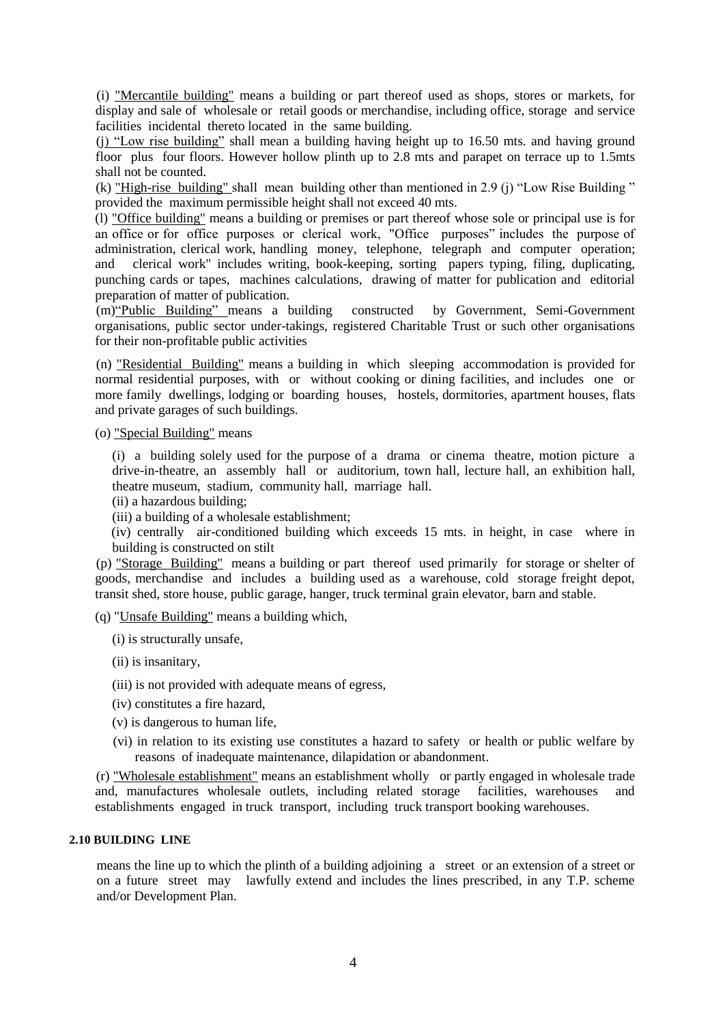(i) "Mercantile building" means a building or part thereof used as shops, stores or markets, for display and sale of wholesale or retail goods or merchandise, including office, storage and service facilities incidental thereto located in the same building.

(j) "Low rise building" shall mean a building having height up to 16.50 mts. and having ground floor plus four floors. However hollow plinth up to 2.8 mts and parapet on terrace up to 1.5mts shall not be counted.

(k) "High-rise building" shall mean building other than mentioned in 2.9 (j) "Low Rise Building " provided the maximum permissible height shall not exceed 40 mts.

(l) "Office building" means a building or premises or part thereof whose sole or principal use is for an office or for office purposes or clerical work, "Office purposes" includes the purpose of administration, clerical work, handling money, telephone, telegraph and computer operation; and clerical work" includes writing, book-keeping, sorting papers typing, filing, duplicating, punching cards or tapes, machines calculations, drawing of matter for publication and editorial preparation of matter of publication.

(m)"Public Building" means a building constructed by Government, Semi-Government organisations, public sector under-takings, registered Charitable Trust or such other organisations for their non-profitable public activities

(n) "Residential Building" means a building in which sleeping accommodation is provided for normal residential purposes, with or without cooking or dining facilities, and includes one or more family dwellings, lodging or boarding houses, hostels, dormitories, apartment houses, flats and private garages of such buildings.

(o) "Special Building" means

(i) a building solely used for the purpose of a drama or cinema theatre, motion picture a drive-in-theatre, an assembly hall or auditorium, town hall, lecture hall, an exhibition hall, theatre museum, stadium, community hall, marriage hall.

(ii) a hazardous building;

(iii) a building of a wholesale establishment;

(iv) centrally air-conditioned building which exceeds 15 mts. in height, in case where in building is constructed on stilt

(p) "Storage Building" means a building or part thereof used primarily for storage or shelter of goods, merchandise and includes a building used as a warehouse, cold storage freight depot, transit shed, store house, public garage, hanger, truck terminal grain elevator, barn and stable.

(q) "Unsafe Building" means a building which,

(i) is structurally unsafe,

(ii) is insanitary,

(iii) is not provided with adequate means of egress,

- (iv) constitutes a fire hazard,
- (v) is dangerous to human life,
- (vi) in relation to its existing use constitutes a hazard to safety or health or public welfare by reasons of inadequate maintenance, dilapidation or abandonment.

(r) "Wholesale establishment" means an establishment wholly or partly engaged in wholesale trade and, manufactures wholesale outlets, including related storage facilities, warehouses and establishments engaged in truck transport, including truck transport booking warehouses.

#### **2.10 BUILDING LINE**

means the line up to which the plinth of a building adjoining a street or an extension of a street or on a future street may lawfully extend and includes the lines prescribed, in any T.P. scheme and/or Development Plan.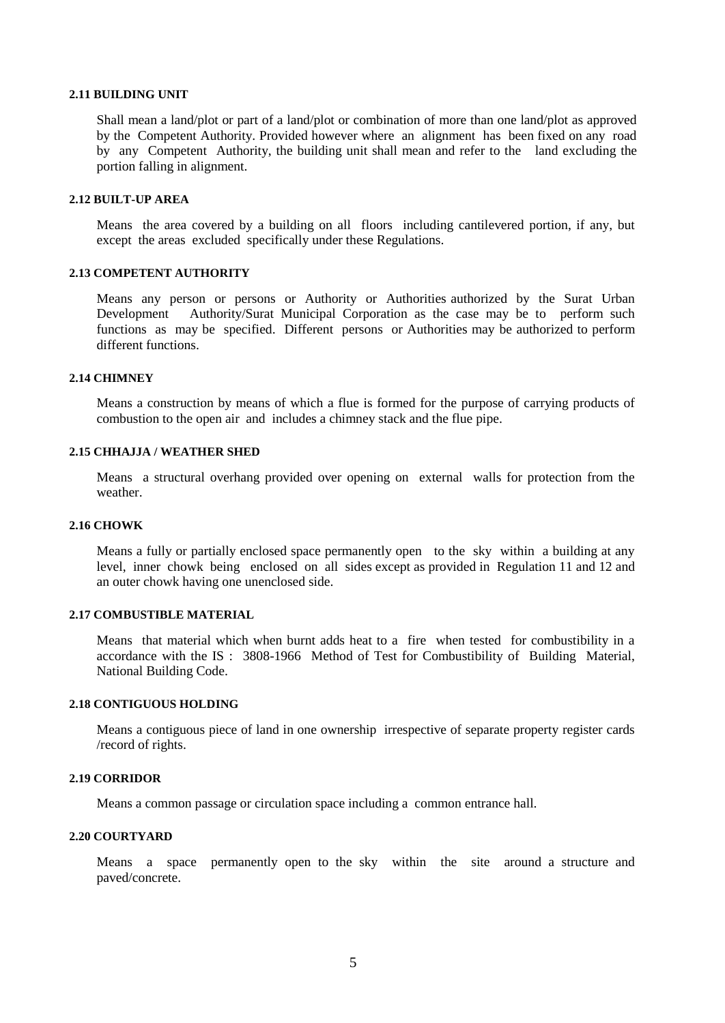#### **2.11 BUILDING UNIT**

Shall mean a land/plot or part of a land/plot or combination of more than one land/plot as approved by the Competent Authority. Provided however where an alignment has been fixed on any road by any Competent Authority, the building unit shall mean and refer to the land excluding the portion falling in alignment.

## **2.12 BUILT-UP AREA**

Means the area covered by a building on all floors including cantilevered portion, if any, but except the areas excluded specifically under these Regulations.

## **2.13 COMPETENT AUTHORITY**

Means any person or persons or Authority or Authorities authorized by the Surat Urban Development Authority/Surat Municipal Corporation as the case may be to perform such functions as may be specified. Different persons or Authorities may be authorized to perform different functions.

## **2.14 CHIMNEY**

Means a construction by means of which a flue is formed for the purpose of carrying products of combustion to the open air and includes a chimney stack and the flue pipe.

## **2.15 CHHAJJA / WEATHER SHED**

Means a structural overhang provided over opening on external walls for protection from the weather.

#### **2.16 CHOWK**

Means a fully or partially enclosed space permanently open to the sky within a building at any level, inner chowk being enclosed on all sides except as provided in Regulation 11 and 12 and an outer chowk having one unenclosed side.

## **2.17 COMBUSTIBLE MATERIAL**

Means that material which when burnt adds heat to a fire when tested for combustibility in a accordance with the IS : 3808-1966 Method of Test for Combustibility of Building Material, National Building Code.

## **2.18 CONTIGUOUS HOLDING**

Means a contiguous piece of land in one ownership irrespective of separate property register cards /record of rights.

## **2.19 CORRIDOR**

Means a common passage or circulation space including a common entrance hall.

## **2.20 COURTYARD**

Means a space permanently open to the sky within the site around a structure and paved/concrete.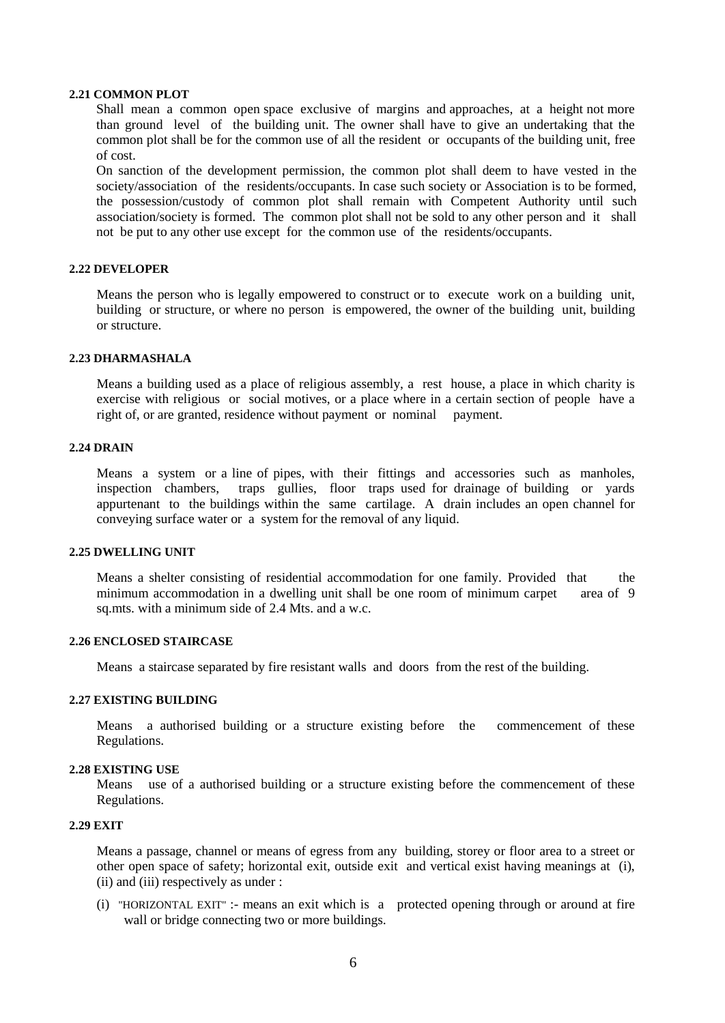## **2.21 COMMON PLOT**

Shall mean a common open space exclusive of margins and approaches, at a height not more than ground level of the building unit. The owner shall have to give an undertaking that the common plot shall be for the common use of all the resident or occupants of the building unit, free of cost.

On sanction of the development permission, the common plot shall deem to have vested in the society/association of the residents/occupants. In case such society or Association is to be formed, the possession/custody of common plot shall remain with Competent Authority until such association/society is formed. The common plot shall not be sold to any other person and it shall not be put to any other use except for the common use of the residents/occupants.

#### **2.22 DEVELOPER**

Means the person who is legally empowered to construct or to execute work on a building unit, building or structure, or where no person is empowered, the owner of the building unit, building or structure.

#### **2.23 DHARMASHALA**

Means a building used as a place of religious assembly, a rest house, a place in which charity is exercise with religious or social motives, or a place where in a certain section of people have a right of, or are granted, residence without payment or nominal payment.

#### **2.24 DRAIN**

Means a system or a line of pipes, with their fittings and accessories such as manholes, inspection chambers, traps gullies, floor traps used for drainage of building or yards appurtenant to the buildings within the same cartilage. A drain includes an open channel for conveying surface water or a system for the removal of any liquid.

#### **2.25 DWELLING UNIT**

Means a shelter consisting of residential accommodation for one family. Provided that the minimum accommodation in a dwelling unit shall be one room of minimum carpet area of 9 sq.mts. with a minimum side of 2.4 Mts. and a w.c.

#### **2.26 ENCLOSED STAIRCASE**

Means a staircase separated by fire resistant walls and doors from the rest of the building.

## **2.27 EXISTING BUILDING**

Means a authorised building or a structure existing before the commencement of these Regulations.

#### **2.28 EXISTING USE**

Means use of a authorised building or a structure existing before the commencement of these Regulations.

#### **2.29 EXIT**

Means a passage, channel or means of egress from any building, storey or floor area to a street or other open space of safety; horizontal exit, outside exit and vertical exist having meanings at (i), (ii) and (iii) respectively as under :

(i) "HORIZONTAL EXIT" :- means an exit which is a protected opening through or around at fire wall or bridge connecting two or more buildings.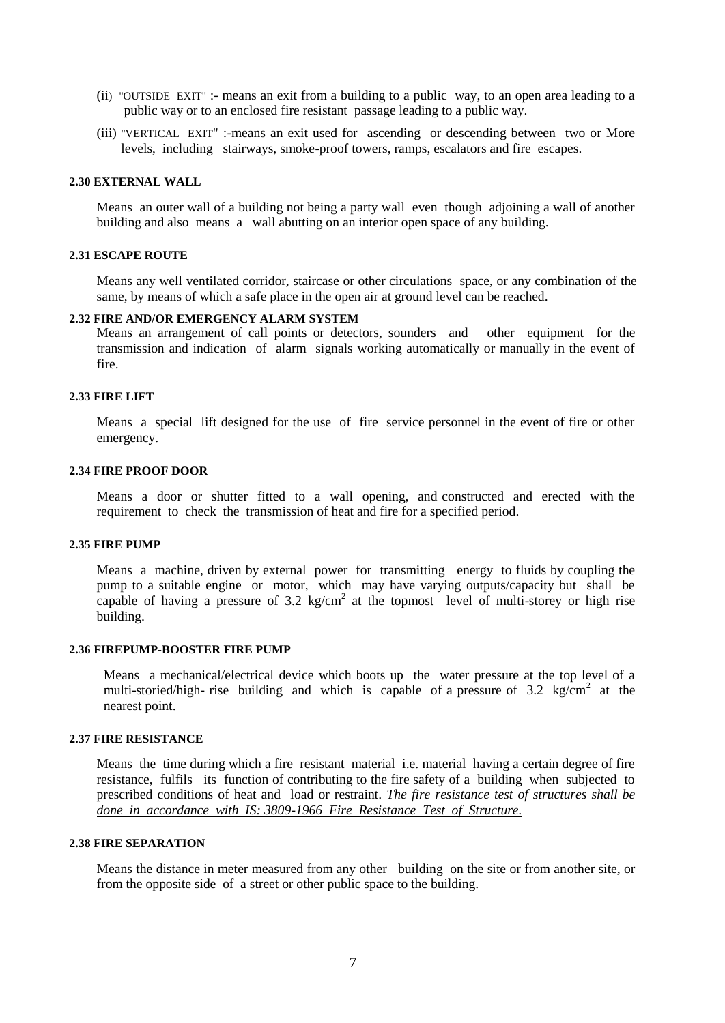- (ii) "OUTSIDE EXIT" :- means an exit from a building to a public way, to an open area leading to a public way or to an enclosed fire resistant passage leading to a public way.
- (iii) "VERTICAL EXIT" :-means an exit used for ascending or descending between two or More levels, including stairways, smoke-proof towers, ramps, escalators and fire escapes.

#### **2.30 EXTERNAL WALL**

Means an outer wall of a building not being a party wall even though adjoining a wall of another building and also means a wall abutting on an interior open space of any building.

#### **2.31 ESCAPE ROUTE**

Means any well ventilated corridor, staircase or other circulations space, or any combination of the same, by means of which a safe place in the open air at ground level can be reached.

#### **2.32 FIRE AND/OR EMERGENCY ALARM SYSTEM**

Means an arrangement of call points or detectors, sounders and other equipment for the transmission and indication of alarm signals working automatically or manually in the event of fire.

#### **2.33 FIRE LIFT**

Means a special lift designed for the use of fire service personnel in the event of fire or other emergency.

#### **2.34 FIRE PROOF DOOR**

Means a door or shutter fitted to a wall opening, and constructed and erected with the requirement to check the transmission of heat and fire for a specified period.

#### **2.35 FIRE PUMP**

Means a machine, driven by external power for transmitting energy to fluids by coupling the pump to a suitable engine or motor, which may have varying outputs/capacity but shall be capable of having a pressure of  $3.2 \text{ kg/cm}^2$  at the topmost level of multi-storey or high rise building.

#### **2.36 FIREPUMP-BOOSTER FIRE PUMP**

Means a mechanical/electrical device which boots up the water pressure at the top level of a multi-storied/high- rise building and which is capable of a pressure of 3.2 kg/cm<sup>2</sup> at the nearest point.

## **2.37 FIRE RESISTANCE**

Means the time during which a fire resistant material i.e. material having a certain degree of fire resistance, fulfils its function of contributing to the fire safety of a building when subjected to prescribed conditions of heat and load or restraint. *The fire resistance test of structures shall be done in accordance with IS: 3809-1966 Fire Resistance Test of Structure.*

## **2.38 FIRE SEPARATION**

Means the distance in meter measured from any other building on the site or from another site, or from the opposite side of a street or other public space to the building.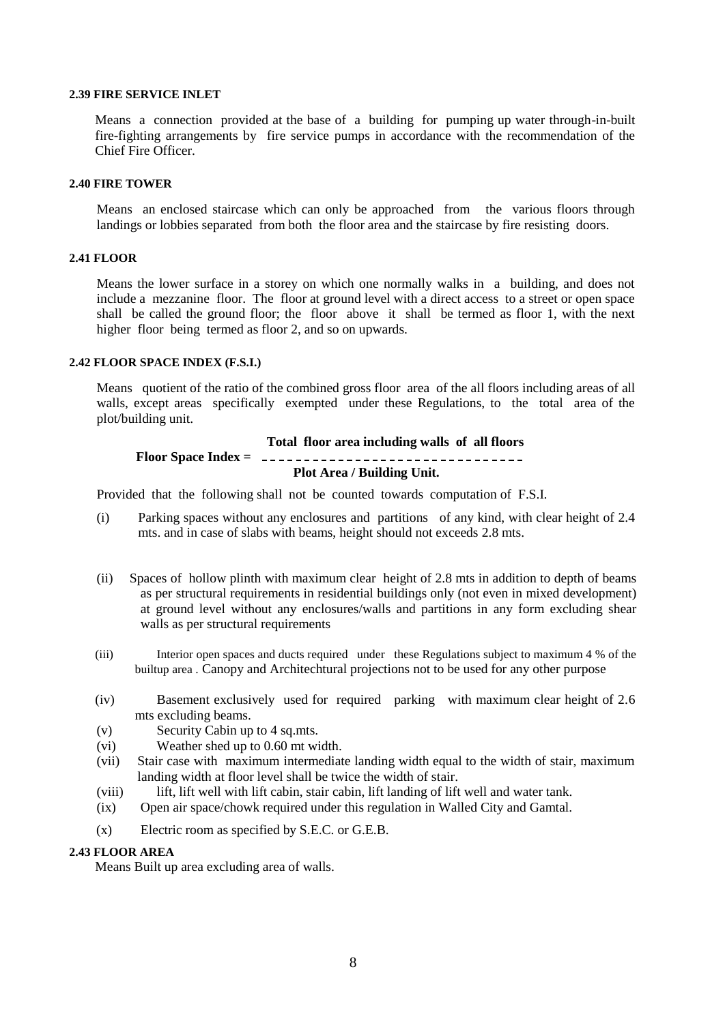#### **2.39 FIRE SERVICE INLET**

Means a connection provided at the base of a building for pumping up water through-in-built fire-fighting arrangements by fire service pumps in accordance with the recommendation of the Chief Fire Officer.

## **2.40 FIRE TOWER**

Means an enclosed staircase which can only be approached from the various floors through landings or lobbies separated from both the floor area and the staircase by fire resisting doors.

#### **2.41 FLOOR**

Means the lower surface in a storey on which one normally walks in a building, and does not include a mezzanine floor. The floor at ground level with a direct access to a street or open space shall be called the ground floor; the floor above it shall be termed as floor 1, with the next higher floor being termed as floor 2, and so on upwards.

#### **2.42 FLOOR SPACE INDEX (F.S.I.)**

Means quotient of the ratio of the combined gross floor area of the all floors including areas of all walls, except areas specifically exempted under these Regulations, to the total area of the plot/building unit.

#### **Total floor area including walls of all floors**

## **Floor Space Index = Plot Area / Building Unit.**

Provided that the following shall not be counted towards computation of F.S.I.

- (i) Parking spaces without any enclosures and partitions of any kind, with clear height of 2.4 mts. and in case of slabs with beams, height should not exceeds 2.8 mts.
- (ii) Spaces of hollow plinth with maximum clear height of 2.8 mts in addition to depth of beams as per structural requirements in residential buildings only (not even in mixed development) at ground level without any enclosures/walls and partitions in any form excluding shear walls as per structural requirements
- (iii) Interior open spaces and ducts required under these Regulations subject to maximum 4 % of the builtup area . Canopy and Architechtural projections not to be used for any other purpose
- (iv) Basement exclusively used for required parking with maximum clear height of 2.6 mts excluding beams.
- (v) Security Cabin up to 4 sq.mts.
- (vi) Weather shed up to 0.60 mt width.
- (vii) Stair case with maximum intermediate landing width equal to the width of stair, maximum landing width at floor level shall be twice the width of stair.
- (viii) lift, lift well with lift cabin, stair cabin, lift landing of lift well and water tank.
- (ix) Open air space/chowk required under this regulation in Walled City and Gamtal.
- (x) Electric room as specified by S.E.C. or G.E.B.

## **2.43 FLOOR AREA**

Means Built up area excluding area of walls.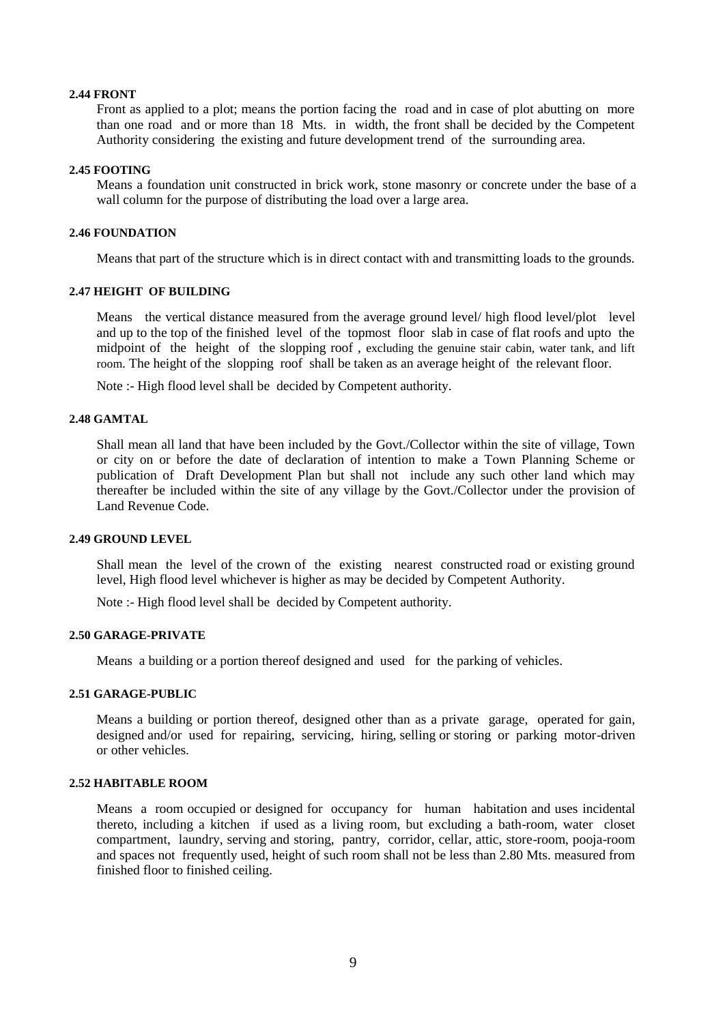#### **2.44 FRONT**

Front as applied to a plot; means the portion facing the road and in case of plot abutting on more than one road and or more than 18 Mts. in width, the front shall be decided by the Competent Authority considering the existing and future development trend of the surrounding area.

#### **2.45 FOOTING**

Means a foundation unit constructed in brick work, stone masonry or concrete under the base of a wall column for the purpose of distributing the load over a large area.

## **2.46 FOUNDATION**

Means that part of the structure which is in direct contact with and transmitting loads to the grounds.

#### **2.47 HEIGHT OF BUILDING**

Means the vertical distance measured from the average ground level/ high flood level/plot level and up to the top of the finished level of the topmost floor slab in case of flat roofs and upto the midpoint of the height of the slopping roof , excluding the genuine stair cabin, water tank, and lift room. The height of the slopping roof shall be taken as an average height of the relevant floor.

Note :- High flood level shall be decided by Competent authority.

## **2.48 GAMTAL**

Shall mean all land that have been included by the Govt./Collector within the site of village, Town or city on or before the date of declaration of intention to make a Town Planning Scheme or publication of Draft Development Plan but shall not include any such other land which may thereafter be included within the site of any village by the Govt./Collector under the provision of Land Revenue Code.

## **2.49 GROUND LEVEL**

Shall mean the level of the crown of the existing nearest constructed road or existing ground level, High flood level whichever is higher as may be decided by Competent Authority.

Note :- High flood level shall be decided by Competent authority.

## **2.50 GARAGE-PRIVATE**

Means a building or a portion thereof designed and used for the parking of vehicles.

#### **2.51 GARAGE-PUBLIC**

Means a building or portion thereof, designed other than as a private garage, operated for gain, designed and/or used for repairing, servicing, hiring, selling or storing or parking motor-driven or other vehicles.

## **2.52 HABITABLE ROOM**

Means a room occupied or designed for occupancy for human habitation and uses incidental thereto, including a kitchen if used as a living room, but excluding a bath-room, water closet compartment, laundry, serving and storing, pantry, corridor, cellar, attic, store-room, pooja-room and spaces not frequently used, height of such room shall not be less than 2.80 Mts. measured from finished floor to finished ceiling.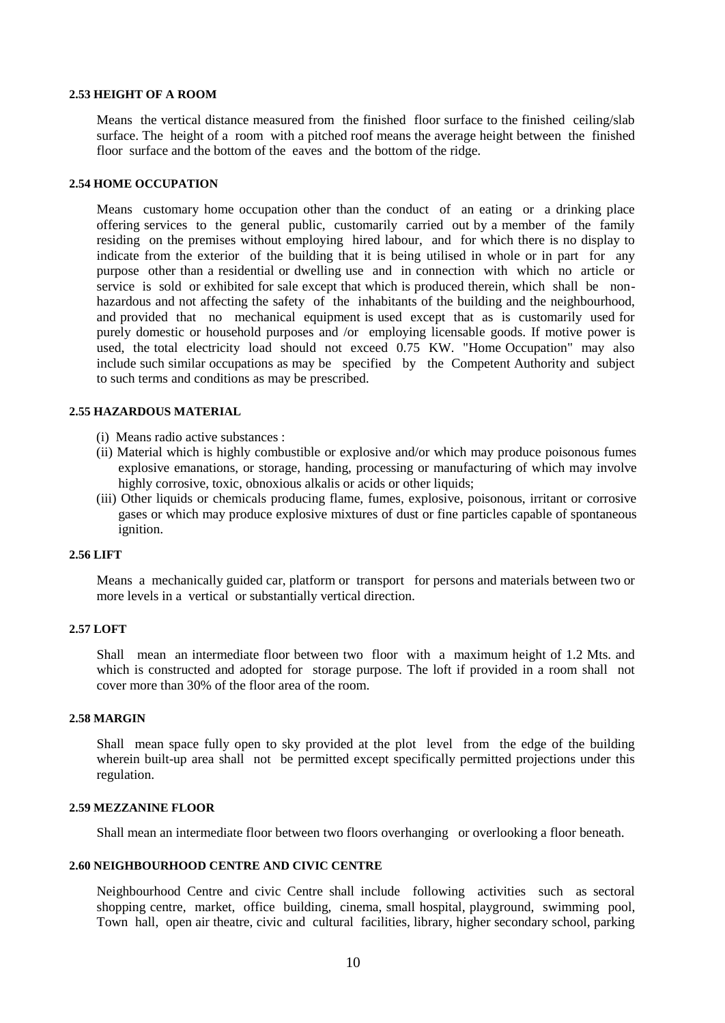#### **2.53 HEIGHT OF A ROOM**

Means the vertical distance measured from the finished floor surface to the finished ceiling/slab surface. The height of a room with a pitched roof means the average height between the finished floor surface and the bottom of the eaves and the bottom of the ridge.

## **2.54 HOME OCCUPATION**

Means customary home occupation other than the conduct of an eating or a drinking place offering services to the general public, customarily carried out by a member of the family residing on the premises without employing hired labour, and for which there is no display to indicate from the exterior of the building that it is being utilised in whole or in part for any purpose other than a residential or dwelling use and in connection with which no article or service is sold or exhibited for sale except that which is produced therein, which shall be nonhazardous and not affecting the safety of the inhabitants of the building and the neighbourhood, and provided that no mechanical equipment is used except that as is customarily used for purely domestic or household purposes and /or employing licensable goods. If motive power is used, the total electricity load should not exceed 0.75 KW. "Home Occupation" may also include such similar occupations as may be specified by the Competent Authority and subject to such terms and conditions as may be prescribed.

#### **2.55 HAZARDOUS MATERIAL**

- (i) Means radio active substances :
- (ii) Material which is highly combustible or explosive and/or which may produce poisonous fumes explosive emanations, or storage, handing, processing or manufacturing of which may involve highly corrosive, toxic, obnoxious alkalis or acids or other liquids;
- (iii) Other liquids or chemicals producing flame, fumes, explosive, poisonous, irritant or corrosive gases or which may produce explosive mixtures of dust or fine particles capable of spontaneous ignition.

## **2.56 LIFT**

Means a mechanically guided car, platform or transport for persons and materials between two or more levels in a vertical or substantially vertical direction.

#### **2.57 LOFT**

Shall mean an intermediate floor between two floor with a maximum height of 1.2 Mts. and which is constructed and adopted for storage purpose. The loft if provided in a room shall not cover more than 30% of the floor area of the room.

#### **2.58 MARGIN**

Shall mean space fully open to sky provided at the plot level from the edge of the building wherein built-up area shall not be permitted except specifically permitted projections under this regulation.

#### **2.59 MEZZANINE FLOOR**

Shall mean an intermediate floor between two floors overhanging or overlooking a floor beneath.

#### **2.60 NEIGHBOURHOOD CENTRE AND CIVIC CENTRE**

Neighbourhood Centre and civic Centre shall include following activities such as sectoral shopping centre, market, office building, cinema, small hospital, playground, swimming pool, Town hall, open air theatre, civic and cultural facilities, library, higher secondary school, parking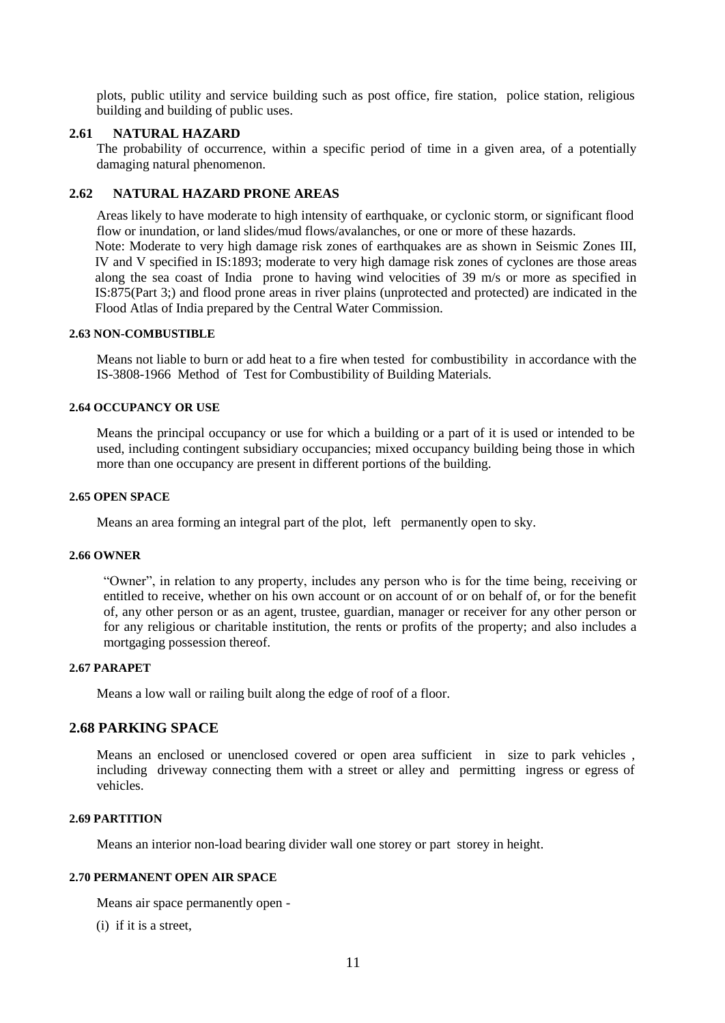plots, public utility and service building such as post office, fire station, police station, religious building and building of public uses.

#### **2.61 NATURAL HAZARD**

The probability of occurrence, within a specific period of time in a given area, of a potentially damaging natural phenomenon.

## **2.62 NATURAL HAZARD PRONE AREAS**

Areas likely to have moderate to high intensity of earthquake, or cyclonic storm, or significant flood flow or inundation, or land slides/mud flows/avalanches, or one or more of these hazards. Note: Moderate to very high damage risk zones of earthquakes are as shown in Seismic Zones III, IV and V specified in IS:1893; moderate to very high damage risk zones of cyclones are those areas along the sea coast of India prone to having wind velocities of 39 m/s or more as specified in IS:875(Part 3;) and flood prone areas in river plains (unprotected and protected) are indicated in the Flood Atlas of India prepared by the Central Water Commission.

#### **2.63 NON-COMBUSTIBLE**

Means not liable to burn or add heat to a fire when tested for combustibility in accordance with the IS-3808-1966 Method of Test for Combustibility of Building Materials.

## **2.64 OCCUPANCY OR USE**

Means the principal occupancy or use for which a building or a part of it is used or intended to be used, including contingent subsidiary occupancies; mixed occupancy building being those in which more than one occupancy are present in different portions of the building.

#### **2.65 OPEN SPACE**

Means an area forming an integral part of the plot, left permanently open to sky.

#### **2.66 OWNER**

"Owner", in relation to any property, includes any person who is for the time being, receiving or entitled to receive, whether on his own account or on account of or on behalf of, or for the benefit of, any other person or as an agent, trustee, guardian, manager or receiver for any other person or for any religious or charitable institution, the rents or profits of the property; and also includes a mortgaging possession thereof.

#### **2.67 PARAPET**

Means a low wall or railing built along the edge of roof of a floor.

## **2.68 PARKING SPACE**

Means an enclosed or unenclosed covered or open area sufficient in size to park vehicles , including driveway connecting them with a street or alley and permitting ingress or egress of vehicles.

## **2.69 PARTITION**

Means an interior non-load bearing divider wall one storey or part storey in height.

## **2.70 PERMANENT OPEN AIR SPACE**

Means air space permanently open -

(i) if it is a street,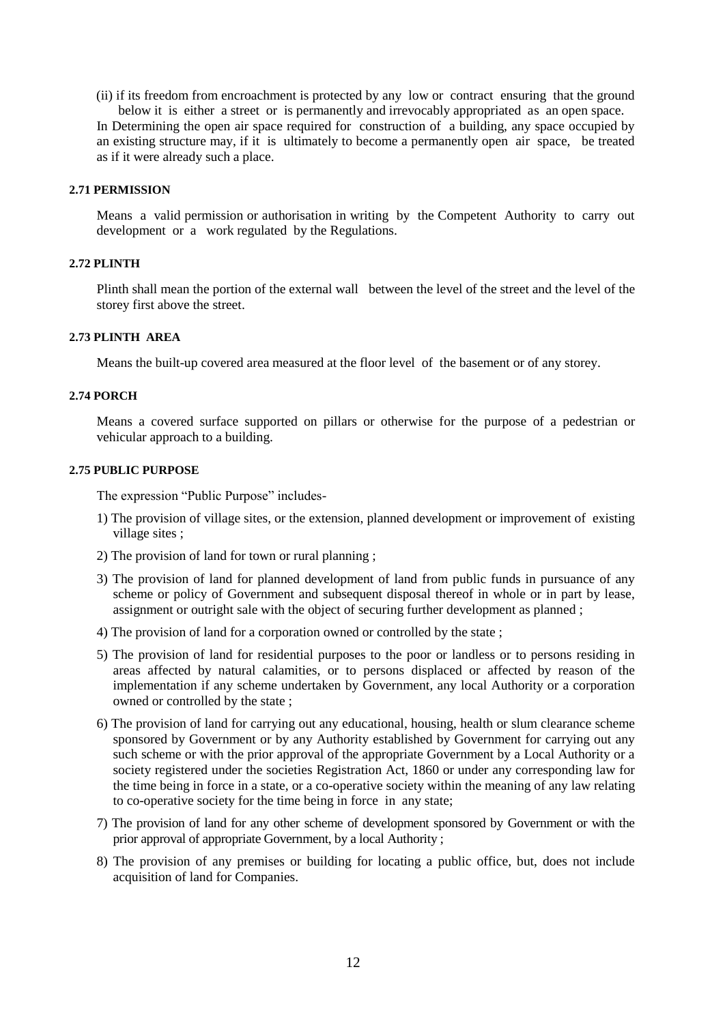(ii) if its freedom from encroachment is protected by any low or contract ensuring that the ground below it is either a street or is permanently and irrevocably appropriated as an open space.

In Determining the open air space required for construction of a building, any space occupied by an existing structure may, if it is ultimately to become a permanently open air space, be treated as if it were already such a place.

#### **2.71 PERMISSION**

Means a valid permission or authorisation in writing by the Competent Authority to carry out development or a work regulated by the Regulations.

## **2.72 PLINTH**

Plinth shall mean the portion of the external wall between the level of the street and the level of the storey first above the street.

## **2.73 PLINTH AREA**

Means the built-up covered area measured at the floor level of the basement or of any storey.

## **2.74 PORCH**

Means a covered surface supported on pillars or otherwise for the purpose of a pedestrian or vehicular approach to a building.

#### **2.75 PUBLIC PURPOSE**

The expression "Public Purpose" includes-

- 1) The provision of village sites, or the extension, planned development or improvement of existing village sites ;
- 2) The provision of land for town or rural planning ;
- 3) The provision of land for planned development of land from public funds in pursuance of any scheme or policy of Government and subsequent disposal thereof in whole or in part by lease, assignment or outright sale with the object of securing further development as planned ;
- 4) The provision of land for a corporation owned or controlled by the state ;
- 5) The provision of land for residential purposes to the poor or landless or to persons residing in areas affected by natural calamities, or to persons displaced or affected by reason of the implementation if any scheme undertaken by Government, any local Authority or a corporation owned or controlled by the state ;
- 6) The provision of land for carrying out any educational, housing, health or slum clearance scheme sponsored by Government or by any Authority established by Government for carrying out any such scheme or with the prior approval of the appropriate Government by a Local Authority or a society registered under the societies Registration Act, 1860 or under any corresponding law for the time being in force in a state, or a co-operative society within the meaning of any law relating to co-operative society for the time being in force in any state;
- 7) The provision of land for any other scheme of development sponsored by Government or with the prior approval of appropriate Government, by a local Authority ;
- 8) The provision of any premises or building for locating a public office, but, does not include acquisition of land for Companies.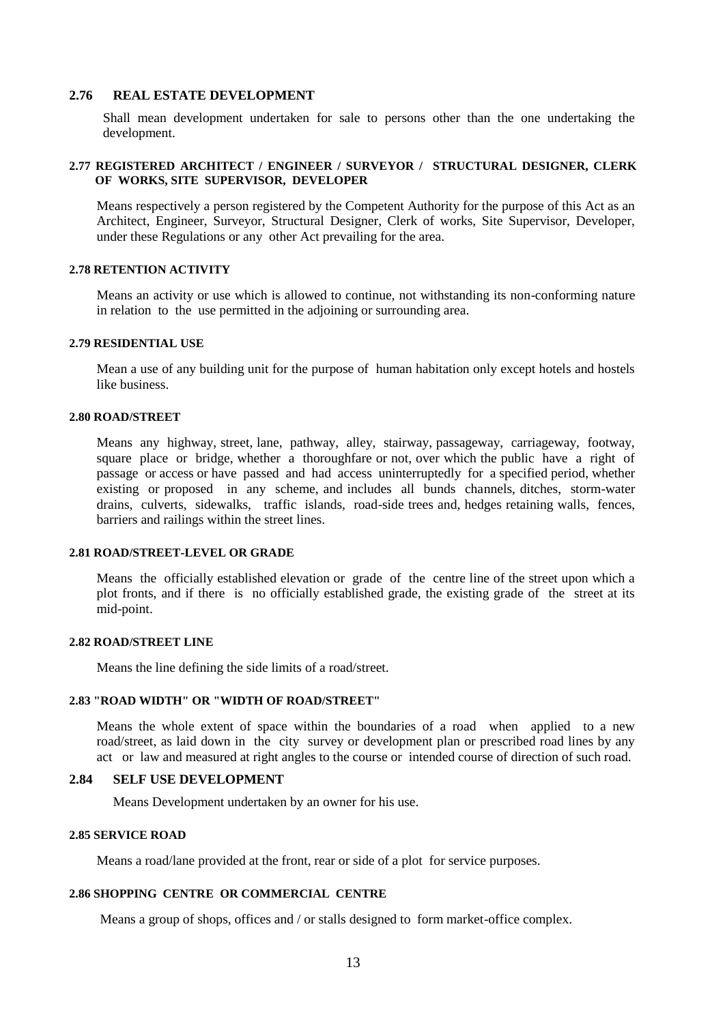#### **2.76 REAL ESTATE DEVELOPMENT**

Shall mean development undertaken for sale to persons other than the one undertaking the development.

#### **2.77 REGISTERED ARCHITECT / ENGINEER / SURVEYOR / STRUCTURAL DESIGNER, CLERK OF WORKS, SITE SUPERVISOR, DEVELOPER**

Means respectively a person registered by the Competent Authority for the purpose of this Act as an Architect, Engineer, Surveyor, Structural Designer, Clerk of works, Site Supervisor, Developer, under these Regulations or any other Act prevailing for the area.

#### **2.78 RETENTION ACTIVITY**

Means an activity or use which is allowed to continue, not withstanding its non-conforming nature in relation to the use permitted in the adjoining or surrounding area.

#### **2.79 RESIDENTIAL USE**

Mean a use of any building unit for the purpose of human habitation only except hotels and hostels like business.

#### **2.80 ROAD/STREET**

Means any highway, street, lane, pathway, alley, stairway, passageway, carriageway, footway, square place or bridge, whether a thoroughfare or not, over which the public have a right of passage or access or have passed and had access uninterruptedly for a specified period, whether existing or proposed in any scheme, and includes all bunds channels, ditches, storm-water drains, culverts, sidewalks, traffic islands, road-side trees and, hedges retaining walls, fences, barriers and railings within the street lines.

## **2.81 ROAD/STREET-LEVEL OR GRADE**

Means the officially established elevation or grade of the centre line of the street upon which a plot fronts, and if there is no officially established grade, the existing grade of the street at its mid-point.

#### **2.82 ROAD/STREET LINE**

Means the line defining the side limits of a road/street.

## **2.83 "ROAD WIDTH" OR "WIDTH OF ROAD/STREET"**

Means the whole extent of space within the boundaries of a road when applied to a new road/street, as laid down in the city survey or development plan or prescribed road lines by any act or law and measured at right angles to the course or intended course of direction of such road.

#### **2.84 SELF USE DEVELOPMENT**

Means Development undertaken by an owner for his use.

#### **2.85 SERVICE ROAD**

Means a road/lane provided at the front, rear or side of a plot for service purposes.

#### **2.86 SHOPPING CENTRE OR COMMERCIAL CENTRE**

Means a group of shops, offices and / or stalls designed to form market-office complex.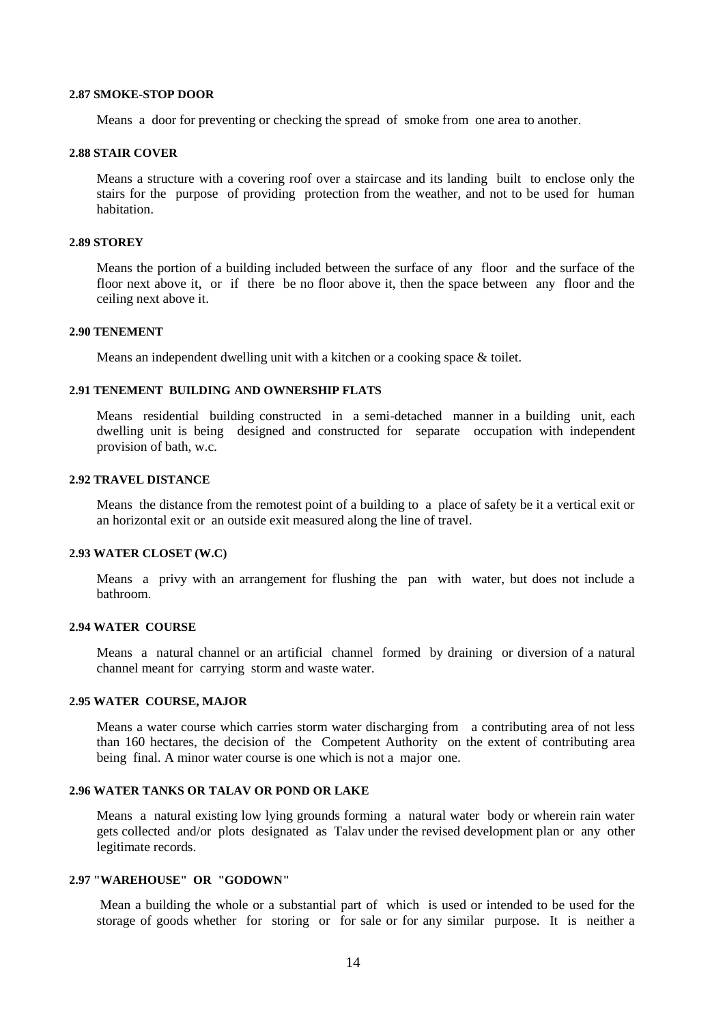#### **2.87 SMOKE-STOP DOOR**

Means a door for preventing or checking the spread of smoke from one area to another.

## **2.88 STAIR COVER**

Means a structure with a covering roof over a staircase and its landing built to enclose only the stairs for the purpose of providing protection from the weather, and not to be used for human habitation.

#### **2.89 STOREY**

Means the portion of a building included between the surface of any floor and the surface of the floor next above it, or if there be no floor above it, then the space between any floor and the ceiling next above it.

#### **2.90 TENEMENT**

Means an independent dwelling unit with a kitchen or a cooking space & toilet.

#### **2.91 TENEMENT BUILDING AND OWNERSHIP FLATS**

Means residential building constructed in a semi-detached manner in a building unit, each dwelling unit is being designed and constructed for separate occupation with independent provision of bath, w.c.

#### **2.92 TRAVEL DISTANCE**

Means the distance from the remotest point of a building to a place of safety be it a vertical exit or an horizontal exit or an outside exit measured along the line of travel.

#### **2.93 WATER CLOSET (W.C)**

Means a privy with an arrangement for flushing the pan with water, but does not include a bathroom.

## **2.94 WATER COURSE**

Means a natural channel or an artificial channel formed by draining or diversion of a natural channel meant for carrying storm and waste water.

#### **2.95 WATER COURSE, MAJOR**

Means a water course which carries storm water discharging from a contributing area of not less than 160 hectares, the decision of the Competent Authority on the extent of contributing area being final. A minor water course is one which is not a major one.

#### **2.96 WATER TANKS OR TALAV OR POND OR LAKE**

Means a natural existing low lying grounds forming a natural water body or wherein rain water gets collected and/or plots designated as Talav under the revised development plan or any other legitimate records.

## **2.97 "WAREHOUSE" OR "GODOWN"**

Mean a building the whole or a substantial part of which is used or intended to be used for the storage of goods whether for storing or for sale or for any similar purpose. It is neither a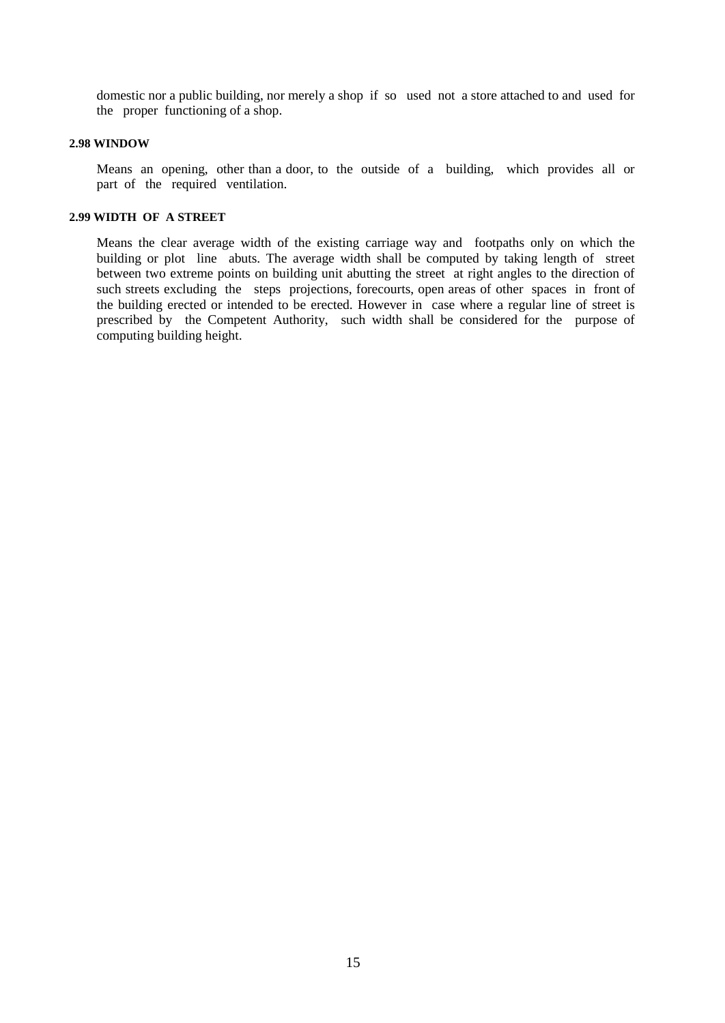domestic nor a public building, nor merely a shop if so used not a store attached to and used for the proper functioning of a shop.

#### **2.98 WINDOW**

Means an opening, other than a door, to the outside of a building, which provides all or part of the required ventilation.

#### **2.99 WIDTH OF A STREET**

Means the clear average width of the existing carriage way and footpaths only on which the building or plot line abuts. The average width shall be computed by taking length of street between two extreme points on building unit abutting the street at right angles to the direction of such streets excluding the steps projections, forecourts, open areas of other spaces in front of the building erected or intended to be erected. However in case where a regular line of street is prescribed by the Competent Authority, such width shall be considered for the purpose of computing building height.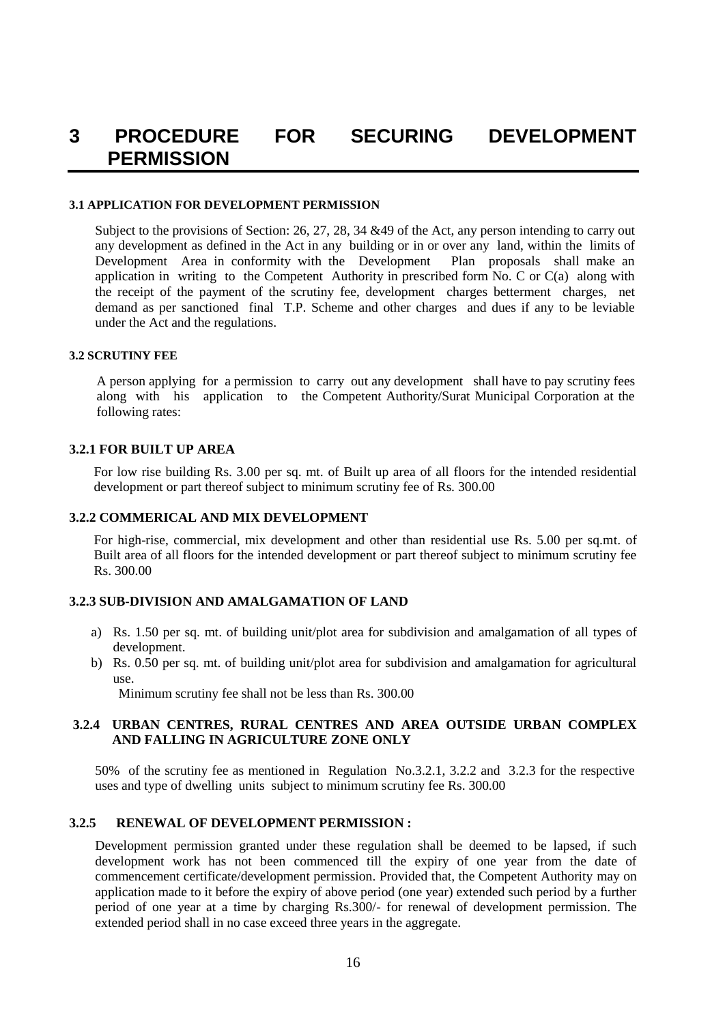## **3 PROCEDURE FOR SECURING DEVELOPMENT PERMISSION**

#### **3.1 APPLICATION FOR DEVELOPMENT PERMISSION**

Subject to the provisions of Section: 26, 27, 28, 34 &49 of the Act, any person intending to carry out any development as defined in the Act in any building or in or over any land, within the limits of Development Area in conformity with the Development Plan proposals shall make an application in writing to the Competent Authority in prescribed form No. C or C(a) along with the receipt of the payment of the scrutiny fee, development charges betterment charges, net demand as per sanctioned final T.P. Scheme and other charges and dues if any to be leviable under the Act and the regulations.

## **3.2 SCRUTINY FEE**

A person applying for a permission to carry out any development shall have to pay scrutiny fees along with his application to the Competent Authority/Surat Municipal Corporation at the following rates:

## **3.2.1 FOR BUILT UP AREA**

For low rise building Rs. 3.00 per sq. mt. of Built up area of all floors for the intended residential development or part thereof subject to minimum scrutiny fee of Rs. 300.00

## **3.2.2 COMMERICAL AND MIX DEVELOPMENT**

For high-rise, commercial, mix development and other than residential use Rs. 5.00 per sq.mt. of Built area of all floors for the intended development or part thereof subject to minimum scrutiny fee Rs. 300.00

## **3.2.3 SUB-DIVISION AND AMALGAMATION OF LAND**

- a) Rs. 1.50 per sq. mt. of building unit/plot area for subdivision and amalgamation of all types of development.
- b) Rs. 0.50 per sq. mt. of building unit/plot area for subdivision and amalgamation for agricultural use.

Minimum scrutiny fee shall not be less than Rs. 300.00

## **3.2.4 URBAN CENTRES, RURAL CENTRES AND AREA OUTSIDE URBAN COMPLEX AND FALLING IN AGRICULTURE ZONE ONLY**

50% of the scrutiny fee as mentioned in Regulation No.3.2.1, 3.2.2 and 3.2.3 for the respective uses and type of dwelling units subject to minimum scrutiny fee Rs. 300.00

## **3.2.5 RENEWAL OF DEVELOPMENT PERMISSION :**

Development permission granted under these regulation shall be deemed to be lapsed, if such development work has not been commenced till the expiry of one year from the date of commencement certificate/development permission. Provided that, the Competent Authority may on application made to it before the expiry of above period (one year) extended such period by a further period of one year at a time by charging Rs.300/- for renewal of development permission. The extended period shall in no case exceed three years in the aggregate.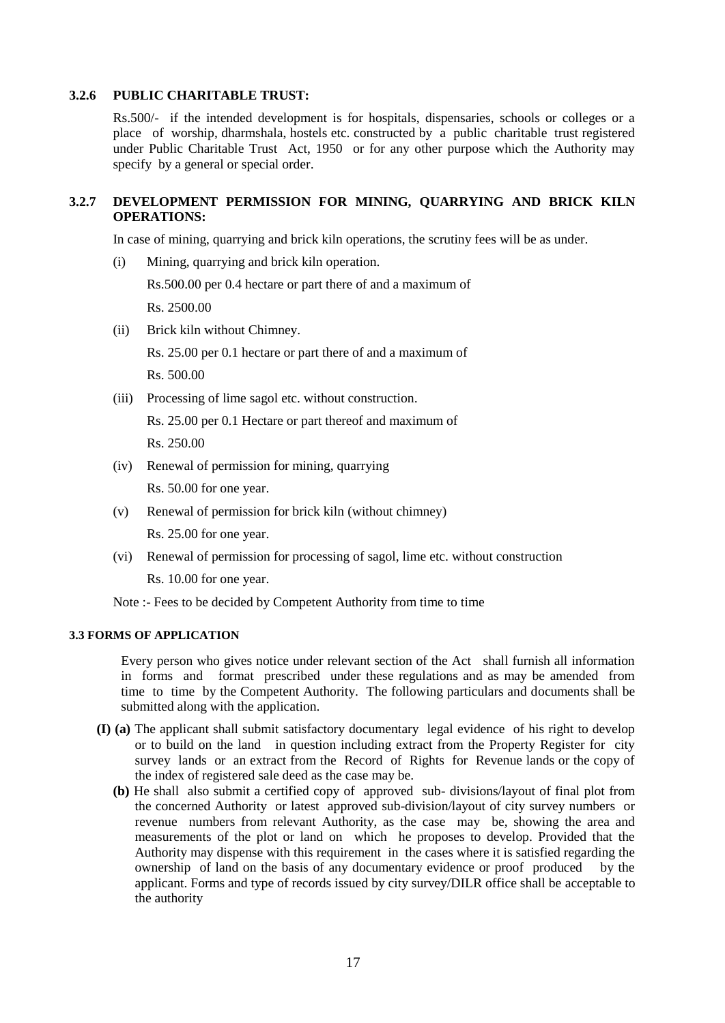## **3.2.6 PUBLIC CHARITABLE TRUST:**

Rs.500/- if the intended development is for hospitals, dispensaries, schools or colleges or a place of worship, dharmshala, hostels etc. constructed by a public charitable trust registered under Public Charitable Trust Act, 1950 or for any other purpose which the Authority may specify by a general or special order.

## **3.2.7 DEVELOPMENT PERMISSION FOR MINING, QUARRYING AND BRICK KILN OPERATIONS:**

In case of mining, quarrying and brick kiln operations, the scrutiny fees will be as under.

(i) Mining, quarrying and brick kiln operation.

Rs.500.00 per 0.4 hectare or part there of and a maximum of Rs. 2500.00

(ii) Brick kiln without Chimney.

Rs. 25.00 per 0.1 hectare or part there of and a maximum of Rs. 500.00

(iii) Processing of lime sagol etc. without construction.

Rs. 25.00 per 0.1 Hectare or part thereof and maximum of Rs. 250.00

(iv) Renewal of permission for mining, quarrying

Rs. 50.00 for one year.

(v) Renewal of permission for brick kiln (without chimney)

Rs. 25.00 for one year.

(vi) Renewal of permission for processing of sagol, lime etc. without construction

Rs. 10.00 for one year.

Note :- Fees to be decided by Competent Authority from time to time

## **3.3 FORMS OF APPLICATION**

Every person who gives notice under relevant section of the Act shall furnish all information in forms and format prescribed under these regulations and as may be amended from time to time by the Competent Authority. The following particulars and documents shall be submitted along with the application.

- **(I) (a)** The applicant shall submit satisfactory documentary legal evidence of his right to develop or to build on the land in question including extract from the Property Register for city survey lands or an extract from the Record of Rights for Revenue lands or the copy of the index of registered sale deed as the case may be.
	- **(b)** He shall also submit a certified copy of approved sub- divisions/layout of final plot from the concerned Authority or latest approved sub-division/layout of city survey numbers or revenue numbers from relevant Authority, as the case may be, showing the area and measurements of the plot or land on which he proposes to develop. Provided that the Authority may dispense with this requirement in the cases where it is satisfied regarding the ownership of land on the basis of any documentary evidence or proof produced by the applicant. Forms and type of records issued by city survey/DILR office shall be acceptable to the authority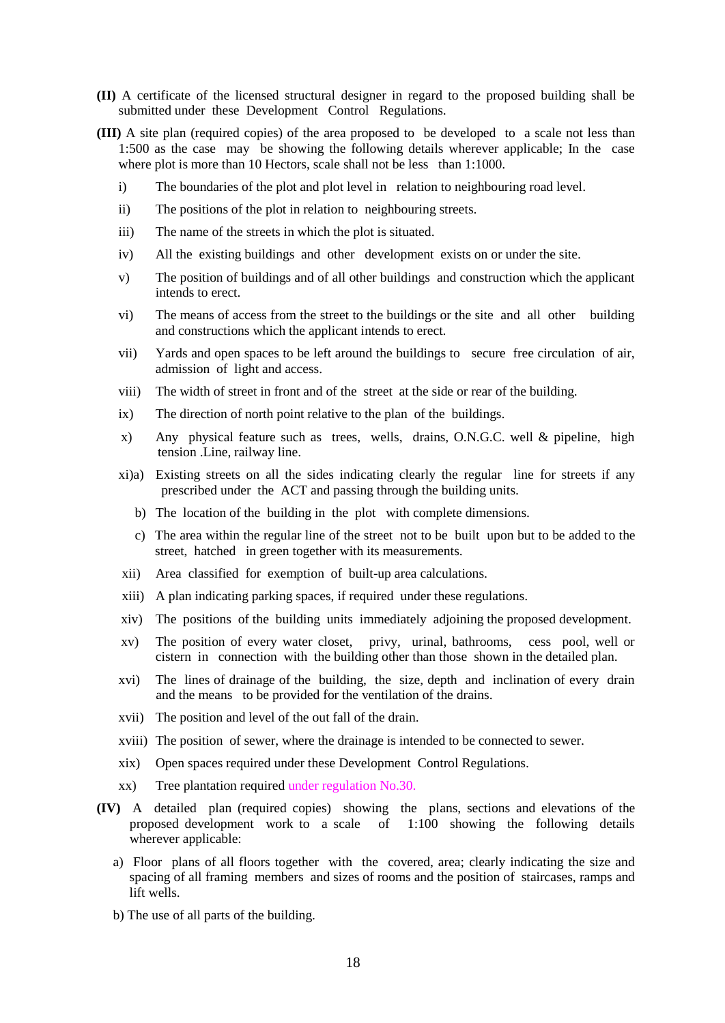- **(II)** A certificate of the licensed structural designer in regard to the proposed building shall be submitted under these Development Control Regulations.
- **(III)** A site plan (required copies) of the area proposed to be developed to a scale not less than 1:500 as the case may be showing the following details wherever applicable; In the case where plot is more than 10 Hectors, scale shall not be less than 1:1000.
	- i) The boundaries of the plot and plot level in relation to neighbouring road level.
	- ii) The positions of the plot in relation to neighbouring streets.
	- iii) The name of the streets in which the plot is situated.
	- iv) All the existing buildings and other development exists on or under the site.
	- v) The position of buildings and of all other buildings and construction which the applicant intends to erect.
	- vi) The means of access from the street to the buildings or the site and all other building and constructions which the applicant intends to erect.
	- vii) Yards and open spaces to be left around the buildings to secure free circulation of air, admission of light and access.
	- viii) The width of street in front and of the street at the side or rear of the building.
	- ix) The direction of north point relative to the plan of the buildings.
	- x) Any physical feature such as trees, wells, drains, O.N.G.C. well & pipeline, high tension .Line, railway line.
	- xi)a) Existing streets on all the sides indicating clearly the regular line for streets if any prescribed under the ACT and passing through the building units.
		- b) The location of the building in the plot with complete dimensions.
		- c) The area within the regular line of the street not to be built upon but to be added to the street, hatched in green together with its measurements.
	- xii) Area classified for exemption of built-up area calculations.
	- xiii) A plan indicating parking spaces, if required under these regulations.
	- xiv) The positions of the building units immediately adjoining the proposed development.
	- xv) The position of every water closet, privy, urinal, bathrooms, cess pool, well or cistern in connection with the building other than those shown in the detailed plan.
	- xvi) The lines of drainage of the building, the size, depth and inclination of every drain and the means to be provided for the ventilation of the drains.
	- xvii) The position and level of the out fall of the drain.
	- xviii) The position of sewer, where the drainage is intended to be connected to sewer.
	- xix) Open spaces required under these Development Control Regulations.
	- xx) Tree plantation required under regulation No.30.
- **(IV)** A detailed plan (required copies) showing the plans, sections and elevations of the proposed development work to a scale of 1:100 showing the following details wherever applicable:
	- a) Floor plans of all floors together with the covered, area; clearly indicating the size and spacing of all framing members and sizes of rooms and the position of staircases, ramps and lift wells.
	- b) The use of all parts of the building.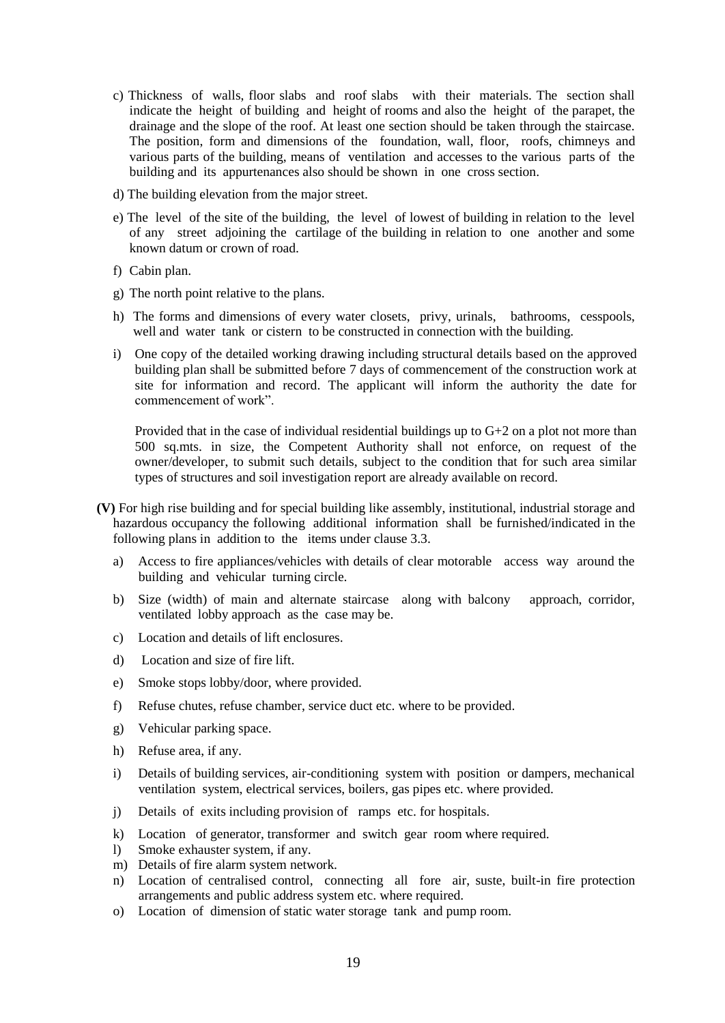- c) Thickness of walls, floor slabs and roof slabs with their materials. The section shall indicate the height of building and height of rooms and also the height of the parapet, the drainage and the slope of the roof. At least one section should be taken through the staircase. The position, form and dimensions of the foundation, wall, floor, roofs, chimneys and various parts of the building, means of ventilation and accesses to the various parts of the building and its appurtenances also should be shown in one cross section.
- d) The building elevation from the major street.
- e) The level of the site of the building, the level of lowest of building in relation to the level of any street adjoining the cartilage of the building in relation to one another and some known datum or crown of road.
- f) Cabin plan.
- g) The north point relative to the plans.
- h) The forms and dimensions of every water closets, privy, urinals, bathrooms, cesspools, well and water tank or cistern to be constructed in connection with the building.
- i) One copy of the detailed working drawing including structural details based on the approved building plan shall be submitted before 7 days of commencement of the construction work at site for information and record. The applicant will inform the authority the date for commencement of work".

Provided that in the case of individual residential buildings up to G+2 on a plot not more than 500 sq.mts. in size, the Competent Authority shall not enforce, on request of the owner/developer, to submit such details, subject to the condition that for such area similar types of structures and soil investigation report are already available on record.

- **(V)** For high rise building and for special building like assembly, institutional, industrial storage and hazardous occupancy the following additional information shall be furnished/indicated in the following plans in addition to the items under clause 3.3.
	- a) Access to fire appliances/vehicles with details of clear motorable access way around the building and vehicular turning circle.
	- b) Size (width) of main and alternate staircase along with balcony approach, corridor, ventilated lobby approach as the case may be.
	- c) Location and details of lift enclosures.
	- d) Location and size of fire lift.
	- e) Smoke stops lobby/door, where provided.
	- f) Refuse chutes, refuse chamber, service duct etc. where to be provided.
	- g) Vehicular parking space.
	- h) Refuse area, if any.
	- i) Details of building services, air-conditioning system with position or dampers, mechanical ventilation system, electrical services, boilers, gas pipes etc. where provided.
	- j) Details of exits including provision of ramps etc. for hospitals.
	- k) Location of generator, transformer and switch gear room where required.
	- l) Smoke exhauster system, if any.
	- m) Details of fire alarm system network.
	- n) Location of centralised control, connecting all fore air, suste, built-in fire protection arrangements and public address system etc. where required.
	- o) Location of dimension of static water storage tank and pump room.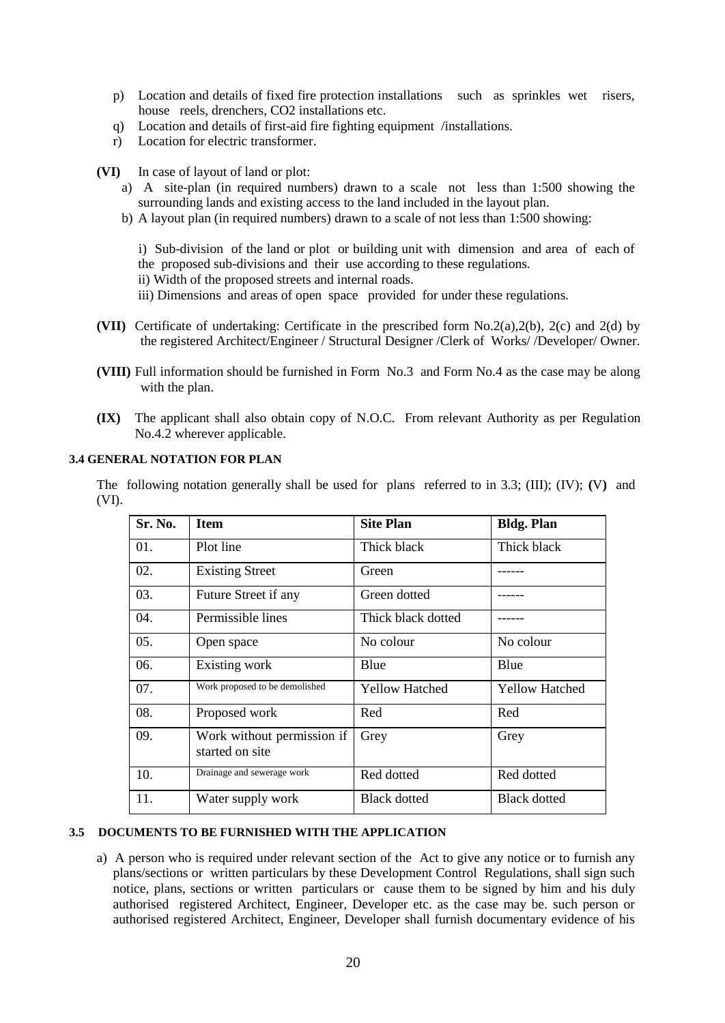- p) Location and details of fixed fire protection installations such as sprinkles wet risers, house reels, drenchers, CO2 installations etc.
- q) Location and details of first-aid fire fighting equipment /installations.
- r) Location for electric transformer.
- **(VI)** In case of layout of land or plot:
	- a) A site-plan (in required numbers) drawn to a scale not less than 1:500 showing the surrounding lands and existing access to the land included in the layout plan.
	- b) A layout plan (in required numbers) drawn to a scale of not less than 1:500 showing:

 i) Sub-division of the land or plot or building unit with dimension and area of each of the proposed sub-divisions and their use according to these regulations.

- ii) Width of the proposed streets and internal roads.
- iii) Dimensions and areas of open space provided for under these regulations.
- **(VII)** Certificate of undertaking: Certificate in the prescribed form No.2(a),2(b), 2(c) and 2(d) by the registered Architect/Engineer / Structural Designer /Clerk of Works/ /Developer/ Owner.
- **(VIII)** Full information should be furnished in Form No.3 and Form No.4 as the case may be along with the plan.
- **(IX)** The applicant shall also obtain copy of N.O.C. From relevant Authority as per Regulation No.4.2 wherever applicable.

## **3.4 GENERAL NOTATION FOR PLAN**

The following notation generally shall be used for plans referred to in 3.3; (III); (IV); **(**V**)** and (VI).

| Sr. No. | <b>Item</b>                                   | <b>Site Plan</b>      | <b>Bldg. Plan</b>     |
|---------|-----------------------------------------------|-----------------------|-----------------------|
| 01.     | Plot line                                     | Thick black           | Thick black           |
| 02.     | <b>Existing Street</b>                        | Green                 |                       |
| 03.     | Future Street if any                          | Green dotted          |                       |
| 04.     | Permissible lines                             | Thick black dotted    |                       |
| 05.     | Open space                                    | No colour             | No colour             |
| 06.     | Existing work                                 | Blue                  | Blue                  |
| 07.     | Work proposed to be demolished                | <b>Yellow Hatched</b> | <b>Yellow Hatched</b> |
| 08.     | Proposed work                                 | Red                   | Red                   |
| 09.     | Work without permission if<br>started on site | Grey                  | Grey                  |
| 10.     | Drainage and sewerage work                    | Red dotted            | Red dotted            |
| 11.     | Water supply work                             | <b>Black dotted</b>   | <b>Black dotted</b>   |

## **3.5 DOCUMENTS TO BE FURNISHED WITH THE APPLICATION**

a) A person who is required under relevant section of the Act to give any notice or to furnish any plans/sections or written particulars by these Development Control Regulations, shall sign such notice, plans, sections or written particulars or cause them to be signed by him and his duly authorised registered Architect, Engineer, Developer etc. as the case may be. such person or authorised registered Architect, Engineer, Developer shall furnish documentary evidence of his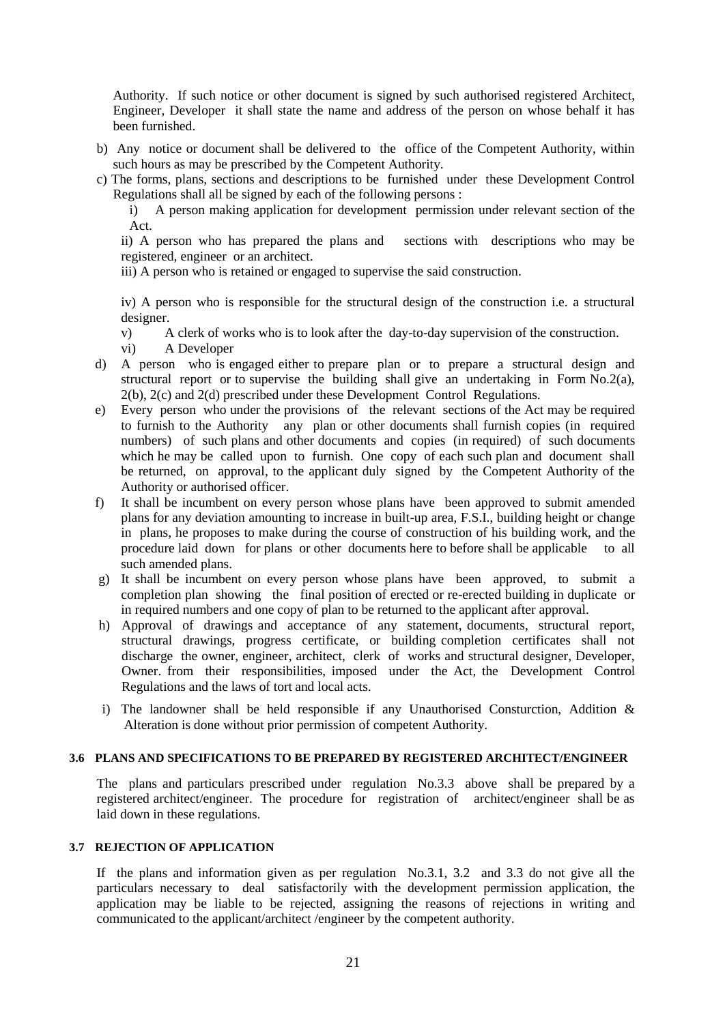Authority. If such notice or other document is signed by such authorised registered Architect, Engineer, Developer it shall state the name and address of the person on whose behalf it has been furnished.

- b) Any notice or document shall be delivered to the office of the Competent Authority, within such hours as may be prescribed by the Competent Authority.
- c) The forms, plans, sections and descriptions to be furnished under these Development Control Regulations shall all be signed by each of the following persons :

i) A person making application for development permission under relevant section of the Act.

ii) A person who has prepared the plans and sections with descriptions who may be registered, engineer or an architect.

iii) A person who is retained or engaged to supervise the said construction.

iv) A person who is responsible for the structural design of the construction i.e. a structural designer.

v) A clerk of works who is to look after the day-to-day supervision of the construction.

- vi) A Developer
- d) A person who is engaged either to prepare plan or to prepare a structural design and structural report or to supervise the building shall give an undertaking in Form No.2(a), 2(b), 2(c) and 2(d) prescribed under these Development Control Regulations.
- e) Every person who under the provisions of the relevant sections of the Act may be required to furnish to the Authority any plan or other documents shall furnish copies (in required numbers) of such plans and other documents and copies (in required) of such documents which he may be called upon to furnish. One copy of each such plan and document shall be returned, on approval, to the applicant duly signed by the Competent Authority of the Authority or authorised officer.
- f) It shall be incumbent on every person whose plans have been approved to submit amended plans for any deviation amounting to increase in built-up area, F.S.I., building height or change in plans, he proposes to make during the course of construction of his building work, and the procedure laid down for plans or other documents here to before shall be applicable to all such amended plans.
- g) It shall be incumbent on every person whose plans have been approved, to submit a completion plan showing the final position of erected or re-erected building in duplicate or in required numbers and one copy of plan to be returned to the applicant after approval.
- h) Approval of drawings and acceptance of any statement, documents, structural report, structural drawings, progress certificate, or building completion certificates shall not discharge the owner, engineer, architect, clerk of works and structural designer, Developer, Owner. from their responsibilities, imposed under the Act, the Development Control Regulations and the laws of tort and local acts.
- i) The landowner shall be held responsible if any Unauthorised Consturction, Addition & Alteration is done without prior permission of competent Authority.

## **3.6 PLANS AND SPECIFICATIONS TO BE PREPARED BY REGISTERED ARCHITECT/ENGINEER**

The plans and particulars prescribed under regulation No.3.3 above shall be prepared by a registered architect/engineer. The procedure for registration of architect/engineer shall be as laid down in these regulations.

## **3.7 REJECTION OF APPLICATION**

If the plans and information given as per regulation No.3.1, 3.2 and 3.3 do not give all the particulars necessary to deal satisfactorily with the development permission application, the application may be liable to be rejected, assigning the reasons of rejections in writing and communicated to the applicant/architect /engineer by the competent authority.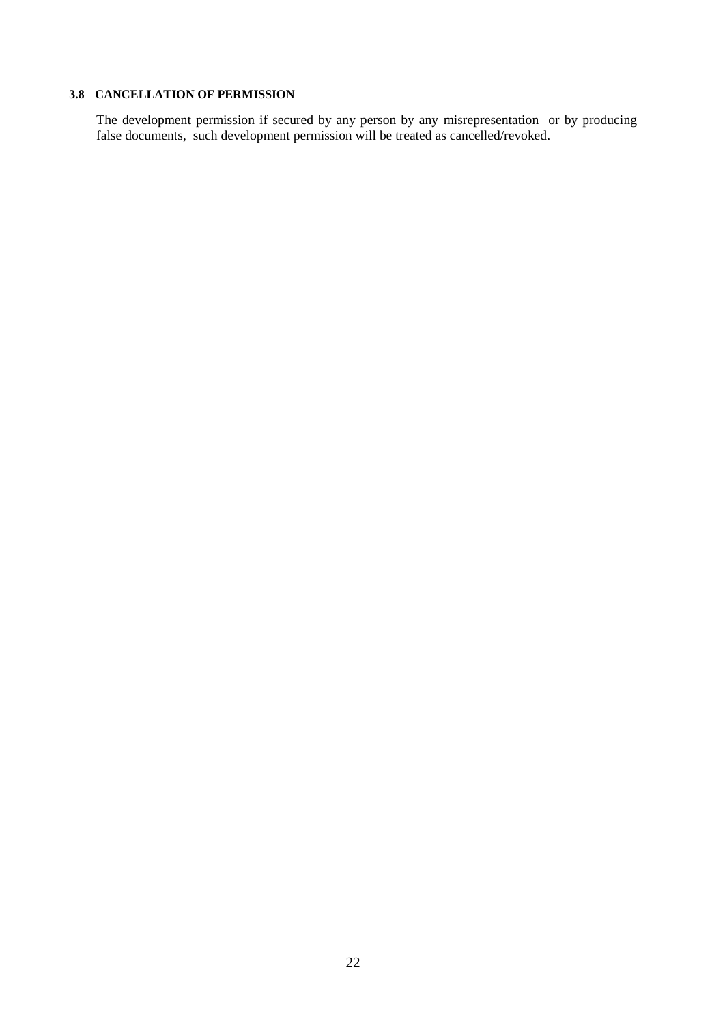## **3.8 CANCELLATION OF PERMISSION**

The development permission if secured by any person by any misrepresentation or by producing false documents, such development permission will be treated as cancelled/revoked.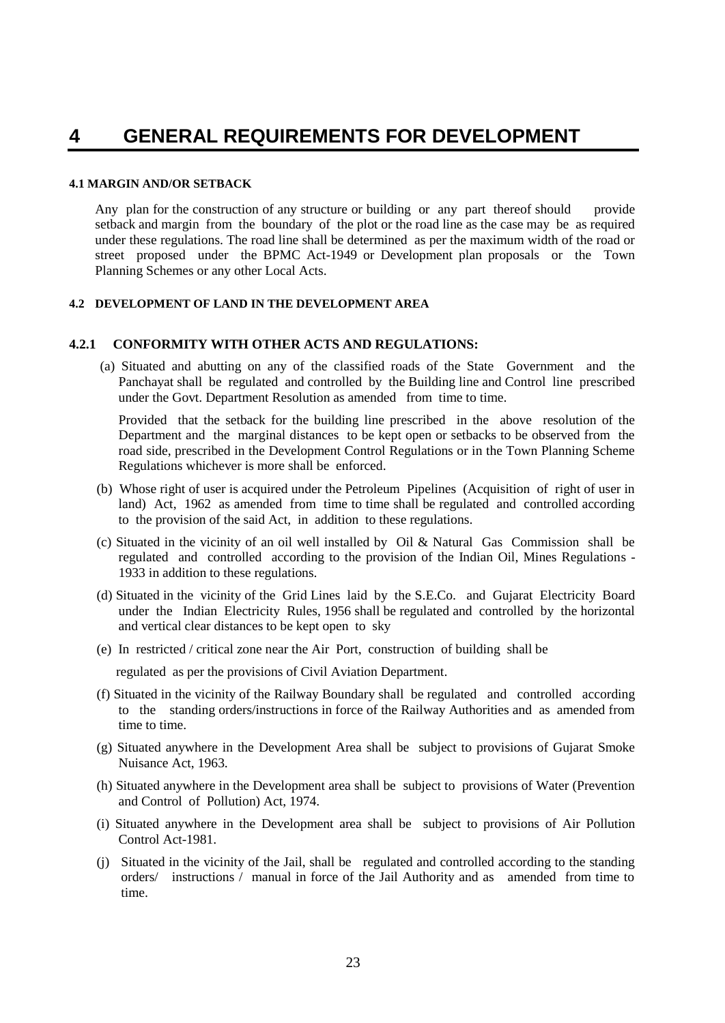## **4 GENERAL REQUIREMENTS FOR DEVELOPMENT**

#### **4.1 MARGIN AND/OR SETBACK**

Any plan for the construction of any structure or building or any part thereof should provide setback and margin from the boundary of the plot or the road line as the case may be as required under these regulations. The road line shall be determined as per the maximum width of the road or street proposed under the BPMC Act-1949 or Development plan proposals or the Town Planning Schemes or any other Local Acts.

## **4.2 DEVELOPMENT OF LAND IN THE DEVELOPMENT AREA**

## **4.2.1 CONFORMITY WITH OTHER ACTS AND REGULATIONS:**

(a) Situated and abutting on any of the classified roads of the State Government and the Panchayat shall be regulated and controlled by the Building line and Control line prescribed under the Govt. Department Resolution as amended from time to time.

Provided that the setback for the building line prescribed in the above resolution of the Department and the marginal distances to be kept open or setbacks to be observed from the road side, prescribed in the Development Control Regulations or in the Town Planning Scheme Regulations whichever is more shall be enforced.

- (b) Whose right of user is acquired under the Petroleum Pipelines (Acquisition of right of user in land) Act, 1962 as amended from time to time shall be regulated and controlled according to the provision of the said Act, in addition to these regulations.
- (c) Situated in the vicinity of an oil well installed by Oil & Natural Gas Commission shall be regulated and controlled according to the provision of the Indian Oil, Mines Regulations - 1933 in addition to these regulations.
- (d) Situated in the vicinity of the Grid Lines laid by the S.E.Co. and Gujarat Electricity Board under the Indian Electricity Rules, 1956 shall be regulated and controlled by the horizontal and vertical clear distances to be kept open to sky
- (e) In restricted / critical zone near the Air Port, construction of building shall be

regulated as per the provisions of Civil Aviation Department.

- (f) Situated in the vicinity of the Railway Boundary shall be regulated and controlled according to the standing orders/instructions in force of the Railway Authorities and as amended from time to time.
- (g) Situated anywhere in the Development Area shall be subject to provisions of Gujarat Smoke Nuisance Act, 1963.
- (h) Situated anywhere in the Development area shall be subject to provisions of Water (Prevention and Control of Pollution) Act, 1974.
- (i) Situated anywhere in the Development area shall be subject to provisions of Air Pollution Control Act-1981.
- (j) Situated in the vicinity of the Jail, shall be regulated and controlled according to the standing orders/ instructions / manual in force of the Jail Authority and as amended from time to time.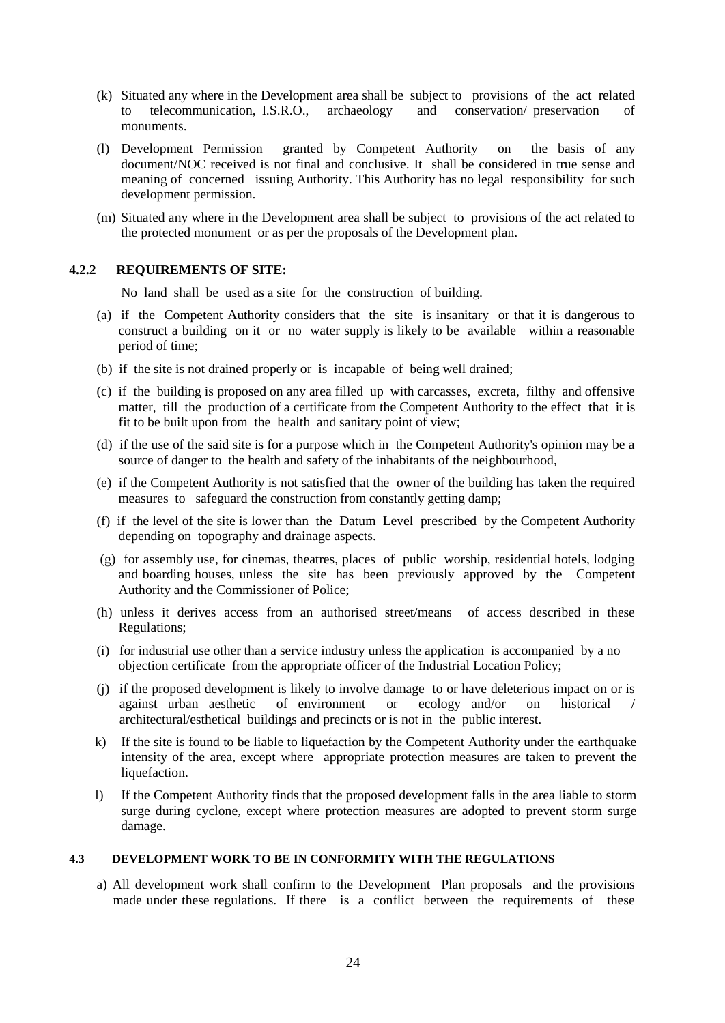- (k) Situated any where in the Development area shall be subject to provisions of the act related to telecommunication, I.S.R.O., archaeology and conservation/ preservation of monuments.
- (l) Development Permission granted by Competent Authority on the basis of any document/NOC received is not final and conclusive. It shall be considered in true sense and meaning of concerned issuing Authority. This Authority has no legal responsibility for such development permission.
- (m) Situated any where in the Development area shall be subject to provisions of the act related to the protected monument or as per the proposals of the Development plan.

## **4.2.2 REQUIREMENTS OF SITE:**

No land shall be used as a site for the construction of building.

- (a) if the Competent Authority considers that the site is insanitary or that it is dangerous to construct a building on it or no water supply is likely to be available within a reasonable period of time;
- (b) if the site is not drained properly or is incapable of being well drained;
- (c) if the building is proposed on any area filled up with carcasses, excreta, filthy and offensive matter, till the production of a certificate from the Competent Authority to the effect that it is fit to be built upon from the health and sanitary point of view;
- (d) if the use of the said site is for a purpose which in the Competent Authority's opinion may be a source of danger to the health and safety of the inhabitants of the neighbourhood,
- (e) if the Competent Authority is not satisfied that the owner of the building has taken the required measures to safeguard the construction from constantly getting damp;
- (f) if the level of the site is lower than the Datum Level prescribed by the Competent Authority depending on topography and drainage aspects.
- (g) for assembly use, for cinemas, theatres, places of public worship, residential hotels, lodging and boarding houses, unless the site has been previously approved by the Competent Authority and the Commissioner of Police;
- (h) unless it derives access from an authorised street/means of access described in these Regulations;
- (i) for industrial use other than a service industry unless the application is accompanied by a no objection certificate from the appropriate officer of the Industrial Location Policy;
- (j) if the proposed development is likely to involve damage to or have deleterious impact on or is against urban aesthetic of environment or ecology and/or on historical / architectural/esthetical buildings and precincts or is not in the public interest.
- k) If the site is found to be liable to liquefaction by the Competent Authority under the earthquake intensity of the area, except where appropriate protection measures are taken to prevent the liquefaction.
- l) If the Competent Authority finds that the proposed development falls in the area liable to storm surge during cyclone, except where protection measures are adopted to prevent storm surge damage.

## **4.3 DEVELOPMENT WORK TO BE IN CONFORMITY WITH THE REGULATIONS**

a) All development work shall confirm to the Development Plan proposals and the provisions made under these regulations. If there is a conflict between the requirements of these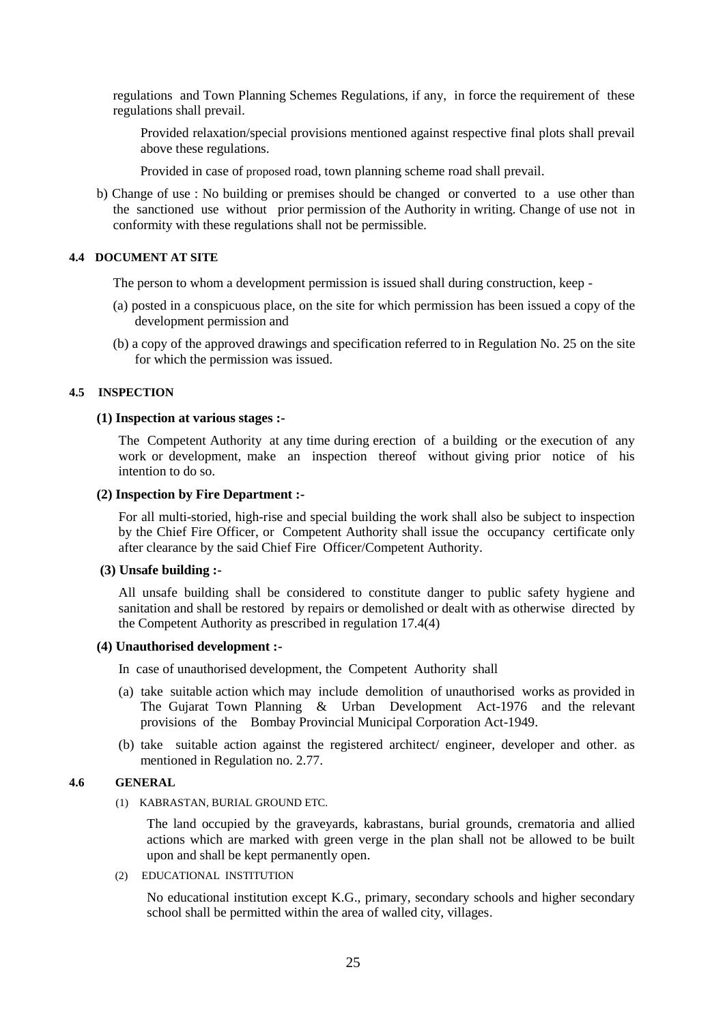regulations and Town Planning Schemes Regulations, if any, in force the requirement of these regulations shall prevail.

Provided relaxation/special provisions mentioned against respective final plots shall prevail above these regulations.

Provided in case of proposed road, town planning scheme road shall prevail.

b) Change of use : No building or premises should be changed or converted to a use other than the sanctioned use without prior permission of the Authority in writing. Change of use not in conformity with these regulations shall not be permissible.

#### **4.4 DOCUMENT AT SITE**

The person to whom a development permission is issued shall during construction, keep -

- (a) posted in a conspicuous place, on the site for which permission has been issued a copy of the development permission and
- (b) a copy of the approved drawings and specification referred to in Regulation No. 25 on the site for which the permission was issued.

#### **4.5 INSPECTION**

#### **(1) Inspection at various stages :-**

The Competent Authority at any time during erection of a building or the execution of any work or development, make an inspection thereof without giving prior notice of his intention to do so.

#### **(2) Inspection by Fire Department :-**

For all multi-storied, high-rise and special building the work shall also be subject to inspection by the Chief Fire Officer, or Competent Authority shall issue the occupancy certificate only after clearance by the said Chief Fire Officer/Competent Authority.

## **(3) Unsafe building :-**

All unsafe building shall be considered to constitute danger to public safety hygiene and sanitation and shall be restored by repairs or demolished or dealt with as otherwise directed by the Competent Authority as prescribed in regulation 17.4(4)

## **(4) Unauthorised development :-**

- In case of unauthorised development, the Competent Authority shall
- (a) take suitable action which may include demolition of unauthorised works as provided in The Gujarat Town Planning & Urban Development Act-1976 and the relevant provisions of the Bombay Provincial Municipal Corporation Act-1949.
- (b) take suitable action against the registered architect/ engineer, developer and other. as mentioned in Regulation no. 2.77.

## **4.6 GENERAL**

(1) KABRASTAN, BURIAL GROUND ETC.

The land occupied by the graveyards, kabrastans, burial grounds, crematoria and allied actions which are marked with green verge in the plan shall not be allowed to be built upon and shall be kept permanently open.

(2) EDUCATIONAL INSTITUTION

No educational institution except K.G., primary, secondary schools and higher secondary school shall be permitted within the area of walled city, villages.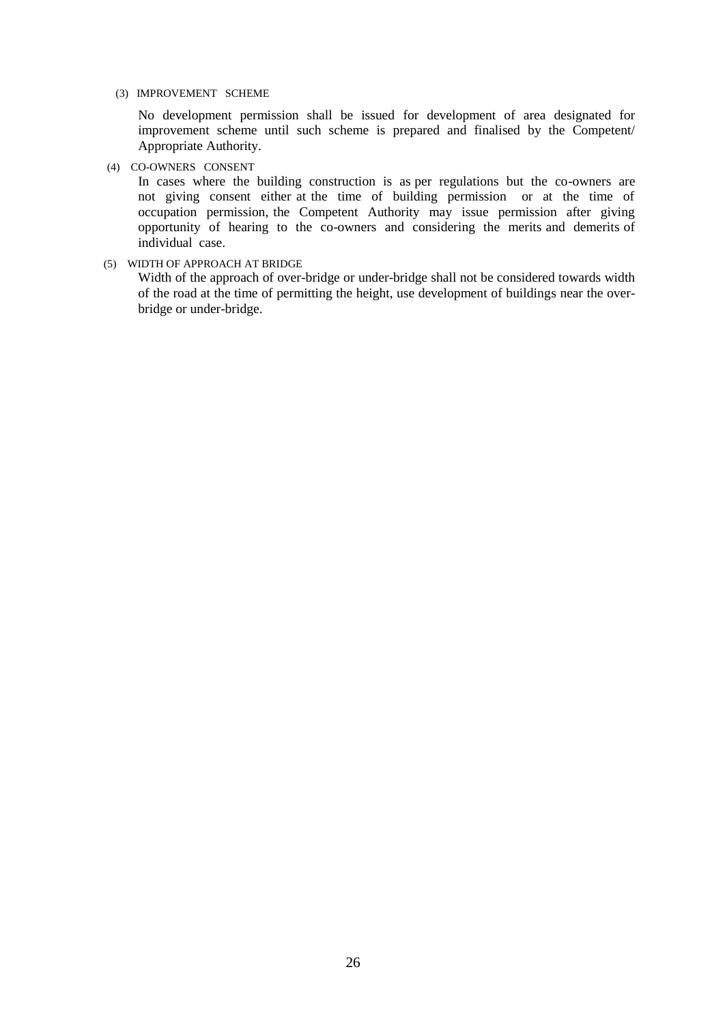(3) IMPROVEMENT SCHEME

No development permission shall be issued for development of area designated for improvement scheme until such scheme is prepared and finalised by the Competent/ Appropriate Authority.

(4) CO-OWNERS CONSENT

In cases where the building construction is as per regulations but the co-owners are not giving consent either at the time of building permission or at the time of occupation permission, the Competent Authority may issue permission after giving opportunity of hearing to the co-owners and considering the merits and demerits of individual case.

(5) WIDTH OF APPROACH AT BRIDGE

Width of the approach of over-bridge or under-bridge shall not be considered towards width of the road at the time of permitting the height, use development of buildings near the overbridge or under-bridge.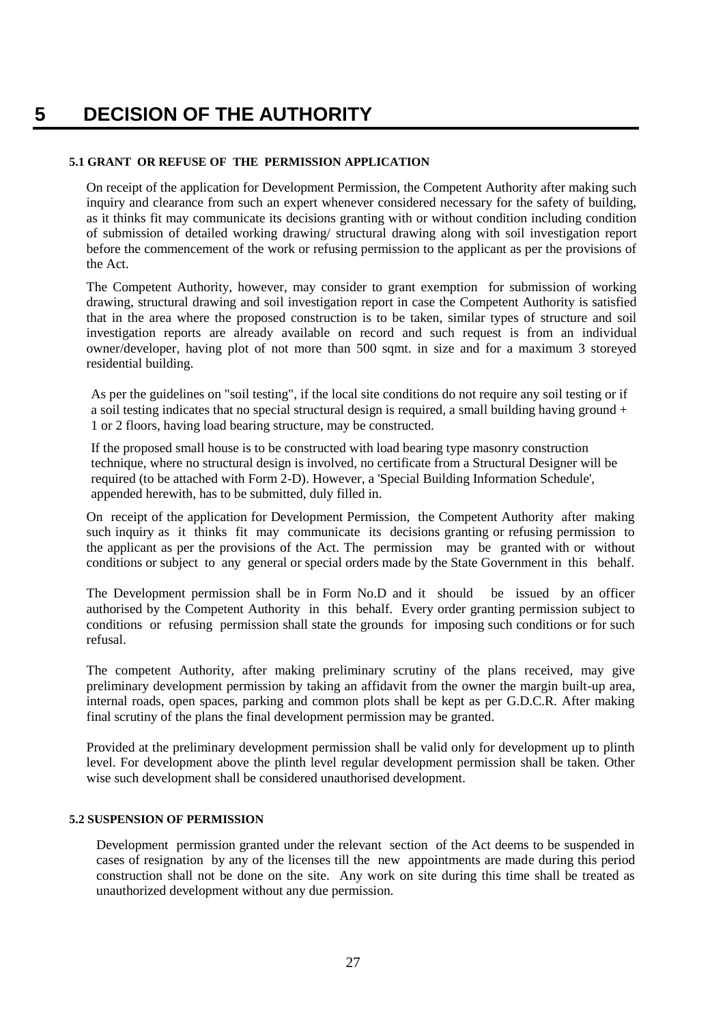## **5 DECISION OF THE AUTHORITY**

## **5.1 GRANT OR REFUSE OF THE PERMISSION APPLICATION**

On receipt of the application for Development Permission, the Competent Authority after making such inquiry and clearance from such an expert whenever considered necessary for the safety of building, as it thinks fit may communicate its decisions granting with or without condition including condition of submission of detailed working drawing/ structural drawing along with soil investigation report before the commencement of the work or refusing permission to the applicant as per the provisions of the Act.

The Competent Authority, however, may consider to grant exemption for submission of working drawing, structural drawing and soil investigation report in case the Competent Authority is satisfied that in the area where the proposed construction is to be taken, similar types of structure and soil investigation reports are already available on record and such request is from an individual owner/developer, having plot of not more than 500 sqmt. in size and for a maximum 3 storeyed residential building.

As per the guidelines on "soil testing", if the local site conditions do not require any soil testing or if a soil testing indicates that no special structural design is required, a small building having ground  $+$ 1 or 2 floors, having load bearing structure, may be constructed.

If the proposed small house is to be constructed with load bearing type masonry construction technique, where no structural design is involved, no certificate from a Structural Designer will be required (to be attached with Form 2-D). However, a 'Special Building Information Schedule', appended herewith, has to be submitted, duly filled in.

On receipt of the application for Development Permission, the Competent Authority after making such inquiry as it thinks fit may communicate its decisions granting or refusing permission to the applicant as per the provisions of the Act. The permission may be granted with or without conditions or subject to any general or special orders made by the State Government in this behalf.

The Development permission shall be in Form No.D and it should be issued by an officer authorised by the Competent Authority in this behalf. Every order granting permission subject to conditions or refusing permission shall state the grounds for imposing such conditions or for such refusal.

The competent Authority, after making preliminary scrutiny of the plans received, may give preliminary development permission by taking an affidavit from the owner the margin built-up area, internal roads, open spaces, parking and common plots shall be kept as per G.D.C.R. After making final scrutiny of the plans the final development permission may be granted.

Provided at the preliminary development permission shall be valid only for development up to plinth level. For development above the plinth level regular development permission shall be taken. Other wise such development shall be considered unauthorised development.

## **5.2 SUSPENSION OF PERMISSION**

Development permission granted under the relevant section of the Act deems to be suspended in cases of resignation by any of the licenses till the new appointments are made during this period construction shall not be done on the site. Any work on site during this time shall be treated as unauthorized development without any due permission.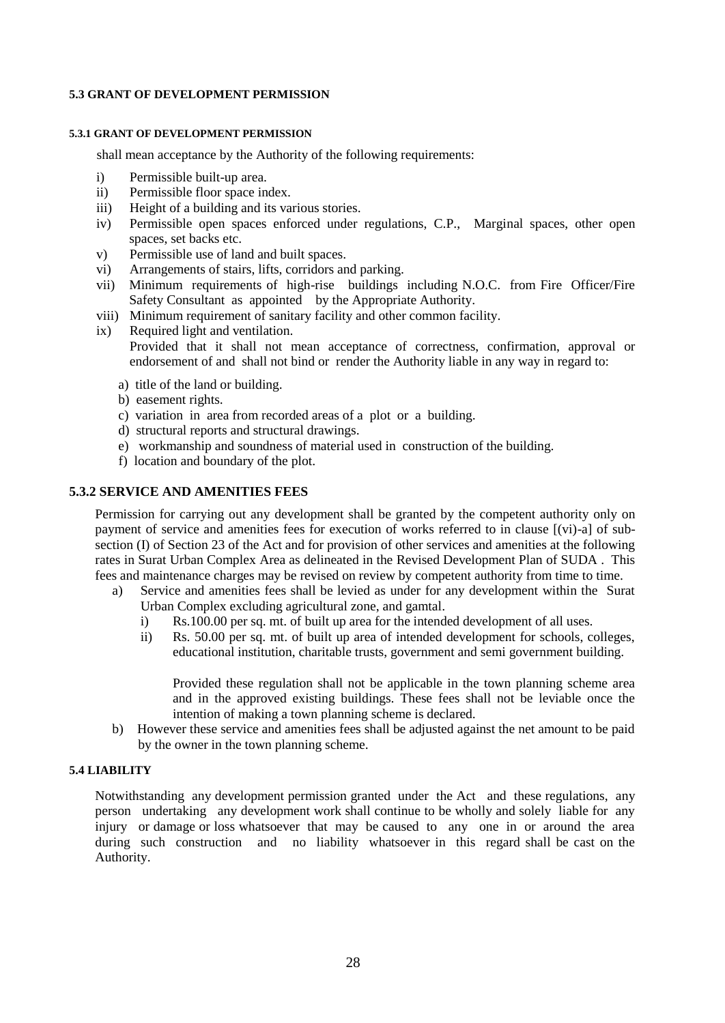## **5.3 GRANT OF DEVELOPMENT PERMISSION**

#### **5.3.1 GRANT OF DEVELOPMENT PERMISSION**

shall mean acceptance by the Authority of the following requirements:

- i) Permissible built-up area.
- ii) Permissible floor space index.
- iii) Height of a building and its various stories.
- iv) Permissible open spaces enforced under regulations, C.P., Marginal spaces, other open spaces, set backs etc.
- v) Permissible use of land and built spaces.
- vi) Arrangements of stairs, lifts, corridors and parking.
- vii) Minimum requirements of high-rise buildings including N.O.C. from Fire Officer/Fire Safety Consultant as appointed by the Appropriate Authority.
- viii) Minimum requirement of sanitary facility and other common facility.
- ix) Required light and ventilation. Provided that it shall not mean acceptance of correctness, confirmation, approval or endorsement of and shall not bind or render the Authority liable in any way in regard to:
	- a) title of the land or building.
	- b) easement rights.
	- c) variation in area from recorded areas of a plot or a building.
	- d) structural reports and structural drawings.
	- e) workmanship and soundness of material used in construction of the building.
	- f) location and boundary of the plot.

## **5.3.2 SERVICE AND AMENITIES FEES**

Permission for carrying out any development shall be granted by the competent authority only on payment of service and amenities fees for execution of works referred to in clause [(vi)-a] of subsection (I) of Section 23 of the Act and for provision of other services and amenities at the following rates in Surat Urban Complex Area as delineated in the Revised Development Plan of SUDA . This fees and maintenance charges may be revised on review by competent authority from time to time.

- a) Service and amenities fees shall be levied as under for any development within the Surat Urban Complex excluding agricultural zone, and gamtal.
	- i) Rs.100.00 per sq. mt. of built up area for the intended development of all uses.
	- ii) Rs. 50.00 per sq. mt. of built up area of intended development for schools, colleges, educational institution, charitable trusts, government and semi government building.

Provided these regulation shall not be applicable in the town planning scheme area and in the approved existing buildings. These fees shall not be leviable once the intention of making a town planning scheme is declared.

b) However these service and amenities fees shall be adjusted against the net amount to be paid by the owner in the town planning scheme.

## **5.4 LIABILITY**

Notwithstanding any development permission granted under the Act and these regulations, any person undertaking any development work shall continue to be wholly and solely liable for any injury or damage or loss whatsoever that may be caused to any one in or around the area during such construction and no liability whatsoever in this regard shall be cast on the Authority.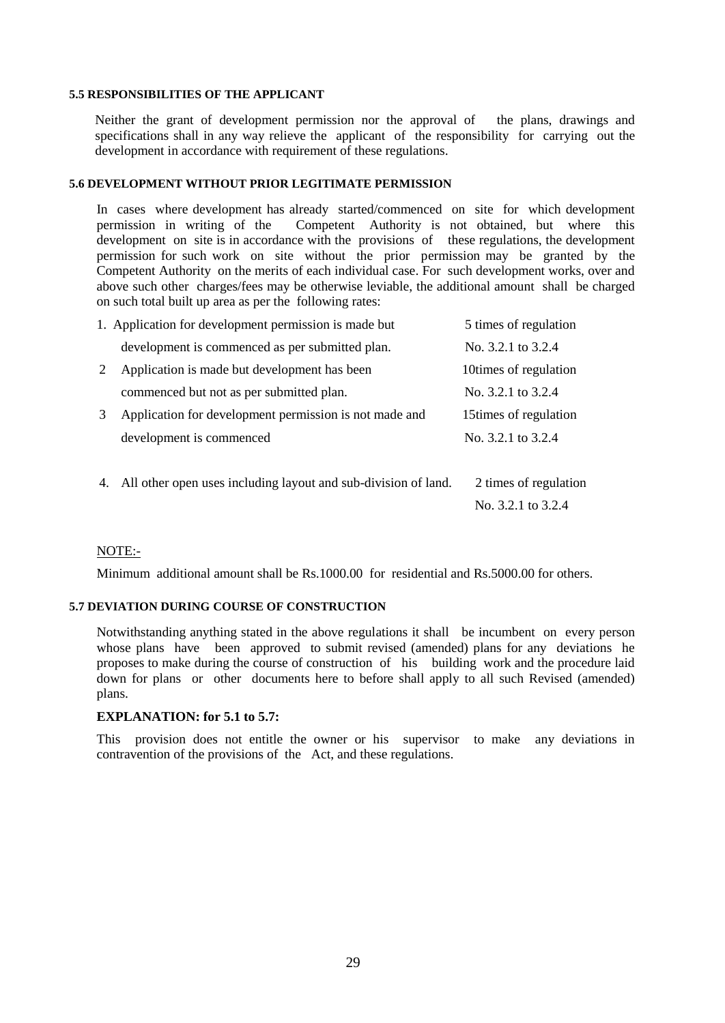## **5.5 RESPONSIBILITIES OF THE APPLICANT**

Neither the grant of development permission nor the approval of the plans, drawings and specifications shall in any way relieve the applicant of the responsibility for carrying out the development in accordance with requirement of these regulations.

#### **5.6 DEVELOPMENT WITHOUT PRIOR LEGITIMATE PERMISSION**

In cases where development has already started/commenced on site for which development permission in writing of the Competent Authority is not obtained, but where this development on site is in accordance with the provisions of these regulations, the development permission for such work on site without the prior permission may be granted by the Competent Authority on the merits of each individual case. For such development works, over and above such other charges/fees may be otherwise leviable, the additional amount shall be charged on such total built up area as per the following rates:

|    | 1. Application for development permission is made but          | 5 times of regulation  |
|----|----------------------------------------------------------------|------------------------|
|    | development is commenced as per submitted plan.                | No. 3.2.1 to 3.2.4     |
| 2  | Application is made but development has been                   | 10times of regulation  |
|    | commenced but not as per submitted plan.                       | No. 3.2.1 to 3.2.4     |
| 3  | Application for development permission is not made and         | 15 times of regulation |
|    | development is commenced                                       | No. 3.2.1 to 3.2.4     |
|    |                                                                |                        |
| 4. | All other open uses including layout and sub-division of land. | 2 times of regulation  |
|    |                                                                | No. 3.2.1 to 3.2.4     |

#### NOTE:-

Minimum additional amount shall be Rs.1000.00 for residential and Rs.5000.00 for others.

#### **5.7 DEVIATION DURING COURSE OF CONSTRUCTION**

Notwithstanding anything stated in the above regulations it shall be incumbent on every person whose plans have been approved to submit revised (amended) plans for any deviations he proposes to make during the course of construction of his building work and the procedure laid down for plans or other documents here to before shall apply to all such Revised (amended) plans.

#### **EXPLANATION: for 5.1 to 5.7:**

This provision does not entitle the owner or his supervisor to make any deviations in contravention of the provisions of the Act, and these regulations.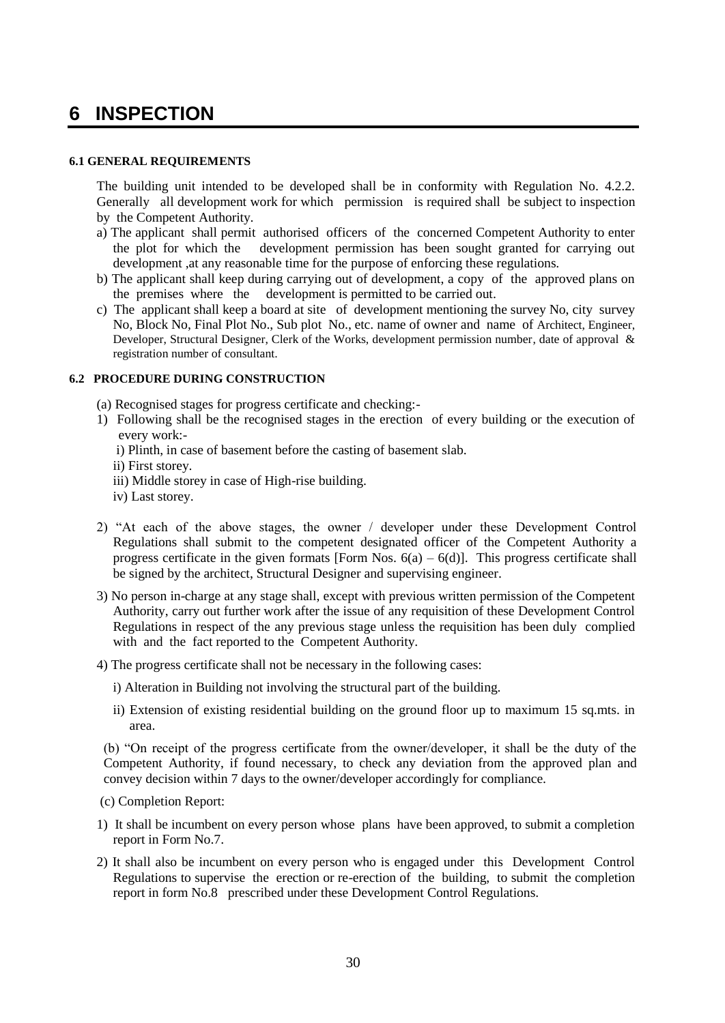## **6 INSPECTION**

## **6.1 GENERAL REQUIREMENTS**

The building unit intended to be developed shall be in conformity with Regulation No. 4.2.2. Generally all development work for which permission is required shall be subject to inspection by the Competent Authority.

- a) The applicant shall permit authorised officers of the concerned Competent Authority to enter the plot for which the development permission has been sought granted for carrying out development ,at any reasonable time for the purpose of enforcing these regulations.
- b) The applicant shall keep during carrying out of development, a copy of the approved plans on the premises where the development is permitted to be carried out.
- c) The applicant shall keep a board at site of development mentioning the survey No, city survey No, Block No, Final Plot No., Sub plot No., etc. name of owner and name of Architect, Engineer, Developer, Structural Designer, Clerk of the Works, development permission number, date of approval & registration number of consultant.

## **6.2 PROCEDURE DURING CONSTRUCTION**

- (a) Recognised stages for progress certificate and checking:-
- 1) Following shall be the recognised stages in the erection of every building or the execution of every work:
	- i) Plinth, in case of basement before the casting of basement slab.
	- ii) First storey.
	- iii) Middle storey in case of High-rise building.
	- iv) Last storey.
- 2) "At each of the above stages, the owner / developer under these Development Control Regulations shall submit to the competent designated officer of the Competent Authority a progress certificate in the given formats [Form Nos.  $6(a) - 6(d)$ ]. This progress certificate shall be signed by the architect, Structural Designer and supervising engineer.
- 3) No person in-charge at any stage shall, except with previous written permission of the Competent Authority, carry out further work after the issue of any requisition of these Development Control Regulations in respect of the any previous stage unless the requisition has been duly complied with and the fact reported to the Competent Authority.
- 4) The progress certificate shall not be necessary in the following cases:
	- i) Alteration in Building not involving the structural part of the building.
	- ii) Extension of existing residential building on the ground floor up to maximum 15 sq.mts. in area.

(b) "On receipt of the progress certificate from the owner/developer, it shall be the duty of the Competent Authority, if found necessary, to check any deviation from the approved plan and convey decision within 7 days to the owner/developer accordingly for compliance.

- (c) Completion Report:
- 1) It shall be incumbent on every person whose plans have been approved, to submit a completion report in Form No.7.
- 2) It shall also be incumbent on every person who is engaged under this Development Control Regulations to supervise the erection or re-erection of the building, to submit the completion report in form No.8 prescribed under these Development Control Regulations.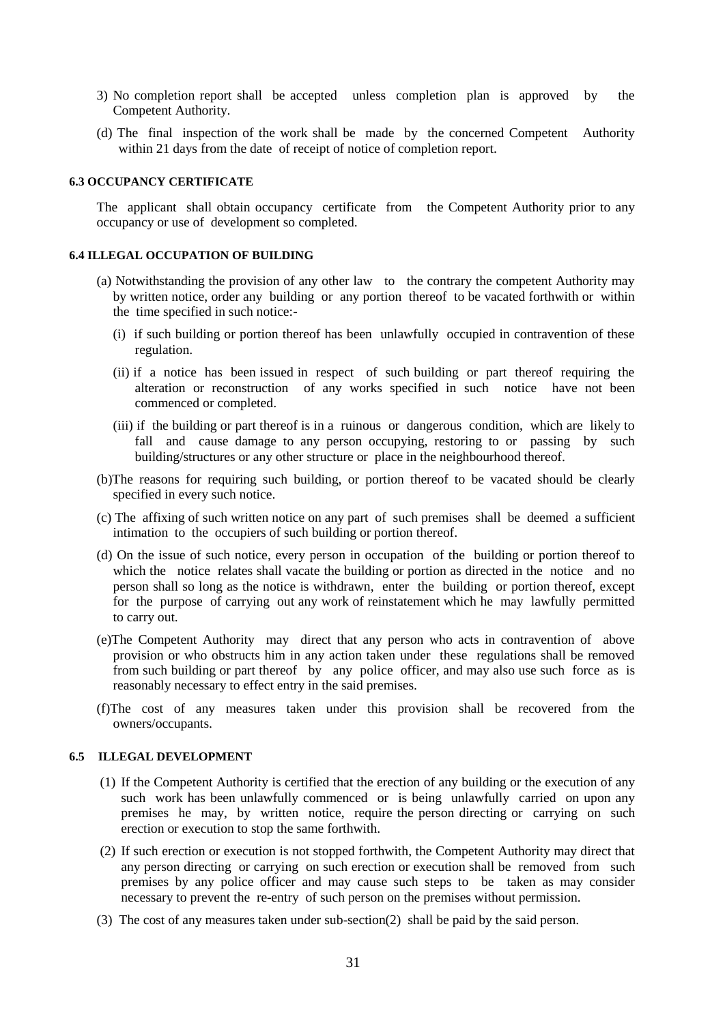- 3) No completion report shall be accepted unless completion plan is approved by the Competent Authority.
- (d) The final inspection of the work shall be made by the concerned Competent Authority within 21 days from the date of receipt of notice of completion report.

## **6.3 OCCUPANCY CERTIFICATE**

The applicant shall obtain occupancy certificate from the Competent Authority prior to any occupancy or use of development so completed.

#### **6.4 ILLEGAL OCCUPATION OF BUILDING**

- (a) Notwithstanding the provision of any other law to the contrary the competent Authority may by written notice, order any building or any portion thereof to be vacated forthwith or within the time specified in such notice:-
	- (i) if such building or portion thereof has been unlawfully occupied in contravention of these regulation.
	- (ii) if a notice has been issued in respect of such building or part thereof requiring the alteration or reconstruction of any works specified in such notice have not been commenced or completed.
	- (iii) if the building or part thereof is in a ruinous or dangerous condition, which are likely to fall and cause damage to any person occupying, restoring to or passing by such building/structures or any other structure or place in the neighbourhood thereof.
- (b)The reasons for requiring such building, or portion thereof to be vacated should be clearly specified in every such notice.
- (c) The affixing of such written notice on any part of such premises shall be deemed a sufficient intimation to the occupiers of such building or portion thereof.
- (d) On the issue of such notice, every person in occupation of the building or portion thereof to which the notice relates shall vacate the building or portion as directed in the notice and no person shall so long as the notice is withdrawn, enter the building or portion thereof, except for the purpose of carrying out any work of reinstatement which he may lawfully permitted to carry out.
- (e)The Competent Authority may direct that any person who acts in contravention of above provision or who obstructs him in any action taken under these regulations shall be removed from such building or part thereof by any police officer, and may also use such force as is reasonably necessary to effect entry in the said premises.
- (f)The cost of any measures taken under this provision shall be recovered from the owners/occupants.

#### **6.5 ILLEGAL DEVELOPMENT**

- (1) If the Competent Authority is certified that the erection of any building or the execution of any such work has been unlawfully commenced or is being unlawfully carried on upon any premises he may, by written notice, require the person directing or carrying on such erection or execution to stop the same forthwith.
- (2) If such erection or execution is not stopped forthwith, the Competent Authority may direct that any person directing or carrying on such erection or execution shall be removed from such premises by any police officer and may cause such steps to be taken as may consider necessary to prevent the re-entry of such person on the premises without permission.
- (3) The cost of any measures taken under sub-section(2) shall be paid by the said person.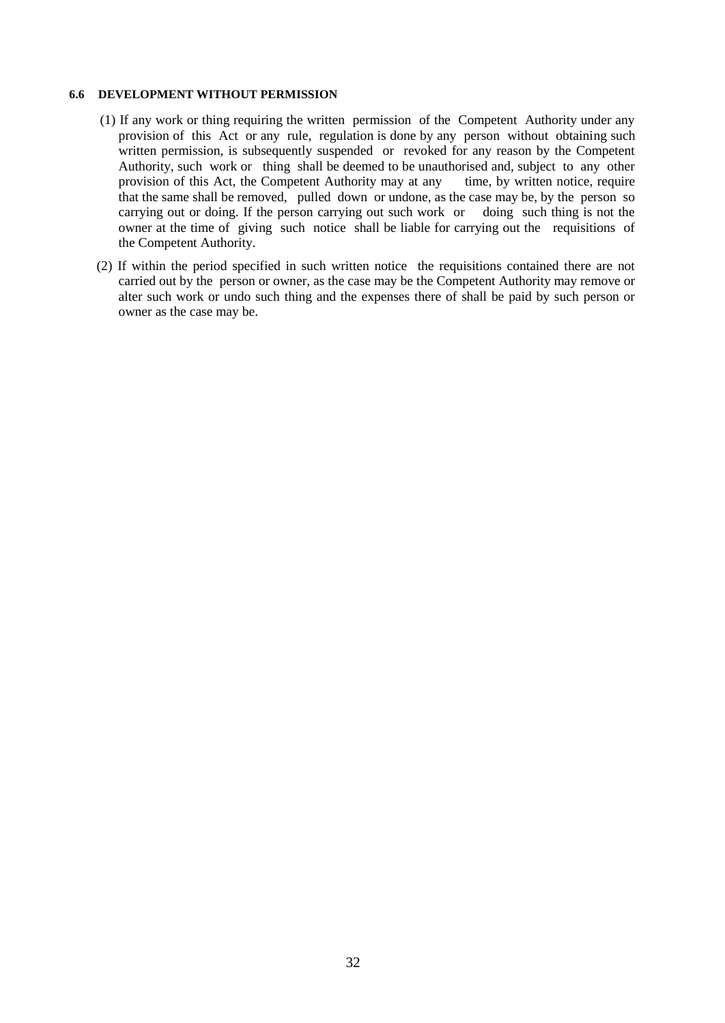#### **6.6 DEVELOPMENT WITHOUT PERMISSION**

- (1) If any work or thing requiring the written permission of the Competent Authority under any provision of this Act or any rule, regulation is done by any person without obtaining such written permission, is subsequently suspended or revoked for any reason by the Competent Authority, such work or thing shall be deemed to be unauthorised and, subject to any other provision of this Act, the Competent Authority may at any time, by written notice, require that the same shall be removed, pulled down or undone, as the case may be, by the person so carrying out or doing. If the person carrying out such work or doing such thing is not the owner at the time of giving such notice shall be liable for carrying out the requisitions of the Competent Authority.
- (2) If within the period specified in such written notice the requisitions contained there are not carried out by the person or owner, as the case may be the Competent Authority may remove or alter such work or undo such thing and the expenses there of shall be paid by such person or owner as the case may be.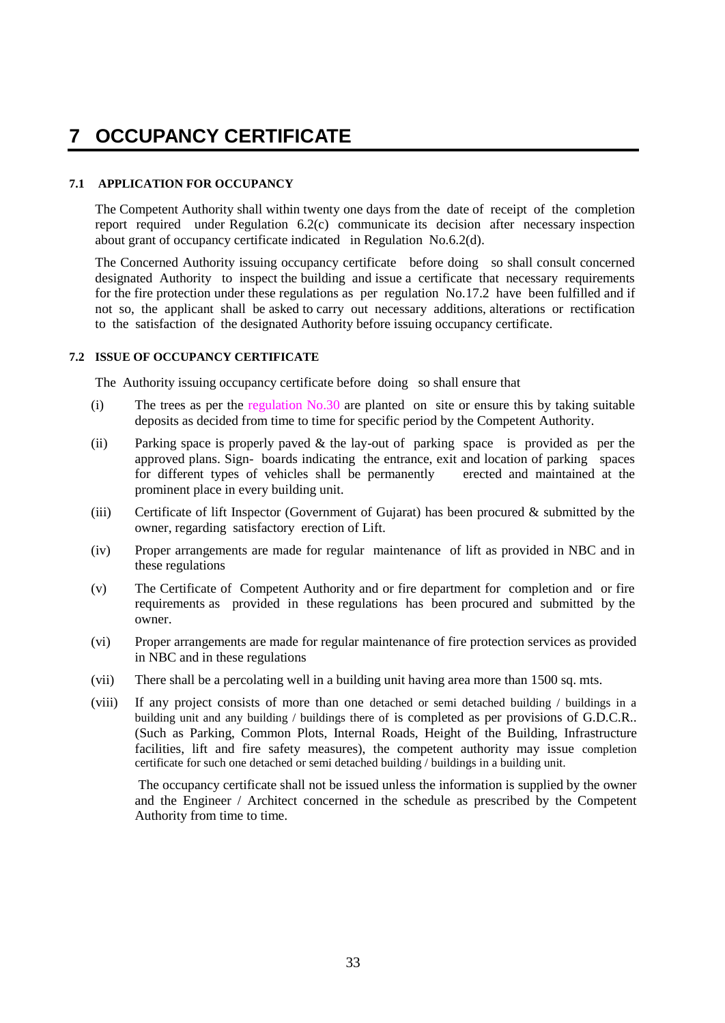## **7 OCCUPANCY CERTIFICATE**

## **7.1 APPLICATION FOR OCCUPANCY**

The Competent Authority shall within twenty one days from the date of receipt of the completion report required under Regulation 6.2(c) communicate its decision after necessary inspection about grant of occupancy certificate indicated in Regulation No.6.2(d).

The Concerned Authority issuing occupancy certificate before doing so shall consult concerned designated Authority to inspect the building and issue a certificate that necessary requirements for the fire protection under these regulations as per regulation No.17.2 have been fulfilled and if not so, the applicant shall be asked to carry out necessary additions, alterations or rectification to the satisfaction of the designated Authority before issuing occupancy certificate.

## **7.2 ISSUE OF OCCUPANCY CERTIFICATE**

The Authority issuing occupancy certificate before doing so shall ensure that

- (i) The trees as per the regulation No.30 are planted on site or ensure this by taking suitable deposits as decided from time to time for specific period by the Competent Authority.
- (ii) Parking space is properly paved & the lay-out of parking space is provided as per the approved plans. Sign- boards indicating the entrance, exit and location of parking spaces for different types of vehicles shall be permanently erected and maintained at the for different types of vehicles shall be permanently prominent place in every building unit.
- (iii) Certificate of lift Inspector (Government of Gujarat) has been procured & submitted by the owner, regarding satisfactory erection of Lift.
- (iv) Proper arrangements are made for regular maintenance of lift as provided in NBC and in these regulations
- (v) The Certificate of Competent Authority and or fire department for completion and or fire requirements as provided in these regulations has been procured and submitted by the owner.
- (vi) Proper arrangements are made for regular maintenance of fire protection services as provided in NBC and in these regulations
- (vii) There shall be a percolating well in a building unit having area more than 1500 sq. mts.
- (viii) If any project consists of more than one detached or semi detached building / buildings in a building unit and any building / buildings there of is completed as per provisions of G.D.C.R.. (Such as Parking, Common Plots, Internal Roads, Height of the Building, Infrastructure facilities, lift and fire safety measures), the competent authority may issue completion certificate for such one detached or semi detached building / buildings in a building unit.

The occupancy certificate shall not be issued unless the information is supplied by the owner and the Engineer / Architect concerned in the schedule as prescribed by the Competent Authority from time to time.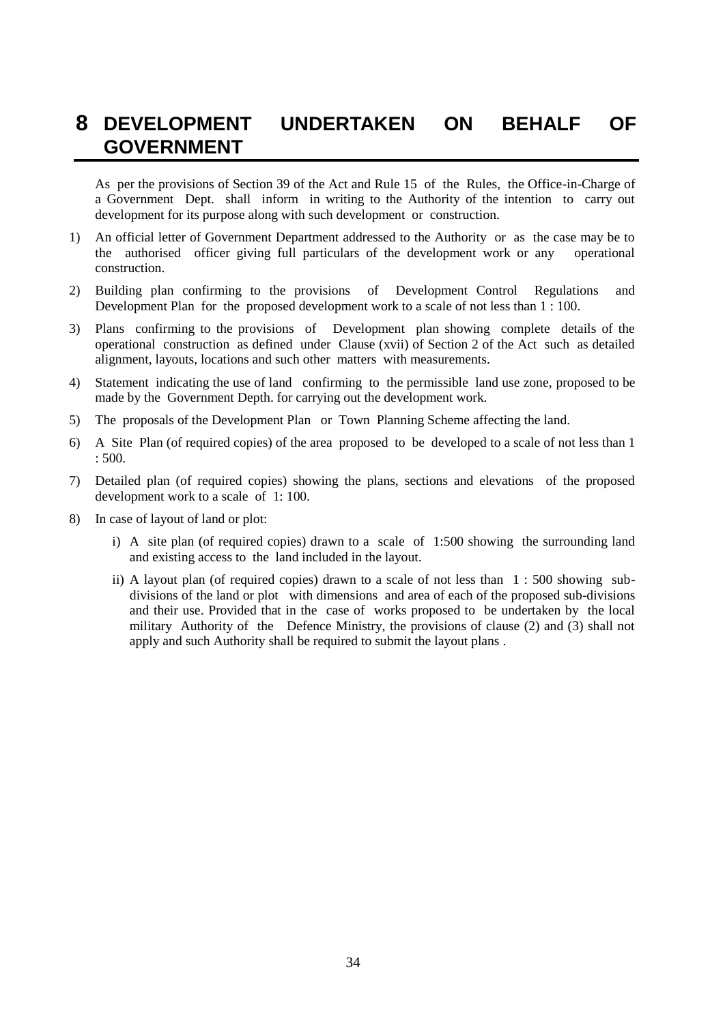## **8 DEVELOPMENT UNDERTAKEN ON BEHALF OF GOVERNMENT**

As per the provisions of Section 39 of the Act and Rule 15 of the Rules, the Office-in-Charge of a Government Dept. shall inform in writing to the Authority of the intention to carry out development for its purpose along with such development or construction.

- 1) An official letter of Government Department addressed to the Authority or as the case may be to the authorised officer giving full particulars of the development work or any operational construction.
- 2) Building plan confirming to the provisions of Development Control Regulations and Development Plan for the proposed development work to a scale of not less than 1 : 100.
- 3) Plans confirming to the provisions of Development plan showing complete details of the operational construction as defined under Clause (xvii) of Section 2 of the Act such as detailed alignment, layouts, locations and such other matters with measurements.
- 4) Statement indicating the use of land confirming to the permissible land use zone, proposed to be made by the Government Depth. for carrying out the development work.
- 5) The proposals of the Development Plan or Town Planning Scheme affecting the land.
- 6) A Site Plan (of required copies) of the area proposed to be developed to a scale of not less than 1 : 500.
- 7) Detailed plan (of required copies) showing the plans, sections and elevations of the proposed development work to a scale of 1: 100.
- 8) In case of layout of land or plot:
	- i) A site plan (of required copies) drawn to a scale of 1:500 showing the surrounding land and existing access to the land included in the layout.
	- ii) A layout plan (of required copies) drawn to a scale of not less than 1 : 500 showing subdivisions of the land or plot with dimensions and area of each of the proposed sub-divisions and their use. Provided that in the case of works proposed to be undertaken by the local military Authority of the Defence Ministry, the provisions of clause (2) and (3) shall not apply and such Authority shall be required to submit the layout plans .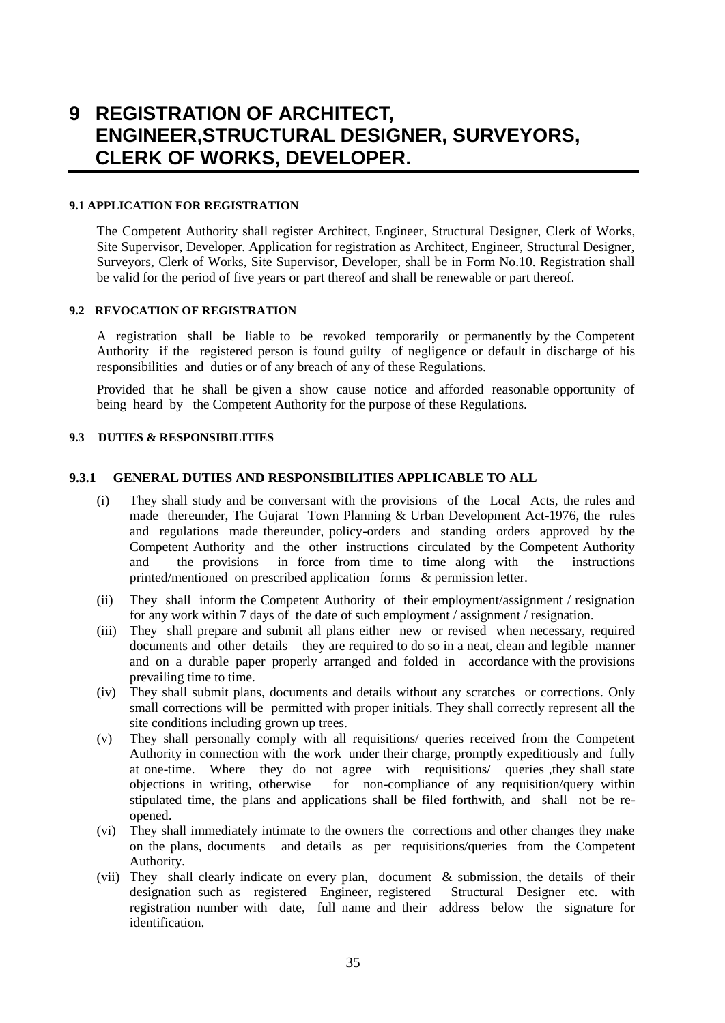## **9 REGISTRATION OF ARCHITECT, ENGINEER,STRUCTURAL DESIGNER, SURVEYORS, CLERK OF WORKS, DEVELOPER.**

## **9.1 APPLICATION FOR REGISTRATION**

The Competent Authority shall register Architect, Engineer, Structural Designer, Clerk of Works, Site Supervisor, Developer. Application for registration as Architect, Engineer, Structural Designer, Surveyors, Clerk of Works, Site Supervisor, Developer, shall be in Form No.10. Registration shall be valid for the period of five years or part thereof and shall be renewable or part thereof.

## **9.2 REVOCATION OF REGISTRATION**

A registration shall be liable to be revoked temporarily or permanently by the Competent Authority if the registered person is found guilty of negligence or default in discharge of his responsibilities and duties or of any breach of any of these Regulations.

Provided that he shall be given a show cause notice and afforded reasonable opportunity of being heard by the Competent Authority for the purpose of these Regulations.

## **9.3 DUTIES & RESPONSIBILITIES**

## **9.3.1 GENERAL DUTIES AND RESPONSIBILITIES APPLICABLE TO ALL**

- (i) They shall study and be conversant with the provisions of the Local Acts, the rules and made thereunder, The Gujarat Town Planning & Urban Development Act-1976, the rules and regulations made thereunder, policy-orders and standing orders approved by the Competent Authority and the other instructions circulated by the Competent Authority and the provisions in force from time to time along with the instructions printed/mentioned on prescribed application forms & permission letter.
- (ii) They shall inform the Competent Authority of their employment/assignment / resignation for any work within 7 days of the date of such employment / assignment / resignation.
- (iii) They shall prepare and submit all plans either new or revised when necessary, required documents and other details they are required to do so in a neat, clean and legible manner and on a durable paper properly arranged and folded in accordance with the provisions prevailing time to time.
- (iv) They shall submit plans, documents and details without any scratches or corrections. Only small corrections will be permitted with proper initials. They shall correctly represent all the site conditions including grown up trees.
- (v) They shall personally comply with all requisitions/ queries received from the Competent Authority in connection with the work under their charge, promptly expeditiously and fully at one-time. Where they do not agree with requisitions/ queries ,they shall state objections in writing, otherwise for non-compliance of any requisition/query within stipulated time, the plans and applications shall be filed forthwith, and shall not be reopened.
- (vi) They shall immediately intimate to the owners the corrections and other changes they make on the plans, documents and details as per requisitions/queries from the Competent Authority.
- (vii) They shall clearly indicate on every plan, document & submission, the details of their designation such as registered Engineer, registered Structural Designer etc. with registration number with date, full name and their address below the signature for identification.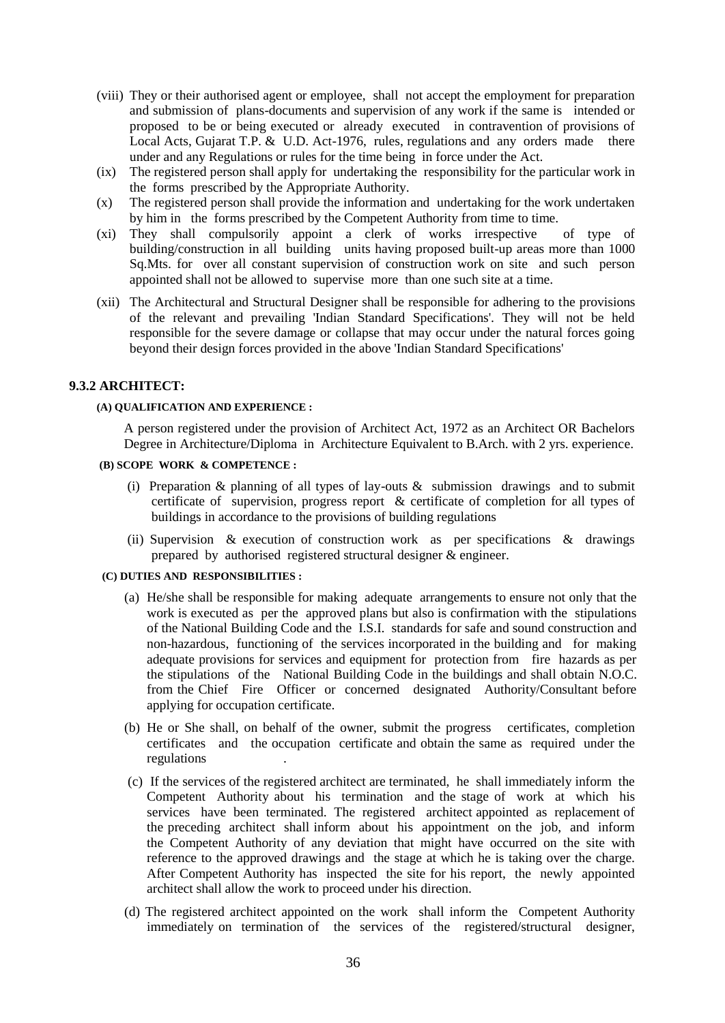- (viii) They or their authorised agent or employee, shall not accept the employment for preparation and submission of plans-documents and supervision of any work if the same is intended or proposed to be or being executed or already executed in contravention of provisions of Local Acts, Gujarat T.P. & U.D. Act-1976, rules, regulations and any orders made there under and any Regulations or rules for the time being in force under the Act.
- (ix) The registered person shall apply for undertaking the responsibility for the particular work in the forms prescribed by the Appropriate Authority.
- (x) The registered person shall provide the information and undertaking for the work undertaken by him in the forms prescribed by the Competent Authority from time to time.
- (xi) They shall compulsorily appoint a clerk of works irrespective of type of building/construction in all building units having proposed built-up areas more than 1000 Sq.Mts. for over all constant supervision of construction work on site and such person appointed shall not be allowed to supervise more than one such site at a time.
- (xii) The Architectural and Structural Designer shall be responsible for adhering to the provisions of the relevant and prevailing 'Indian Standard Specifications'. They will not be held responsible for the severe damage or collapse that may occur under the natural forces going beyond their design forces provided in the above 'Indian Standard Specifications'

## **9.3.2 ARCHITECT:**

#### **(A) QUALIFICATION AND EXPERIENCE :**

A person registered under the provision of Architect Act, 1972 as an Architect OR Bachelors Degree in Architecture/Diploma in Architecture Equivalent to B.Arch. with 2 yrs. experience.

## **(B) SCOPE WORK & COMPETENCE :**

- (i) Preparation & planning of all types of lay-outs  $\&$  submission drawings and to submit certificate of supervision, progress report & certificate of completion for all types of buildings in accordance to the provisions of building regulations
- (ii) Supervision  $\&$  execution of construction work as per specifications  $\&$  drawings prepared by authorised registered structural designer & engineer.

#### **(C) DUTIES AND RESPONSIBILITIES :**

- (a) He/she shall be responsible for making adequate arrangements to ensure not only that the work is executed as per the approved plans but also is confirmation with the stipulations of the National Building Code and the I.S.I. standards for safe and sound construction and non-hazardous, functioning of the services incorporated in the building and for making adequate provisions for services and equipment for protection from fire hazards as per the stipulations of the National Building Code in the buildings and shall obtain N.O.C. from the Chief Fire Officer or concerned designated Authority/Consultant before applying for occupation certificate.
- (b) He or She shall, on behalf of the owner, submit the progress certificates, completion certificates and the occupation certificate and obtain the same as required under the regulations .
- (c) If the services of the registered architect are terminated, he shall immediately inform the Competent Authority about his termination and the stage of work at which his services have been terminated. The registered architect appointed as replacement of the preceding architect shall inform about his appointment on the job, and inform the Competent Authority of any deviation that might have occurred on the site with reference to the approved drawings and the stage at which he is taking over the charge. After Competent Authority has inspected the site for his report, the newly appointed architect shall allow the work to proceed under his direction.
- (d) The registered architect appointed on the work shall inform the Competent Authority immediately on termination of the services of the registered/structural designer,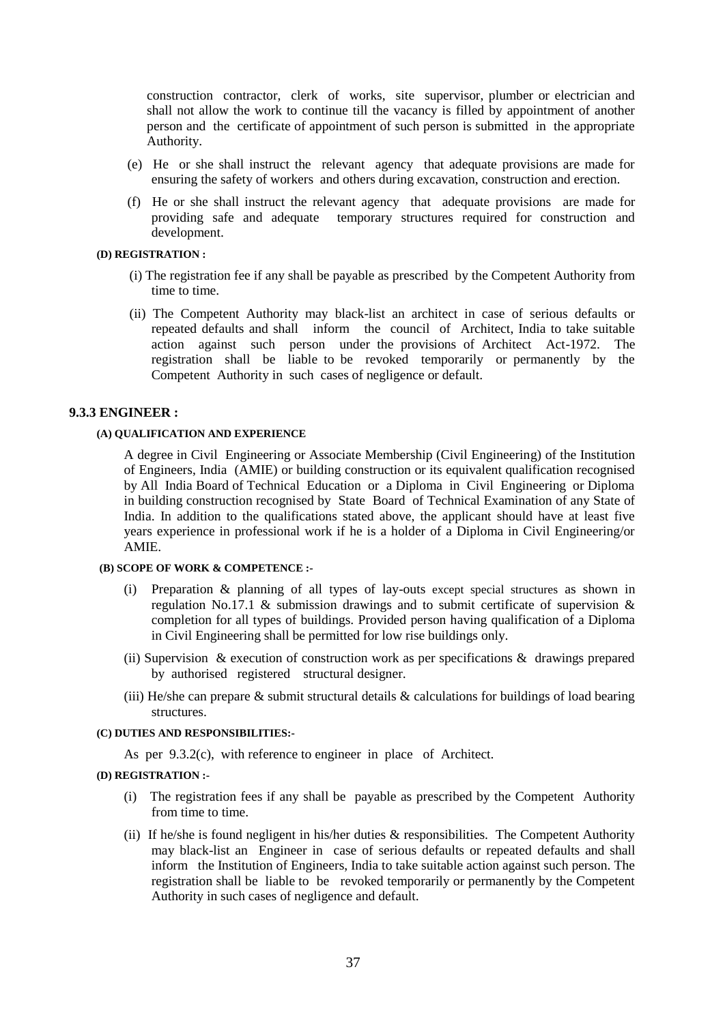construction contractor, clerk of works, site supervisor, plumber or electrician and shall not allow the work to continue till the vacancy is filled by appointment of another person and the certificate of appointment of such person is submitted in the appropriate Authority.

- (e) He or she shall instruct the relevant agency that adequate provisions are made for ensuring the safety of workers and others during excavation, construction and erection.
- (f) He or she shall instruct the relevant agency that adequate provisions are made for providing safe and adequate temporary structures required for construction and development.

#### **(D) REGISTRATION :**

- (i) The registration fee if any shall be payable as prescribed by the Competent Authority from time to time.
- (ii) The Competent Authority may black-list an architect in case of serious defaults or repeated defaults and shall inform the council of Architect, India to take suitable action against such person under the provisions of Architect Act-1972. The registration shall be liable to be revoked temporarily or permanently by the Competent Authority in such cases of negligence or default.

#### **9.3.3 ENGINEER :**

#### **(A) QUALIFICATION AND EXPERIENCE**

A degree in Civil Engineering or Associate Membership (Civil Engineering) of the Institution of Engineers, India (AMIE) or building construction or its equivalent qualification recognised by All India Board of Technical Education or a Diploma in Civil Engineering or Diploma in building construction recognised by State Board of Technical Examination of any State of India. In addition to the qualifications stated above, the applicant should have at least five years experience in professional work if he is a holder of a Diploma in Civil Engineering/or AMIE.

## **(B) SCOPE OF WORK & COMPETENCE :-**

- (i) Preparation & planning of all types of lay-outs except special structures as shown in regulation No.17.1 & submission drawings and to submit certificate of supervision & completion for all types of buildings. Provided person having qualification of a Diploma in Civil Engineering shall be permitted for low rise buildings only.
- (ii) Supervision & execution of construction work as per specifications  $\&$  drawings prepared by authorised registered structural designer.
- (iii) He/she can prepare & submit structural details & calculations for buildings of load bearing structures.

#### **(C) DUTIES AND RESPONSIBILITIES:-**

As per 9.3.2(c), with reference to engineer in place of Architect.

## **(D) REGISTRATION :-**

- (i) The registration fees if any shall be payable as prescribed by the Competent Authority from time to time.
- (ii) If he/she is found negligent in his/her duties & responsibilities. The Competent Authority may black-list an Engineer in case of serious defaults or repeated defaults and shall inform the Institution of Engineers, India to take suitable action against such person. The registration shall be liable to be revoked temporarily or permanently by the Competent Authority in such cases of negligence and default.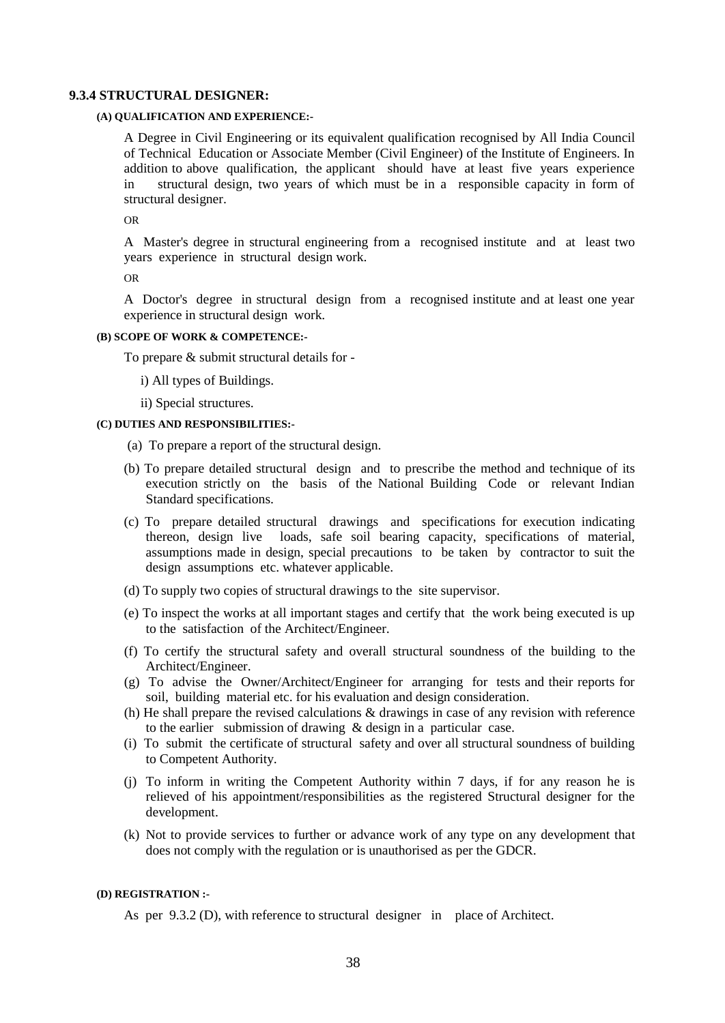#### **9.3.4 STRUCTURAL DESIGNER:**

#### **(A) QUALIFICATION AND EXPERIENCE:-**

A Degree in Civil Engineering or its equivalent qualification recognised by All India Council of Technical Education or Associate Member (Civil Engineer) of the Institute of Engineers. In addition to above qualification, the applicant should have at least five years experience in structural design, two years of which must be in a responsible capacity in form of structural designer.

OR

A Master's degree in structural engineering from a recognised institute and at least two years experience in structural design work.

OR

A Doctor's degree in structural design from a recognised institute and at least one year experience in structural design work.

#### **(B) SCOPE OF WORK & COMPETENCE:-**

To prepare & submit structural details for -

i) All types of Buildings.

ii) Special structures.

#### **(C) DUTIES AND RESPONSIBILITIES:-**

(a) To prepare a report of the structural design.

- (b) To prepare detailed structural design and to prescribe the method and technique of its execution strictly on the basis of the National Building Code or relevant Indian Standard specifications.
- (c) To prepare detailed structural drawings and specifications for execution indicating thereon, design live loads, safe soil bearing capacity, specifications of material, assumptions made in design, special precautions to be taken by contractor to suit the design assumptions etc. whatever applicable.
- (d) To supply two copies of structural drawings to the site supervisor.
- (e) To inspect the works at all important stages and certify that the work being executed is up to the satisfaction of the Architect/Engineer.
- (f) To certify the structural safety and overall structural soundness of the building to the Architect/Engineer.
- (g) To advise the Owner/Architect/Engineer for arranging for tests and their reports for soil, building material etc. for his evaluation and design consideration.
- (h) He shall prepare the revised calculations & drawings in case of any revision with reference to the earlier submission of drawing & design in a particular case.
- (i) To submit the certificate of structural safety and over all structural soundness of building to Competent Authority.
- (j) To inform in writing the Competent Authority within 7 days, if for any reason he is relieved of his appointment/responsibilities as the registered Structural designer for the development.
- (k) Not to provide services to further or advance work of any type on any development that does not comply with the regulation or is unauthorised as per the GDCR.

#### **(D) REGISTRATION :-**

As per 9.3.2 (D), with reference to structural designer in place of Architect.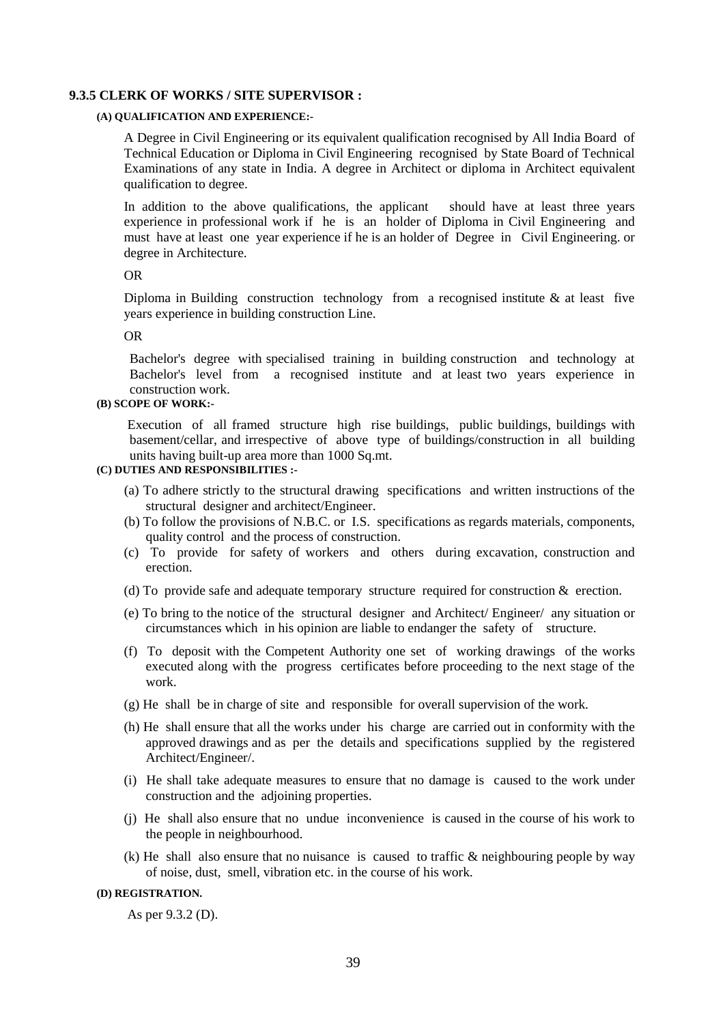#### **9.3.5 CLERK OF WORKS / SITE SUPERVISOR :**

#### **(A) QUALIFICATION AND EXPERIENCE:-**

A Degree in Civil Engineering or its equivalent qualification recognised by All India Board of Technical Education or Diploma in Civil Engineering recognised by State Board of Technical Examinations of any state in India. A degree in Architect or diploma in Architect equivalent qualification to degree.

In addition to the above qualifications, the applicant should have at least three years experience in professional work if he is an holder of Diploma in Civil Engineering and must have at least one year experience if he is an holder of Degree in Civil Engineering. or degree in Architecture.

## OR

Diploma in Building construction technology from a recognised institute  $\&$  at least five years experience in building construction Line.

#### OR

Bachelor's degree with specialised training in building construction and technology at Bachelor's level from a recognised institute and at least two years experience in construction work.

## **(B) SCOPE OF WORK:-**

Execution of all framed structure high rise buildings, public buildings, buildings with basement/cellar, and irrespective of above type of buildings/construction in all building units having built-up area more than 1000 Sq.mt.

## **(C) DUTIES AND RESPONSIBILITIES :-**

- (a) To adhere strictly to the structural drawing specifications and written instructions of the structural designer and architect/Engineer.
- (b) To follow the provisions of N.B.C. or I.S. specifications as regards materials, components, quality control and the process of construction.
- (c) To provide for safety of workers and others during excavation, construction and erection.
- (d) To provide safe and adequate temporary structure required for construction & erection.
- (e) To bring to the notice of the structural designer and Architect/ Engineer/ any situation or circumstances which in his opinion are liable to endanger the safety of structure.
- (f) To deposit with the Competent Authority one set of working drawings of the works executed along with the progress certificates before proceeding to the next stage of the work.
- (g) He shall be in charge of site and responsible for overall supervision of the work.
- (h) He shall ensure that all the works under his charge are carried out in conformity with the approved drawings and as per the details and specifications supplied by the registered Architect/Engineer/.
- (i) He shall take adequate measures to ensure that no damage is caused to the work under construction and the adjoining properties.
- (j) He shall also ensure that no undue inconvenience is caused in the course of his work to the people in neighbourhood.
- (k) He shall also ensure that no nuisance is caused to traffic & neighbouring people by way of noise, dust, smell, vibration etc. in the course of his work.

#### **(D) REGISTRATION.**

As per 9.3.2 (D).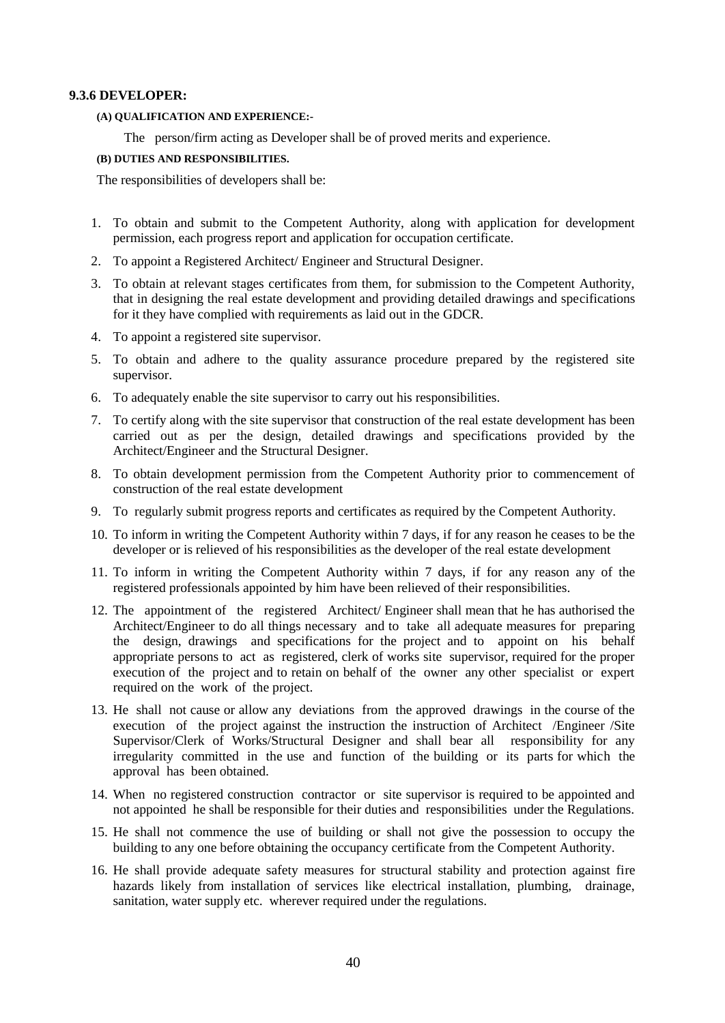### **9.3.6 DEVELOPER:**

#### **(A) QUALIFICATION AND EXPERIENCE:-**

The person/firm acting as Developer shall be of proved merits and experience.

## **(B) DUTIES AND RESPONSIBILITIES.**

The responsibilities of developers shall be:

- 1. To obtain and submit to the Competent Authority, along with application for development permission, each progress report and application for occupation certificate.
- 2. To appoint a Registered Architect/ Engineer and Structural Designer.
- 3. To obtain at relevant stages certificates from them, for submission to the Competent Authority, that in designing the real estate development and providing detailed drawings and specifications for it they have complied with requirements as laid out in the GDCR.
- 4. To appoint a registered site supervisor.
- 5. To obtain and adhere to the quality assurance procedure prepared by the registered site supervisor.
- 6. To adequately enable the site supervisor to carry out his responsibilities.
- 7. To certify along with the site supervisor that construction of the real estate development has been carried out as per the design, detailed drawings and specifications provided by the Architect/Engineer and the Structural Designer.
- 8. To obtain development permission from the Competent Authority prior to commencement of construction of the real estate development
- 9. To regularly submit progress reports and certificates as required by the Competent Authority.
- 10. To inform in writing the Competent Authority within 7 days, if for any reason he ceases to be the developer or is relieved of his responsibilities as the developer of the real estate development
- 11. To inform in writing the Competent Authority within 7 days, if for any reason any of the registered professionals appointed by him have been relieved of their responsibilities.
- 12. The appointment of the registered Architect/ Engineer shall mean that he has authorised the Architect/Engineer to do all things necessary and to take all adequate measures for preparing the design, drawings and specifications for the project and to appoint on his behalf appropriate persons to act as registered, clerk of works site supervisor, required for the proper execution of the project and to retain on behalf of the owner any other specialist or expert required on the work of the project.
- 13. He shall not cause or allow any deviations from the approved drawings in the course of the execution of the project against the instruction the instruction of Architect /Engineer /Site Supervisor/Clerk of Works/Structural Designer and shall bear all responsibility for any irregularity committed in the use and function of the building or its parts for which the approval has been obtained.
- 14. When no registered construction contractor or site supervisor is required to be appointed and not appointed he shall be responsible for their duties and responsibilities under the Regulations.
- 15. He shall not commence the use of building or shall not give the possession to occupy the building to any one before obtaining the occupancy certificate from the Competent Authority.
- 16. He shall provide adequate safety measures for structural stability and protection against fire hazards likely from installation of services like electrical installation, plumbing, drainage, sanitation, water supply etc. wherever required under the regulations.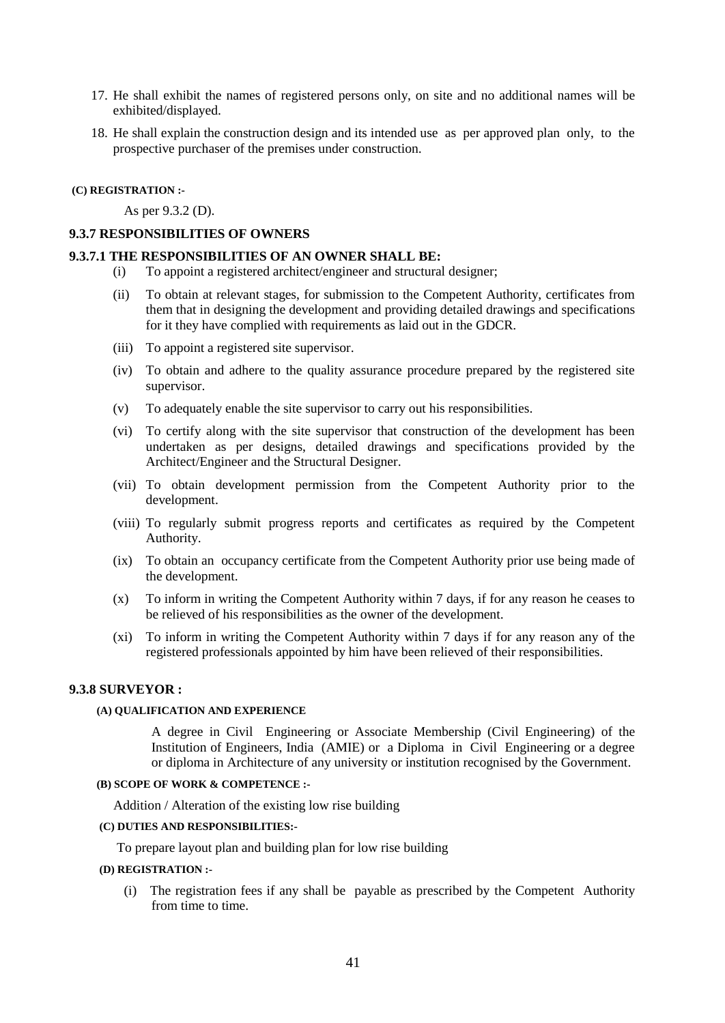- 17. He shall exhibit the names of registered persons only, on site and no additional names will be exhibited/displayed.
- 18. He shall explain the construction design and its intended use as per approved plan only, to the prospective purchaser of the premises under construction.

#### **(C) REGISTRATION :-**

As per 9.3.2 (D).

### **9.3.7 RESPONSIBILITIES OF OWNERS**

## **9.3.7.1 THE RESPONSIBILITIES OF AN OWNER SHALL BE:**

- (i) To appoint a registered architect/engineer and structural designer;
- (ii) To obtain at relevant stages, for submission to the Competent Authority, certificates from them that in designing the development and providing detailed drawings and specifications for it they have complied with requirements as laid out in the GDCR.
- (iii) To appoint a registered site supervisor.
- (iv) To obtain and adhere to the quality assurance procedure prepared by the registered site supervisor.
- (v) To adequately enable the site supervisor to carry out his responsibilities.
- (vi) To certify along with the site supervisor that construction of the development has been undertaken as per designs, detailed drawings and specifications provided by the Architect/Engineer and the Structural Designer.
- (vii) To obtain development permission from the Competent Authority prior to the development.
- (viii) To regularly submit progress reports and certificates as required by the Competent Authority.
- (ix) To obtain an occupancy certificate from the Competent Authority prior use being made of the development.
- (x) To inform in writing the Competent Authority within 7 days, if for any reason he ceases to be relieved of his responsibilities as the owner of the development.
- (xi) To inform in writing the Competent Authority within 7 days if for any reason any of the registered professionals appointed by him have been relieved of their responsibilities.

#### **9.3.8 SURVEYOR :**

## **(A) QUALIFICATION AND EXPERIENCE**

A degree in Civil Engineering or Associate Membership (Civil Engineering) of the Institution of Engineers, India (AMIE) or a Diploma in Civil Engineering or a degree or diploma in Architecture of any university or institution recognised by the Government.

#### **(B) SCOPE OF WORK & COMPETENCE :-**

Addition / Alteration of the existing low rise building

#### **(C) DUTIES AND RESPONSIBILITIES:-**

To prepare layout plan and building plan for low rise building

- **(D) REGISTRATION :-**
	- (i) The registration fees if any shall be payable as prescribed by the Competent Authority from time to time.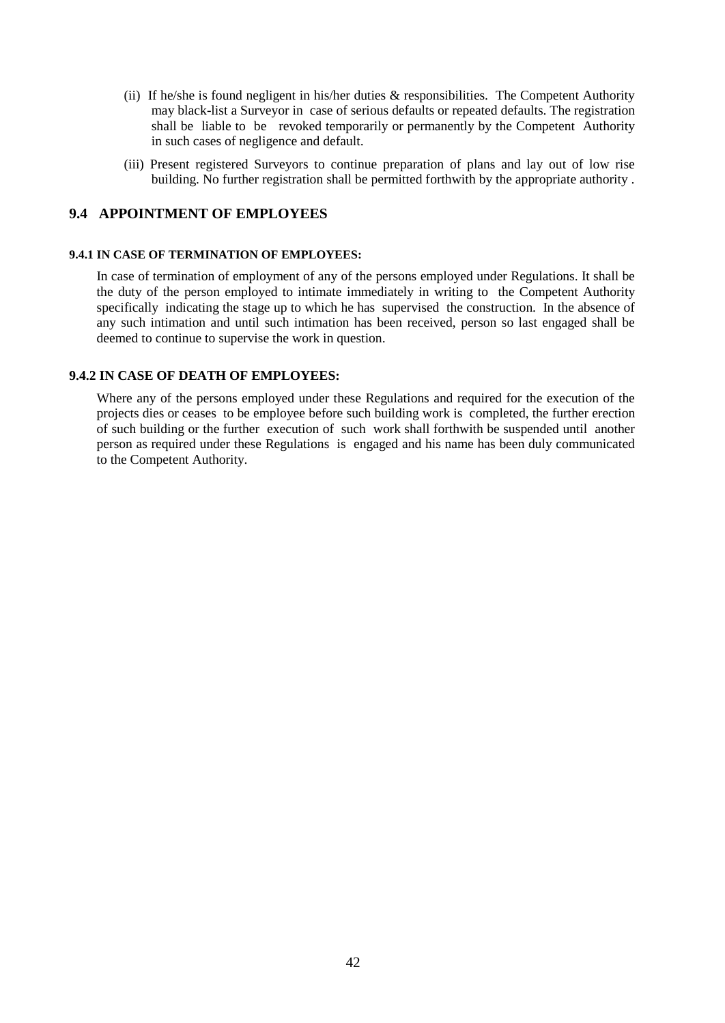- (ii) If he/she is found negligent in his/her duties & responsibilities. The Competent Authority may black-list a Surveyor in case of serious defaults or repeated defaults. The registration shall be liable to be revoked temporarily or permanently by the Competent Authority in such cases of negligence and default.
- (iii) Present registered Surveyors to continue preparation of plans and lay out of low rise building. No further registration shall be permitted forthwith by the appropriate authority .

## **9.4 APPOINTMENT OF EMPLOYEES**

#### **9.4.1 IN CASE OF TERMINATION OF EMPLOYEES:**

In case of termination of employment of any of the persons employed under Regulations. It shall be the duty of the person employed to intimate immediately in writing to the Competent Authority specifically indicating the stage up to which he has supervised the construction. In the absence of any such intimation and until such intimation has been received, person so last engaged shall be deemed to continue to supervise the work in question.

## **9.4.2 IN CASE OF DEATH OF EMPLOYEES:**

Where any of the persons employed under these Regulations and required for the execution of the projects dies or ceases to be employee before such building work is completed, the further erection of such building or the further execution of such work shall forthwith be suspended until another person as required under these Regulations is engaged and his name has been duly communicated to the Competent Authority.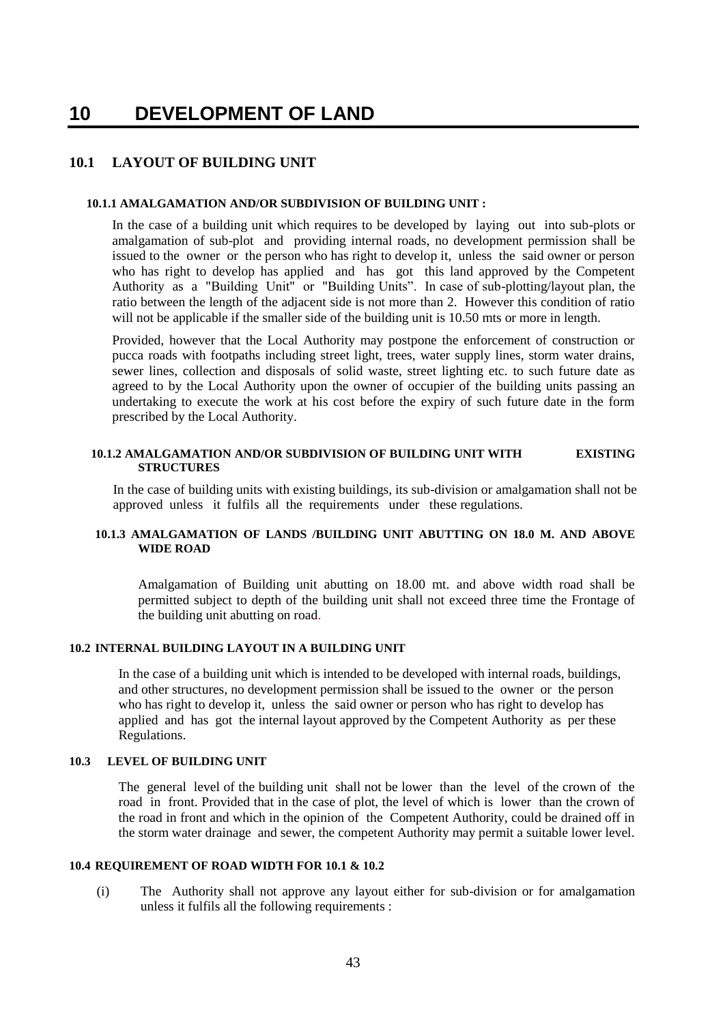## **10 DEVELOPMENT OF LAND**

## **10.1 LAYOUT OF BUILDING UNIT**

#### **10.1.1 AMALGAMATION AND/OR SUBDIVISION OF BUILDING UNIT :**

In the case of a building unit which requires to be developed by laying out into sub-plots or amalgamation of sub-plot and providing internal roads, no development permission shall be issued to the owner or the person who has right to develop it, unless the said owner or person who has right to develop has applied and has got this land approved by the Competent Authority as a "Building Unit" or "Building Units". In case of sub-plotting/layout plan, the ratio between the length of the adjacent side is not more than 2. However this condition of ratio will not be applicable if the smaller side of the building unit is 10.50 mts or more in length.

Provided, however that the Local Authority may postpone the enforcement of construction or pucca roads with footpaths including street light, trees, water supply lines, storm water drains, sewer lines, collection and disposals of solid waste, street lighting etc. to such future date as agreed to by the Local Authority upon the owner of occupier of the building units passing an undertaking to execute the work at his cost before the expiry of such future date in the form prescribed by the Local Authority.

#### **10.1.2 AMALGAMATION AND/OR SUBDIVISION OF BUILDING UNIT WITH EXISTING STRUCTURES**

In the case of building units with existing buildings, its sub-division or amalgamation shall not be approved unless it fulfils all the requirements under these regulations.

## **10.1.3 AMALGAMATION OF LANDS /BUILDING UNIT ABUTTING ON 18.0 M. AND ABOVE WIDE ROAD**

Amalgamation of Building unit abutting on 18.00 mt. and above width road shall be permitted subject to depth of the building unit shall not exceed three time the Frontage of the building unit abutting on road.

## **10.2 INTERNAL BUILDING LAYOUT IN A BUILDING UNIT**

In the case of a building unit which is intended to be developed with internal roads, buildings, and other structures, no development permission shall be issued to the owner or the person who has right to develop it, unless the said owner or person who has right to develop has applied and has got the internal layout approved by the Competent Authority as per these Regulations.

#### **10.3 LEVEL OF BUILDING UNIT**

The general level of the building unit shall not be lower than the level of the crown of the road in front. Provided that in the case of plot, the level of which is lower than the crown of the road in front and which in the opinion of the Competent Authority, could be drained off in the storm water drainage and sewer, the competent Authority may permit a suitable lower level.

#### **10.4 REQUIREMENT OF ROAD WIDTH FOR 10.1 & 10.2**

(i) The Authority shall not approve any layout either for sub-division or for amalgamation unless it fulfils all the following requirements :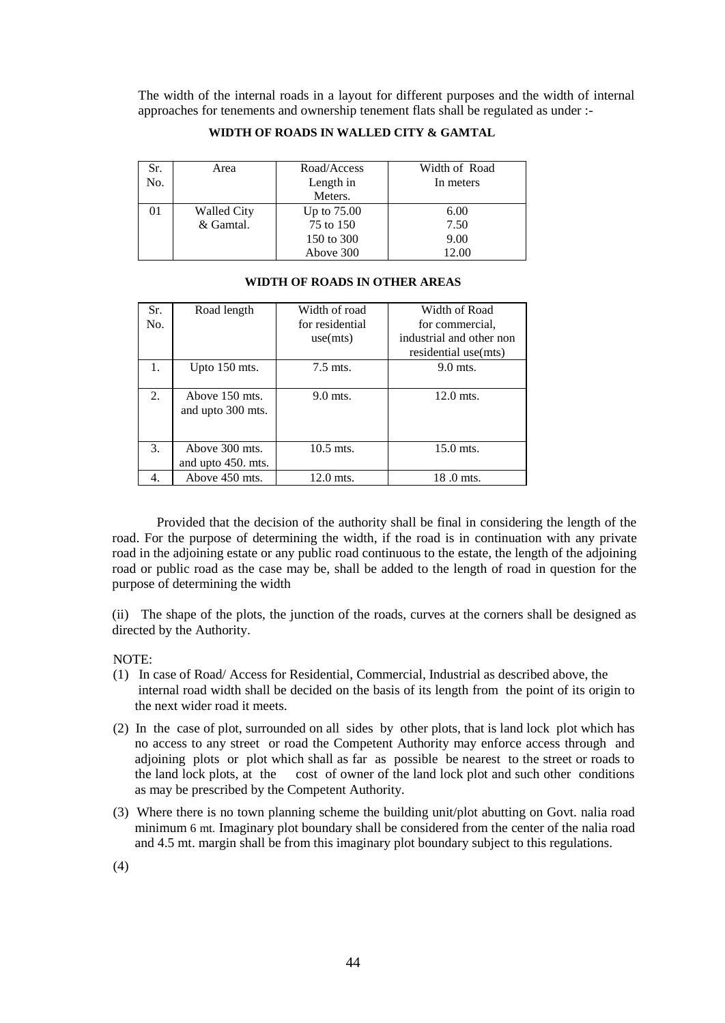The width of the internal roads in a layout for different purposes and the width of internal approaches for tenements and ownership tenement flats shall be regulated as under :-

| Sr. | Area               | Road/Access | Width of Road |
|-----|--------------------|-------------|---------------|
| No. |                    | Length in   | In meters     |
|     |                    | Meters.     |               |
|     | <b>Walled City</b> | Up to 75.00 | 6.00          |
|     | & Gamtal.          | 75 to 150   | 7.50          |
|     |                    | 150 to 300  | 9.00          |
|     |                    | Above 300   | 12.00         |

#### **WIDTH OF ROADS IN WALLED CITY & GAMTAL**

| WIDTH OF ROADS IN OTHER AREAS |  |
|-------------------------------|--|
|                               |  |

| Sr.<br>No. | Road length                          | Width of road<br>for residential | Width of Road<br>for commercial.                 |
|------------|--------------------------------------|----------------------------------|--------------------------------------------------|
|            |                                      | use(mts)                         | industrial and other non<br>residential use(mts) |
| 1.         | Upto $150$ mts.                      | 7.5 mts.                         | 9.0 mts.                                         |
| 2.         | Above 150 mts.<br>and upto 300 mts.  | 9.0 mts.                         | $12.0$ mts.                                      |
| 3.         | Above 300 mts.<br>and upto 450. mts. | $10.5$ mts.                      | $15.0$ mts.                                      |
| 4.         | Above 450 mts.                       | 12.0 mts.                        | 18.0 mts.                                        |

Provided that the decision of the authority shall be final in considering the length of the road. For the purpose of determining the width, if the road is in continuation with any private road in the adjoining estate or any public road continuous to the estate, the length of the adjoining road or public road as the case may be, shall be added to the length of road in question for the purpose of determining the width

(ii) The shape of the plots, the junction of the roads, curves at the corners shall be designed as directed by the Authority.

NOTE:

- (1) In case of Road/ Access for Residential, Commercial, Industrial as described above, the internal road width shall be decided on the basis of its length from the point of its origin to the next wider road it meets.
- (2) In the case of plot, surrounded on all sides by other plots, that is land lock plot which has no access to any street or road the Competent Authority may enforce access through and adjoining plots or plot which shall as far as possible be nearest to the street or roads to the land lock plots, at the cost of owner of the land lock plot and such other conditions as may be prescribed by the Competent Authority.
- (3) Where there is no town planning scheme the building unit/plot abutting on Govt. nalia road minimum 6 mt. Imaginary plot boundary shall be considered from the center of the nalia road and 4.5 mt. margin shall be from this imaginary plot boundary subject to this regulations.

(4)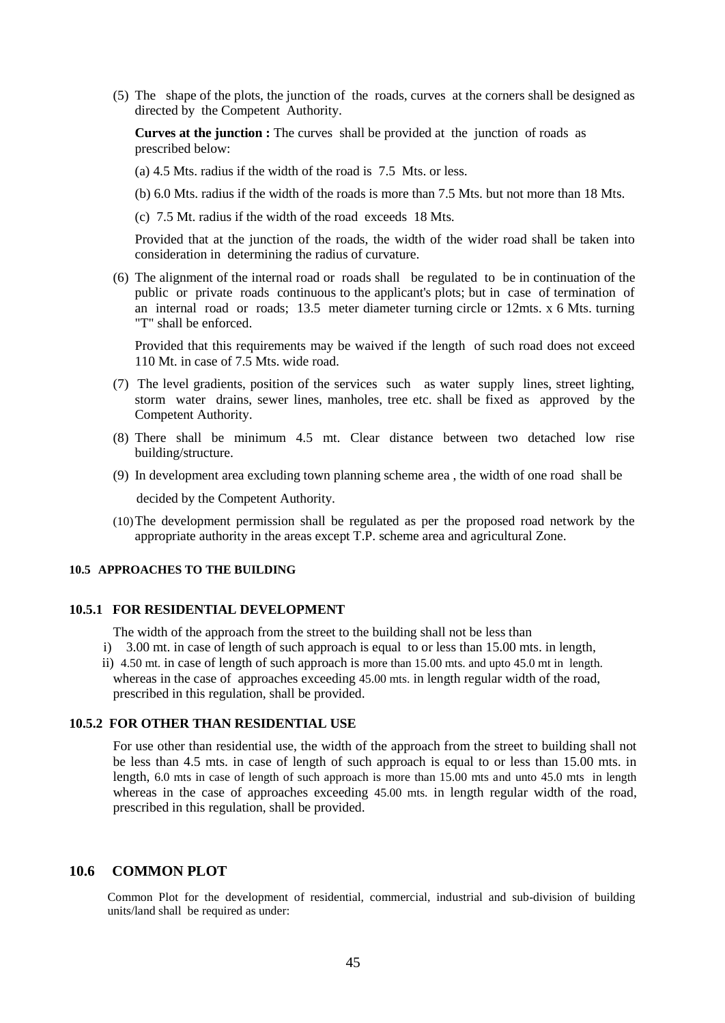(5) The shape of the plots, the junction of the roads, curves at the corners shall be designed as directed by the Competent Authority.

**Curves at the junction :** The curves shall be provided at the junction of roads as prescribed below:

(a) 4.5 Mts. radius if the width of the road is 7.5 Mts. or less.

(b) 6.0 Mts. radius if the width of the roads is more than 7.5 Mts. but not more than 18 Mts.

(c) 7.5 Mt. radius if the width of the road exceeds 18 Mts.

Provided that at the junction of the roads, the width of the wider road shall be taken into consideration in determining the radius of curvature.

(6) The alignment of the internal road or roads shall be regulated to be in continuation of the public or private roads continuous to the applicant's plots; but in case of termination of an internal road or roads; 13.5 meter diameter turning circle or 12mts.  $x$  6 Mts. turning "T" shall be enforced.

Provided that this requirements may be waived if the length of such road does not exceed 110 Mt. in case of 7.5 Mts. wide road.

- (7) The level gradients, position of the services such as water supply lines, street lighting, storm water drains, sewer lines, manholes, tree etc. shall be fixed as approved by the Competent Authority.
- (8) There shall be minimum 4.5 mt. Clear distance between two detached low rise building/structure.
- (9) In development area excluding town planning scheme area , the width of one road shall be

decided by the Competent Authority.

(10)The development permission shall be regulated as per the proposed road network by the appropriate authority in the areas except T.P. scheme area and agricultural Zone.

#### **10.5 APPROACHES TO THE BUILDING**

## **10.5.1 FOR RESIDENTIAL DEVELOPMENT**

The width of the approach from the street to the building shall not be less than

- i) 3.00 mt. in case of length of such approach is equal to or less than 15.00 mts. in length,
- ii) 4.50 mt. in case of length of such approach is more than 15.00 mts. and upto 45.0 mt in length. whereas in the case of approaches exceeding 45.00 mts. in length regular width of the road, prescribed in this regulation, shall be provided.

## **10.5.2 FOR OTHER THAN RESIDENTIAL USE**

For use other than residential use, the width of the approach from the street to building shall not be less than 4.5 mts. in case of length of such approach is equal to or less than 15.00 mts. in length, 6.0 mts in case of length of such approach is more than 15.00 mts and unto 45.0 mts in length whereas in the case of approaches exceeding 45.00 mts. in length regular width of the road, prescribed in this regulation, shall be provided.

## **10.6 COMMON PLOT**

 Common Plot for the development of residential, commercial, industrial and sub-division of building units/land shall be required as under: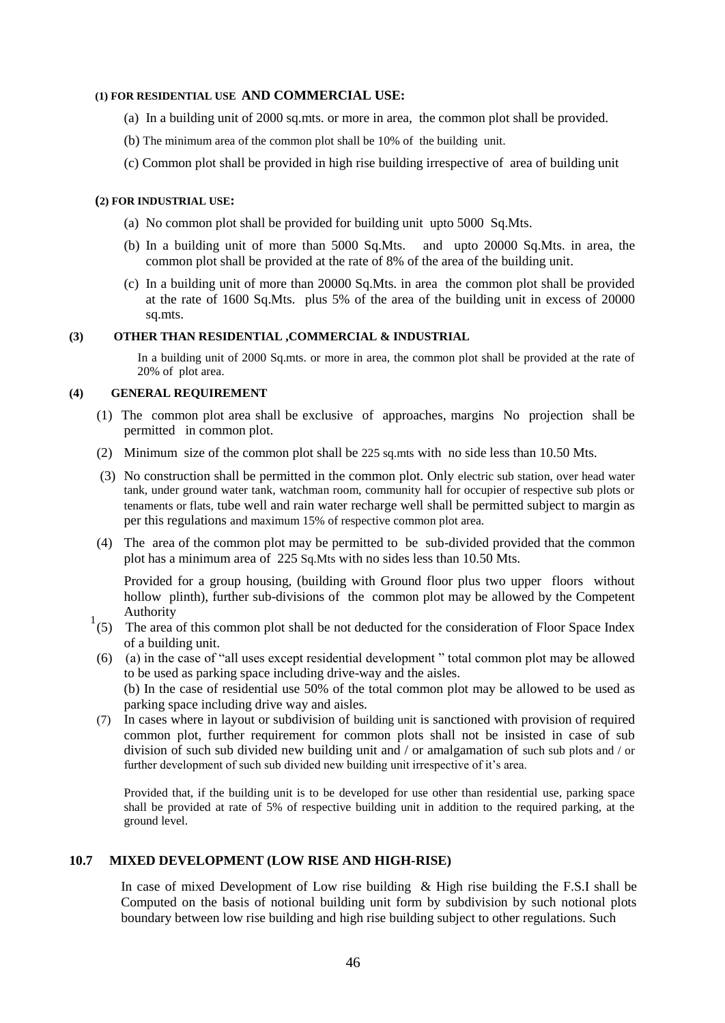#### **(1) FOR RESIDENTIAL USE AND COMMERCIAL USE:**

- (a) In a building unit of 2000 sq.mts. or more in area, the common plot shall be provided.
- (b) The minimum area of the common plot shall be 10% of the building unit.
- (c) Common plot shall be provided in high rise building irrespective of area of building unit

#### **(2) FOR INDUSTRIAL USE:**

- (a) No common plot shall be provided for building unit upto 5000 Sq.Mts.
- (b) In a building unit of more than 5000 Sq.Mts. and upto 20000 Sq.Mts. in area, the common plot shall be provided at the rate of 8% of the area of the building unit.
- (c) In a building unit of more than 20000 Sq.Mts. in area the common plot shall be provided at the rate of 1600 Sq.Mts. plus 5% of the area of the building unit in excess of 20000 sq.mts.

#### **(3) OTHER THAN RESIDENTIAL ,COMMERCIAL & INDUSTRIAL**

In a building unit of 2000 Sq.mts. or more in area, the common plot shall be provided at the rate of 20% of plot area.

## **(4) GENERAL REQUIREMENT**

- (1) The common plot area shall be exclusive of approaches, margins No projection shall be permitted in common plot.
- (2) Minimum size of the common plot shall be 225 sq.mts with no side less than 10.50 Mts.
- (3) No construction shall be permitted in the common plot. Only electric sub station, over head water tank, under ground water tank, watchman room, community hall for occupier of respective sub plots or tenaments or flats, tube well and rain water recharge well shall be permitted subject to margin as per this regulations and maximum 15% of respective common plot area.
- (4) The area of the common plot may be permitted to be sub-divided provided that the common plot has a minimum area of 225 Sq.Mts with no sides less than 10.50 Mts.

Provided for a group housing, (building with Ground floor plus two upper floors without hollow plinth), further sub-divisions of the common plot may be allowed by the Competent Authority

- $1<sup>1</sup>(5)$  The area of this common plot shall be not deducted for the consideration of Floor Space Index of a building unit.
- (6) (a) in the case of "all uses except residential development " total common plot may be allowed to be used as parking space including drive-way and the aisles. (b) In the case of residential use 50% of the total common plot may be allowed to be used as parking space including drive way and aisles.
- (7) In cases where in layout or subdivision of building unit is sanctioned with provision of required common plot, further requirement for common plots shall not be insisted in case of sub division of such sub divided new building unit and / or amalgamation of such sub plots and / or further development of such sub divided new building unit irrespective of it's area.

Provided that, if the building unit is to be developed for use other than residential use, parking space shall be provided at rate of 5% of respective building unit in addition to the required parking, at the ground level.

## **10.7 MIXED DEVELOPMENT (LOW RISE AND HIGH-RISE)**

In case of mixed Development of Low rise building & High rise building the F.S.I shall be Computed on the basis of notional building unit form by subdivision by such notional plots boundary between low rise building and high rise building subject to other regulations. Such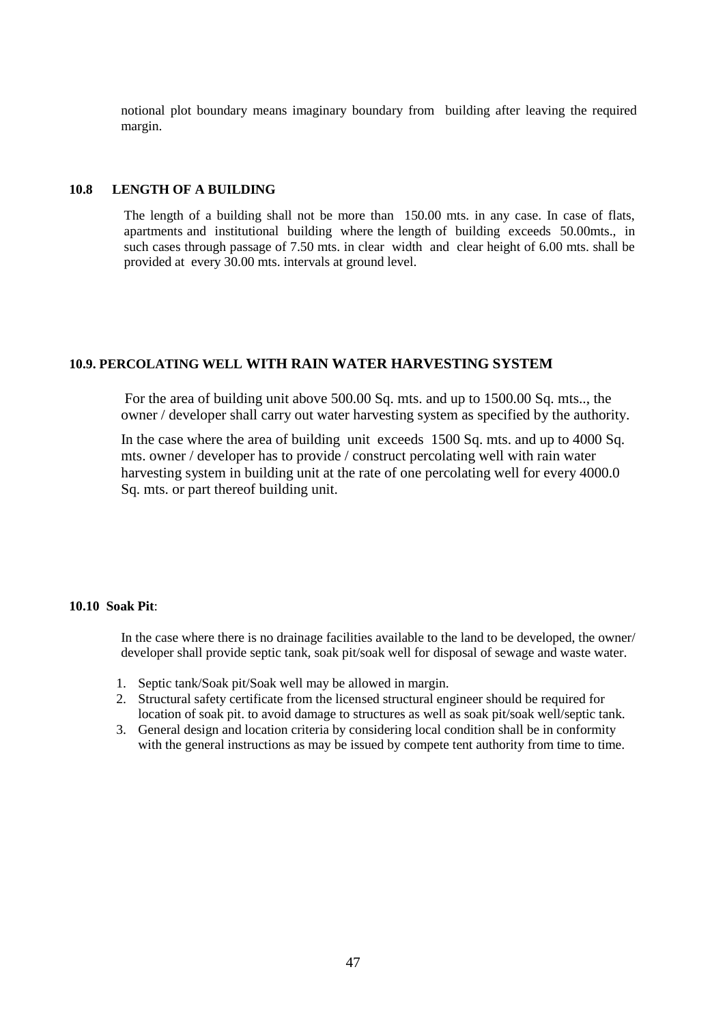notional plot boundary means imaginary boundary from building after leaving the required margin.

## **10.8 LENGTH OF A BUILDING**

The length of a building shall not be more than 150.00 mts. in any case. In case of flats, apartments and institutional building where the length of building exceeds 50.00mts., in such cases through passage of 7.50 mts. in clear width and clear height of 6.00 mts. shall be provided at every 30.00 mts. intervals at ground level.

## **10.9. PERCOLATING WELL WITH RAIN WATER HARVESTING SYSTEM**

For the area of building unit above 500.00 Sq. mts. and up to 1500.00 Sq. mts.., the owner / developer shall carry out water harvesting system as specified by the authority.

In the case where the area of building unit exceeds 1500 Sq. mts. and up to 4000 Sq. mts. owner / developer has to provide / construct percolating well with rain water harvesting system in building unit at the rate of one percolating well for every 4000.0 Sq. mts. or part thereof building unit.

## **10.10 Soak Pit**:

In the case where there is no drainage facilities available to the land to be developed, the owner/ developer shall provide septic tank, soak pit/soak well for disposal of sewage and waste water.

- 1. Septic tank/Soak pit/Soak well may be allowed in margin.
- 2. Structural safety certificate from the licensed structural engineer should be required for location of soak pit. to avoid damage to structures as well as soak pit/soak well/septic tank.
- 3. General design and location criteria by considering local condition shall be in conformity with the general instructions as may be issued by compete tent authority from time to time.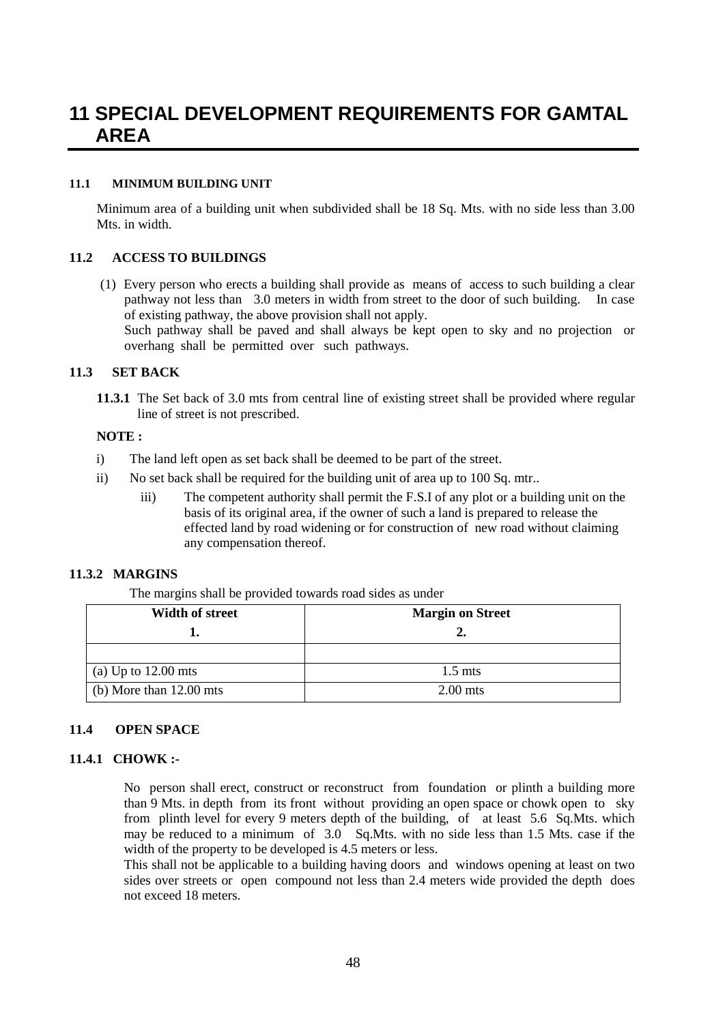# **11 SPECIAL DEVELOPMENT REQUIREMENTS FOR GAMTAL AREA**

## **11.1 MINIMUM BUILDING UNIT**

Minimum area of a building unit when subdivided shall be 18 Sq. Mts. with no side less than 3.00 Mts. in width.

## **11.2 ACCESS TO BUILDINGS**

(1) Every person who erects a building shall provide as means of access to such building a clear pathway not less than 3.0 meters in width from street to the door of such building. In case of existing pathway, the above provision shall not apply.

Such pathway shall be paved and shall always be kept open to sky and no projection or overhang shall be permitted over such pathways.

## **11.3 SET BACK**

**11.3.1** The Set back of 3.0 mts from central line of existing street shall be provided where regular line of street is not prescribed.

#### **NOTE :**

- i) The land left open as set back shall be deemed to be part of the street.
- ii) No set back shall be required for the building unit of area up to 100 Sq. mtr..
	- iii) The competent authority shall permit the F.S.I of any plot or a building unit on the basis of its original area, if the owner of such a land is prepared to release the effected land by road widening or for construction of new road without claiming any compensation thereof.

## **11.3.2 MARGINS**

The margins shall be provided towards road sides as under

| <b>Width of street</b>    | <b>Margin on Street</b> |
|---------------------------|-------------------------|
|                           | 2.                      |
|                           |                         |
| (a) Up to $12.00$ mts     | $1.5 \text{ mts}$       |
| (b) More than $12.00$ mts | $2.00$ mts              |

## **11.4 OPEN SPACE**

#### **11.4.1 CHOWK :-**

No person shall erect, construct or reconstruct from foundation or plinth a building more than 9 Mts. in depth from its front without providing an open space or chowk open to sky from plinth level for every 9 meters depth of the building, of at least 5.6 Sq.Mts. which may be reduced to a minimum of 3.0 Sq.Mts. with no side less than 1.5 Mts. case if the width of the property to be developed is 4.5 meters or less.

This shall not be applicable to a building having doors and windows opening at least on two sides over streets or open compound not less than 2.4 meters wide provided the depth does not exceed 18 meters.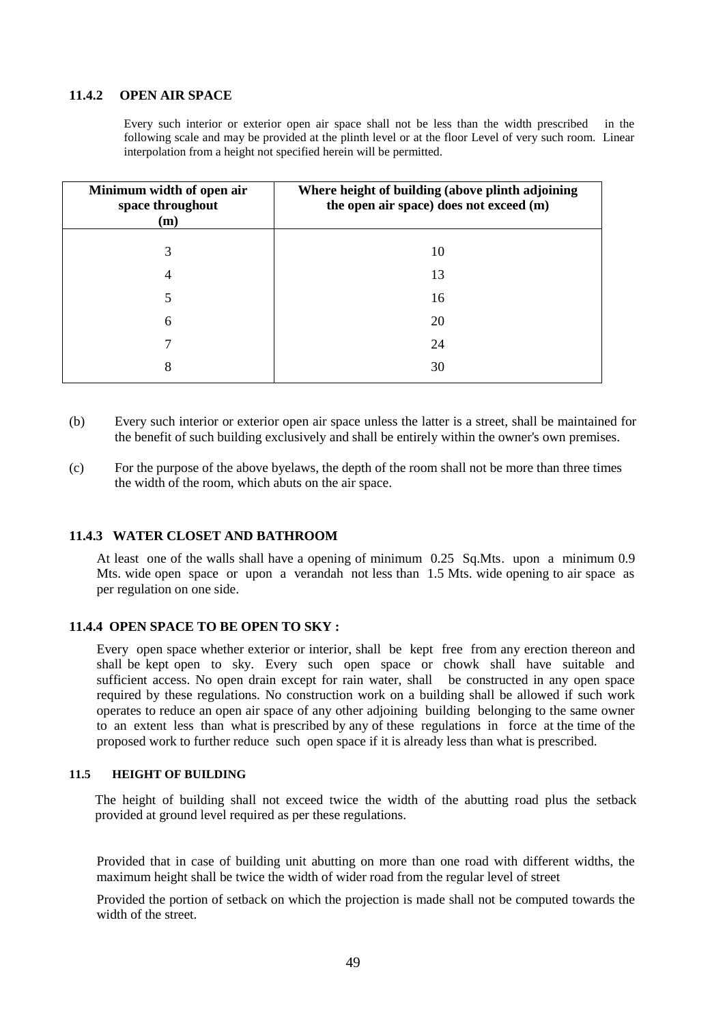## **11.4.2 OPEN AIR SPACE**

Every such interior or exterior open air space shall not be less than the width prescribed in the following scale and may be provided at the plinth level or at the floor Level of very such room. Linear interpolation from a height not specified herein will be permitted.

| Minimum width of open air<br>space throughout<br>(m) | Where height of building (above plinth adjoining<br>the open air space) does not exceed (m) |
|------------------------------------------------------|---------------------------------------------------------------------------------------------|
| 3                                                    | 10                                                                                          |
| 4                                                    | 13                                                                                          |
| 5                                                    | 16                                                                                          |
| 6                                                    | 20                                                                                          |
| 7                                                    | 24                                                                                          |
| 8                                                    | 30                                                                                          |

(b) Every such interior or exterior open air space unless the latter is a street, shall be maintained for the benefit of such building exclusively and shall be entirely within the owner's own premises.

(c) For the purpose of the above byelaws, the depth of the room shall not be more than three times the width of the room, which abuts on the air space.

#### **11.4.3 WATER CLOSET AND BATHROOM**

At least one of the walls shall have a opening of minimum 0.25 Sq.Mts. upon a minimum 0.9 Mts. wide open space or upon a verandah not less than 1.5 Mts. wide opening to air space as per regulation on one side.

## **11.4.4 OPEN SPACE TO BE OPEN TO SKY :**

Every open space whether exterior or interior, shall be kept free from any erection thereon and shall be kept open to sky. Every such open space or chowk shall have suitable and sufficient access. No open drain except for rain water, shall be constructed in any open space required by these regulations. No construction work on a building shall be allowed if such work operates to reduce an open air space of any other adjoining building belonging to the same owner to an extent less than what is prescribed by any of these regulations in force at the time of the proposed work to further reduce such open space if it is already less than what is prescribed.

#### **11.5 HEIGHT OF BUILDING**

The height of building shall not exceed twice the width of the abutting road plus the setback provided at ground level required as per these regulations.

Provided that in case of building unit abutting on more than one road with different widths, the maximum height shall be twice the width of wider road from the regular level of street

Provided the portion of setback on which the projection is made shall not be computed towards the width of the street.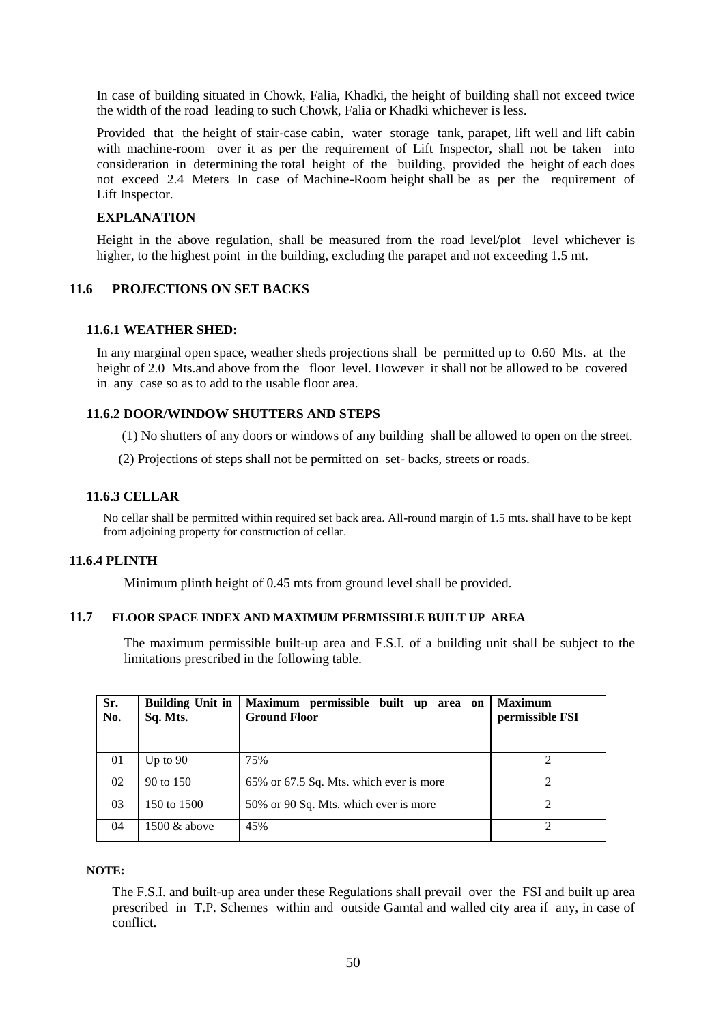In case of building situated in Chowk, Falia, Khadki, the height of building shall not exceed twice the width of the road leading to such Chowk, Falia or Khadki whichever is less.

Provided that the height of stair-case cabin, water storage tank, parapet, lift well and lift cabin with machine-room over it as per the requirement of Lift Inspector, shall not be taken into consideration in determining the total height of the building, provided the height of each does not exceed 2.4 Meters In case of Machine-Room height shall be as per the requirement of Lift Inspector.

### **EXPLANATION**

Height in the above regulation, shall be measured from the road level/plot level whichever is higher, to the highest point in the building, excluding the parapet and not exceeding 1.5 mt.

## **11.6 PROJECTIONS ON SET BACKS**

#### **11.6.1 WEATHER SHED:**

In any marginal open space, weather sheds projections shall be permitted up to 0.60 Mts. at the height of 2.0 Mts.and above from the floor level. However it shall not be allowed to be covered in any case so as to add to the usable floor area.

## **11.6.2 DOOR/WINDOW SHUTTERS AND STEPS**

(1) No shutters of any doors or windows of any building shall be allowed to open on the street.

(2) Projections of steps shall not be permitted on set- backs, streets or roads.

#### **11.6.3 CELLAR**

No cellar shall be permitted within required set back area. All-round margin of 1.5 mts. shall have to be kept from adjoining property for construction of cellar.

## **11.6.4 PLINTH**

Minimum plinth height of 0.45 mts from ground level shall be provided.

## **11.7 FLOOR SPACE INDEX AND MAXIMUM PERMISSIBLE BUILT UP AREA**

The maximum permissible built-up area and F.S.I. of a building unit shall be subject to the limitations prescribed in the following table.

| Sr.<br>No. | <b>Building Unit in</b><br>Sq. Mts. | Maximum permissible built up area on<br><b>Ground Floor</b> | <b>Maximum</b><br>permissible FSI |
|------------|-------------------------------------|-------------------------------------------------------------|-----------------------------------|
|            |                                     |                                                             |                                   |
| 01         | Up to $90$                          | 75%                                                         |                                   |
| 02         | 90 to 150                           | 65% or 67.5 Sq. Mts. which ever is more                     |                                   |
| 03         | 150 to 1500                         | 50% or 90 Sq. Mts. which ever is more                       | $\mathfrak{D}$                    |
| 04         | 1500 & above                        | 45%                                                         | 2                                 |

## **NOTE:**

The F.S.I. and built-up area under these Regulations shall prevail over the FSI and built up area prescribed in T.P. Schemes within and outside Gamtal and walled city area if any, in case of conflict.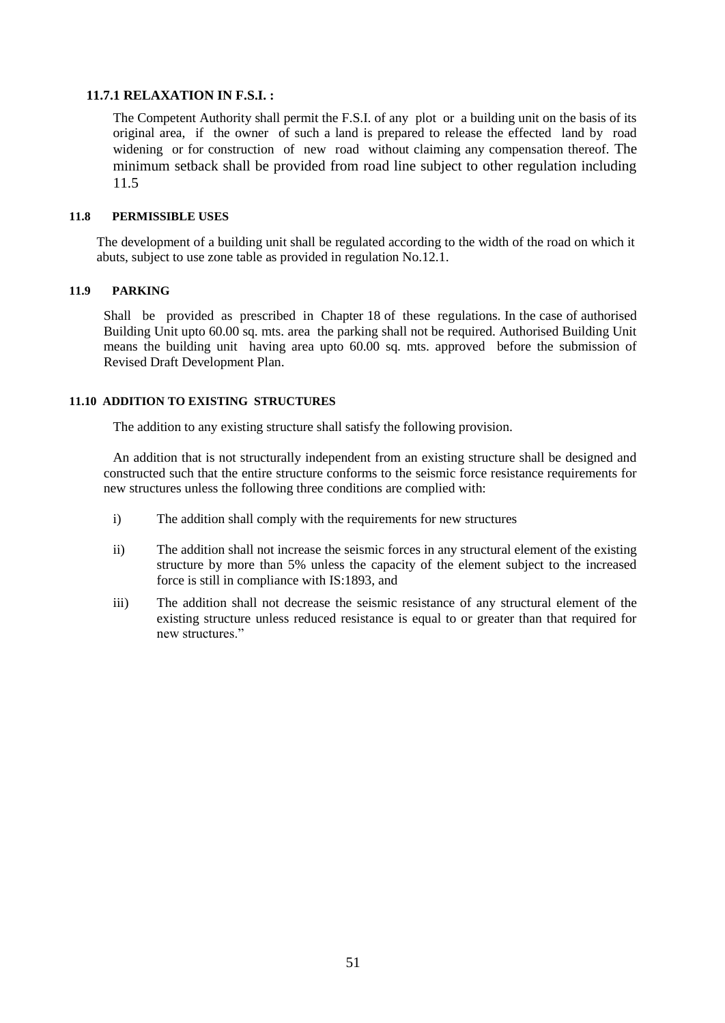## **11.7.1 RELAXATION IN F.S.I. :**

The Competent Authority shall permit the F.S.I. of any plot or a building unit on the basis of its original area, if the owner of such a land is prepared to release the effected land by road widening or for construction of new road without claiming any compensation thereof. The minimum setback shall be provided from road line subject to other regulation including 11.5

## **11.8 PERMISSIBLE USES**

The development of a building unit shall be regulated according to the width of the road on which it abuts, subject to use zone table as provided in regulation No.12.1.

## **11.9 PARKING**

Shall be provided as prescribed in Chapter 18 of these regulations. In the case of authorised Building Unit upto 60.00 sq. mts. area the parking shall not be required. Authorised Building Unit means the building unit having area upto 60.00 sq. mts. approved before the submission of Revised Draft Development Plan.

## **11.10 ADDITION TO EXISTING STRUCTURES**

The addition to any existing structure shall satisfy the following provision.

An addition that is not structurally independent from an existing structure shall be designed and constructed such that the entire structure conforms to the seismic force resistance requirements for new structures unless the following three conditions are complied with:

- i) The addition shall comply with the requirements for new structures
- ii) The addition shall not increase the seismic forces in any structural element of the existing structure by more than 5% unless the capacity of the element subject to the increased force is still in compliance with IS:1893, and
- iii) The addition shall not decrease the seismic resistance of any structural element of the existing structure unless reduced resistance is equal to or greater than that required for new structures."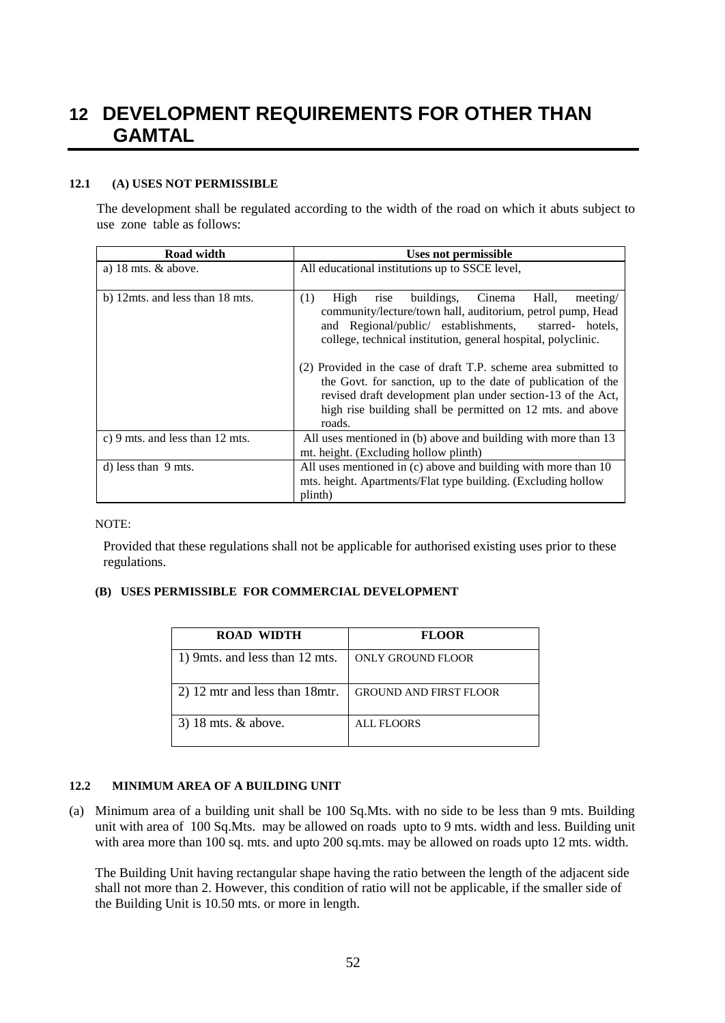# **12 DEVELOPMENT REQUIREMENTS FOR OTHER THAN GAMTAL**

## **12.1 (A) USES NOT PERMISSIBLE**

The development shall be regulated according to the width of the road on which it abuts subject to use zone table as follows:

| Road width                      | Uses not permissible                                                                                                                                                                                                                                                                                                                                                                                                                                                                                                            |  |
|---------------------------------|---------------------------------------------------------------------------------------------------------------------------------------------------------------------------------------------------------------------------------------------------------------------------------------------------------------------------------------------------------------------------------------------------------------------------------------------------------------------------------------------------------------------------------|--|
| a) $18 \text{ mts}$ . & above.  | All educational institutions up to SSCE level,                                                                                                                                                                                                                                                                                                                                                                                                                                                                                  |  |
| b) 12mts. and less than 18 mts. | (1)<br>buildings, Cinema Hall,<br>High<br>meeting/<br>rise<br>community/lecture/town hall, auditorium, petrol pump, Head<br>and Regional/public/ establishments,<br>starred- hotels.<br>college, technical institution, general hospital, polyclinic.<br>(2) Provided in the case of draft T.P. scheme area submitted to<br>the Govt. for sanction, up to the date of publication of the<br>revised draft development plan under section-13 of the Act,<br>high rise building shall be permitted on 12 mts. and above<br>roads. |  |
| c) 9 mts. and less than 12 mts. | All uses mentioned in (b) above and building with more than 13<br>mt. height. (Excluding hollow plinth)                                                                                                                                                                                                                                                                                                                                                                                                                         |  |
| d) less than 9 mts.             | All uses mentioned in (c) above and building with more than 10<br>mts. height. Apartments/Flat type building. (Excluding hollow<br>plinth)                                                                                                                                                                                                                                                                                                                                                                                      |  |

## NOTE:

Provided that these regulations shall not be applicable for authorised existing uses prior to these regulations.

## **(B) USES PERMISSIBLE FOR COMMERCIAL DEVELOPMENT**

| <b>ROAD WIDTH</b>               | <b>FLOOR</b>                  |
|---------------------------------|-------------------------------|
| 1) 9mts. and less than 12 mts.  | ONLY GROUND FLOOR             |
| 2) 12 mtr and less than 18 mtr. | <b>GROUND AND FIRST FLOOR</b> |
| 3) 18 mts. $&$ above.           | ALL FLOORS                    |

## **12.2 MINIMUM AREA OF A BUILDING UNIT**

(a) Minimum area of a building unit shall be 100 Sq.Mts. with no side to be less than 9 mts. Building unit with area of 100 Sq.Mts. may be allowed on roads upto to 9 mts. width and less. Building unit with area more than 100 sq. mts. and upto 200 sq.mts. may be allowed on roads upto 12 mts. width.

The Building Unit having rectangular shape having the ratio between the length of the adjacent side shall not more than 2. However, this condition of ratio will not be applicable, if the smaller side of the Building Unit is 10.50 mts. or more in length.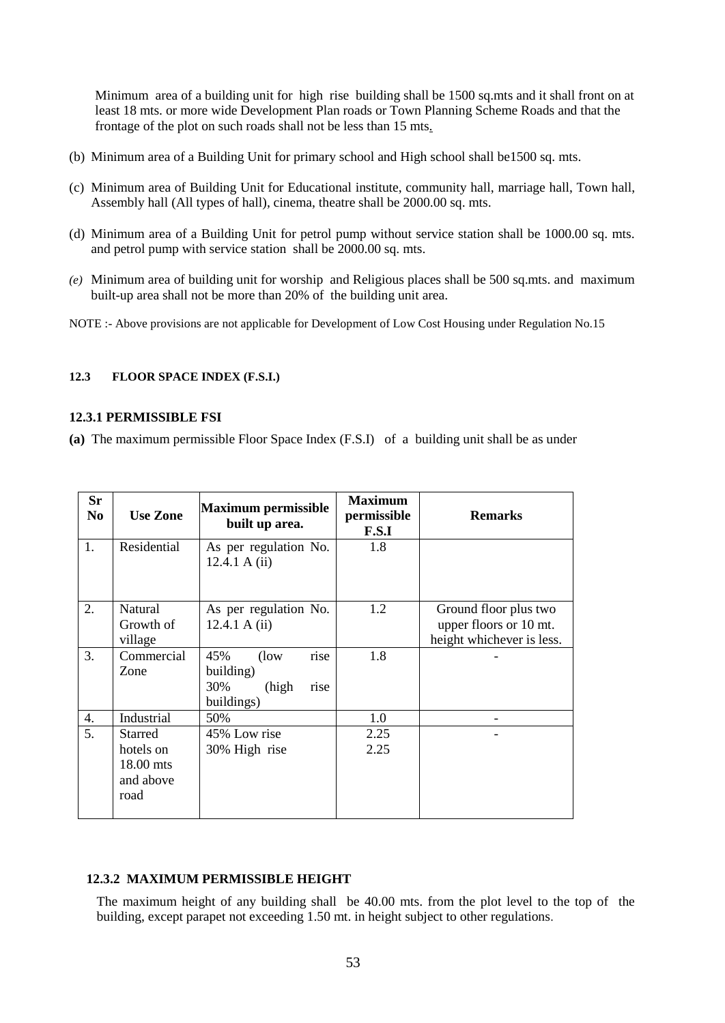Minimum area of a building unit for high rise building shall be 1500 sq.mts and it shall front on at least 18 mts. or more wide Development Plan roads or Town Planning Scheme Roads and that the frontage of the plot on such roads shall not be less than 15 mts*.*

- (b) Minimum area of a Building Unit for primary school and High school shall be1500 sq. mts.
- (c) Minimum area of Building Unit for Educational institute, community hall, marriage hall, Town hall, Assembly hall (All types of hall), cinema, theatre shall be 2000.00 sq. mts.
- (d) Minimum area of a Building Unit for petrol pump without service station shall be 1000.00 sq. mts. and petrol pump with service station shall be 2000.00 sq. mts.
- *(e)* Minimum area of building unit for worship and Religious places shall be 500 sq.mts. and maximum built-up area shall not be more than 20% of the building unit area.
- NOTE :- Above provisions are not applicable for Development of Low Cost Housing under Regulation No.15

#### **12.3 FLOOR SPACE INDEX (F.S.I.)**

## **12.3.1 PERMISSIBLE FSI**

**(a)** The maximum permissible Floor Space Index (F.S.I) of a building unit shall be as under

| <b>Sr</b><br>N <sub>0</sub> | <b>Use Zone</b>                                               | <b>Maximum permissible</b><br>built up area.                              | <b>Maximum</b><br>permissible<br>F.S.I | <b>Remarks</b>                                                               |
|-----------------------------|---------------------------------------------------------------|---------------------------------------------------------------------------|----------------------------------------|------------------------------------------------------------------------------|
| 1.                          | Residential                                                   | As per regulation No.<br>12.4.1 A $(ii)$                                  | 1.8                                    |                                                                              |
| 2.                          | <b>Natural</b><br>Growth of<br>village                        | As per regulation No.<br>12.4.1 A $(ii)$                                  | 1.2                                    | Ground floor plus two<br>upper floors or 10 mt.<br>height whichever is less. |
| 3.                          | Commercial<br>Zone                                            | 45%<br>$($ low<br>rise<br>building)<br>30%<br>(high<br>rise<br>buildings) | 1.8                                    |                                                                              |
| 4.                          | Industrial                                                    | 50%                                                                       | 1.0                                    |                                                                              |
| 5.                          | <b>Starred</b><br>hotels on<br>18.00 mts<br>and above<br>road | 45% Low rise<br>30% High rise                                             | 2.25<br>2.25                           |                                                                              |

## **12.3.2 MAXIMUM PERMISSIBLE HEIGHT**

The maximum height of any building shall be 40.00 mts. from the plot level to the top of the building, except parapet not exceeding 1.50 mt. in height subject to other regulations.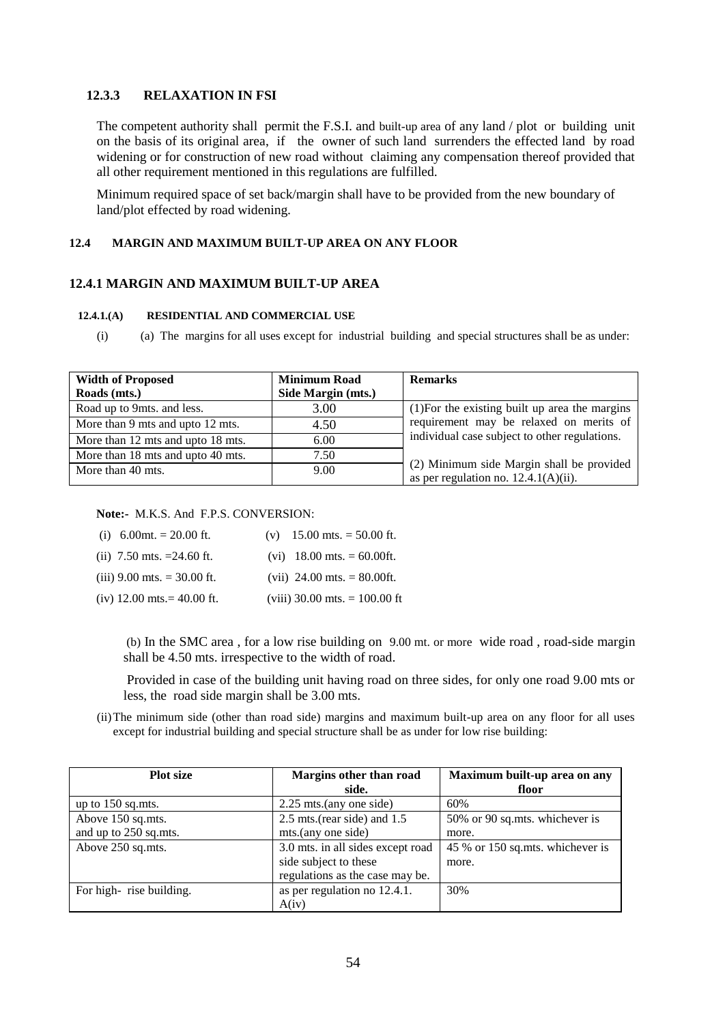## **12.3.3 RELAXATION IN FSI**

The competent authority shall permit the F.S.I. and built-up area of any land / plot or building unit on the basis of its original area, if the owner of such land surrenders the effected land by road widening or for construction of new road without claiming any compensation thereof provided that all other requirement mentioned in this regulations are fulfilled.

Minimum required space of set back/margin shall have to be provided from the new boundary of land/plot effected by road widening.

#### **12.4 MARGIN AND MAXIMUM BUILT-UP AREA ON ANY FLOOR**

#### **12.4.1 MARGIN AND MAXIMUM BUILT-UP AREA**

## **12.4.1.(A) RESIDENTIAL AND COMMERCIAL USE**

(i) (a) The margins for all uses except for industrial building and special structures shall be as under:

| <b>Width of Proposed</b>          | <b>Minimum Road</b> | <b>Remarks</b>                                                                       |
|-----------------------------------|---------------------|--------------------------------------------------------------------------------------|
| Roads (mts.)                      | Side Margin (mts.)  |                                                                                      |
| Road up to 9mts. and less.        | 3.00                | $(1)$ For the existing built up area the margins                                     |
| More than 9 mts and upto 12 mts.  | 4.50                | requirement may be relaxed on merits of                                              |
| More than 12 mts and upto 18 mts. | 6.00                | individual case subject to other regulations.                                        |
| More than 18 mts and upto 40 mts. | 7.50                |                                                                                      |
| More than 40 mts.                 | 9.00                | (2) Minimum side Margin shall be provided<br>as per regulation no. $12.4.1(A)(ii)$ . |

#### **Note:-** M.K.S. And F.P.S. CONVERSION:

| (i) $6.00$ mt. = 20.00 ft.    | (v) $15.00$ mts. = 50.00 ft.    |
|-------------------------------|---------------------------------|
| (ii) 7.50 mts. $=24.60$ ft.   | $(vi)$ 18.00 mts. = 60.00ft.    |
| (iii) $9.00$ mts. = 30.00 ft. | (vii) 24.00 mts. $= 80.00$ ft.  |
| $(iv)$ 12.00 mts. = 40.00 ft. | (viii) 30.00 mts. $= 100.00$ ft |

(b) In the SMC area , for a low rise building on 9.00 mt. or more wide road , road-side margin shall be 4.50 mts. irrespective to the width of road.

Provided in case of the building unit having road on three sides, for only one road 9.00 mts or less, the road side margin shall be 3.00 mts.

(ii)The minimum side (other than road side) margins and maximum built-up area on any floor for all uses except for industrial building and special structure shall be as under for low rise building:

| <b>Plot</b> size        | Margins other than road           | Maximum built-up area on any     |
|-------------------------|-----------------------------------|----------------------------------|
|                         | side.                             | floor                            |
| up to $150$ sq.mts.     | $2.25$ mts.(any one side)         | 60%                              |
| Above 150 sq.mts.       | $2.5$ mts.(rear side) and $1.5$   | 50% or 90 sq.mts. whichever is   |
| and up to 250 sq.mts.   | mts.(any one side)                | more.                            |
| Above 250 sq.mts.       | 3.0 mts. in all sides except road | 45 % or 150 sq.mts. whichever is |
|                         | side subject to these             | more.                            |
|                         | regulations as the case may be.   |                                  |
| For high-rise building. | as per regulation no 12.4.1.      | 30%                              |
|                         | A(iv)                             |                                  |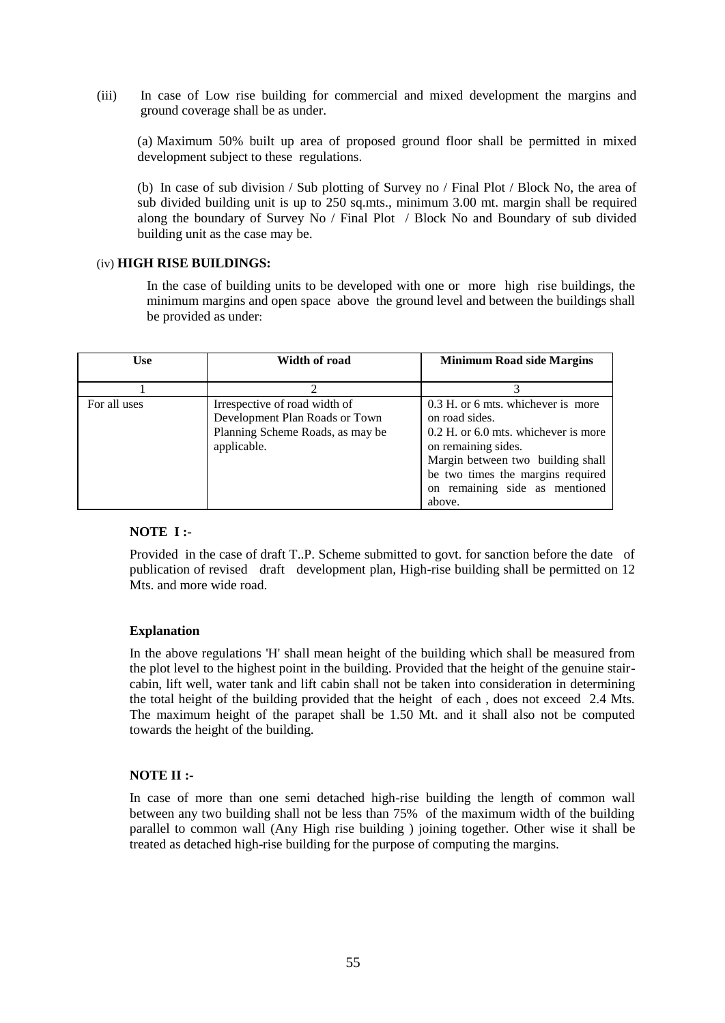(iii) In case of Low rise building for commercial and mixed development the margins and ground coverage shall be as under.

(a) Maximum 50% built up area of proposed ground floor shall be permitted in mixed development subject to these regulations.

(b) In case of sub division / Sub plotting of Survey no / Final Plot / Block No, the area of sub divided building unit is up to 250 sq.mts., minimum 3.00 mt. margin shall be required along the boundary of Survey No / Final Plot / Block No and Boundary of sub divided building unit as the case may be.

## (iv) **HIGH RISE BUILDINGS:**

In the case of building units to be developed with one or more high rise buildings, the minimum margins and open space above the ground level and between the buildings shall be provided as under:

| <b>Use</b>   | Width of road                                                                                                      | <b>Minimum Road side Margins</b>                                                                                                                                                                                                          |
|--------------|--------------------------------------------------------------------------------------------------------------------|-------------------------------------------------------------------------------------------------------------------------------------------------------------------------------------------------------------------------------------------|
|              |                                                                                                                    |                                                                                                                                                                                                                                           |
|              |                                                                                                                    |                                                                                                                                                                                                                                           |
| For all uses | Irrespective of road width of<br>Development Plan Roads or Town<br>Planning Scheme Roads, as may be<br>applicable. | 0.3 H, or 6 mts, whichever is more<br>on road sides.<br>0.2 H. or 6.0 mts. whichever is more<br>on remaining sides.<br>Margin between two building shall<br>be two times the margins required<br>on remaining side as mentioned<br>above. |

## **NOTE I :-**

Provided in the case of draft T..P. Scheme submitted to govt. for sanction before the date of publication of revised draft development plan, High-rise building shall be permitted on 12 Mts. and more wide road.

## **Explanation**

In the above regulations 'H' shall mean height of the building which shall be measured from the plot level to the highest point in the building. Provided that the height of the genuine staircabin, lift well, water tank and lift cabin shall not be taken into consideration in determining the total height of the building provided that the height of each , does not exceed 2.4 Mts. The maximum height of the parapet shall be 1.50 Mt. and it shall also not be computed towards the height of the building.

#### **NOTE II :-**

In case of more than one semi detached high-rise building the length of common wall between any two building shall not be less than 75% of the maximum width of the building parallel to common wall (Any High rise building ) joining together. Other wise it shall be treated as detached high-rise building for the purpose of computing the margins.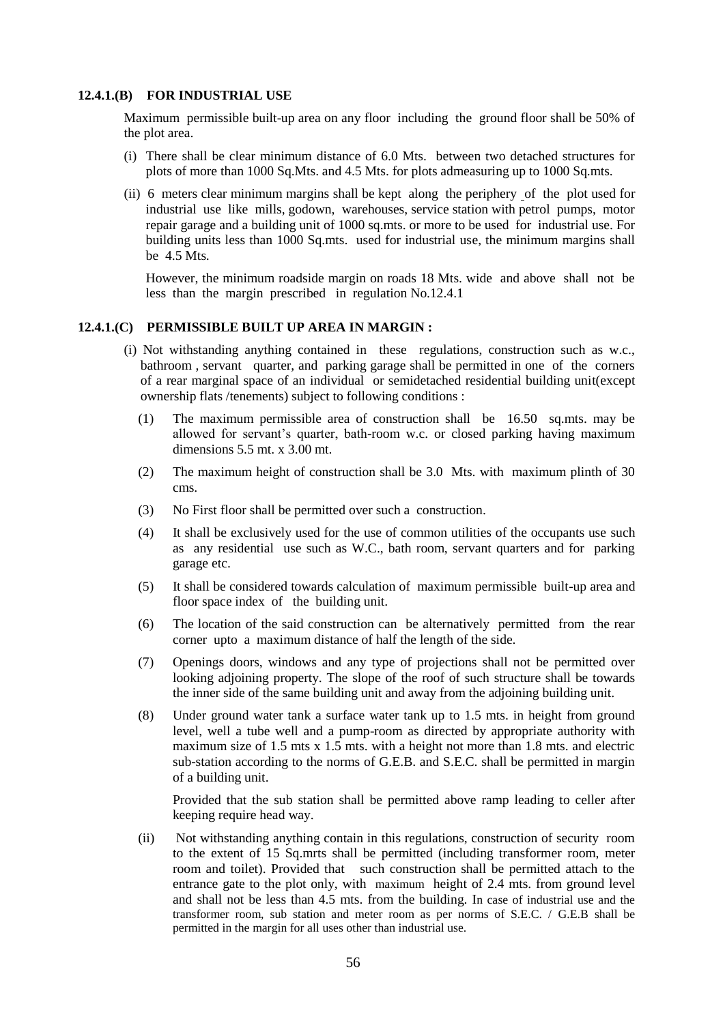#### **12.4.1.(B) FOR INDUSTRIAL USE**

Maximum permissible built-up area on any floor including the ground floor shall be 50% of the plot area.

- (i) There shall be clear minimum distance of 6.0 Mts. between two detached structures for plots of more than 1000 Sq.Mts. and 4.5 Mts. for plots admeasuring up to 1000 Sq.mts.
- (ii) 6 meters clear minimum margins shall be kept along the periphery of the plot used for industrial use like mills, godown, warehouses, service station with petrol pumps, motor repair garage and a building unit of 1000 sq.mts. or more to be used for industrial use. For building units less than 1000 Sq.mts. used for industrial use, the minimum margins shall be 4.5 Mts.

However, the minimum roadside margin on roads 18 Mts. wide and above shall not be less than the margin prescribed in regulation No.12.4.1

## **12.4.1.(C) PERMISSIBLE BUILT UP AREA IN MARGIN :**

- (i) Not withstanding anything contained in these regulations, construction such as w.c., bathroom , servant quarter, and parking garage shall be permitted in one of the corners of a rear marginal space of an individual or semidetached residential building unit(except ownership flats /tenements) subject to following conditions :
	- (1) The maximum permissible area of construction shall be 16.50 sq.mts. may be allowed for servant's quarter, bath-room w.c. or closed parking having maximum dimensions  $5.5$  mt. x  $3.00$  mt.
	- (2) The maximum height of construction shall be 3.0 Mts. with maximum plinth of 30 cms.
	- (3) No First floor shall be permitted over such a construction.
	- (4) It shall be exclusively used for the use of common utilities of the occupants use such as any residential use such as W.C., bath room, servant quarters and for parking garage etc.
	- (5) It shall be considered towards calculation of maximum permissible built-up area and floor space index of the building unit.
	- (6) The location of the said construction can be alternatively permitted from the rear corner upto a maximum distance of half the length of the side.
	- (7) Openings doors, windows and any type of projections shall not be permitted over looking adjoining property. The slope of the roof of such structure shall be towards the inner side of the same building unit and away from the adjoining building unit.
	- (8) Under ground water tank a surface water tank up to 1.5 mts. in height from ground level, well a tube well and a pump-room as directed by appropriate authority with maximum size of 1.5 mts x 1.5 mts. with a height not more than 1.8 mts. and electric sub-station according to the norms of G.E.B. and S.E.C. shall be permitted in margin of a building unit.

Provided that the sub station shall be permitted above ramp leading to celler after keeping require head way.

(ii) Not withstanding anything contain in this regulations, construction of security room to the extent of 15 Sq.mrts shall be permitted (including transformer room, meter room and toilet). Provided that such construction shall be permitted attach to the entrance gate to the plot only, with maximum height of 2.4 mts. from ground level and shall not be less than 4.5 mts. from the building. In case of industrial use and the transformer room, sub station and meter room as per norms of S.E.C. / G.E.B shall be permitted in the margin for all uses other than industrial use.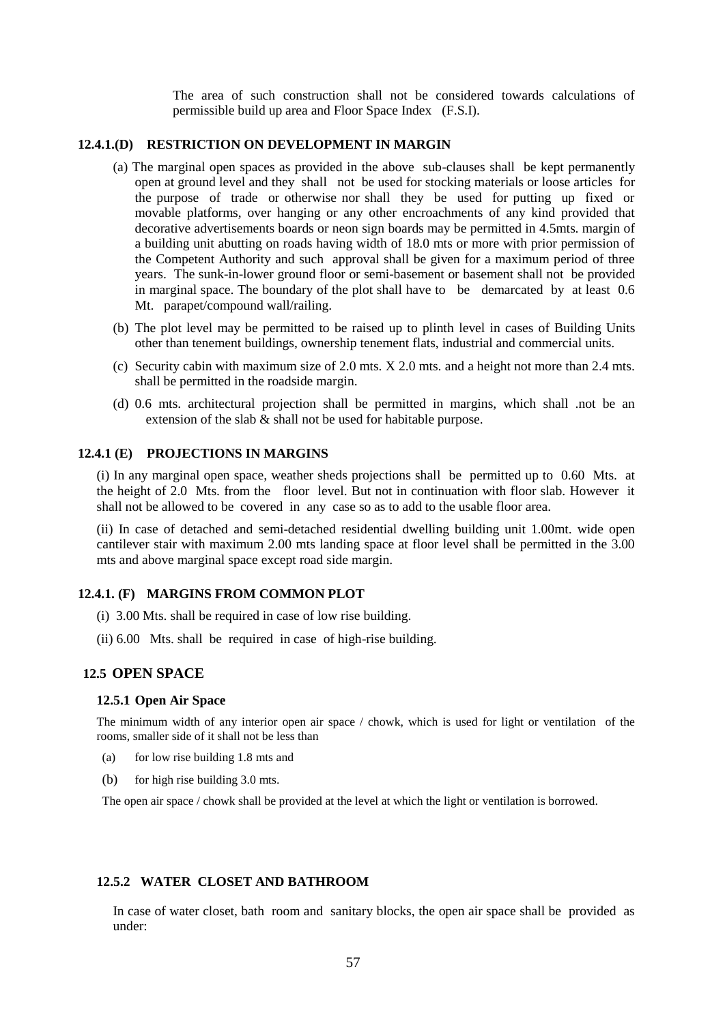The area of such construction shall not be considered towards calculations of permissible build up area and Floor Space Index (F.S.I).

## **12.4.1.(D) RESTRICTION ON DEVELOPMENT IN MARGIN**

- (a) The marginal open spaces as provided in the above sub-clauses shall be kept permanently open at ground level and they shall not be used for stocking materials or loose articles for the purpose of trade or otherwise nor shall they be used for putting up fixed or movable platforms, over hanging or any other encroachments of any kind provided that decorative advertisements boards or neon sign boards may be permitted in 4.5mts. margin of a building unit abutting on roads having width of 18.0 mts or more with prior permission of the Competent Authority and such approval shall be given for a maximum period of three years. The sunk-in-lower ground floor or semi-basement or basement shall not be provided in marginal space. The boundary of the plot shall have to be demarcated by at least 0.6 Mt. parapet/compound wall/railing.
- (b) The plot level may be permitted to be raised up to plinth level in cases of Building Units other than tenement buildings, ownership tenement flats, industrial and commercial units.
- (c) Security cabin with maximum size of 2.0 mts. X 2.0 mts. and a height not more than 2.4 mts. shall be permitted in the roadside margin.
- (d) 0.6 mts. architectural projection shall be permitted in margins, which shall .not be an extension of the slab & shall not be used for habitable purpose.

## **12.4.1 (E) PROJECTIONS IN MARGINS**

(i) In any marginal open space, weather sheds projections shall be permitted up to 0.60 Mts. at the height of 2.0 Mts. from the floor level. But not in continuation with floor slab. However it shall not be allowed to be covered in any case so as to add to the usable floor area.

(ii) In case of detached and semi-detached residential dwelling building unit 1.00mt. wide open cantilever stair with maximum 2.00 mts landing space at floor level shall be permitted in the 3.00 mts and above marginal space except road side margin.

## **12.4.1. (F) MARGINS FROM COMMON PLOT**

- (i) 3.00 Mts. shall be required in case of low rise building.
- (ii) 6.00 Mts. shall be required in case of high-rise building.

## **12.5 OPEN SPACE**

#### **12.5.1 Open Air Space**

The minimum width of any interior open air space / chowk, which is used for light or ventilation of the rooms, smaller side of it shall not be less than

- (a) for low rise building 1.8 mts and
- (b) for high rise building 3.0 mts.

The open air space / chowk shall be provided at the level at which the light or ventilation is borrowed.

#### **12.5.2 WATER CLOSET AND BATHROOM**

In case of water closet, bath room and sanitary blocks, the open air space shall be provided as under: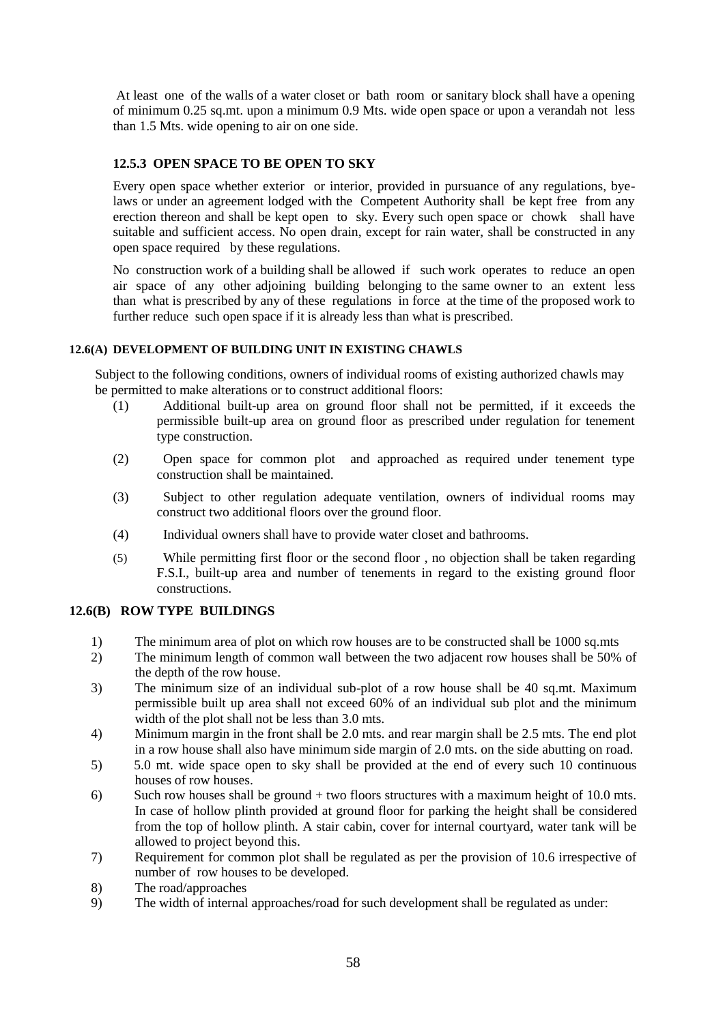At least one of the walls of a water closet or bath room or sanitary block shall have a opening of minimum 0.25 sq.mt. upon a minimum 0.9 Mts. wide open space or upon a verandah not less than 1.5 Mts. wide opening to air on one side.

## **12.5.3 OPEN SPACE TO BE OPEN TO SKY**

Every open space whether exterior or interior, provided in pursuance of any regulations, byelaws or under an agreement lodged with the Competent Authority shall be kept free from any erection thereon and shall be kept open to sky. Every such open space or chowk shall have suitable and sufficient access. No open drain, except for rain water, shall be constructed in any open space required by these regulations.

No construction work of a building shall be allowed if such work operates to reduce an open air space of any other adjoining building belonging to the same owner to an extent less than what is prescribed by any of these regulations in force at the time of the proposed work to further reduce such open space if it is already less than what is prescribed.

## **12.6(A) DEVELOPMENT OF BUILDING UNIT IN EXISTING CHAWLS**

Subject to the following conditions, owners of individual rooms of existing authorized chawls may be permitted to make alterations or to construct additional floors:

- $(1)$  Additional built-up area on ground floor shall not be permitted, if it exceeds the permissible built-up area on ground floor as prescribed under regulation for tenement type construction.
- (2) Open space for common plot and approached as required under tenement type construction shall be maintained.
- (3) Subject to other regulation adequate ventilation, owners of individual rooms may construct two additional floors over the ground floor.
- (4) Individual owners shall have to provide water closet and bathrooms.
- (5) While permitting first floor or the second floor , no objection shall be taken regarding F.S.I., built-up area and number of tenements in regard to the existing ground floor constructions.

## **12.6(B) ROW TYPE BUILDINGS**

- 1) The minimum area of plot on which row houses are to be constructed shall be 1000 sq.mts
- 2) The minimum length of common wall between the two adjacent row houses shall be 50% of the depth of the row house.
- 3) The minimum size of an individual sub-plot of a row house shall be 40 sq.mt. Maximum permissible built up area shall not exceed 60% of an individual sub plot and the minimum width of the plot shall not be less than 3.0 mts.
- 4) Minimum margin in the front shall be 2.0 mts. and rear margin shall be 2.5 mts. The end plot in a row house shall also have minimum side margin of 2.0 mts. on the side abutting on road.
- 5) 5.0 mt. wide space open to sky shall be provided at the end of every such 10 continuous houses of row houses.
- 6) Such row houses shall be ground + two floors structures with a maximum height of 10.0 mts. In case of hollow plinth provided at ground floor for parking the height shall be considered from the top of hollow plinth. A stair cabin, cover for internal courtyard, water tank will be allowed to project beyond this.
- 7) Requirement for common plot shall be regulated as per the provision of 10.6 irrespective of number of row houses to be developed.
- 8) The road/approaches
- 9) The width of internal approaches/road for such development shall be regulated as under: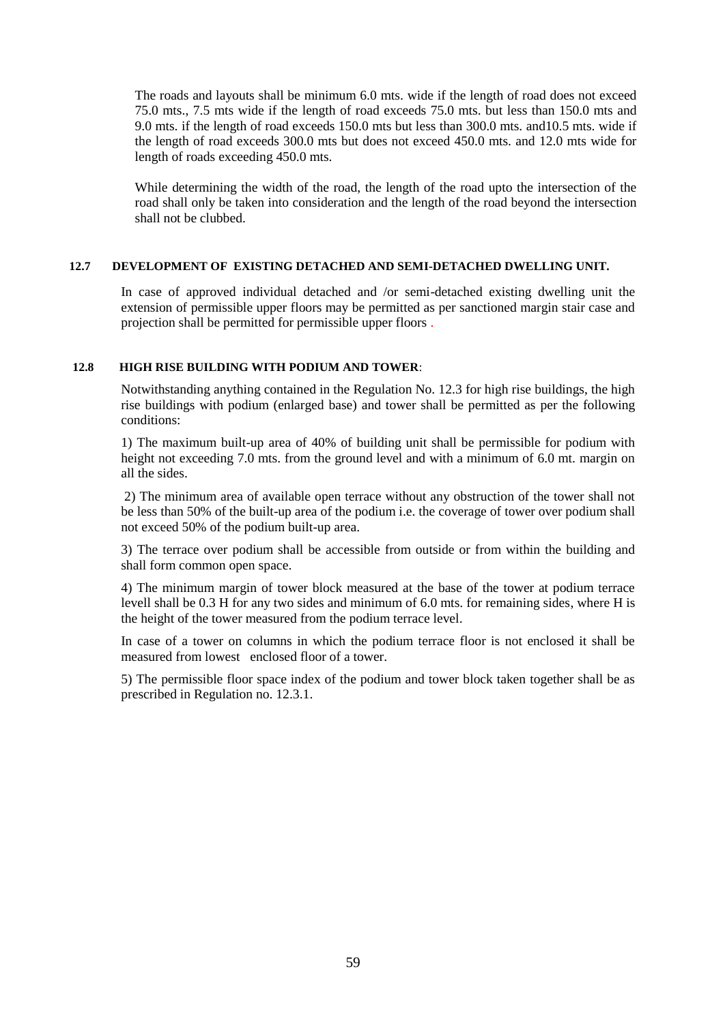The roads and layouts shall be minimum 6.0 mts. wide if the length of road does not exceed 75.0 mts., 7.5 mts wide if the length of road exceeds 75.0 mts. but less than 150.0 mts and 9.0 mts. if the length of road exceeds 150.0 mts but less than 300.0 mts. and10.5 mts. wide if the length of road exceeds 300.0 mts but does not exceed 450.0 mts. and 12.0 mts wide for length of roads exceeding 450.0 mts.

While determining the width of the road, the length of the road upto the intersection of the road shall only be taken into consideration and the length of the road beyond the intersection shall not be clubbed.

#### **12.7 DEVELOPMENT OF EXISTING DETACHED AND SEMI-DETACHED DWELLING UNIT.**

In case of approved individual detached and /or semi-detached existing dwelling unit the extension of permissible upper floors may be permitted as per sanctioned margin stair case and projection shall be permitted for permissible upper floors .

## **12.8 HIGH RISE BUILDING WITH PODIUM AND TOWER**:

Notwithstanding anything contained in the Regulation No. 12.3 for high rise buildings, the high rise buildings with podium (enlarged base) and tower shall be permitted as per the following conditions:

1) The maximum built-up area of 40% of building unit shall be permissible for podium with height not exceeding 7.0 mts. from the ground level and with a minimum of 6.0 mt. margin on all the sides.

2) The minimum area of available open terrace without any obstruction of the tower shall not be less than 50% of the built-up area of the podium i.e. the coverage of tower over podium shall not exceed 50% of the podium built-up area.

3) The terrace over podium shall be accessible from outside or from within the building and shall form common open space.

4) The minimum margin of tower block measured at the base of the tower at podium terrace levell shall be 0.3 H for any two sides and minimum of 6.0 mts. for remaining sides, where H is the height of the tower measured from the podium terrace level.

In case of a tower on columns in which the podium terrace floor is not enclosed it shall be measured from lowest enclosed floor of a tower.

5) The permissible floor space index of the podium and tower block taken together shall be as prescribed in Regulation no. 12.3.1.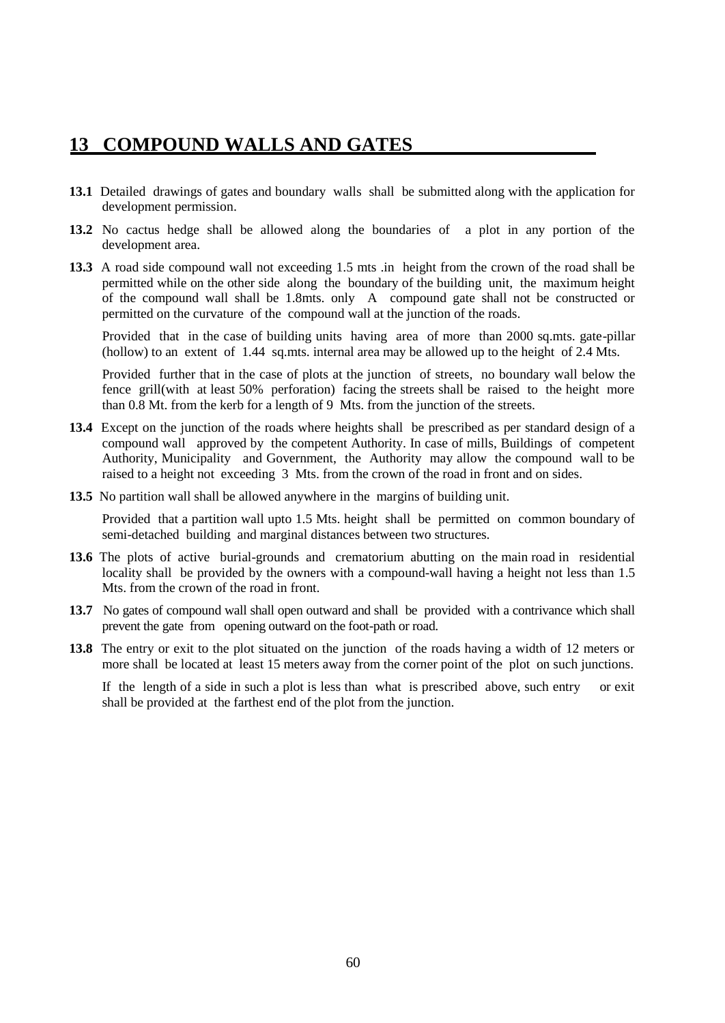## **13 COMPOUND WALLS AND GATES**

- **13.1** Detailed drawings of gates and boundary walls shall be submitted along with the application for development permission.
- **13.2** No cactus hedge shall be allowed along the boundaries of a plot in any portion of the development area.
- **13.3** A road side compound wall not exceeding 1.5 mts .in height from the crown of the road shall be permitted while on the other side along the boundary of the building unit, the maximum height of the compound wall shall be 1.8mts. only A compound gate shall not be constructed or permitted on the curvature of the compound wall at the junction of the roads.

Provided that in the case of building units having area of more than 2000 sq.mts. gate-pillar (hollow) to an extent of 1.44 sq.mts. internal area may be allowed up to the height of 2.4 Mts.

Provided further that in the case of plots at the junction of streets, no boundary wall below the fence grill(with at least 50% perforation) facing the streets shall be raised to the height more than 0.8 Mt. from the kerb for a length of 9 Mts. from the junction of the streets.

- **13.4** Except on the junction of the roads where heights shall be prescribed as per standard design of a compound wall approved by the competent Authority. In case of mills, Buildings of competent Authority, Municipality and Government, the Authority may allow the compound wall to be raised to a height not exceeding 3 Mts. from the crown of the road in front and on sides.
- **13.5** No partition wall shall be allowed anywhere in the margins of building unit.

Provided that a partition wall upto 1.5 Mts. height shall be permitted on common boundary of semi-detached building and marginal distances between two structures.

- 13.6 The plots of active burial-grounds and crematorium abutting on the main road in residential locality shall be provided by the owners with a compound-wall having a height not less than 1.5 Mts. from the crown of the road in front.
- 13.7 No gates of compound wall shall open outward and shall be provided with a contrivance which shall prevent the gate from opening outward on the foot-path or road.
- **13.8** The entry or exit to the plot situated on the junction of the roads having a width of 12 meters or more shall be located at least 15 meters away from the corner point of the plot on such junctions.

If the length of a side in such a plot is less than what is prescribed above, such entry or exit shall be provided at the farthest end of the plot from the junction.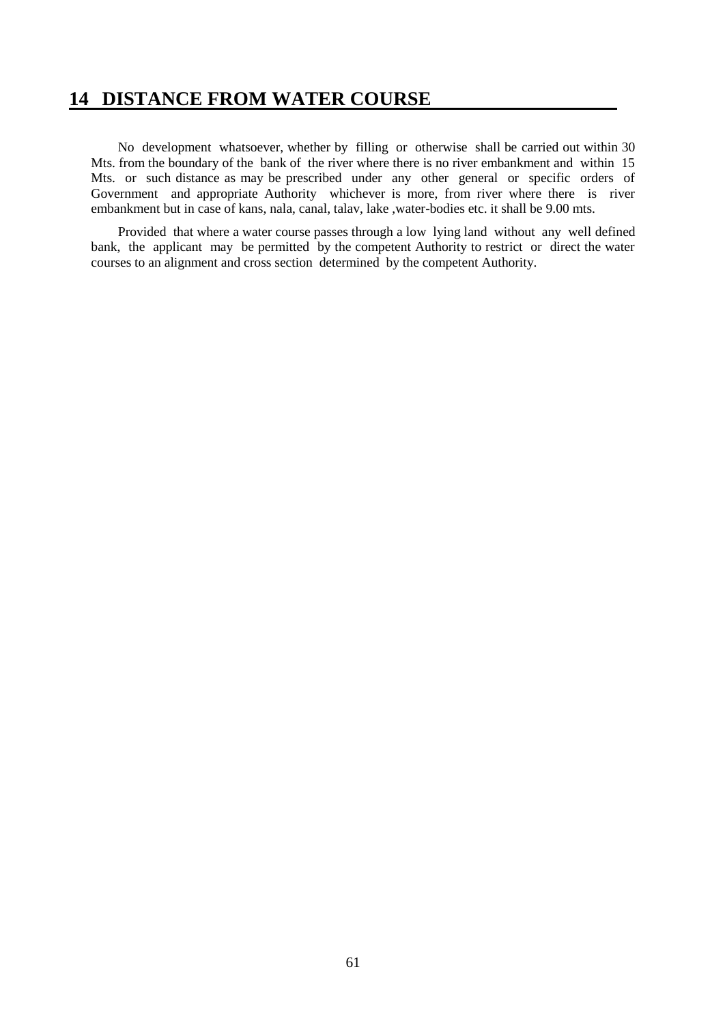## **14 DISTANCE FROM WATER COURSE**

 No development whatsoever, whether by filling or otherwise shall be carried out within 30 Mts. from the boundary of the bank of the river where there is no river embankment and within 15 Mts. or such distance as may be prescribed under any other general or specific orders of Government and appropriate Authority whichever is more, from river where there is river embankment but in case of kans, nala, canal, talav, lake ,water-bodies etc. it shall be 9.00 mts.

 Provided that where a water course passes through a low lying land without any well defined bank, the applicant may be permitted by the competent Authority to restrict or direct the water courses to an alignment and cross section determined by the competent Authority.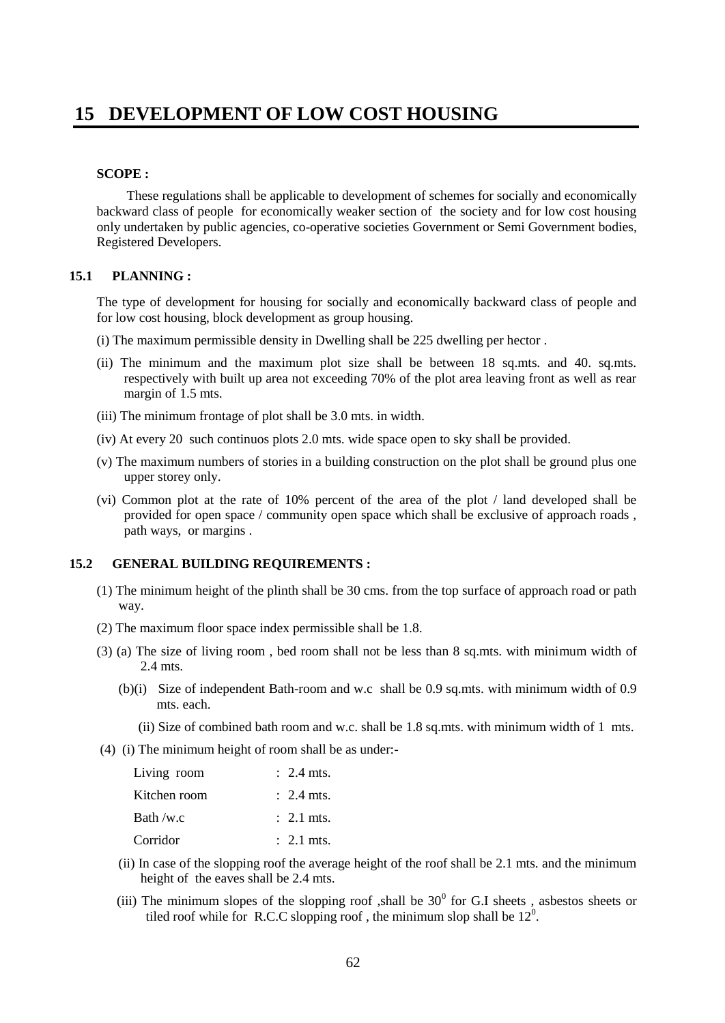## **SCOPE :**

 These regulations shall be applicable to development of schemes for socially and economically backward class of people for economically weaker section of the society and for low cost housing only undertaken by public agencies, co-operative societies Government or Semi Government bodies, Registered Developers.

## **15.1 PLANNING :**

The type of development for housing for socially and economically backward class of people and for low cost housing, block development as group housing.

- (i) The maximum permissible density in Dwelling shall be 225 dwelling per hector .
- (ii) The minimum and the maximum plot size shall be between 18 sq.mts. and 40. sq.mts. respectively with built up area not exceeding 70% of the plot area leaving front as well as rear margin of 1.5 mts.
- (iii) The minimum frontage of plot shall be 3.0 mts. in width.
- (iv) At every 20 such continuos plots 2.0 mts. wide space open to sky shall be provided.
- (v) The maximum numbers of stories in a building construction on the plot shall be ground plus one upper storey only.
- (vi) Common plot at the rate of 10% percent of the area of the plot / land developed shall be provided for open space / community open space which shall be exclusive of approach roads , path ways, or margins .

## **15.2 GENERAL BUILDING REQUIREMENTS :**

- (1) The minimum height of the plinth shall be 30 cms. from the top surface of approach road or path way.
- (2) The maximum floor space index permissible shall be 1.8.
- (3) (a) The size of living room , bed room shall not be less than 8 sq.mts. with minimum width of 2.4 mts.
	- (b)(i) Size of independent Bath-room and w.c shall be 0.9 sq.mts. with minimum width of 0.9 mts. each.
		- (ii) Size of combined bath room and w.c. shall be 1.8 sq.mts. with minimum width of 1 mts.
- (4) (i) The minimum height of room shall be as under:-

| Living room  | $\therefore$ 2.4 mts. |
|--------------|-----------------------|
| Kitchen room | $\therefore$ 2.4 mts. |
| Bath /w.c    | $\therefore$ 2.1 mts. |
| Corridor     | $\therefore$ 2.1 mts. |

- (ii) In case of the slopping roof the average height of the roof shall be 2.1 mts. and the minimum height of the eaves shall be 2.4 mts.
- (iii) The minimum slopes of the slopping roof ,shall be  $30<sup>0</sup>$  for G.I sheets, asbestos sheets or tiled roof while for R.C.C slopping roof, the minimum slop shall be  $12^0$ .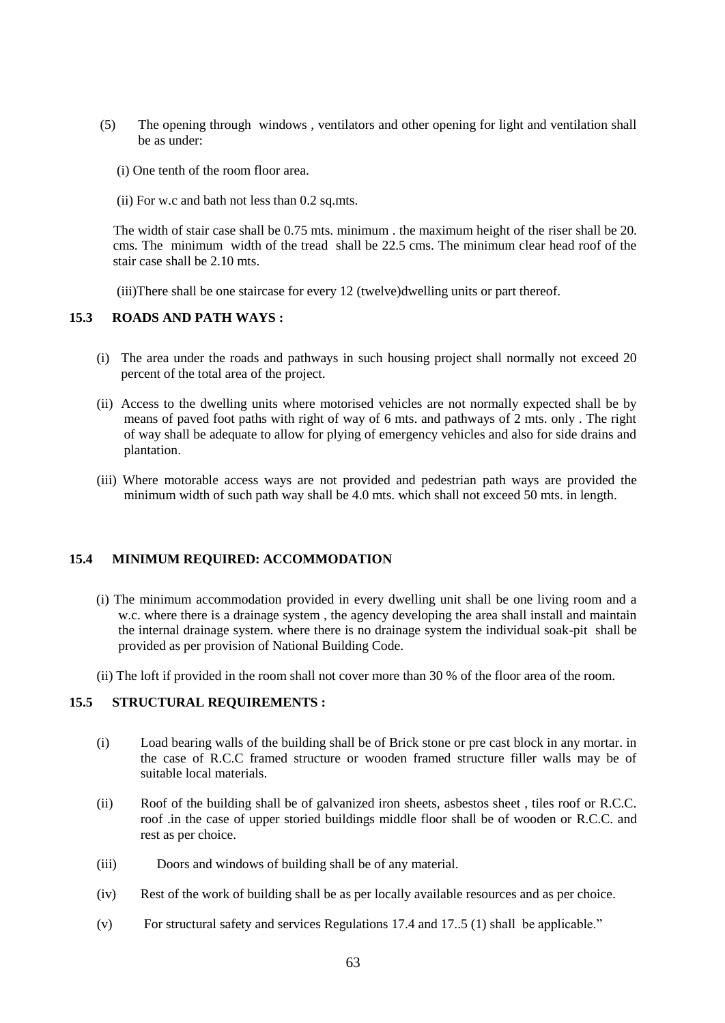- (5) The opening through windows , ventilators and other opening for light and ventilation shall be as under:
	- (i) One tenth of the room floor area.
	- (ii) For w.c and bath not less than 0.2 sq.mts.

 The width of stair case shall be 0.75 mts. minimum . the maximum height of the riser shall be 20. cms. The minimum width of the tread shall be 22.5 cms. The minimum clear head roof of the stair case shall be 2.10 mts.

(iii)There shall be one staircase for every 12 (twelve)dwelling units or part thereof.

## **15.3 ROADS AND PATH WAYS :**

- (i) The area under the roads and pathways in such housing project shall normally not exceed 20 percent of the total area of the project.
- (ii) Access to the dwelling units where motorised vehicles are not normally expected shall be by means of paved foot paths with right of way of 6 mts. and pathways of 2 mts. only . The right of way shall be adequate to allow for plying of emergency vehicles and also for side drains and plantation.
- (iii) Where motorable access ways are not provided and pedestrian path ways are provided the minimum width of such path way shall be 4.0 mts. which shall not exceed 50 mts. in length.

## **15.4 MINIMUM REQUIRED: ACCOMMODATION**

- (i) The minimum accommodation provided in every dwelling unit shall be one living room and a w.c. where there is a drainage system , the agency developing the area shall install and maintain the internal drainage system. where there is no drainage system the individual soak-pit shall be provided as per provision of National Building Code.
- (ii) The loft if provided in the room shall not cover more than 30 % of the floor area of the room.

## **15.5 STRUCTURAL REQUIREMENTS :**

- (i) Load bearing walls of the building shall be of Brick stone or pre cast block in any mortar. in the case of R.C.C framed structure or wooden framed structure filler walls may be of suitable local materials.
- (ii) Roof of the building shall be of galvanized iron sheets, asbestos sheet , tiles roof or R.C.C. roof .in the case of upper storied buildings middle floor shall be of wooden or R.C.C. and rest as per choice.
- (iii) Doors and windows of building shall be of any material.
- (iv) Rest of the work of building shall be as per locally available resources and as per choice.
- (v) For structural safety and services Regulations 17.4 and 17..5 (1) shall be applicable."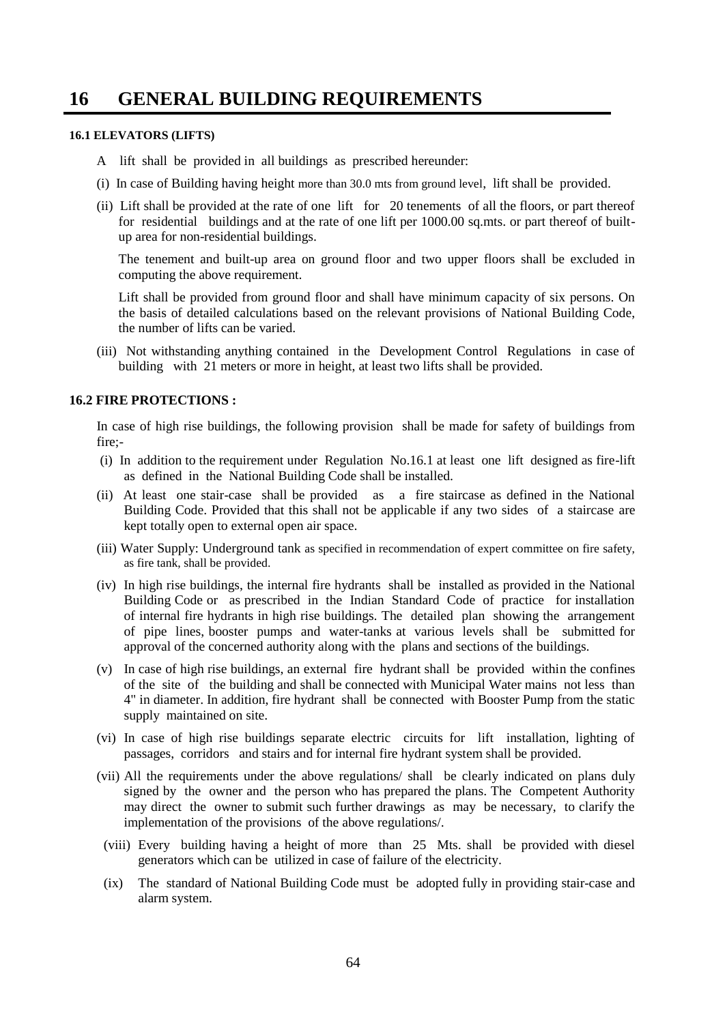# **16 GENERAL BUILDING REQUIREMENTS**

### **16.1 ELEVATORS (LIFTS)**

- A lift shall be provided in all buildings as prescribed hereunder:
- (i) In case of Building having height more than 30.0 mts from ground level, lift shall be provided.
- (ii) Lift shall be provided at the rate of one lift for 20 tenements of all the floors, or part thereof for residential buildings and at the rate of one lift per 1000.00 sq.mts. or part thereof of builtup area for non-residential buildings.

The tenement and built-up area on ground floor and two upper floors shall be excluded in computing the above requirement.

Lift shall be provided from ground floor and shall have minimum capacity of six persons. On the basis of detailed calculations based on the relevant provisions of National Building Code, the number of lifts can be varied.

(iii) Not withstanding anything contained in the Development Control Regulations in case of building with 21 meters or more in height, at least two lifts shall be provided.

## **16.2 FIRE PROTECTIONS :**

In case of high rise buildings, the following provision shall be made for safety of buildings from fire;-

- (i) In addition to the requirement under Regulation No.16.1 at least one lift designed as fire-lift as defined in the National Building Code shall be installed.
- (ii) At least one stair-case shall be provided as a fire staircase as defined in the National Building Code. Provided that this shall not be applicable if any two sides of a staircase are kept totally open to external open air space.
- (iii) Water Supply: Underground tank as specified in recommendation of expert committee on fire safety, as fire tank, shall be provided.
- (iv) In high rise buildings, the internal fire hydrants shall be installed as provided in the National Building Code or as prescribed in the Indian Standard Code of practice for installation of internal fire hydrants in high rise buildings. The detailed plan showing the arrangement of pipe lines, booster pumps and water-tanks at various levels shall be submitted for approval of the concerned authority along with the plans and sections of the buildings.
- (v) In case of high rise buildings, an external fire hydrant shall be provided within the confines of the site of the building and shall be connected with Municipal Water mains not less than 4" in diameter. In addition, fire hydrant shall be connected with Booster Pump from the static supply maintained on site.
- (vi) In case of high rise buildings separate electric circuits for lift installation, lighting of passages, corridors and stairs and for internal fire hydrant system shall be provided.
- (vii) All the requirements under the above regulations/ shall be clearly indicated on plans duly signed by the owner and the person who has prepared the plans. The Competent Authority may direct the owner to submit such further drawings as may be necessary, to clarify the implementation of the provisions of the above regulations/.
- (viii) Every building having a height of more than 25 Mts. shall be provided with diesel generators which can be utilized in case of failure of the electricity.
- (ix) The standard of National Building Code must be adopted fully in providing stair-case and alarm system.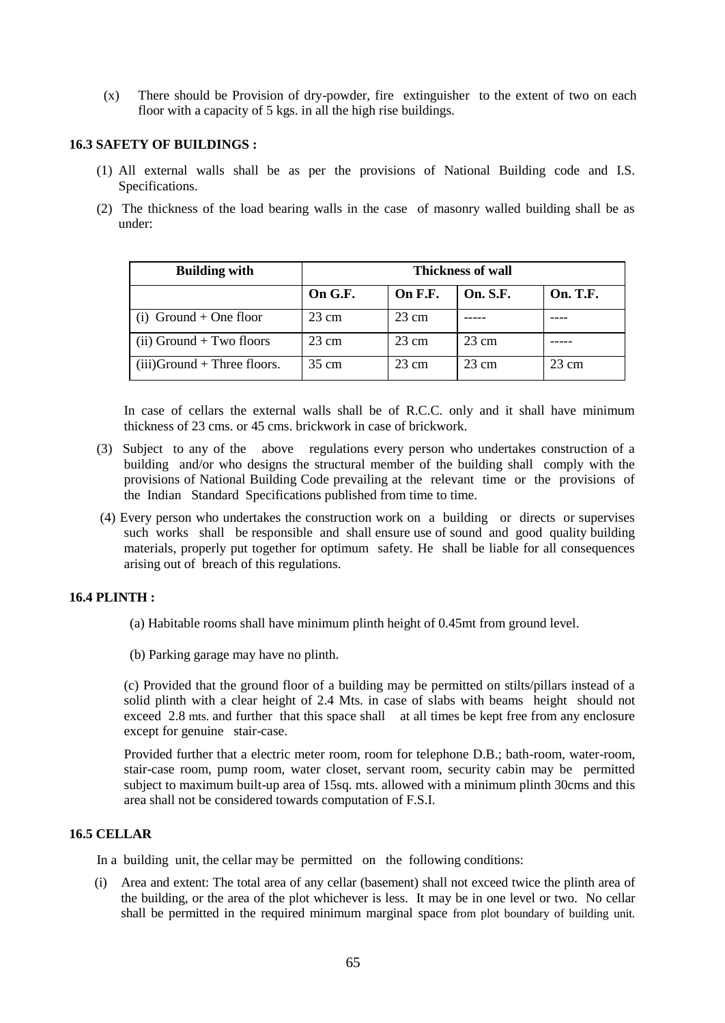(x) There should be Provision of dry-powder, fire extinguisher to the extent of two on each floor with a capacity of 5 kgs. in all the high rise buildings.

## **16.3 SAFETY OF BUILDINGS :**

- (1) All external walls shall be as per the provisions of National Building code and I.S. Specifications.
- (2) The thickness of the load bearing walls in the case of masonry walled building shall be as under:

| <b>Building with</b>           | <b>Thickness of wall</b> |                 |                 |                 |
|--------------------------------|--------------------------|-----------------|-----------------|-----------------|
|                                | On G.F.                  | On F.F.         | <b>On. S.F.</b> | <b>On. T.F.</b> |
| $(i)$ Ground + One floor       | $23 \text{ cm}$          | $23 \text{ cm}$ |                 |                 |
| $(ii)$ Ground + Two floors     | $23 \text{ cm}$          | 23 cm           | $23 \text{ cm}$ |                 |
| $(iii)$ Ground + Three floors. | $35 \text{ cm}$          | $23 \text{ cm}$ | $23 \text{ cm}$ | $23 \text{ cm}$ |

In case of cellars the external walls shall be of R.C.C. only and it shall have minimum thickness of 23 cms. or 45 cms. brickwork in case of brickwork.

- (3) Subject to any of the above regulations every person who undertakes construction of a building and/or who designs the structural member of the building shall comply with the provisions of National Building Code prevailing at the relevant time or the provisions of the Indian Standard Specifications published from time to time.
- (4) Every person who undertakes the construction work on a building or directs or supervises such works shall be responsible and shall ensure use of sound and good quality building materials, properly put together for optimum safety. He shall be liable for all consequences arising out of breach of this regulations.

## **16.4 PLINTH :**

- (a) Habitable rooms shall have minimum plinth height of 0.45mt from ground level.
- (b) Parking garage may have no plinth.

(c) Provided that the ground floor of a building may be permitted on stilts/pillars instead of a solid plinth with a clear height of 2.4 Mts. in case of slabs with beams height should not exceed 2.8 mts. and further that this space shall at all times be kept free from any enclosure except for genuine stair-case.

Provided further that a electric meter room, room for telephone D.B.; bath-room, water-room, stair-case room, pump room, water closet, servant room, security cabin may be permitted subject to maximum built-up area of 15sq. mts. allowed with a minimum plinth 30cms and this area shall not be considered towards computation of F.S.I.

## **16.5 CELLAR**

In a building unit, the cellar may be permitted on the following conditions:

 (i) Area and extent: The total area of any cellar (basement) shall not exceed twice the plinth area of the building, or the area of the plot whichever is less. It may be in one level or two. No cellar shall be permitted in the required minimum marginal space from plot boundary of building unit.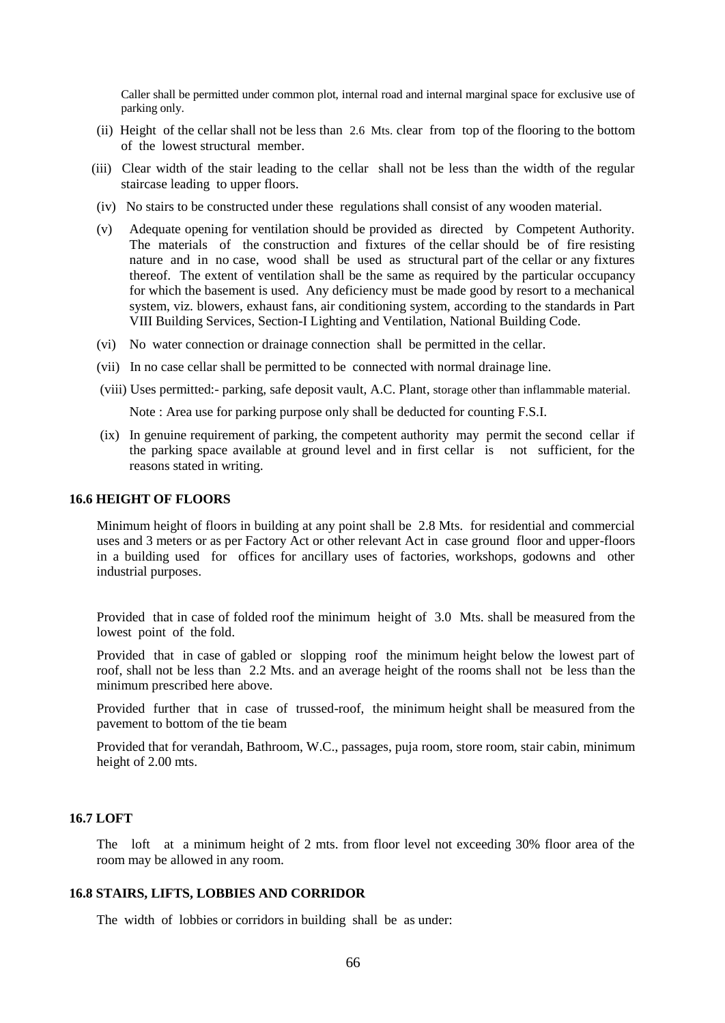Caller shall be permitted under common plot, internal road and internal marginal space for exclusive use of parking only.

- (ii) Height of the cellar shall not be less than 2.6 Mts. clear from top of the flooring to the bottom of the lowest structural member.
- (iii) Clear width of the stair leading to the cellar shall not be less than the width of the regular staircase leading to upper floors.
- (iv) No stairs to be constructed under these regulations shall consist of any wooden material.
- (v) Adequate opening for ventilation should be provided as directed by Competent Authority. The materials of the construction and fixtures of the cellar should be of fire resisting nature and in no case, wood shall be used as structural part of the cellar or any fixtures thereof. The extent of ventilation shall be the same as required by the particular occupancy for which the basement is used. Any deficiency must be made good by resort to a mechanical system, viz. blowers, exhaust fans, air conditioning system, according to the standards in Part VIII Building Services, Section-I Lighting and Ventilation, National Building Code.
- (vi) No water connection or drainage connection shall be permitted in the cellar.
- (vii) In no case cellar shall be permitted to be connected with normal drainage line.
- (viii) Uses permitted:- parking, safe deposit vault, A.C. Plant, storage other than inflammable material.

Note : Area use for parking purpose only shall be deducted for counting F.S.I.

(ix) In genuine requirement of parking, the competent authority may permit the second cellar if the parking space available at ground level and in first cellar is not sufficient, for the reasons stated in writing.

## **16.6 HEIGHT OF FLOORS**

Minimum height of floors in building at any point shall be 2.8 Mts. for residential and commercial uses and 3 meters or as per Factory Act or other relevant Act in case ground floor and upper-floors in a building used for offices for ancillary uses of factories, workshops, godowns and other industrial purposes.

Provided that in case of folded roof the minimum height of 3.0 Mts. shall be measured from the lowest point of the fold.

Provided that in case of gabled or slopping roof the minimum height below the lowest part of roof, shall not be less than 2.2 Mts. and an average height of the rooms shall not be less than the minimum prescribed here above.

Provided further that in case of trussed-roof, the minimum height shall be measured from the pavement to bottom of the tie beam

Provided that for verandah, Bathroom, W.C., passages, puja room, store room, stair cabin, minimum height of 2.00 mts.

## **16.7 LOFT**

The loft at a minimum height of 2 mts. from floor level not exceeding 30% floor area of the room may be allowed in any room.

#### **16.8 STAIRS, LIFTS, LOBBIES AND CORRIDOR**

The width of lobbies or corridors in building shall be as under: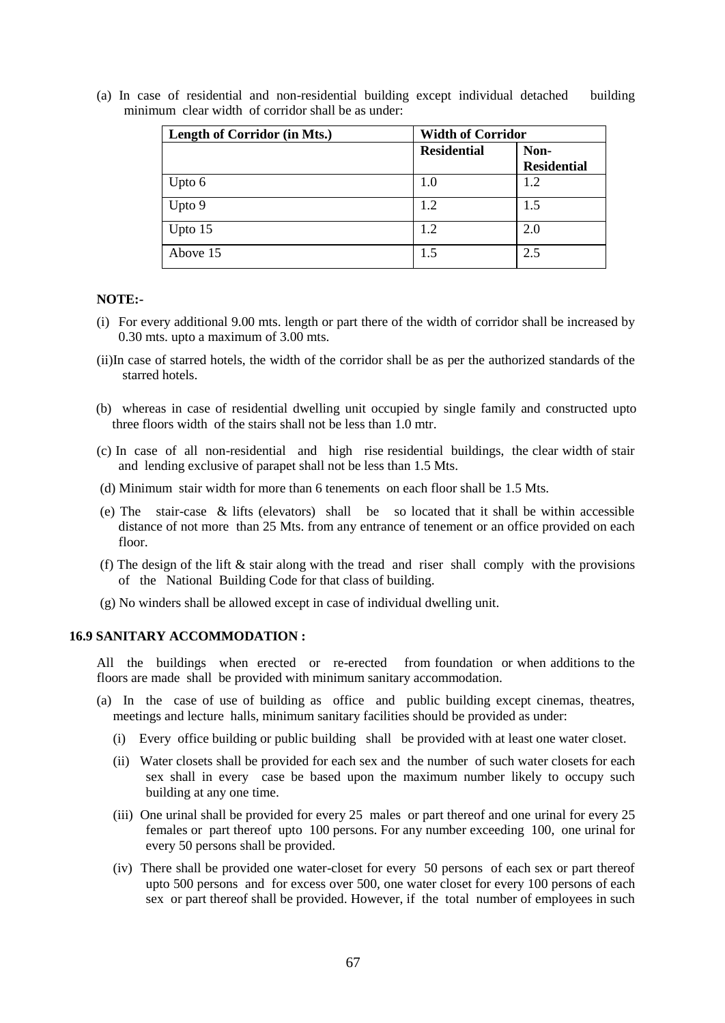| Length of Corridor (in Mts.) | <b>Width of Corridor</b> |                            |  |
|------------------------------|--------------------------|----------------------------|--|
|                              | <b>Residential</b>       | Non-<br><b>Residential</b> |  |
| Upto 6                       | 1.0                      | 1.2                        |  |
| Upto 9                       | 1.2                      | 1.5                        |  |
| Upto $15$                    | 1.2                      | 2.0                        |  |
| Above 15                     | 1.5                      | 2.5                        |  |

(a) In case of residential and non-residential building except individual detached building minimum clear width of corridor shall be as under:

#### **NOTE:-**

- (i) For every additional 9.00 mts. length or part there of the width of corridor shall be increased by 0.30 mts. upto a maximum of 3.00 mts.
- (ii)In case of starred hotels, the width of the corridor shall be as per the authorized standards of the starred hotels.
- (b)whereas in case of residential dwelling unit occupied by single family and constructed upto three floors width of the stairs shall not be less than 1.0 mtr.
- (c) In case of all non-residential and high rise residential buildings, the clear width of stair and lending exclusive of parapet shall not be less than 1.5 Mts.
- (d) Minimum stair width for more than 6 tenements on each floor shall be 1.5 Mts.
- (e) The stair-case & lifts (elevators) shall be so located that it shall be within accessible distance of not more than 25 Mts. from any entrance of tenement or an office provided on each floor.
- (f) The design of the lift  $\&$  stair along with the tread and riser shall comply with the provisions of the National Building Code for that class of building.
- (g) No winders shall be allowed except in case of individual dwelling unit.

## **16.9 SANITARY ACCOMMODATION :**

All the buildings when erected or re-erected from foundation or when additions to the floors are made shall be provided with minimum sanitary accommodation.

- (a) In the case of use of building as office and public building except cinemas, theatres, meetings and lecture halls, minimum sanitary facilities should be provided as under:
	- (i) Every office building or public building shall be provided with at least one water closet.
	- (ii) Water closets shall be provided for each sex and the number of such water closets for each sex shall in every case be based upon the maximum number likely to occupy such building at any one time.
	- (iii) One urinal shall be provided for every 25 males or part thereof and one urinal for every 25 females or part thereof upto 100 persons. For any number exceeding 100, one urinal for every 50 persons shall be provided.
	- (iv) There shall be provided one water-closet for every 50 persons of each sex or part thereof upto 500 persons and for excess over 500, one water closet for every 100 persons of each sex or part thereof shall be provided. However, if the total number of employees in such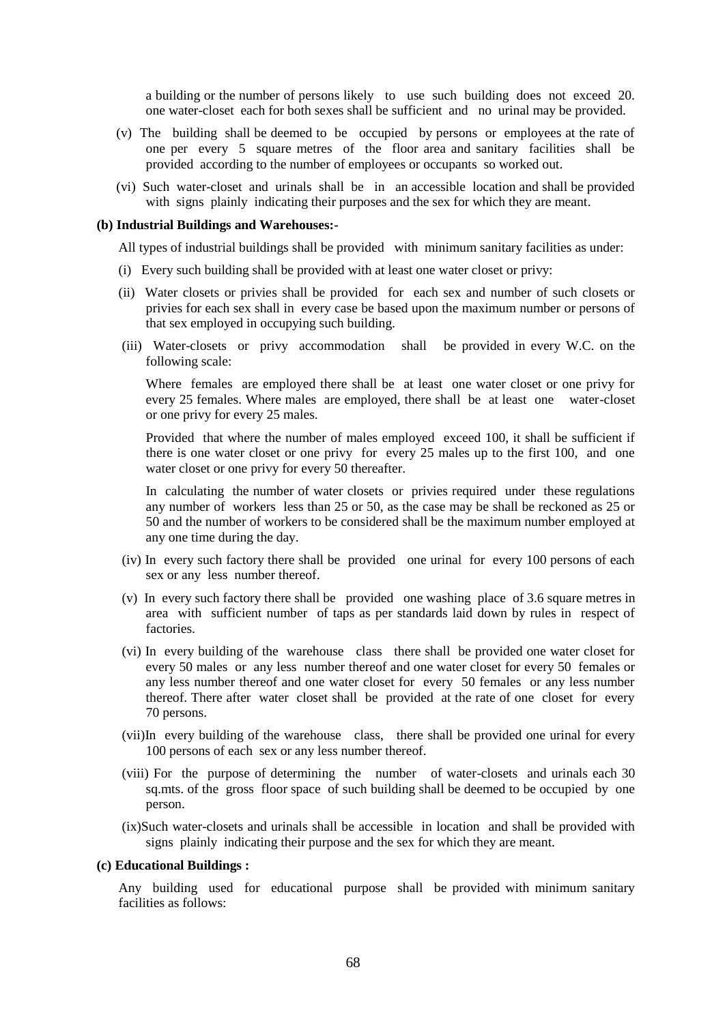a building or the number of persons likely to use such building does not exceed 20. one water-closet each for both sexes shall be sufficient and no urinal may be provided.

- (v) The building shall be deemed to be occupied by persons or employees at the rate of one per every 5 square metres of the floor area and sanitary facilities shall be provided according to the number of employees or occupants so worked out.
- (vi) Such water-closet and urinals shall be in an accessible location and shall be provided with signs plainly indicating their purposes and the sex for which they are meant.

#### **(b) Industrial Buildings and Warehouses:-**

All types of industrial buildings shall be provided with minimum sanitary facilities as under:

- (i) Every such building shall be provided with at least one water closet or privy:
- (ii) Water closets or privies shall be provided for each sex and number of such closets or privies for each sex shall in every case be based upon the maximum number or persons of that sex employed in occupying such building.
- (iii) Water-closets or privy accommodation shall be provided in every W.C. on the following scale:

Where females are employed there shall be at least one water closet or one privy for every 25 females. Where males are employed, there shall be at least one water-closet or one privy for every 25 males.

Provided that where the number of males employed exceed 100, it shall be sufficient if there is one water closet or one privy for every 25 males up to the first 100, and one water closet or one privy for every 50 thereafter.

In calculating the number of water closets or privies required under these regulations any number of workers less than 25 or 50, as the case may be shall be reckoned as 25 or 50 and the number of workers to be considered shall be the maximum number employed at any one time during the day.

- (iv) In every such factory there shall be provided one urinal for every 100 persons of each sex or any less number thereof.
- (v) In every such factory there shall be provided one washing place of 3.6 square metres in area with sufficient number of taps as per standards laid down by rules in respect of factories.
- (vi) In every building of the warehouse class there shall be provided one water closet for every 50 males or any less number thereof and one water closet for every 50 females or any less number thereof and one water closet for every 50 females or any less number thereof. There after water closet shall be provided at the rate of one closet for every 70 persons.
- (vii)In every building of the warehouse class, there shall be provided one urinal for every 100 persons of each sex or any less number thereof.
- (viii) For the purpose of determining the number of water-closets and urinals each 30 sq.mts. of the gross floor space of such building shall be deemed to be occupied by one person.
- (ix)Such water-closets and urinals shall be accessible in location and shall be provided with signs plainly indicating their purpose and the sex for which they are meant.

#### **(c) Educational Buildings :**

Any building used for educational purpose shall be provided with minimum sanitary facilities as follows: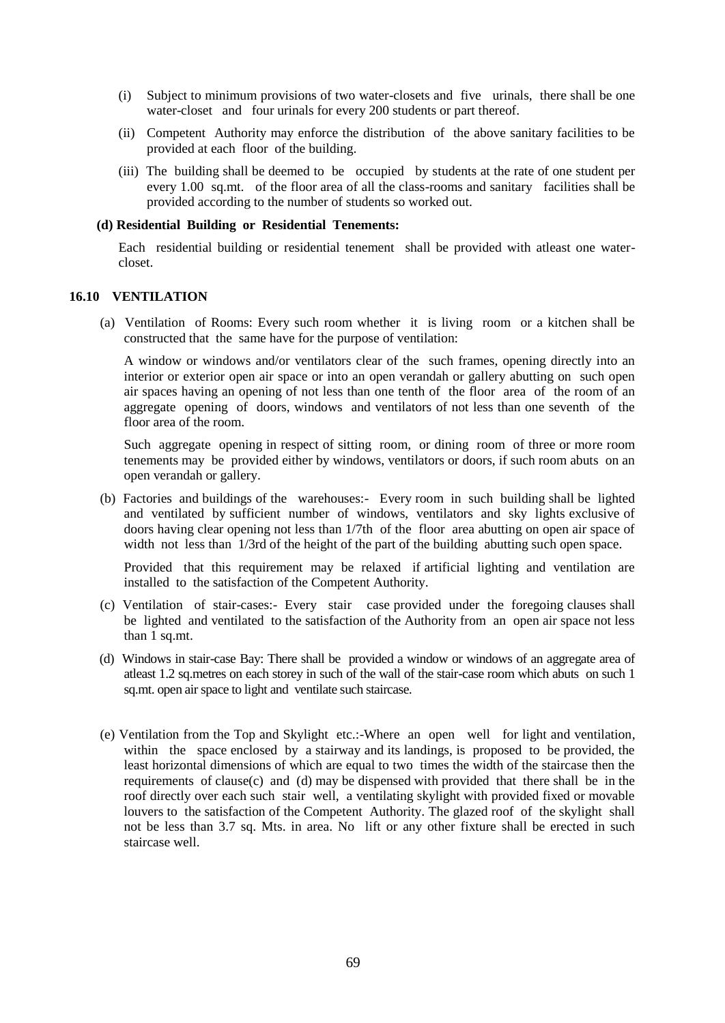- (i) Subject to minimum provisions of two water-closets and five urinals, there shall be one water-closet and four urinals for every 200 students or part thereof.
- (ii) Competent Authority may enforce the distribution of the above sanitary facilities to be provided at each floor of the building.
- (iii) The building shall be deemed to be occupied by students at the rate of one student per every 1.00 sq.mt. of the floor area of all the class-rooms and sanitary facilities shall be provided according to the number of students so worked out.

#### **(d) Residential Building or Residential Tenements:**

Each residential building or residential tenement shall be provided with atleast one watercloset.

#### **16.10 VENTILATION**

(a) Ventilation of Rooms: Every such room whether it is living room or a kitchen shall be constructed that the same have for the purpose of ventilation:

A window or windows and/or ventilators clear of the such frames, opening directly into an interior or exterior open air space or into an open verandah or gallery abutting on such open air spaces having an opening of not less than one tenth of the floor area of the room of an aggregate opening of doors, windows and ventilators of not less than one seventh of the floor area of the room.

Such aggregate opening in respect of sitting room, or dining room of three or more room tenements may be provided either by windows, ventilators or doors, if such room abuts on an open verandah or gallery.

(b) Factories and buildings of the warehouses:- Every room in such building shall be lighted and ventilated by sufficient number of windows, ventilators and sky lights exclusive of doors having clear opening not less than 1/7th of the floor area abutting on open air space of width not less than 1/3rd of the height of the part of the building abutting such open space.

Provided that this requirement may be relaxed if artificial lighting and ventilation are installed to the satisfaction of the Competent Authority.

- (c) Ventilation of stair-cases:- Every stair case provided under the foregoing clauses shall be lighted and ventilated to the satisfaction of the Authority from an open air space not less than 1 sq.mt.
- (d) Windows in stair-case Bay: There shall be provided a window or windows of an aggregate area of atleast 1.2 sq.metres on each storey in such of the wall of the stair-case room which abuts on such 1 sq.mt. open air space to light and ventilate such staircase.
- (e) Ventilation from the Top and Skylight etc.:-Where an open well for light and ventilation, within the space enclosed by a stairway and its landings, is proposed to be provided, the least horizontal dimensions of which are equal to two times the width of the staircase then the requirements of clause(c) and (d) may be dispensed with provided that there shall be in the roof directly over each such stair well, a ventilating skylight with provided fixed or movable louvers to the satisfaction of the Competent Authority. The glazed roof of the skylight shall not be less than 3.7 sq. Mts. in area. No lift or any other fixture shall be erected in such staircase well.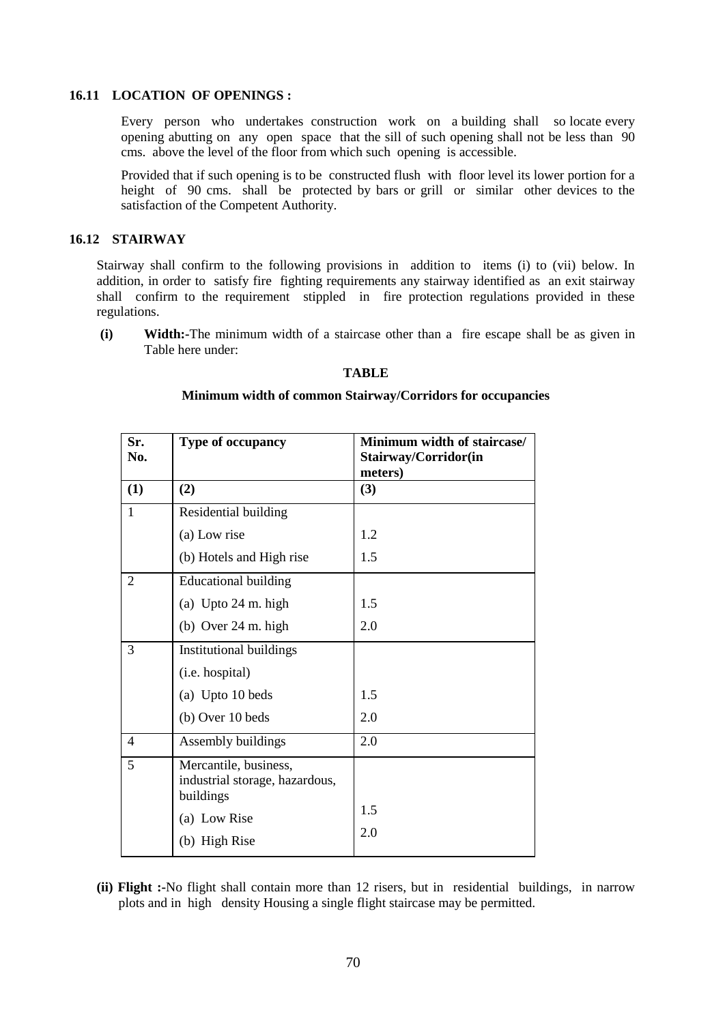### **16.11 LOCATION OF OPENINGS :**

Every person who undertakes construction work on a building shall so locate every opening abutting on any open space that the sill of such opening shall not be less than 90 cms. above the level of the floor from which such opening is accessible.

Provided that if such opening is to be constructed flush with floor level its lower portion for a height of 90 cms. shall be protected by bars or grill or similar other devices to the satisfaction of the Competent Authority.

## **16.12 STAIRWAY**

Stairway shall confirm to the following provisions in addition to items (i) to (vii) below. In addition, in order to satisfy fire fighting requirements any stairway identified as an exit stairway shall confirm to the requirement stippled in fire protection regulations provided in these regulations.

**(i) Width:-**The minimum width of a staircase other than a fire escape shall be as given in Table here under:

## **TABLE**

### **Minimum width of common Stairway/Corridors for occupancies**

| Sr.<br>No.               | Type of occupancy                                                    | Minimum width of staircase/<br>Stairway/Corridor(in<br>meters) |
|--------------------------|----------------------------------------------------------------------|----------------------------------------------------------------|
| (1)                      | (2)                                                                  | (3)                                                            |
| $\mathbf{1}$             | Residential building                                                 |                                                                |
|                          | (a) Low rise                                                         | 1.2                                                            |
|                          | (b) Hotels and High rise                                             | 1.5                                                            |
| $\overline{2}$           | <b>Educational building</b>                                          |                                                                |
|                          | (a) Upto 24 m. high                                                  | 1.5                                                            |
|                          | (b) Over $24$ m. high                                                | 2.0                                                            |
| 3                        | Institutional buildings                                              |                                                                |
|                          | (i.e. hospital)                                                      |                                                                |
|                          | (a) Upto 10 beds                                                     | 1.5                                                            |
|                          | (b) Over 10 beds                                                     | 2.0                                                            |
| $\overline{\mathcal{A}}$ | Assembly buildings                                                   | 2.0                                                            |
| 5                        | Mercantile, business,<br>industrial storage, hazardous,<br>buildings |                                                                |
|                          | (a) Low Rise                                                         | 1.5                                                            |
|                          | (b) High Rise                                                        | 2.0                                                            |

**(ii) Flight :-**No flight shall contain more than 12 risers, but in residential buildings, in narrow plots and in high density Housing a single flight staircase may be permitted.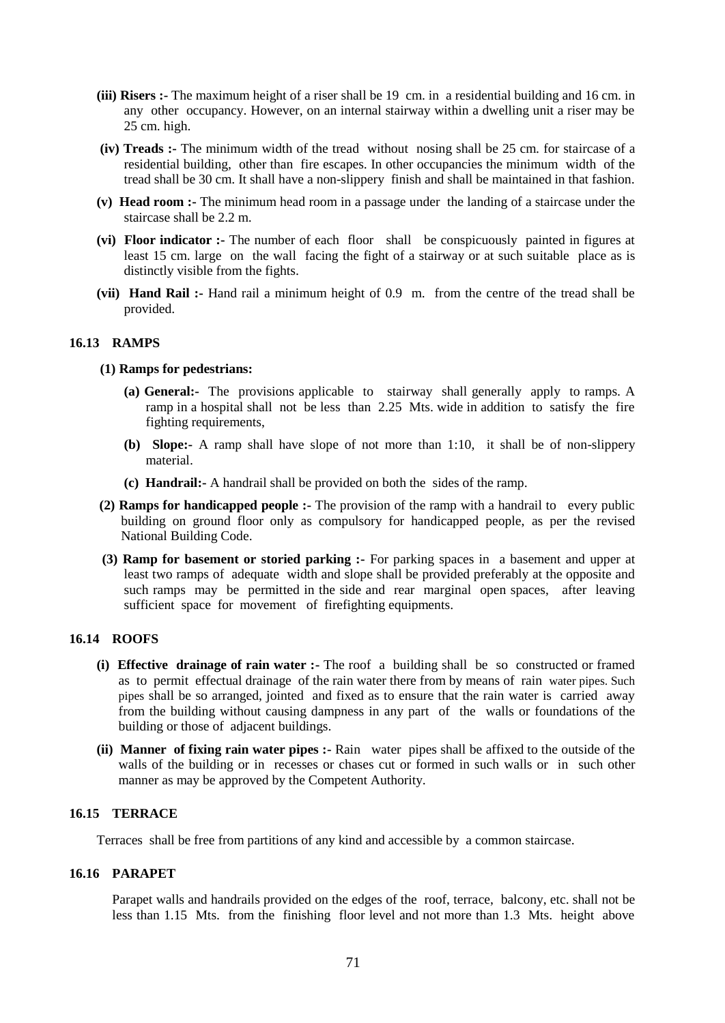- **(iii) Risers :-** The maximum height of a riser shall be 19 cm. in a residential building and 16 cm. in any other occupancy. However, on an internal stairway within a dwelling unit a riser may be 25 cm. high.
- **(iv) Treads :-** The minimum width of the tread without nosing shall be 25 cm. for staircase of a residential building, other than fire escapes. In other occupancies the minimum width of the tread shall be 30 cm. It shall have a non-slippery finish and shall be maintained in that fashion.
- **(v) Head room :-** The minimum head room in a passage under the landing of a staircase under the staircase shall be 2.2 m.
- **(vi) Floor indicator :-** The number of each floor shall be conspicuously painted in figures at least 15 cm. large on the wall facing the fight of a stairway or at such suitable place as is distinctly visible from the fights.
- **(vii) Hand Rail :-** Hand rail a minimum height of 0.9 m. from the centre of the tread shall be provided.

## **16.13 RAMPS**

## **(1) Ramps for pedestrians:**

- **(a) General:-** The provisions applicable to stairway shall generally apply to ramps. A ramp in a hospital shall not be less than 2.25 Mts. wide in addition to satisfy the fire fighting requirements,
- **(b) Slope:-** A ramp shall have slope of not more than 1:10, it shall be of non-slippery material.
- **(c) Handrail:-** A handrail shall be provided on both the sides of the ramp.
- **(2) Ramps for handicapped people :-** The provision of the ramp with a handrail to every public building on ground floor only as compulsory for handicapped people, as per the revised National Building Code.
- **(3) Ramp for basement or storied parking :-** For parking spaces in a basement and upper at least two ramps of adequate width and slope shall be provided preferably at the opposite and such ramps may be permitted in the side and rear marginal open spaces, after leaving sufficient space for movement of firefighting equipments.

## **16.14 ROOFS**

- **(i) Effective drainage of rain water :-** The roof a building shall be so constructed or framed as to permit effectual drainage of the rain water there from by means of rain water pipes. Such pipes shall be so arranged, jointed and fixed as to ensure that the rain water is carried away from the building without causing dampness in any part of the walls or foundations of the building or those of adjacent buildings.
- **(ii) Manner of fixing rain water pipes :-** Rain water pipes shall be affixed to the outside of the walls of the building or in recesses or chases cut or formed in such walls or in such other manner as may be approved by the Competent Authority.

## **16.15 TERRACE**

Terraces shall be free from partitions of any kind and accessible by a common staircase.

### **16.16 PARAPET**

Parapet walls and handrails provided on the edges of the roof, terrace, balcony, etc. shall not be less than 1.15 Mts. from the finishing floor level and not more than 1.3 Mts. height above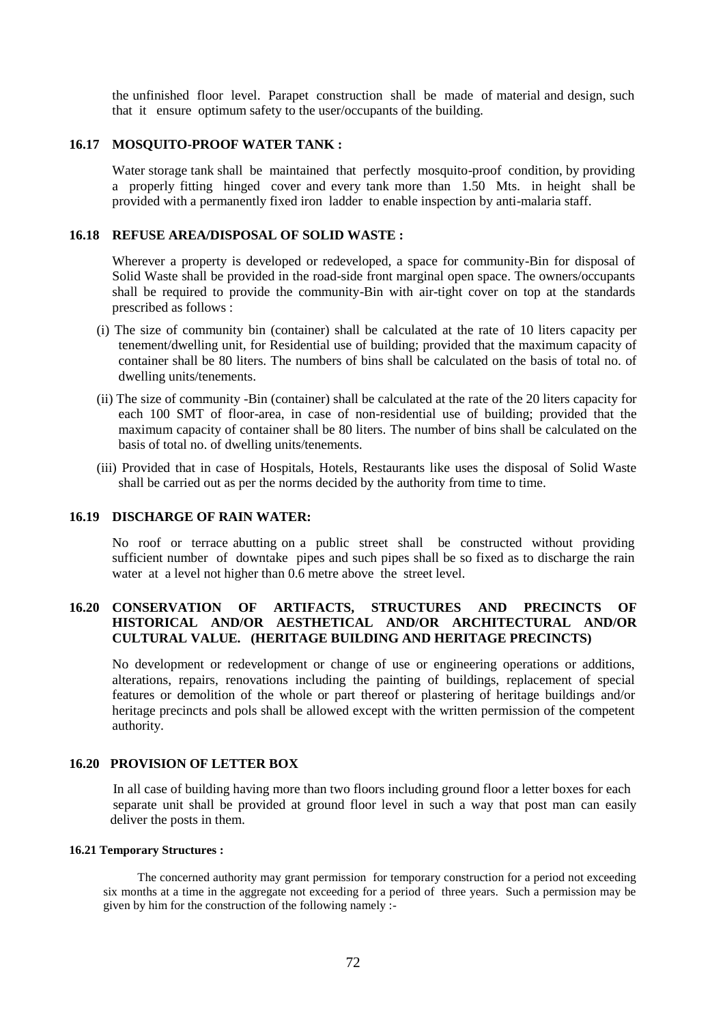the unfinished floor level. Parapet construction shall be made of material and design, such that it ensure optimum safety to the user/occupants of the building.

## **16.17 MOSQUITO-PROOF WATER TANK :**

Water storage tank shall be maintained that perfectly mosquito-proof condition, by providing a properly fitting hinged cover and every tank more than 1.50 Mts. in height shall be provided with a permanently fixed iron ladder to enable inspection by anti-malaria staff.

## **16.18 REFUSE AREA/DISPOSAL OF SOLID WASTE :**

Wherever a property is developed or redeveloped, a space for community-Bin for disposal of Solid Waste shall be provided in the road-side front marginal open space. The owners/occupants shall be required to provide the community-Bin with air-tight cover on top at the standards prescribed as follows :

- (i) The size of community bin (container) shall be calculated at the rate of 10 liters capacity per tenement/dwelling unit, for Residential use of building; provided that the maximum capacity of container shall be 80 liters. The numbers of bins shall be calculated on the basis of total no. of dwelling units/tenements.
- (ii) The size of community -Bin (container) shall be calculated at the rate of the 20 liters capacity for each 100 SMT of floor-area, in case of non-residential use of building; provided that the maximum capacity of container shall be 80 liters. The number of bins shall be calculated on the basis of total no. of dwelling units/tenements.
- (iii) Provided that in case of Hospitals, Hotels, Restaurants like uses the disposal of Solid Waste shall be carried out as per the norms decided by the authority from time to time.

## **16.19 DISCHARGE OF RAIN WATER:**

No roof or terrace abutting on a public street shall be constructed without providing sufficient number of downtake pipes and such pipes shall be so fixed as to discharge the rain water at a level not higher than 0.6 metre above the street level.

## **16.20 CONSERVATION OF ARTIFACTS, STRUCTURES AND PRECINCTS OF HISTORICAL AND/OR AESTHETICAL AND/OR ARCHITECTURAL AND/OR CULTURAL VALUE. (HERITAGE BUILDING AND HERITAGE PRECINCTS)**

No development or redevelopment or change of use or engineering operations or additions, alterations, repairs, renovations including the painting of buildings, replacement of special features or demolition of the whole or part thereof or plastering of heritage buildings and/or heritage precincts and pols shall be allowed except with the written permission of the competent authority.

## **16.20 PROVISION OF LETTER BOX**

In all case of building having more than two floors including ground floor a letter boxes for each separate unit shall be provided at ground floor level in such a way that post man can easily deliver the posts in them.

#### **16.21 Temporary Structures :**

The concerned authority may grant permission for temporary construction for a period not exceeding six months at a time in the aggregate not exceeding for a period of three years. Such a permission may be given by him for the construction of the following namely :-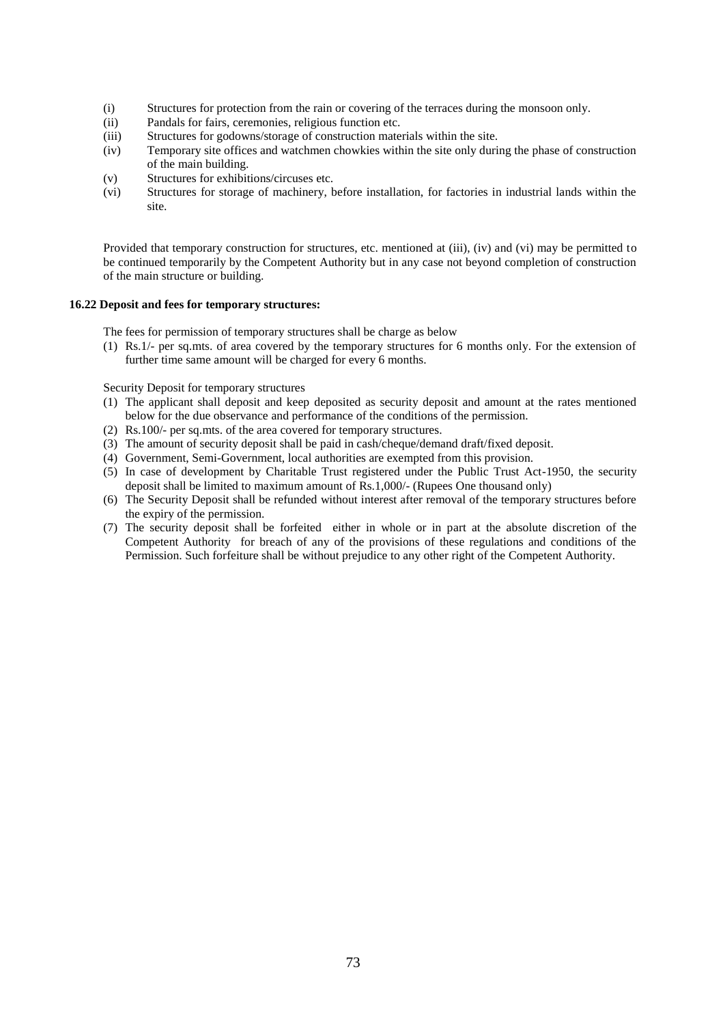- (i) Structures for protection from the rain or covering of the terraces during the monsoon only.
- (ii) Pandals for fairs, ceremonies, religious function etc.
- (iii) Structures for godowns/storage of construction materials within the site.
- (iv) Temporary site offices and watchmen chowkies within the site only during the phase of construction of the main building.
- (v) Structures for exhibitions/circuses etc.
- (vi) Structures for storage of machinery, before installation, for factories in industrial lands within the site.

Provided that temporary construction for structures, etc. mentioned at (iii), (iv) and (vi) may be permitted to be continued temporarily by the Competent Authority but in any case not beyond completion of construction of the main structure or building.

### **16.22 Deposit and fees for temporary structures:**

The fees for permission of temporary structures shall be charge as below

(1) Rs.1/- per sq.mts. of area covered by the temporary structures for 6 months only. For the extension of further time same amount will be charged for every 6 months.

Security Deposit for temporary structures

- (1) The applicant shall deposit and keep deposited as security deposit and amount at the rates mentioned below for the due observance and performance of the conditions of the permission.
- (2) Rs.100/- per sq.mts. of the area covered for temporary structures.
- (3) The amount of security deposit shall be paid in cash/cheque/demand draft/fixed deposit.
- (4) Government, Semi-Government, local authorities are exempted from this provision.
- (5) In case of development by Charitable Trust registered under the Public Trust Act-1950, the security deposit shall be limited to maximum amount of Rs.1,000/- (Rupees One thousand only)
- (6) The Security Deposit shall be refunded without interest after removal of the temporary structures before the expiry of the permission.
- (7) The security deposit shall be forfeited either in whole or in part at the absolute discretion of the Competent Authority for breach of any of the provisions of these regulations and conditions of the Permission. Such forfeiture shall be without prejudice to any other right of the Competent Authority.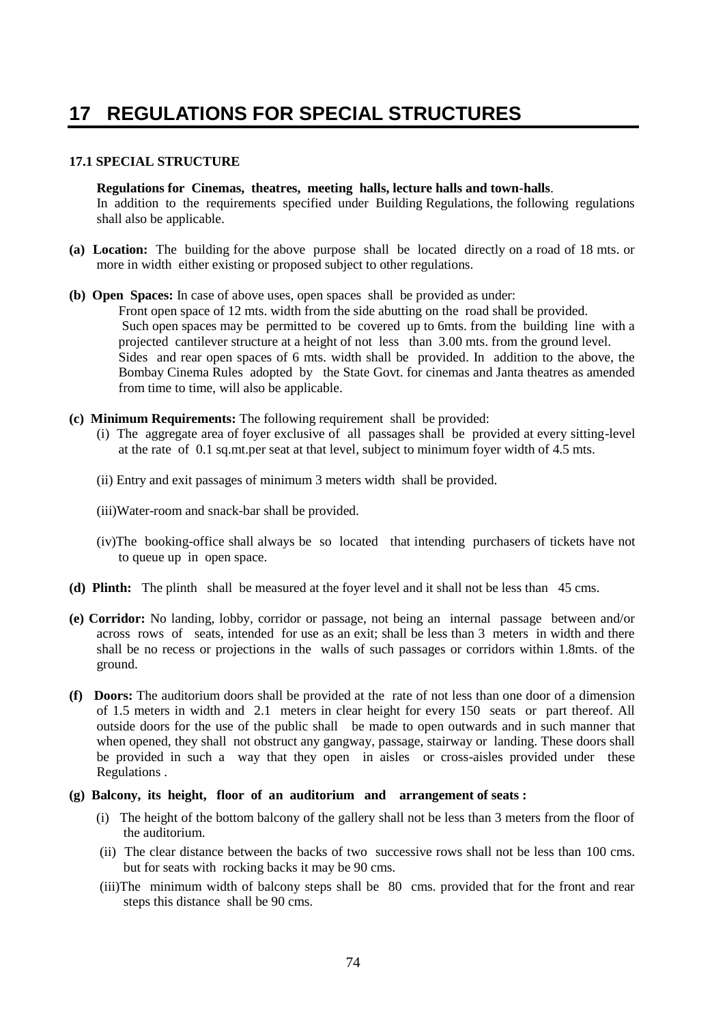# **17 REGULATIONS FOR SPECIAL STRUCTURES**

# **17.1 SPECIAL STRUCTURE**

**Regulations for Cinemas, theatres, meeting halls, lecture halls and town-halls**. In addition to the requirements specified under Building Regulations, the following regulations shall also be applicable.

- **(a) Location:** The building for the above purpose shall be located directly on a road of 18 mts. or more in width either existing or proposed subject to other regulations.
- **(b) Open Spaces:** In case of above uses, open spaces shall be provided as under:

Front open space of 12 mts. width from the side abutting on the road shall be provided. Such open spaces may be permitted to be covered up to 6mts. from the building line with a projected cantilever structure at a height of not less than 3.00 mts. from the ground level. Sides and rear open spaces of 6 mts. width shall be provided. In addition to the above, the Bombay Cinema Rules adopted by the State Govt. for cinemas and Janta theatres as amended from time to time, will also be applicable.

- **(c) Minimum Requirements:** The following requirement shall be provided:
	- (i) The aggregate area of foyer exclusive of all passages shall be provided at every sitting-level at the rate of 0.1 sq.mt.per seat at that level, subject to minimum foyer width of 4.5 mts.
	- (ii) Entry and exit passages of minimum 3 meters width shall be provided.
	- (iii)Water-room and snack-bar shall be provided.
	- (iv)The booking-office shall always be so located that intending purchasers of tickets have not to queue up in open space.
- **(d) Plinth:** The plinth shall be measured at the foyer level and it shall not be less than 45 cms.
- **(e) Corridor:** No landing, lobby, corridor or passage, not being an internal passage between and/or across rows of seats, intended for use as an exit; shall be less than 3 meters in width and there shall be no recess or projections in the walls of such passages or corridors within 1.8mts. of the ground.
- **(f) Doors:** The auditorium doors shall be provided at the rate of not less than one door of a dimension of 1.5 meters in width and 2.1 meters in clear height for every 150 seats or part thereof. All outside doors for the use of the public shall be made to open outwards and in such manner that when opened, they shall not obstruct any gangway, passage, stairway or landing. These doors shall be provided in such a way that they open in aisles or cross-aisles provided under these Regulations .
- **(g) Balcony, its height, floor of an auditorium and arrangement of seats :**
	- (i) The height of the bottom balcony of the gallery shall not be less than 3 meters from the floor of the auditorium.
	- (ii) The clear distance between the backs of two successive rows shall not be less than 100 cms. but for seats with rocking backs it may be 90 cms.
	- (iii)The minimum width of balcony steps shall be 80 cms. provided that for the front and rear steps this distance shall be 90 cms.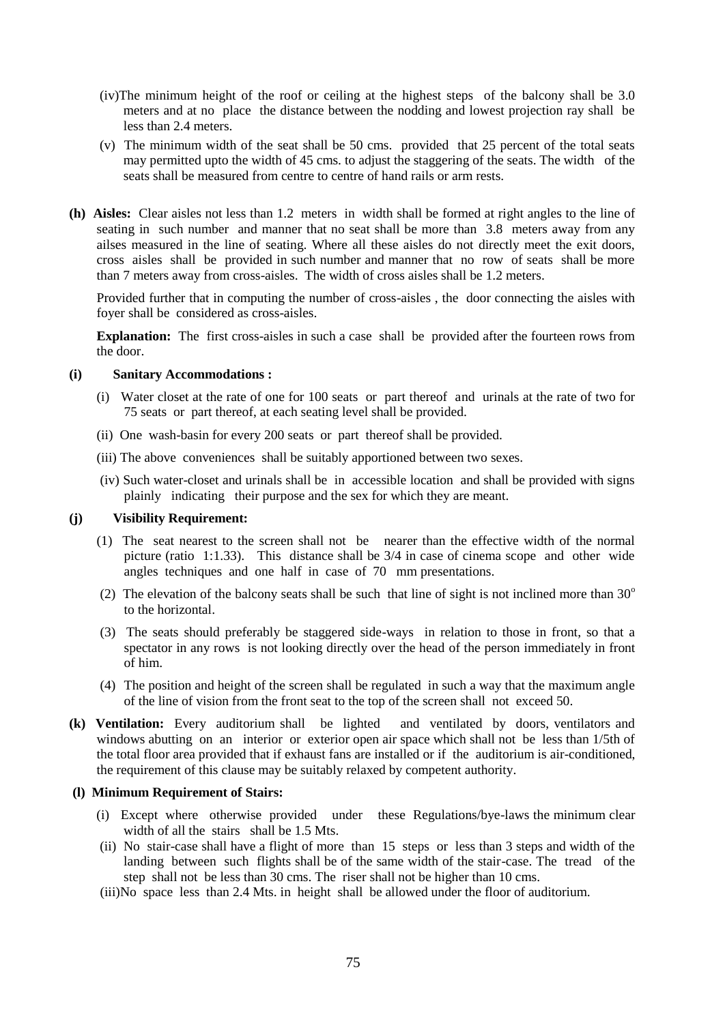- (iv)The minimum height of the roof or ceiling at the highest steps of the balcony shall be 3.0 meters and at no place the distance between the nodding and lowest projection ray shall be less than 2.4 meters.
- (v) The minimum width of the seat shall be 50 cms. provided that 25 percent of the total seats may permitted upto the width of 45 cms. to adjust the staggering of the seats. The width of the seats shall be measured from centre to centre of hand rails or arm rests.
- **(h) Aisles:** Clear aisles not less than 1.2 meters in width shall be formed at right angles to the line of seating in such number and manner that no seat shall be more than 3.8 meters away from any ailses measured in the line of seating. Where all these aisles do not directly meet the exit doors, cross aisles shall be provided in such number and manner that no row of seats shall be more than 7 meters away from cross-aisles. The width of cross aisles shall be 1.2 meters.

Provided further that in computing the number of cross-aisles , the door connecting the aisles with foyer shall be considered as cross-aisles.

**Explanation:** The first cross-aisles in such a case shall be provided after the fourteen rows from the door.

### **(i) Sanitary Accommodations :**

- (i) Water closet at the rate of one for 100 seats or part thereof and urinals at the rate of two for 75 seats or part thereof, at each seating level shall be provided.
- (ii) One wash-basin for every 200 seats or part thereof shall be provided.
- (iii) The above conveniences shall be suitably apportioned between two sexes.
- (iv) Such water-closet and urinals shall be in accessible location and shall be provided with signs plainly indicating their purpose and the sex for which they are meant.

# **(j) Visibility Requirement:**

- (1) The seat nearest to the screen shall not be nearer than the effective width of the normal picture (ratio 1:1.33). This distance shall be  $3/4$  in case of cinema scope and other wide angles techniques and one half in case of 70 mm presentations.
- (2) The elevation of the balcony seats shall be such that line of sight is not inclined more than  $30^{\circ}$ to the horizontal.
- (3) The seats should preferably be staggered side-ways in relation to those in front, so that a spectator in any rows is not looking directly over the head of the person immediately in front of him.
- (4) The position and height of the screen shall be regulated in such a way that the maximum angle of the line of vision from the front seat to the top of the screen shall not exceed 50.
- **(k) Ventilation:** Every auditorium shall be lighted and ventilated by doors, ventilators and windows abutting on an interior or exterior open air space which shall not be less than 1/5th of the total floor area provided that if exhaust fans are installed or if the auditorium is air-conditioned, the requirement of this clause may be suitably relaxed by competent authority.

### **(l) Minimum Requirement of Stairs:**

- (i) Except where otherwise provided under these Regulations/bye-laws the minimum clear width of all the stairs shall be 1.5 Mts.
- (ii) No stair-case shall have a flight of more than 15 steps or less than 3 steps and width of the landing between such flights shall be of the same width of the stair-case. The tread of the step shall not be less than 30 cms. The riser shall not be higher than 10 cms.
- (iii)No space less than 2.4 Mts. in height shall be allowed under the floor of auditorium.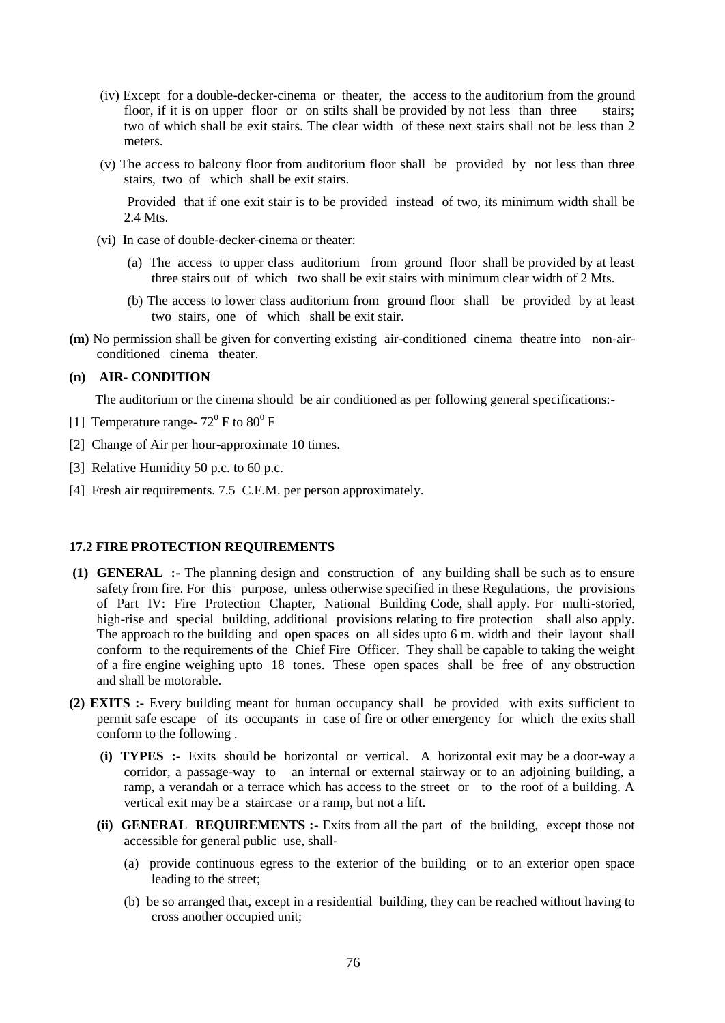- (iv) Except for a double-decker-cinema or theater, the access to the auditorium from the ground floor, if it is on upper floor or on stilts shall be provided by not less than three stairs; two of which shall be exit stairs. The clear width of these next stairs shall not be less than 2 meters.
- (v) The access to balcony floor from auditorium floor shall be provided by not less than three stairs, two of which shall be exit stairs.

Provided that if one exit stair is to be provided instead of two, its minimum width shall be 2.4 Mts.

- (vi) In case of double-decker-cinema or theater:
	- (a) The access to upper class auditorium from ground floor shall be provided by at least three stairs out of which two shall be exit stairs with minimum clear width of 2 Mts.
	- (b) The access to lower class auditorium from ground floor shall be provided by at least two stairs, one of which shall be exit stair.
- **(m)** No permission shall be given for converting existing air-conditioned cinema theatre into non-airconditioned cinema theater.

### **(n) AIR- CONDITION**

The auditorium or the cinema should be air conditioned as per following general specifications:-

- [1] Temperature range-  $72^{\circ}$  F to  $80^{\circ}$  F
- [2] Change of Air per hour-approximate 10 times.
- [3] Relative Humidity 50 p.c. to 60 p.c.
- [4] Fresh air requirements. 7.5 C.F.M. per person approximately.

# **17.2 FIRE PROTECTION REQUIREMENTS**

- **(1) GENERAL :-** The planning design and construction of any building shall be such as to ensure safety from fire. For this purpose, unless otherwise specified in these Regulations, the provisions of Part IV: Fire Protection Chapter, National Building Code, shall apply. For multi-storied, high-rise and special building, additional provisions relating to fire protection shall also apply. The approach to the building and open spaces on all sides upto 6 m. width and their layout shall conform to the requirements of the Chief Fire Officer. They shall be capable to taking the weight of a fire engine weighing upto 18 tones. These open spaces shall be free of any obstruction and shall be motorable.
- **(2) EXITS :-** Every building meant for human occupancy shall be provided with exits sufficient to permit safe escape of its occupants in case of fire or other emergency for which the exits shall conform to the following .
	- **(i) TYPES :-** Exits should be horizontal or vertical. A horizontal exit may be a door-way a corridor, a passage-way to an internal or external stairway or to an adjoining building, a ramp, a verandah or a terrace which has access to the street or to the roof of a building. A vertical exit may be a staircase or a ramp, but not a lift.
	- **(ii) GENERAL REQUIREMENTS :-** Exits from all the part of the building, except those not accessible for general public use, shall-
		- (a) provide continuous egress to the exterior of the building or to an exterior open space leading to the street;
		- (b) be so arranged that, except in a residential building, they can be reached without having to cross another occupied unit;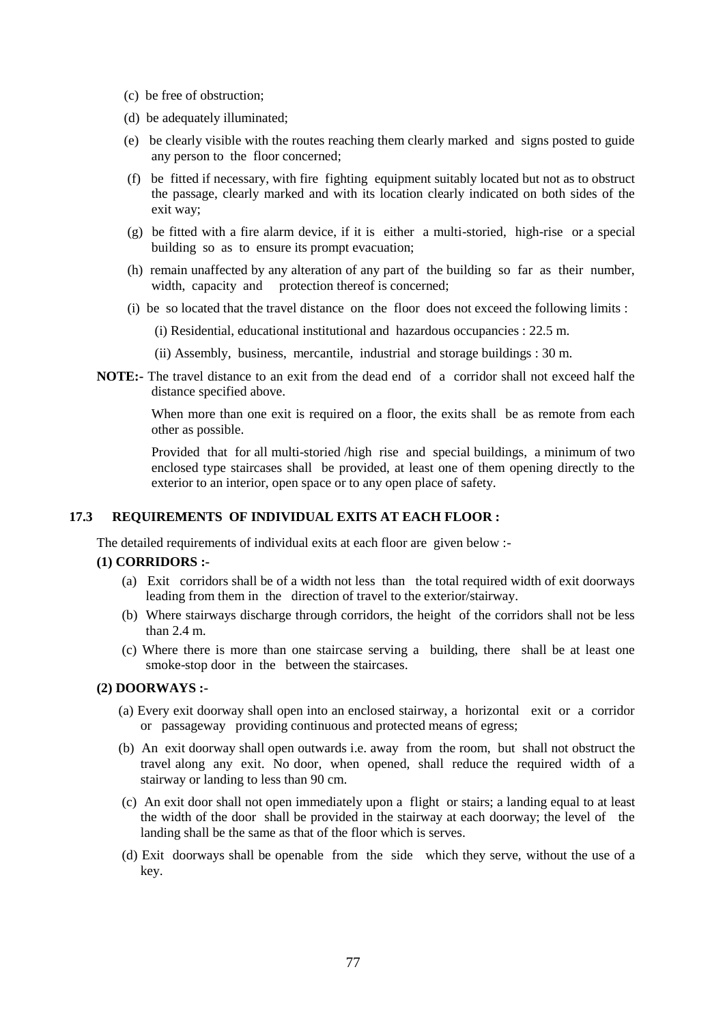- (c) be free of obstruction;
- (d) be adequately illuminated;
- (e) be clearly visible with the routes reaching them clearly marked and signs posted to guide any person to the floor concerned;
- (f) be fitted if necessary, with fire fighting equipment suitably located but not as to obstruct the passage, clearly marked and with its location clearly indicated on both sides of the exit way;
- (g) be fitted with a fire alarm device, if it is either a multi-storied, high-rise or a special building so as to ensure its prompt evacuation;
- (h) remain unaffected by any alteration of any part of the building so far as their number, width, capacity and protection thereof is concerned;
- (i) be so located that the travel distance on the floor does not exceed the following limits :
	- (i) Residential, educational institutional and hazardous occupancies : 22.5 m.
	- (ii) Assembly, business, mercantile, industrial and storage buildings : 30 m.
- **NOTE:-** The travel distance to an exit from the dead end of a corridor shall not exceed half the distance specified above.

When more than one exit is required on a floor, the exits shall be as remote from each other as possible.

Provided that for all multi-storied /high rise and special buildings, a minimum of two enclosed type staircases shall be provided, at least one of them opening directly to the exterior to an interior, open space or to any open place of safety.

## **17.3 REQUIREMENTS OF INDIVIDUAL EXITS AT EACH FLOOR :**

The detailed requirements of individual exits at each floor are given below :-

### **(1) CORRIDORS :-**

- (a) Exit corridors shall be of a width not less than the total required width of exit doorways leading from them in the direction of travel to the exterior/stairway.
- (b) Where stairways discharge through corridors, the height of the corridors shall not be less than 2.4 m.
- (c) Where there is more than one staircase serving a building, there shall be at least one smoke-stop door in the between the staircases.

## **(2) DOORWAYS :-**

- (a) Every exit doorway shall open into an enclosed stairway, a horizontal exit or a corridor or passageway providing continuous and protected means of egress;
- (b) An exit doorway shall open outwards i.e. away from the room, but shall not obstruct the travel along any exit. No door, when opened, shall reduce the required width of a stairway or landing to less than 90 cm.
- (c) An exit door shall not open immediately upon a flight or stairs; a landing equal to at least the width of the door shall be provided in the stairway at each doorway; the level of the landing shall be the same as that of the floor which is serves.
- (d) Exit doorways shall be openable from the side which they serve, without the use of a key.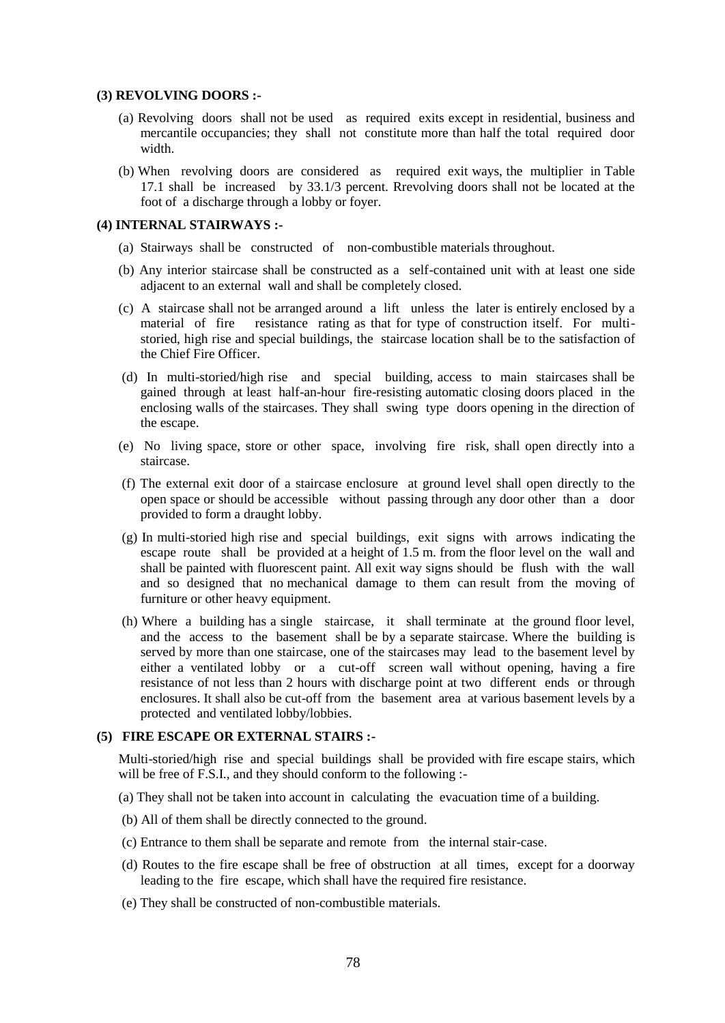### **(3) REVOLVING DOORS :-**

- (a) Revolving doors shall not be used as required exits except in residential, business and mercantile occupancies; they shall not constitute more than half the total required door width.
- (b) When revolving doors are considered as required exit ways, the multiplier in Table 17.1 shall be increased by 33.1/3 percent. Rrevolving doors shall not be located at the foot of a discharge through a lobby or foyer.

#### **(4) INTERNAL STAIRWAYS :-**

- (a) Stairways shall be constructed of non-combustible materials throughout.
- (b) Any interior staircase shall be constructed as a self-contained unit with at least one side adjacent to an external wall and shall be completely closed.
- (c) A staircase shall not be arranged around a lift unless the later is entirely enclosed by a material of fire resistance rating as that for type of construction itself. For multistoried, high rise and special buildings, the staircase location shall be to the satisfaction of the Chief Fire Officer.
- (d) In multi-storied/high rise and special building, access to main staircases shall be gained through at least half-an-hour fire-resisting automatic closing doors placed in the enclosing walls of the staircases. They shall swing type doors opening in the direction of the escape.
- (e) No living space, store or other space, involving fire risk, shall open directly into a staircase.
- (f) The external exit door of a staircase enclosure at ground level shall open directly to the open space or should be accessible without passing through any door other than a door provided to form a draught lobby.
- (g) In multi-storied high rise and special buildings, exit signs with arrows indicating the escape route shall be provided at a height of 1.5 m. from the floor level on the wall and shall be painted with fluorescent paint. All exit way signs should be flush with the wall and so designed that no mechanical damage to them can result from the moving of furniture or other heavy equipment.
- (h) Where a building has a single staircase, it shall terminate at the ground floor level, and the access to the basement shall be by a separate staircase. Where the building is served by more than one staircase, one of the staircases may lead to the basement level by either a ventilated lobby or a cut-off screen wall without opening, having a fire resistance of not less than 2 hours with discharge point at two different ends or through enclosures. It shall also be cut-off from the basement area at various basement levels by a protected and ventilated lobby/lobbies.

### **(5) FIRE ESCAPE OR EXTERNAL STAIRS :-**

Multi-storied/high rise and special buildings shall be provided with fire escape stairs, which will be free of F.S.I., and they should conform to the following :-

- (a) They shall not be taken into account in calculating the evacuation time of a building.
- (b) All of them shall be directly connected to the ground.
- (c) Entrance to them shall be separate and remote from the internal stair-case.
- (d) Routes to the fire escape shall be free of obstruction at all times, except for a doorway leading to the fire escape, which shall have the required fire resistance.
- (e) They shall be constructed of non-combustible materials.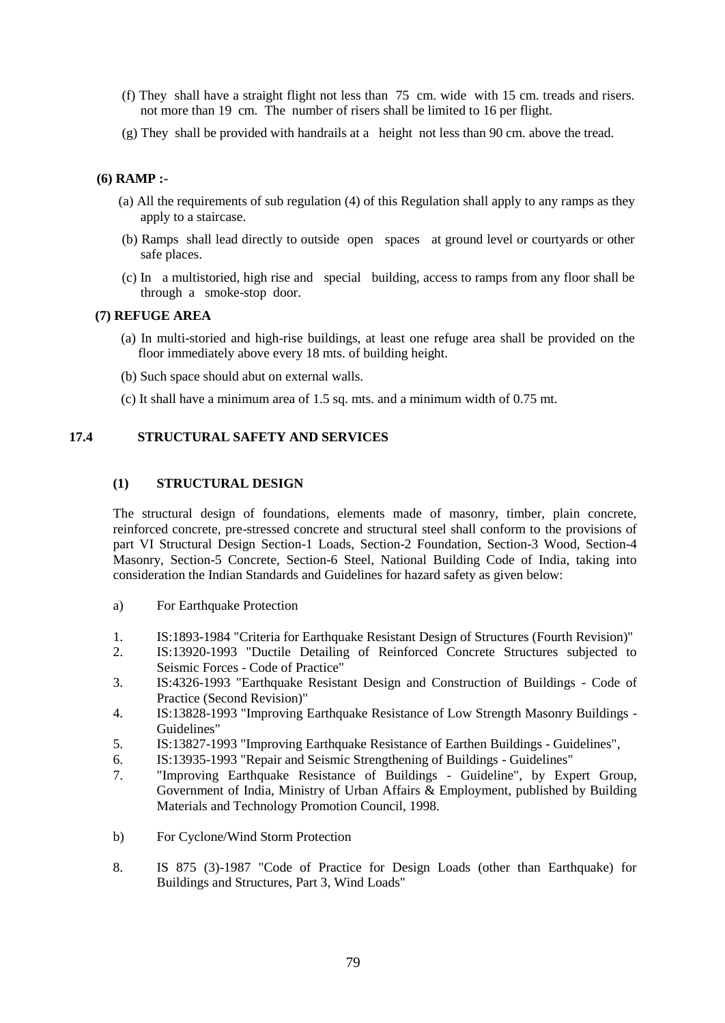- (f) They shall have a straight flight not less than 75 cm. wide with 15 cm. treads and risers. not more than 19 cm. The number of risers shall be limited to 16 per flight.
- (g) They shall be provided with handrails at a height not less than 90 cm. above the tread.

# **(6) RAMP :-**

- (a) All the requirements of sub regulation (4) of this Regulation shall apply to any ramps as they apply to a staircase.
- (b) Ramps shall lead directly to outside open spaces at ground level or courtyards or other safe places.
- (c) In a multistoried, high rise and special building, access to ramps from any floor shall be through a smoke-stop door.

# **(7) REFUGE AREA**

- (a) In multi-storied and high-rise buildings, at least one refuge area shall be provided on the floor immediately above every 18 mts. of building height.
- (b) Such space should abut on external walls.
- (c) It shall have a minimum area of 1.5 sq. mts. and a minimum width of 0.75 mt.

# **17.4 STRUCTURAL SAFETY AND SERVICES**

# **(1) STRUCTURAL DESIGN**

The structural design of foundations, elements made of masonry, timber, plain concrete, reinforced concrete, pre-stressed concrete and structural steel shall conform to the provisions of part VI Structural Design Section-1 Loads, Section-2 Foundation, Section-3 Wood, Section-4 Masonry, Section-5 Concrete, Section-6 Steel, National Building Code of India, taking into consideration the Indian Standards and Guidelines for hazard safety as given below:

- a) For Earthquake Protection
- 1. IS:1893-1984 "Criteria for Earthquake Resistant Design of Structures (Fourth Revision)"
- 2. IS:13920-1993 "Ductile Detailing of Reinforced Concrete Structures subjected to Seismic Forces - Code of Practice"
- 3. IS:4326-1993 "Earthquake Resistant Design and Construction of Buildings Code of Practice (Second Revision)"
- 4. IS:13828-1993 "Improving Earthquake Resistance of Low Strength Masonry Buildings Guidelines"
- 5. IS:13827-1993 "Improving Earthquake Resistance of Earthen Buildings Guidelines",
- 6. IS:13935-1993 "Repair and Seismic Strengthening of Buildings Guidelines"
- 7. "Improving Earthquake Resistance of Buildings Guideline", by Expert Group, Government of India, Ministry of Urban Affairs & Employment, published by Building Materials and Technology Promotion Council, 1998.
- b) For Cyclone/Wind Storm Protection
- 8. IS 875 (3)-1987 "Code of Practice for Design Loads (other than Earthquake) for Buildings and Structures, Part 3, Wind Loads"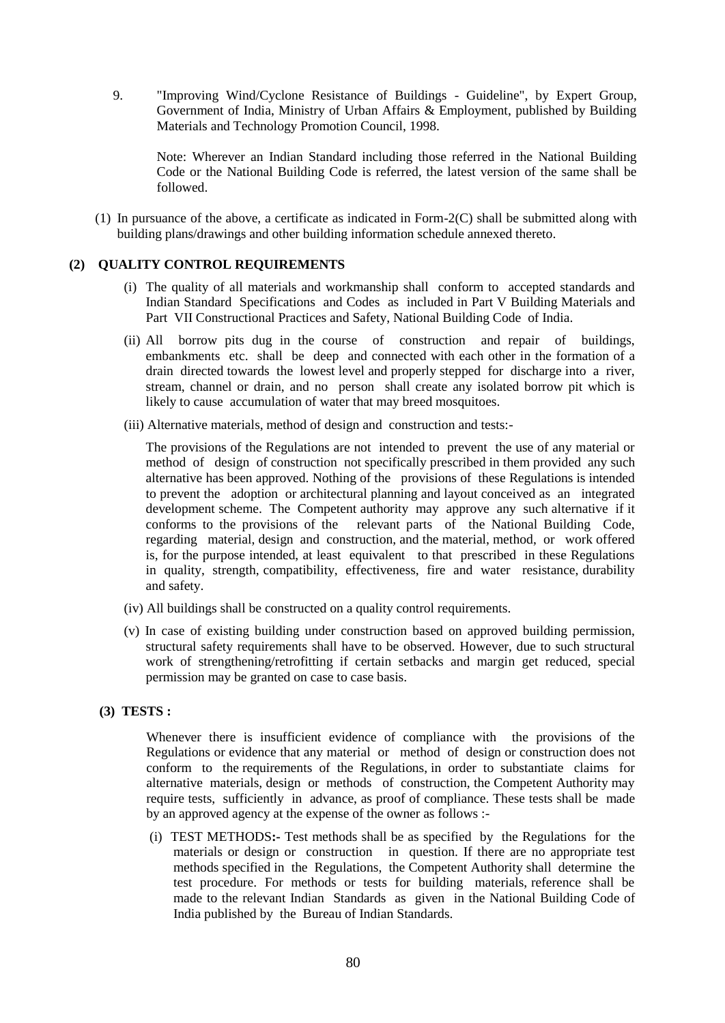9. "Improving Wind/Cyclone Resistance of Buildings - Guideline", by Expert Group, Government of India, Ministry of Urban Affairs & Employment, published by Building Materials and Technology Promotion Council, 1998.

Note: Wherever an Indian Standard including those referred in the National Building Code or the National Building Code is referred, the latest version of the same shall be followed.

(1) In pursuance of the above, a certificate as indicated in Form-2(C) shall be submitted along with building plans/drawings and other building information schedule annexed thereto.

# **(2) QUALITY CONTROL REQUIREMENTS**

- (i) The quality of all materials and workmanship shall conform to accepted standards and Indian Standard Specifications and Codes as included in Part V Building Materials and Part VII Constructional Practices and Safety, National Building Code of India.
- (ii) All borrow pits dug in the course of construction and repair of buildings, embankments etc. shall be deep and connected with each other in the formation of a drain directed towards the lowest level and properly stepped for discharge into a river, stream, channel or drain, and no person shall create any isolated borrow pit which is likely to cause accumulation of water that may breed mosquitoes.
- (iii) Alternative materials, method of design and construction and tests:-

The provisions of the Regulations are not intended to prevent the use of any material or method of design of construction not specifically prescribed in them provided any such alternative has been approved. Nothing of the provisions of these Regulations is intended to prevent the adoption or architectural planning and layout conceived as an integrated development scheme. The Competent authority may approve any such alternative if it conforms to the provisions of the relevant parts of the National Building Code, regarding material, design and construction, and the material, method, or work offered is, for the purpose intended, at least equivalent to that prescribed in these Regulations in quality, strength, compatibility, effectiveness, fire and water resistance, durability and safety.

- (iv) All buildings shall be constructed on a quality control requirements.
- (v) In case of existing building under construction based on approved building permission, structural safety requirements shall have to be observed. However, due to such structural work of strengthening/retrofitting if certain setbacks and margin get reduced, special permission may be granted on case to case basis.

# **(3) TESTS :**

Whenever there is insufficient evidence of compliance with the provisions of the Regulations or evidence that any material or method of design or construction does not conform to the requirements of the Regulations, in order to substantiate claims for alternative materials, design or methods of construction, the Competent Authority may require tests, sufficiently in advance, as proof of compliance. These tests shall be made by an approved agency at the expense of the owner as follows :-

(i)TEST METHODS**:-** Test methods shall be as specified by the Regulations for the materials or design or construction in question. If there are no appropriate test methods specified in the Regulations, the Competent Authority shall determine the test procedure. For methods or tests for building materials, reference shall be made to the relevant Indian Standards as given in the National Building Code of India published by the Bureau of Indian Standards.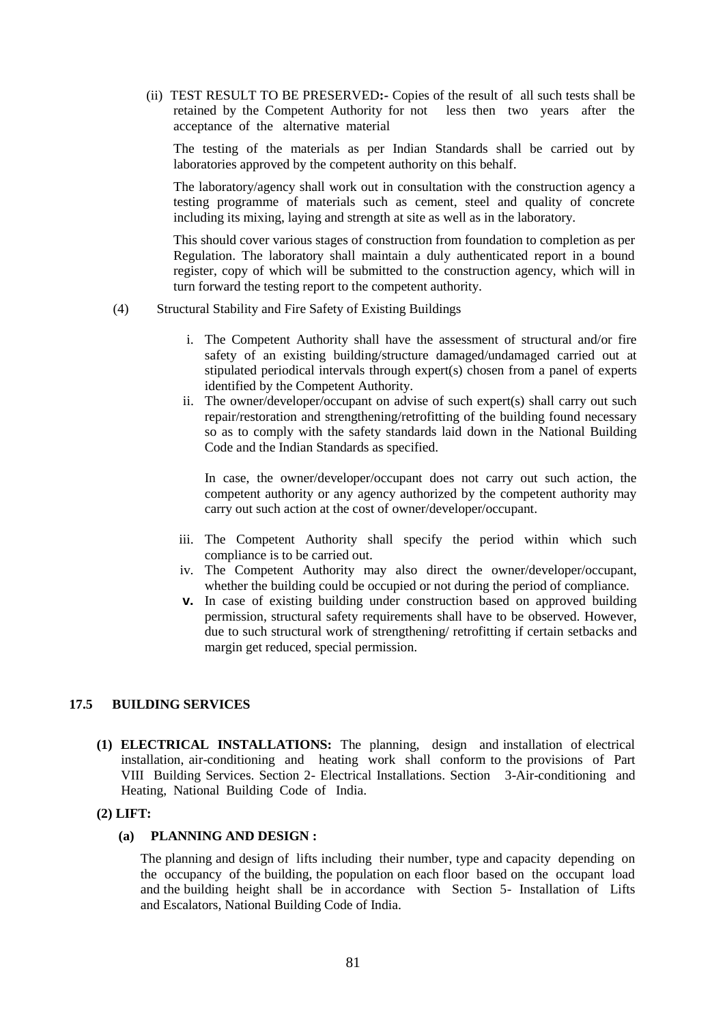(ii) TEST RESULT TO BE PRESERVED**:-** Copies of the result of all such tests shall be retained by the Competent Authority for not less then two years after the acceptance of the alternative material

The testing of the materials as per Indian Standards shall be carried out by laboratories approved by the competent authority on this behalf.

The laboratory/agency shall work out in consultation with the construction agency a testing programme of materials such as cement, steel and quality of concrete including its mixing, laying and strength at site as well as in the laboratory.

This should cover various stages of construction from foundation to completion as per Regulation. The laboratory shall maintain a duly authenticated report in a bound register, copy of which will be submitted to the construction agency, which will in turn forward the testing report to the competent authority.

- (4) Structural Stability and Fire Safety of Existing Buildings
	- i. The Competent Authority shall have the assessment of structural and/or fire safety of an existing building/structure damaged/undamaged carried out at stipulated periodical intervals through expert(s) chosen from a panel of experts identified by the Competent Authority.
	- ii. The owner/developer/occupant on advise of such expert(s) shall carry out such repair/restoration and strengthening/retrofitting of the building found necessary so as to comply with the safety standards laid down in the National Building Code and the Indian Standards as specified.

In case, the owner/developer/occupant does not carry out such action, the competent authority or any agency authorized by the competent authority may carry out such action at the cost of owner/developer/occupant.

- iii. The Competent Authority shall specify the period within which such compliance is to be carried out.
- iv. The Competent Authority may also direct the owner/developer/occupant, whether the building could be occupied or not during the period of compliance.
- **v.** In case of existing building under construction based on approved building permission, structural safety requirements shall have to be observed. However, due to such structural work of strengthening/ retrofitting if certain setbacks and margin get reduced, special permission.

# **17.5 BUILDING SERVICES**

**(1) ELECTRICAL INSTALLATIONS:** The planning, design and installation of electrical installation, air-conditioning and heating work shall conform to the provisions of Part VIII Building Services. Section 2- Electrical Installations. Section 3-Air-conditioning and Heating, National Building Code of India.

### **(2) LIFT:**

# **(a) PLANNING AND DESIGN :**

 The planning and design of lifts including their number, type and capacity depending on the occupancy of the building, the population on each floor based on the occupant load and the building height shall be in accordance with Section 5- Installation of Lifts and Escalators, National Building Code of India.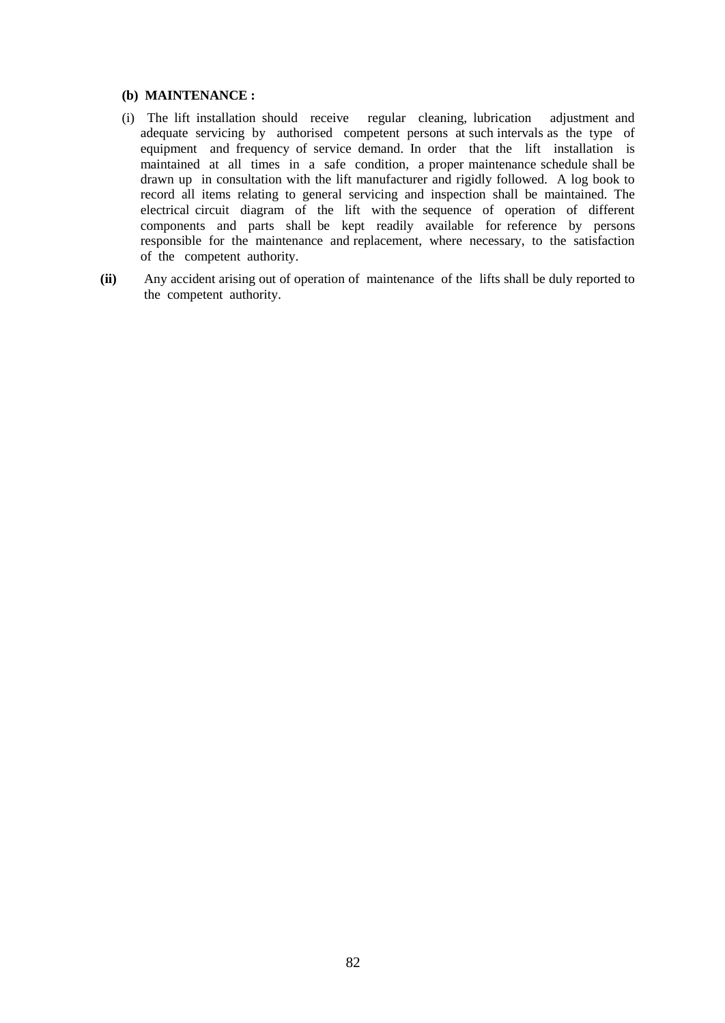### **(b) MAINTENANCE :**

- (i) The lift installation should receive regular cleaning, lubrication adjustment and adequate servicing by authorised competent persons at such intervals as the type of equipment and frequency of service demand. In order that the lift installation is maintained at all times in a safe condition, a proper maintenance schedule shall be drawn up in consultation with the lift manufacturer and rigidly followed. A log book to record all items relating to general servicing and inspection shall be maintained. The electrical circuit diagram of the lift with the sequence of operation of different components and parts shall be kept readily available for reference by persons responsible for the maintenance and replacement, where necessary, to the satisfaction of the competent authority.
- **(ii)** Any accident arising out of operation of maintenance of the lifts shall be duly reported to the competent authority.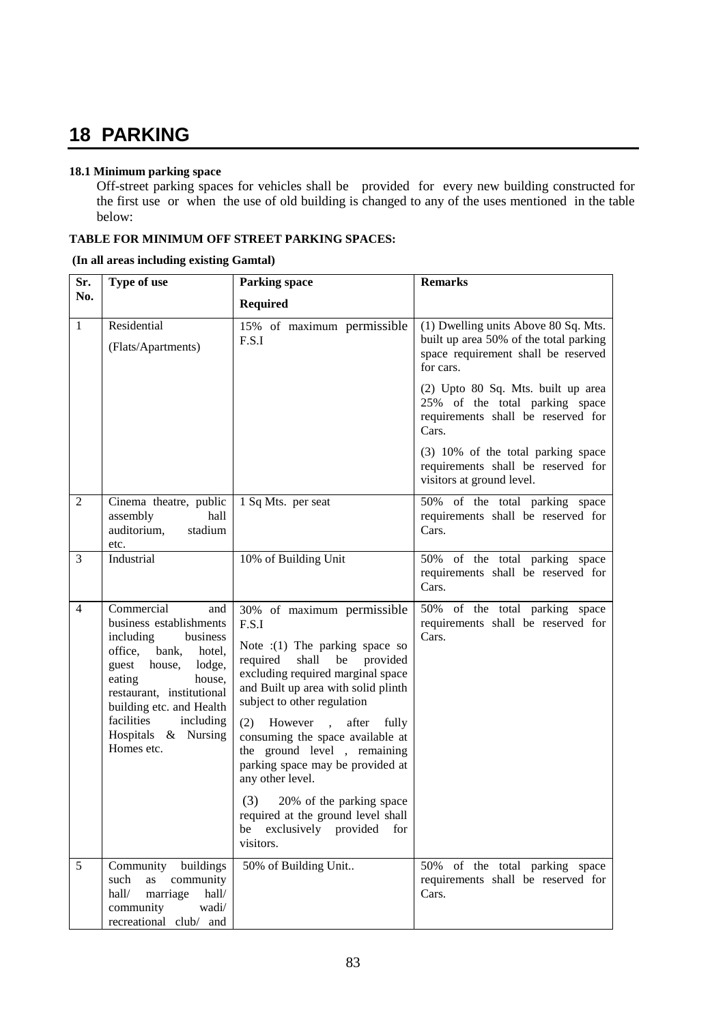# **18 PARKING**

## **18.1 Minimum parking space**

Off-street parking spaces for vehicles shall be provided for every new building constructed for the first use or when the use of old building is changed to any of the uses mentioned in the table below:

# **TABLE FOR MINIMUM OFF STREET PARKING SPACES:**

### **(In all areas including existing Gamtal)**

| Sr.            | Type of use                                                                                                                                                                                                                                                                   | <b>Remarks</b><br><b>Parking space</b>                                                                                                                                                                                                                                                                                                                                                                                                                                                             |                                                                                                                                    |
|----------------|-------------------------------------------------------------------------------------------------------------------------------------------------------------------------------------------------------------------------------------------------------------------------------|----------------------------------------------------------------------------------------------------------------------------------------------------------------------------------------------------------------------------------------------------------------------------------------------------------------------------------------------------------------------------------------------------------------------------------------------------------------------------------------------------|------------------------------------------------------------------------------------------------------------------------------------|
| No.            |                                                                                                                                                                                                                                                                               | <b>Required</b>                                                                                                                                                                                                                                                                                                                                                                                                                                                                                    |                                                                                                                                    |
| $\mathbf{1}$   | Residential<br>(Flats/Apartments)                                                                                                                                                                                                                                             | 15% of maximum permissible<br>F.S.I                                                                                                                                                                                                                                                                                                                                                                                                                                                                | (1) Dwelling units Above 80 Sq. Mts.<br>built up area 50% of the total parking<br>space requirement shall be reserved<br>for cars. |
|                |                                                                                                                                                                                                                                                                               |                                                                                                                                                                                                                                                                                                                                                                                                                                                                                                    | (2) Upto 80 Sq. Mts. built up area<br>25% of the total parking space<br>requirements shall be reserved for<br>Cars.                |
|                |                                                                                                                                                                                                                                                                               |                                                                                                                                                                                                                                                                                                                                                                                                                                                                                                    | (3) 10% of the total parking space<br>requirements shall be reserved for<br>visitors at ground level.                              |
| $\overline{2}$ | Cinema theatre, public<br>assembly<br>hall<br>auditorium,<br>stadium<br>etc.                                                                                                                                                                                                  | 1 Sq Mts. per seat                                                                                                                                                                                                                                                                                                                                                                                                                                                                                 | 50% of the total parking space<br>requirements shall be reserved for<br>Cars.                                                      |
| 3              | Industrial                                                                                                                                                                                                                                                                    | 10% of Building Unit                                                                                                                                                                                                                                                                                                                                                                                                                                                                               | 50% of the total parking space<br>requirements shall be reserved for<br>Cars.                                                      |
| $\overline{4}$ | Commercial<br>and<br>business establishments<br>including<br>business<br>bank,<br>office,<br>hotel,<br>guest<br>lodge,<br>house,<br>eating<br>house,<br>restaurant, institutional<br>building etc. and Health<br>facilities<br>including<br>Hospitals & Nursing<br>Homes etc. | 30% of maximum permissible<br>F.S.I<br>Note $:(1)$ The parking space so<br>shall<br>be provided<br>required<br>excluding required marginal space<br>and Built up area with solid plinth<br>subject to other regulation<br>(2) However, after fully<br>consuming the space available at<br>the ground level, remaining<br>parking space may be provided at<br>any other level.<br>(3)<br>20% of the parking space<br>required at the ground level shall<br>be exclusively provided for<br>visitors. | 50% of the total parking space<br>requirements shall be reserved for<br>Cars.                                                      |
| 5              | Community buildings<br>as<br>community<br>such<br>hall/<br>marriage<br>hall/<br>community<br>wadi/<br>recreational club/ and                                                                                                                                                  | 50% of Building Unit                                                                                                                                                                                                                                                                                                                                                                                                                                                                               | 50% of the total parking space<br>requirements shall be reserved for<br>Cars.                                                      |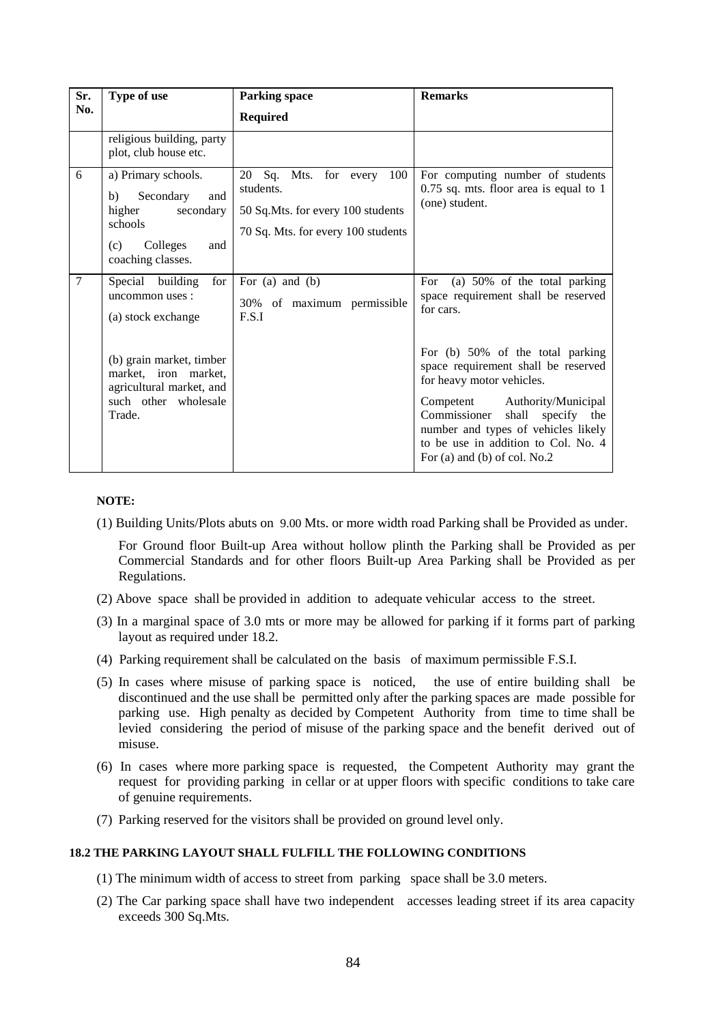| Sr.<br>No.     | Type of use                                                                                                                    | <b>Parking space</b><br><b>Required</b>                                                                                       | <b>Remarks</b>                                                                                                                                                                                                                                                                                |
|----------------|--------------------------------------------------------------------------------------------------------------------------------|-------------------------------------------------------------------------------------------------------------------------------|-----------------------------------------------------------------------------------------------------------------------------------------------------------------------------------------------------------------------------------------------------------------------------------------------|
|                | religious building, party<br>plot, club house etc.                                                                             |                                                                                                                               |                                                                                                                                                                                                                                                                                               |
| 6              | a) Primary schools.<br>Secondary<br>b)<br>and<br>higher<br>secondary<br>schools<br>Colleges<br>(c)<br>and<br>coaching classes. | 100<br>Sq.<br>Mts.<br>for every<br>20<br>students.<br>50 Sq.Mts. for every 100 students<br>70 Sq. Mts. for every 100 students | For computing number of students<br>$0.75$ sq. mts. floor area is equal to 1<br>(one) student.                                                                                                                                                                                                |
| $\overline{7}$ | Special building<br>for<br>uncommon uses :<br>(a) stock exchange                                                               | For $(a)$ and $(b)$<br>30% of maximum permissible<br>F.S.I                                                                    | (a) 50% of the total parking<br>For<br>space requirement shall be reserved<br>for cars.                                                                                                                                                                                                       |
|                | (b) grain market, timber<br>market, iron market,<br>agricultural market, and<br>such other wholesale<br>Trade.                 |                                                                                                                               | For (b) 50% of the total parking<br>space requirement shall be reserved<br>for heavy motor vehicles.<br>Authority/Municipal<br>Competent<br>Commissioner<br>shall specify the<br>number and types of vehicles likely<br>to be use in addition to Col. No. 4<br>For (a) and (b) of col. $No.2$ |

### **NOTE:**

(1) Building Units/Plots abuts on 9.00 Mts. or more width road Parking shall be Provided as under.

 For Ground floor Built-up Area without hollow plinth the Parking shall be Provided as per Commercial Standards and for other floors Built-up Area Parking shall be Provided as per Regulations.

- (2) Above space shall be provided in addition to adequate vehicular access to the street.
- (3) In a marginal space of 3.0 mts or more may be allowed for parking if it forms part of parking layout as required under 18.2.
- (4) Parking requirement shall be calculated on the basis of maximum permissible F.S.I.
- (5) In cases where misuse of parking space is noticed, the use of entire building shall be discontinued and the use shall be permitted only after the parking spaces are made possible for parking use. High penalty as decided by Competent Authority from time to time shall be levied considering the period of misuse of the parking space and the benefit derived out of misuse.
- (6) In cases where more parking space is requested, the Competent Authority may grant the request for providing parking in cellar or at upper floors with specific conditions to take care of genuine requirements.
- (7) Parking reserved for the visitors shall be provided on ground level only.

# **18.2 THE PARKING LAYOUT SHALL FULFILL THE FOLLOWING CONDITIONS**

- (1) The minimum width of access to street from parking space shall be 3.0 meters.
- (2) The Car parking space shall have two independent accesses leading street if its area capacity exceeds 300 Sq.Mts.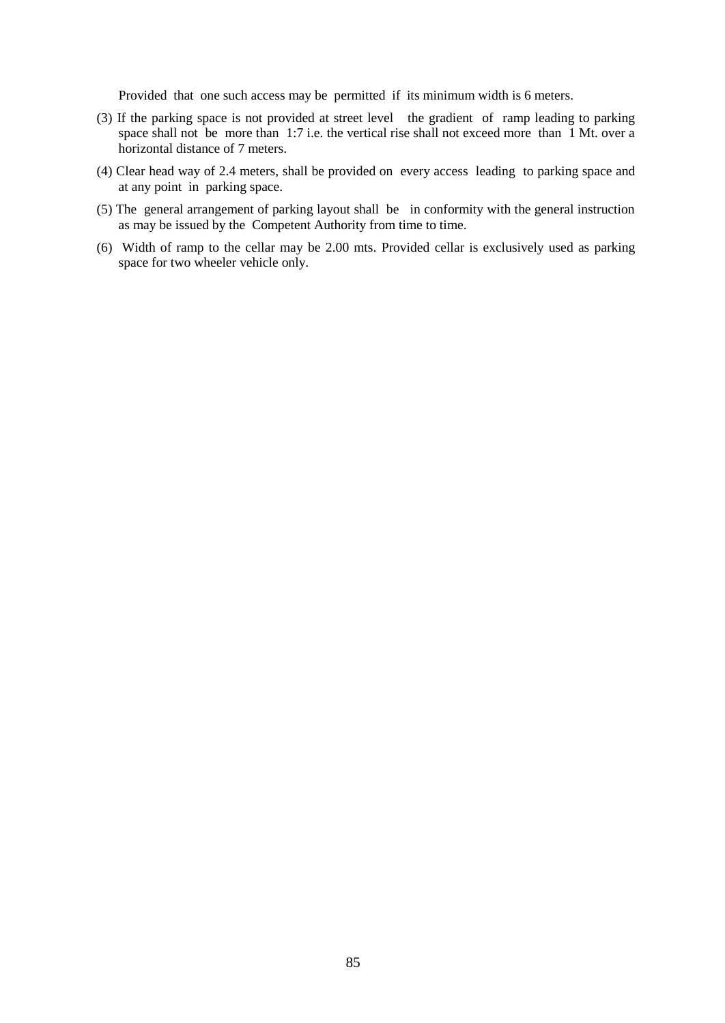Provided that one such access may be permitted if its minimum width is 6 meters.

- (3) If the parking space is not provided at street level the gradient of ramp leading to parking space shall not be more than 1:7 i.e. the vertical rise shall not exceed more than 1 Mt. over a horizontal distance of 7 meters.
- (4) Clear head way of 2.4 meters, shall be provided on every access leading to parking space and at any point in parking space.
- (5) The general arrangement of parking layout shall be in conformity with the general instruction as may be issued by the Competent Authority from time to time.
- (6) Width of ramp to the cellar may be 2.00 mts. Provided cellar is exclusively used as parking space for two wheeler vehicle only.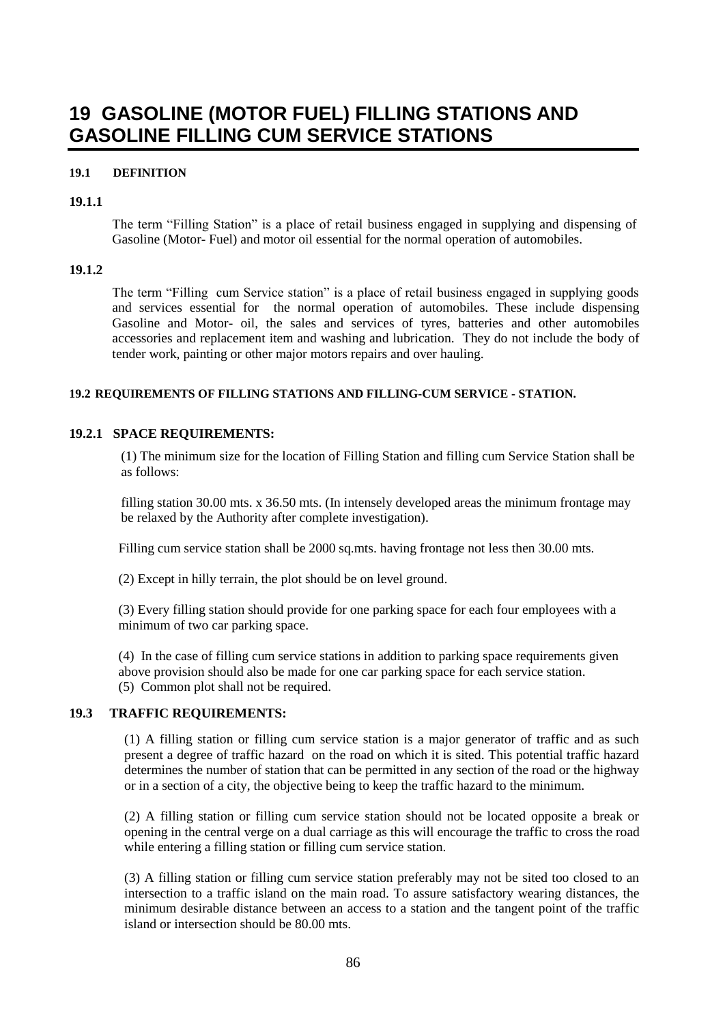# **19 GASOLINE (MOTOR FUEL) FILLING STATIONS AND GASOLINE FILLING CUM SERVICE STATIONS**

## **19.1 DEFINITION**

### **19.1.1**

The term "Filling Station" is a place of retail business engaged in supplying and dispensing of Gasoline (Motor- Fuel) and motor oil essential for the normal operation of automobiles.

### **19.1.2**

The term "Filling cum Service station" is a place of retail business engaged in supplying goods and services essential for the normal operation of automobiles. These include dispensing Gasoline and Motor- oil, the sales and services of tyres, batteries and other automobiles accessories and replacement item and washing and lubrication. They do not include the body of tender work, painting or other major motors repairs and over hauling.

### **19.2 REQUIREMENTS OF FILLING STATIONS AND FILLING-CUM SERVICE - STATION.**

### **19.2.1 SPACE REQUIREMENTS:**

(1) The minimum size for the location of Filling Station and filling cum Service Station shall be as follows:

filling station 30.00 mts. x 36.50 mts. (In intensely developed areas the minimum frontage may be relaxed by the Authority after complete investigation).

Filling cum service station shall be 2000 sq.mts. having frontage not less then 30.00 mts.

(2) Except in hilly terrain, the plot should be on level ground.

(3) Every filling station should provide for one parking space for each four employees with a minimum of two car parking space.

(4) In the case of filling cum service stations in addition to parking space requirements given above provision should also be made for one car parking space for each service station. (5) Common plot shall not be required.

# **19.3 TRAFFIC REQUIREMENTS:**

(1) A filling station or filling cum service station is a major generator of traffic and as such present a degree of traffic hazard on the road on which it is sited. This potential traffic hazard determines the number of station that can be permitted in any section of the road or the highway or in a section of a city, the objective being to keep the traffic hazard to the minimum.

(2) A filling station or filling cum service station should not be located opposite a break or opening in the central verge on a dual carriage as this will encourage the traffic to cross the road while entering a filling station or filling cum service station.

(3) A filling station or filling cum service station preferably may not be sited too closed to an intersection to a traffic island on the main road. To assure satisfactory wearing distances, the minimum desirable distance between an access to a station and the tangent point of the traffic island or intersection should be 80.00 mts.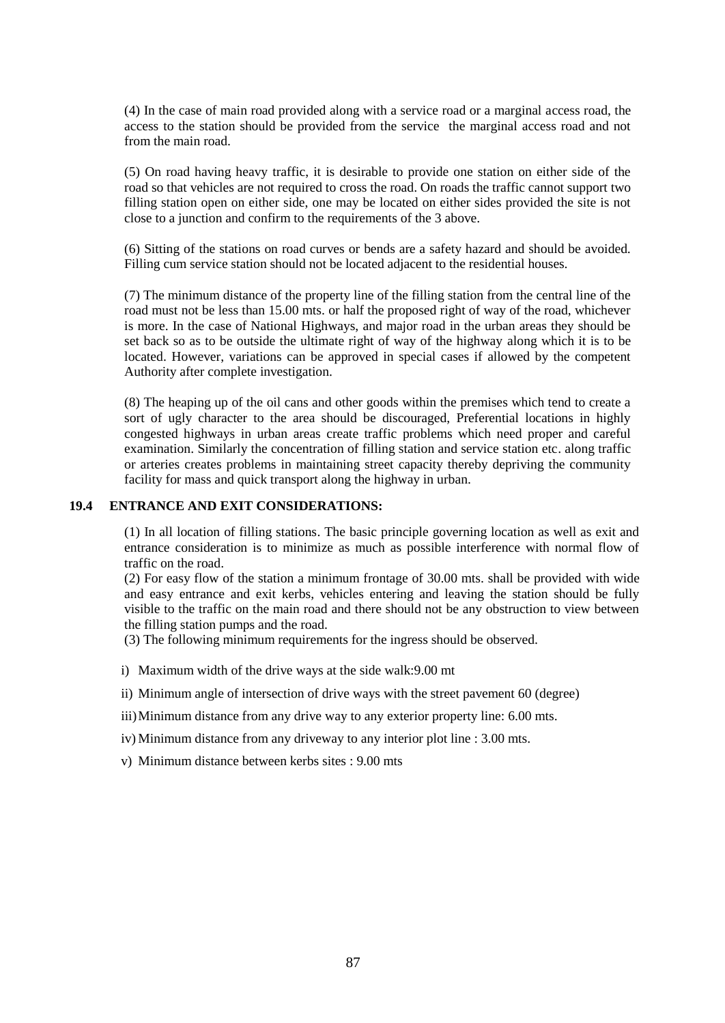(4) In the case of main road provided along with a service road or a marginal access road, the access to the station should be provided from the service the marginal access road and not from the main road.

(5) On road having heavy traffic, it is desirable to provide one station on either side of the road so that vehicles are not required to cross the road. On roads the traffic cannot support two filling station open on either side, one may be located on either sides provided the site is not close to a junction and confirm to the requirements of the 3 above.

(6) Sitting of the stations on road curves or bends are a safety hazard and should be avoided. Filling cum service station should not be located adjacent to the residential houses.

(7) The minimum distance of the property line of the filling station from the central line of the road must not be less than 15.00 mts. or half the proposed right of way of the road, whichever is more. In the case of National Highways, and major road in the urban areas they should be set back so as to be outside the ultimate right of way of the highway along which it is to be located. However, variations can be approved in special cases if allowed by the competent Authority after complete investigation.

(8) The heaping up of the oil cans and other goods within the premises which tend to create a sort of ugly character to the area should be discouraged, Preferential locations in highly congested highways in urban areas create traffic problems which need proper and careful examination. Similarly the concentration of filling station and service station etc. along traffic or arteries creates problems in maintaining street capacity thereby depriving the community facility for mass and quick transport along the highway in urban.

# **19.4 ENTRANCE AND EXIT CONSIDERATIONS:**

(1) In all location of filling stations. The basic principle governing location as well as exit and entrance consideration is to minimize as much as possible interference with normal flow of traffic on the road.

(2) For easy flow of the station a minimum frontage of 30.00 mts. shall be provided with wide and easy entrance and exit kerbs, vehicles entering and leaving the station should be fully visible to the traffic on the main road and there should not be any obstruction to view between the filling station pumps and the road.

(3) The following minimum requirements for the ingress should be observed.

- i) Maximum width of the drive ways at the side walk:9.00 mt
- ii) Minimum angle of intersection of drive ways with the street pavement 60 (degree)
- iii)Minimum distance from any drive way to any exterior property line: 6.00 mts.
- iv) Minimum distance from any driveway to any interior plot line : 3.00 mts.
- v) Minimum distance between kerbs sites : 9.00 mts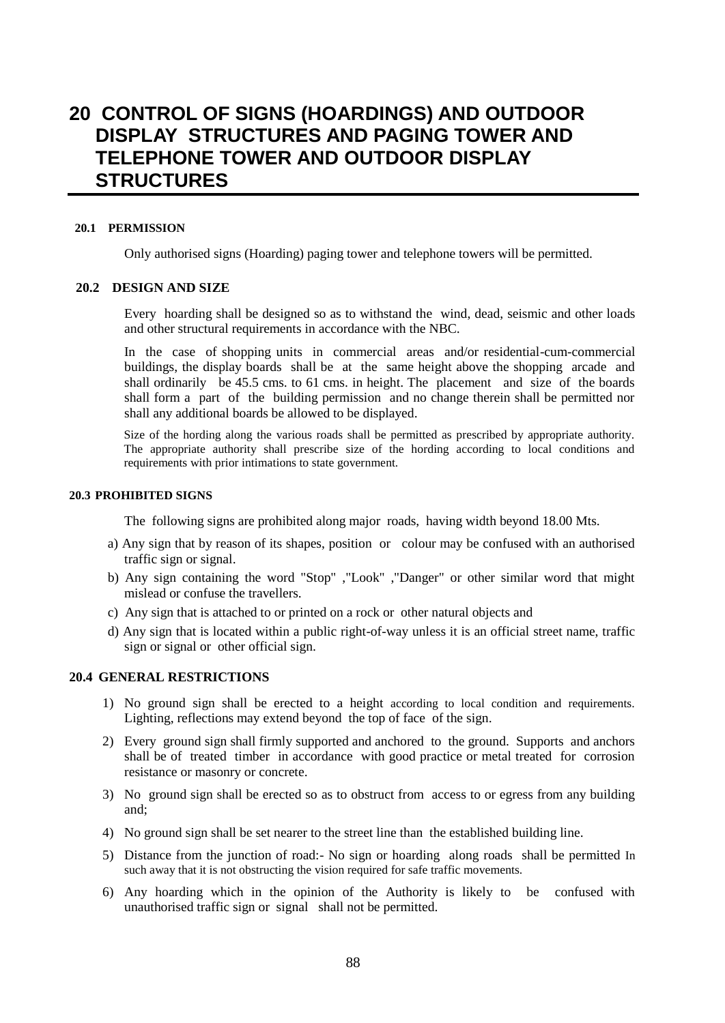# **20 CONTROL OF SIGNS (HOARDINGS) AND OUTDOOR DISPLAY STRUCTURES AND PAGING TOWER AND TELEPHONE TOWER AND OUTDOOR DISPLAY STRUCTURES**

### **20.1 PERMISSION**

Only authorised signs (Hoarding) paging tower and telephone towers will be permitted.

# **20.2 DESIGN AND SIZE**

Every hoarding shall be designed so as to withstand the wind, dead, seismic and other loads and other structural requirements in accordance with the NBC.

In the case of shopping units in commercial areas and/or residential-cum-commercial buildings, the display boards shall be at the same height above the shopping arcade and shall ordinarily be 45.5 cms. to 61 cms. in height. The placement and size of the boards shall form a part of the building permission and no change therein shall be permitted nor shall any additional boards be allowed to be displayed.

Size of the hording along the various roads shall be permitted as prescribed by appropriate authority. The appropriate authority shall prescribe size of the hording according to local conditions and requirements with prior intimations to state government.

### **20.3 PROHIBITED SIGNS**

The following signs are prohibited along major roads, having width beyond 18.00 Mts.

- a) Any sign that by reason of its shapes, position or colour may be confused with an authorised traffic sign or signal.
- b) Any sign containing the word "Stop" ,"Look" ,"Danger" or other similar word that might mislead or confuse the travellers.
- c) Any sign that is attached to or printed on a rock or other natural objects and
- d) Any sign that is located within a public right-of-way unless it is an official street name, traffic sign or signal or other official sign.

## **20.4 GENERAL RESTRICTIONS**

- 1) No ground sign shall be erected to a height according to local condition and requirements. Lighting, reflections may extend beyond the top of face of the sign.
- 2) Every ground sign shall firmly supported and anchored to the ground. Supports and anchors shall be of treated timber in accordance with good practice or metal treated for corrosion resistance or masonry or concrete.
- 3) No ground sign shall be erected so as to obstruct from access to or egress from any building and;
- 4) No ground sign shall be set nearer to the street line than the established building line.
- 5) Distance from the junction of road:- No sign or hoarding along roads shall be permitted In such away that it is not obstructing the vision required for safe traffic movements.
- 6) Any hoarding which in the opinion of the Authority is likely to be confused with unauthorised traffic sign or signal shall not be permitted.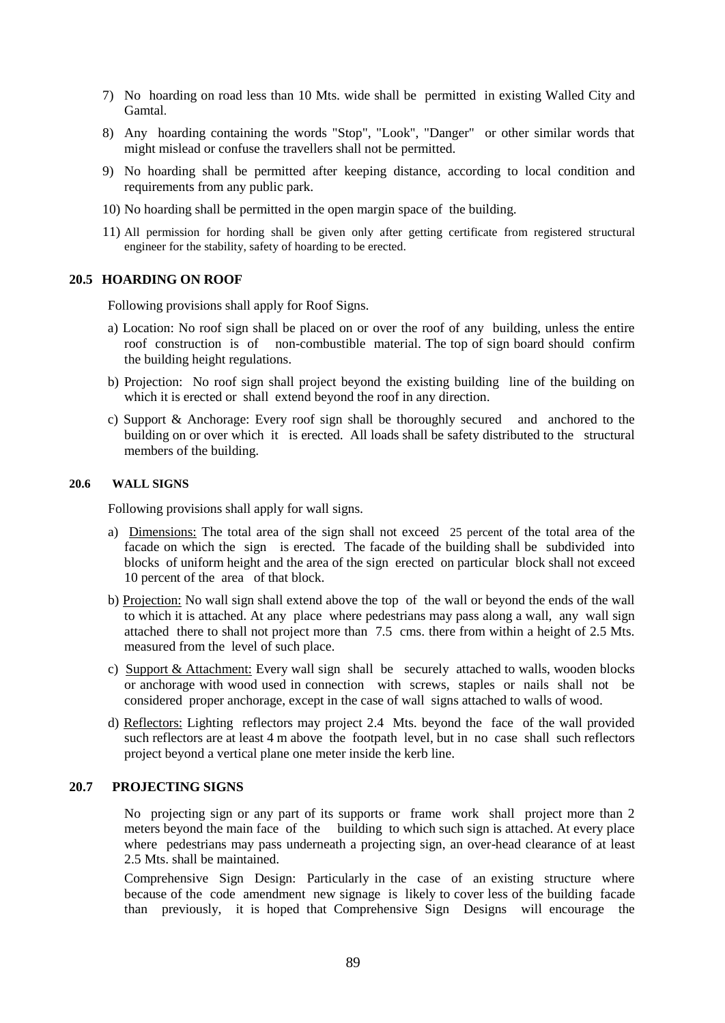- 7) No hoarding on road less than 10 Mts. wide shall be permitted in existing Walled City and Gamtal.
- 8) Any hoarding containing the words "Stop", "Look", "Danger" or other similar words that might mislead or confuse the travellers shall not be permitted.
- 9) No hoarding shall be permitted after keeping distance, according to local condition and requirements from any public park.
- 10) No hoarding shall be permitted in the open margin space of the building.
- 11) All permission for hording shall be given only after getting certificate from registered structural engineer for the stability, safety of hoarding to be erected.

#### **20.5 HOARDING ON ROOF**

Following provisions shall apply for Roof Signs.

- a) Location: No roof sign shall be placed on or over the roof of any building, unless the entire roof construction is of non-combustible material. The top of sign board should confirm the building height regulations.
- b) Projection: No roof sign shall project beyond the existing building line of the building on which it is erected or shall extend beyond the roof in any direction.
- c) Support & Anchorage: Every roof sign shall be thoroughly secured and anchored to the building on or over which it is erected. All loads shall be safety distributed to the structural members of the building.

### **20.6 WALL SIGNS**

Following provisions shall apply for wall signs.

- a) Dimensions: The total area of the sign shall not exceed 25 percent of the total area of the facade on which the sign is erected. The facade of the building shall be subdivided into blocks of uniform height and the area of the sign erected on particular block shall not exceed 10 percent of the area of that block.
- b) Projection: No wall sign shall extend above the top of the wall or beyond the ends of the wall to which it is attached. At any place where pedestrians may pass along a wall, any wall sign attached there to shall not project more than 7.5 cms. there from within a height of 2.5 Mts. measured from the level of such place.
- c) Support & Attachment: Every wall sign shall be securely attached to walls, wooden blocks or anchorage with wood used in connection with screws, staples or nails shall not be considered proper anchorage, except in the case of wall signs attached to walls of wood.
- d) Reflectors: Lighting reflectors may project 2.4 Mts. beyond the face of the wall provided such reflectors are at least 4 m above the footpath level, but in no case shall such reflectors project beyond a vertical plane one meter inside the kerb line.

### **20.7 PROJECTING SIGNS**

No projecting sign or any part of its supports or frame work shall project more than 2 meters beyond the main face of the building to which such sign is attached. At every place where pedestrians may pass underneath a projecting sign, an over-head clearance of at least 2.5 Mts. shall be maintained.

Comprehensive Sign Design: Particularly in the case of an existing structure where because of the code amendment new signage is likely to cover less of the building facade than previously, it is hoped that Comprehensive Sign Designs will encourage the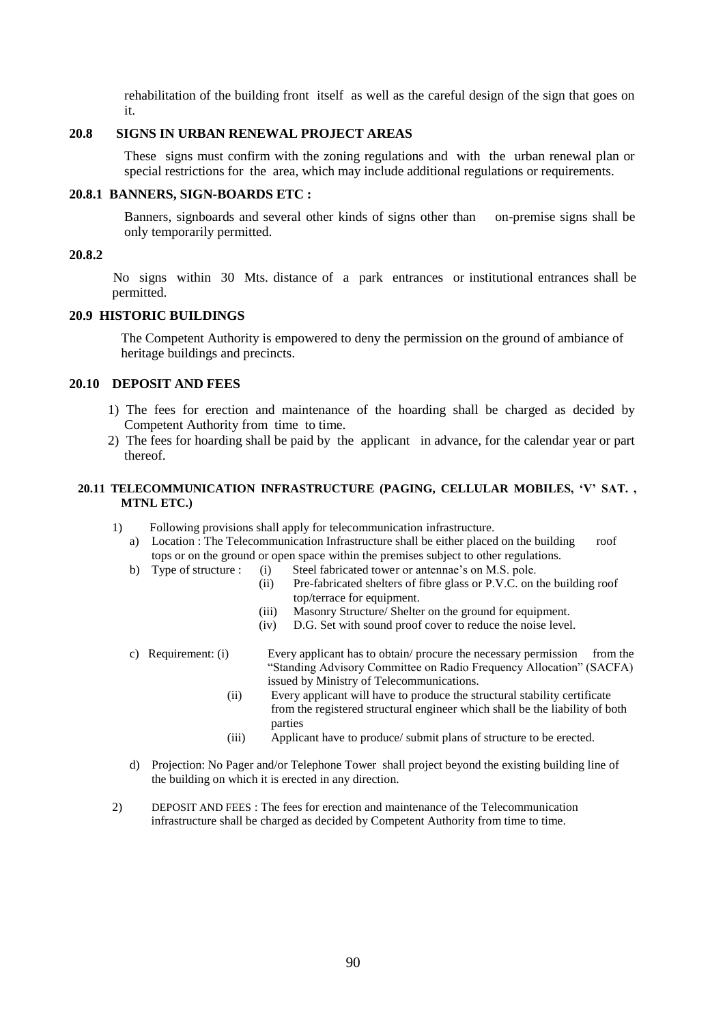rehabilitation of the building front itself as well as the careful design of the sign that goes on it.

# **20.8 SIGNS IN URBAN RENEWAL PROJECT AREAS**

These signs must confirm with the zoning regulations and with the urban renewal plan or special restrictions for the area, which may include additional regulations or requirements.

### **20.8.1 BANNERS, SIGN-BOARDS ETC :**

Banners, signboards and several other kinds of signs other than on-premise signs shall be only temporarily permitted.

### **20.8.2**

No signs within 30 Mts. distance of a park entrances or institutional entrances shall be permitted.

# **20.9 HISTORIC BUILDINGS**

The Competent Authority is empowered to deny the permission on the ground of ambiance of heritage buildings and precincts.

### **20.10 DEPOSIT AND FEES**

- 1) The fees for erection and maintenance of the hoarding shall be charged as decided by Competent Authority from time to time.
- 2) The fees for hoarding shall be paid by the applicant in advance, for the calendar year or part thereof.

# **20.11 TELECOMMUNICATION INFRASTRUCTURE (PAGING, CELLULAR MOBILES, 'V' SAT. , MTNL ETC.)**

- 1) Following provisions shall apply for telecommunication infrastructure.
	- a) Location : The Telecommunication Infrastructure shall be either placed on the building roof tops or on the ground or open space within the premises subject to other regulations.
	- b) Type of structure : (i) Steel fabricated tower or antennae's on M.S. pole.
		- (ii) Pre-fabricated shelters of fibre glass or P.V.C. on the building roof top/terrace for equipment.
		- (iii) Masonry Structure/ Shelter on the ground for equipment.
		- (iv) D.G. Set with sound proof cover to reduce the noise level.
	- c) Requirement: (i) Every applicant has to obtain/ procure the necessary permission from the "Standing Advisory Committee on Radio Frequency Allocation" (SACFA) issued by Ministry of Telecommunications.
		- (ii) Every applicant will have to produce the structural stability certificate from the registered structural engineer which shall be the liability of both parties
		- (iii) Applicant have to produce/ submit plans of structure to be erected.
	- d) Projection: No Pager and/or Telephone Tower shall project beyond the existing building line of the building on which it is erected in any direction.
- 2) DEPOSIT AND FEES : The fees for erection and maintenance of the Telecommunication infrastructure shall be charged as decided by Competent Authority from time to time.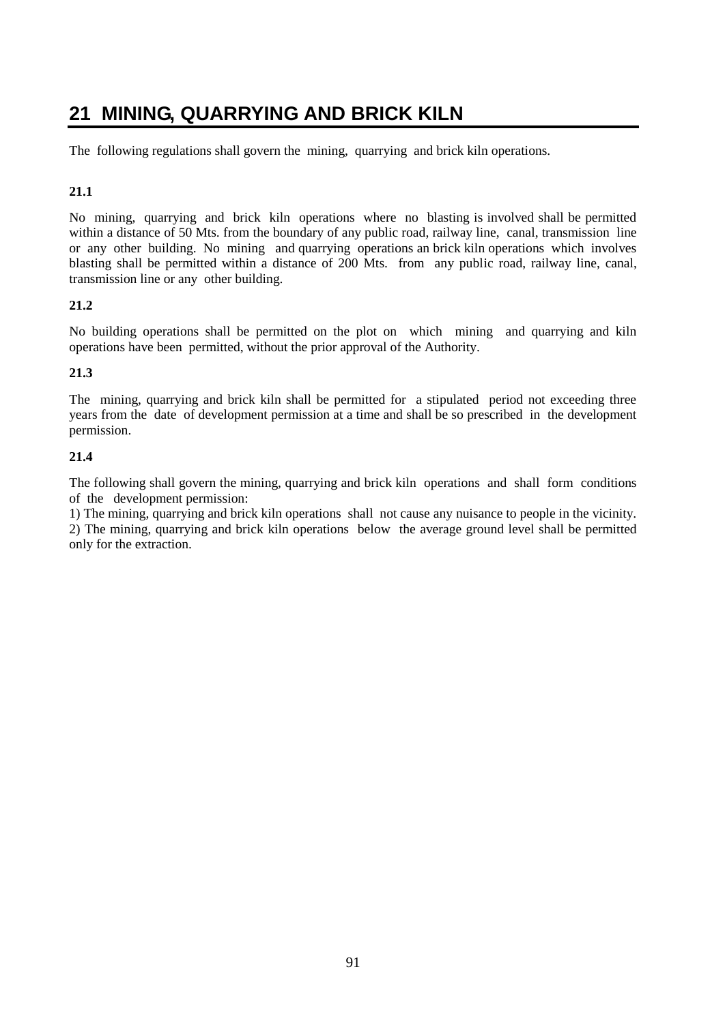# **21 MINING, QUARRYING AND BRICK KILN**

The following regulations shall govern the mining, quarrying and brick kiln operations.

# **21.1**

No mining, quarrying and brick kiln operations where no blasting is involved shall be permitted within a distance of 50 Mts. from the boundary of any public road, railway line, canal, transmission line or any other building. No mining and quarrying operations an brick kiln operations which involves blasting shall be permitted within a distance of 200 Mts. from any public road, railway line, canal, transmission line or any other building.

# **21.2**

No building operations shall be permitted on the plot on which mining and quarrying and kiln operations have been permitted, without the prior approval of the Authority.

# **21.3**

The mining, quarrying and brick kiln shall be permitted for a stipulated period not exceeding three years from the date of development permission at a time and shall be so prescribed in the development permission.

# **21.4**

The following shall govern the mining, quarrying and brick kiln operations and shall form conditions of the development permission:

1) The mining, quarrying and brick kiln operations shall not cause any nuisance to people in the vicinity. 2) The mining, quarrying and brick kiln operations below the average ground level shall be permitted only for the extraction.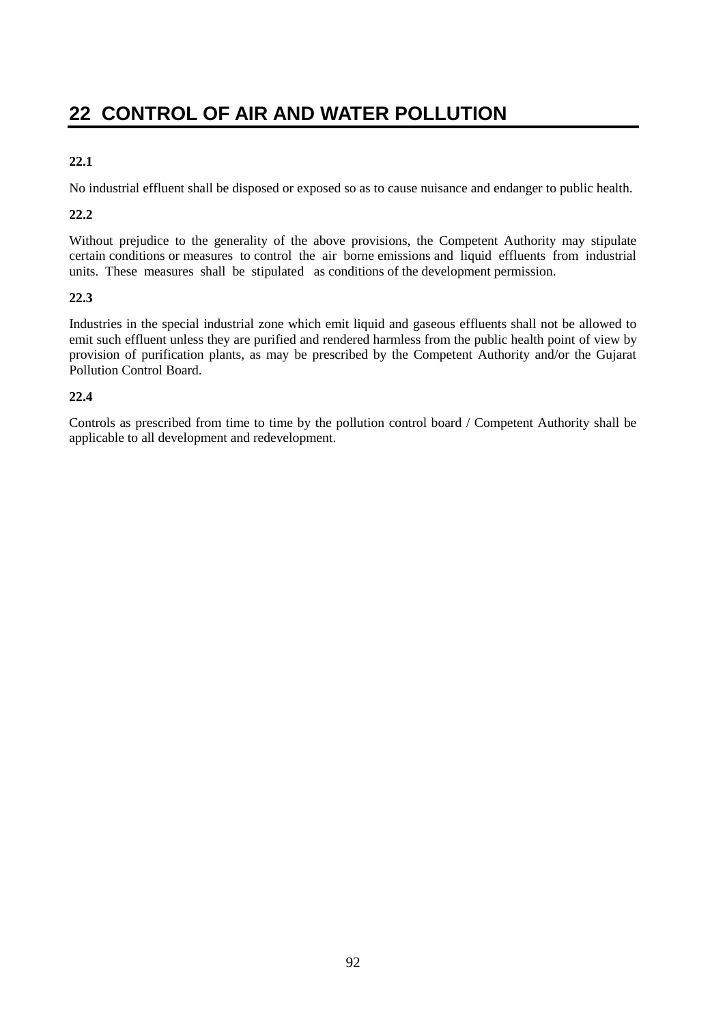# **22 CONTROL OF AIR AND WATER POLLUTION**

# **22.1**

No industrial effluent shall be disposed or exposed so as to cause nuisance and endanger to public health.

# **22.2**

Without prejudice to the generality of the above provisions, the Competent Authority may stipulate certain conditions or measures to control the air borne emissions and liquid effluents from industrial units. These measures shall be stipulated as conditions of the development permission.

# **22.3**

Industries in the special industrial zone which emit liquid and gaseous effluents shall not be allowed to emit such effluent unless they are purified and rendered harmless from the public health point of view by provision of purification plants, as may be prescribed by the Competent Authority and/or the Gujarat Pollution Control Board.

# **22.4**

Controls as prescribed from time to time by the pollution control board / Competent Authority shall be applicable to all development and redevelopment.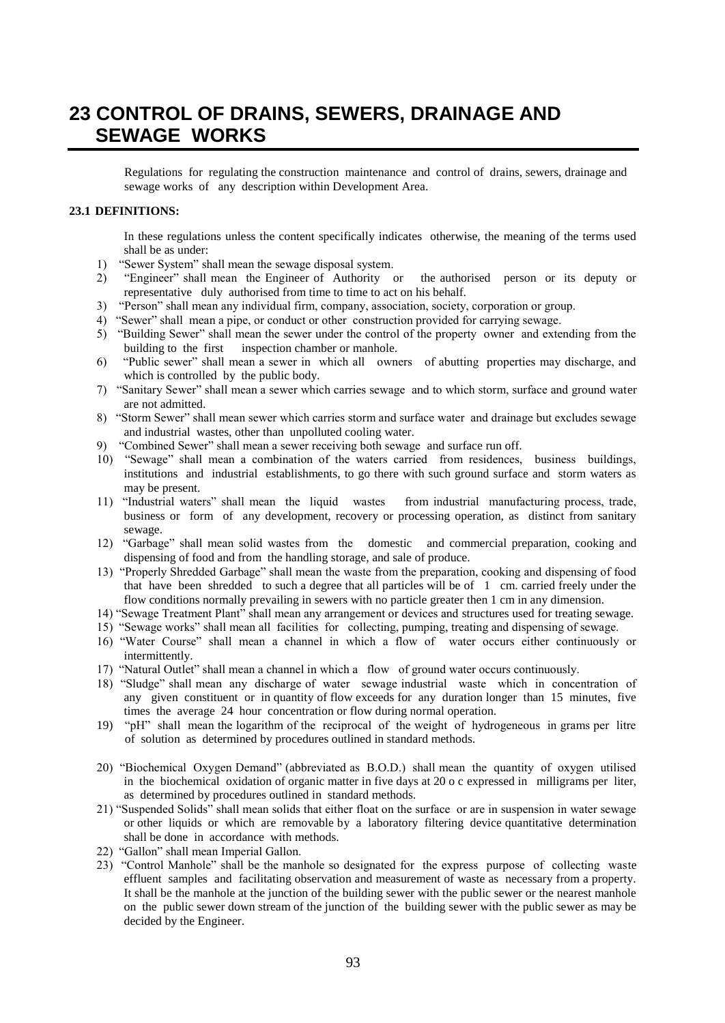# **23 CONTROL OF DRAINS, SEWERS, DRAINAGE AND SEWAGE WORKS**

Regulations for regulating the construction maintenance and control of drains, sewers, drainage and sewage works of any description within Development Area.

### **23.1 DEFINITIONS:**

In these regulations unless the content specifically indicates otherwise, the meaning of the terms used shall be as under:

- 1) "Sewer System" shall mean the sewage disposal system.
- 2) "Engineer" shall mean the Engineer of Authority or the authorised person or its deputy or representative duly authorised from time to time to act on his behalf.
- 3) "Person" shall mean any individual firm, company, association, society, corporation or group.
- 4) "Sewer" shall mean a pipe, or conduct or other construction provided for carrying sewage.
- 5) "Building Sewer" shall mean the sewer under the control of the property owner and extending from the building to the first inspection chamber or manhole.
- 6) "Public sewer" shall mean a sewer in which all owners of abutting properties may discharge, and which is controlled by the public body.
- 7) "Sanitary Sewer" shall mean a sewer which carries sewage and to which storm, surface and ground water are not admitted.
- 8) "Storm Sewer" shall mean sewer which carries storm and surface water and drainage but excludes sewage and industrial wastes, other than unpolluted cooling water.
- 9) "Combined Sewer" shall mean a sewer receiving both sewage and surface run off.
- 10) "Sewage" shall mean a combination of the waters carried from residences, business buildings, institutions and industrial establishments, to go there with such ground surface and storm waters as may be present.
- 11) "Industrial waters" shall mean the liquid wastes from industrial manufacturing process, trade, business or form of any development, recovery or processing operation, as distinct from sanitary sewage.
- 12) "Garbage" shall mean solid wastes from the domestic and commercial preparation, cooking and dispensing of food and from the handling storage, and sale of produce.
- 13) "Properly Shredded Garbage" shall mean the waste from the preparation, cooking and dispensing of food that have been shredded to such a degree that all particles will be of 1 cm. carried freely under the flow conditions normally prevailing in sewers with no particle greater then 1 cm in any dimension.
- 14) "Sewage Treatment Plant" shall mean any arrangement or devices and structures used for treating sewage.
- 15) "Sewage works" shall mean all facilities for collecting, pumping, treating and dispensing of sewage.
- 16) "Water Course" shall mean a channel in which a flow of water occurs either continuously or intermittently.
- 17) "Natural Outlet" shall mean a channel in which a flow of ground water occurs continuously.
- 18) "Sludge" shall mean any discharge of water sewage industrial waste which in concentration of any given constituent or in quantity of flow exceeds for any duration longer than 15 minutes, five times the average 24 hour concentration or flow during normal operation.
- 19) "pH" shall mean the logarithm of the reciprocal of the weight of hydrogeneous in grams per litre of solution as determined by procedures outlined in standard methods.
- 20) "Biochemical Oxygen Demand" (abbreviated as B.O.D.) shall mean the quantity of oxygen utilised in the biochemical oxidation of organic matter in five days at 20 o c expressed in milligrams per liter, as determined by procedures outlined in standard methods.
- 21) "Suspended Solids" shall mean solids that either float on the surface or are in suspension in water sewage or other liquids or which are removable by a laboratory filtering device quantitative determination shall be done in accordance with methods.
- 22) "Gallon" shall mean Imperial Gallon.
- 23) "Control Manhole" shall be the manhole so designated for the express purpose of collecting waste effluent samples and facilitating observation and measurement of waste as necessary from a property. It shall be the manhole at the junction of the building sewer with the public sewer or the nearest manhole on the public sewer down stream of the junction of the building sewer with the public sewer as may be decided by the Engineer.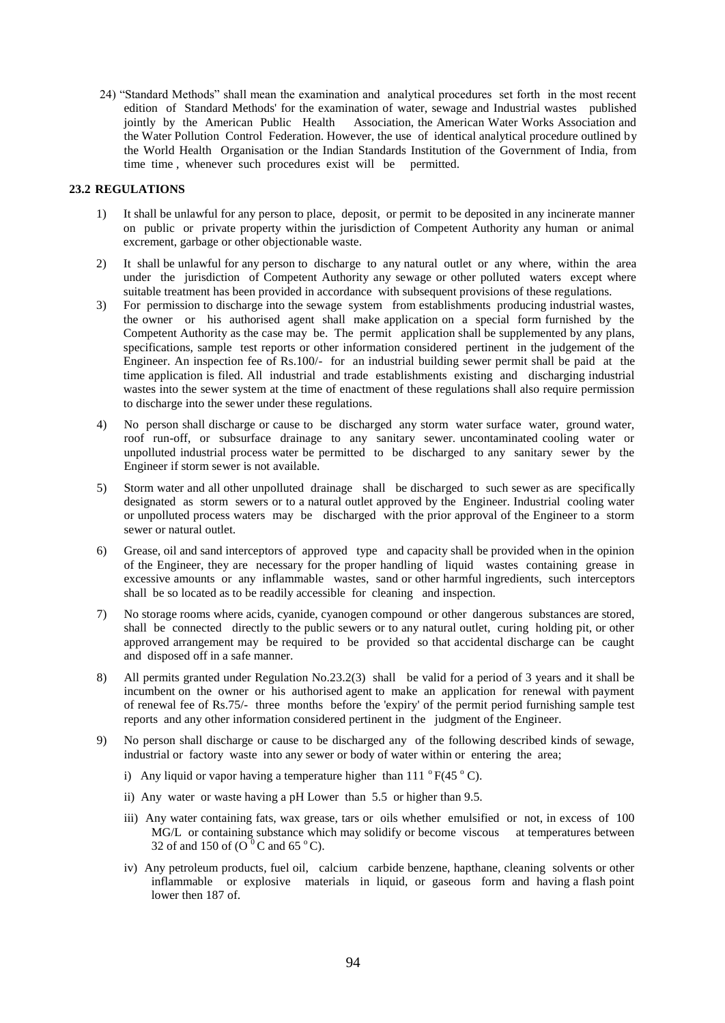24) "Standard Methods" shall mean the examination and analytical procedures set forth in the most recent edition of Standard Methods' for the examination of water, sewage and Industrial wastes published jointly by the American Public Health Association, the American Water Works Association and the Water Pollution Control Federation. However, the use of identical analytical procedure outlined by the World Health Organisation or the Indian Standards Institution of the Government of India, from time time , whenever such procedures exist will be permitted.

### **23.2 REGULATIONS**

- 1) It shall be unlawful for any person to place, deposit, or permit to be deposited in any incinerate manner on public or private property within the jurisdiction of Competent Authority any human or animal excrement, garbage or other objectionable waste.
- 2) It shall be unlawful for any person to discharge to any natural outlet or any where, within the area under the jurisdiction of Competent Authority any sewage or other polluted waters except where suitable treatment has been provided in accordance with subsequent provisions of these regulations.
- 3) For permission to discharge into the sewage system from establishments producing industrial wastes, the owner or his authorised agent shall make application on a special form furnished by the Competent Authority as the case may be. The permit application shall be supplemented by any plans, specifications, sample test reports or other information considered pertinent in the judgement of the Engineer. An inspection fee of Rs.100/- for an industrial building sewer permit shall be paid at the time application is filed. All industrial and trade establishments existing and discharging industrial wastes into the sewer system at the time of enactment of these regulations shall also require permission to discharge into the sewer under these regulations.
- 4) No person shall discharge or cause to be discharged any storm water surface water, ground water, roof run-off, or subsurface drainage to any sanitary sewer. uncontaminated cooling water or unpolluted industrial process water be permitted to be discharged to any sanitary sewer by the Engineer if storm sewer is not available.
- 5) Storm water and all other unpolluted drainage shall be discharged to such sewer as are specifically designated as storm sewers or to a natural outlet approved by the Engineer. Industrial cooling water or unpolluted process waters may be discharged with the prior approval of the Engineer to a storm sewer or natural outlet.
- 6) Grease, oil and sand interceptors of approved type and capacity shall be provided when in the opinion of the Engineer, they are necessary for the proper handling of liquid wastes containing grease in excessive amounts or any inflammable wastes, sand or other harmful ingredients, such interceptors shall be so located as to be readily accessible for cleaning and inspection.
- 7) No storage rooms where acids, cyanide, cyanogen compound or other dangerous substances are stored, shall be connected directly to the public sewers or to any natural outlet, curing holding pit, or other approved arrangement may be required to be provided so that accidental discharge can be caught and disposed off in a safe manner.
- 8) All permits granted under Regulation No.23.2(3) shall be valid for a period of 3 years and it shall be incumbent on the owner or his authorised agent to make an application for renewal with payment of renewal fee of Rs.75/- three months before the 'expiry' of the permit period furnishing sample test reports and any other information considered pertinent in the judgment of the Engineer.
- 9) No person shall discharge or cause to be discharged any of the following described kinds of sewage, industrial or factory waste into any sewer or body of water within or entering the area;
	- i) Any liquid or vapor having a temperature higher than  $111^\circ$  F(45  $^\circ$  C).
	- ii) Any water or waste having a pH Lower than 5.5 or higher than 9.5.
	- iii) Any water containing fats, wax grease, tars or oils whether emulsified or not, in excess of 100 MG/L or containing substance which may solidify or become viscous at temperatures between 32 of and 150 of  $(O<sup>0</sup>C$  and 65 °C).
	- iv) Any petroleum products, fuel oil, calcium carbide benzene, hapthane, cleaning solvents or other inflammable or explosive materials in liquid, or gaseous form and having a flash point lower then 187 of.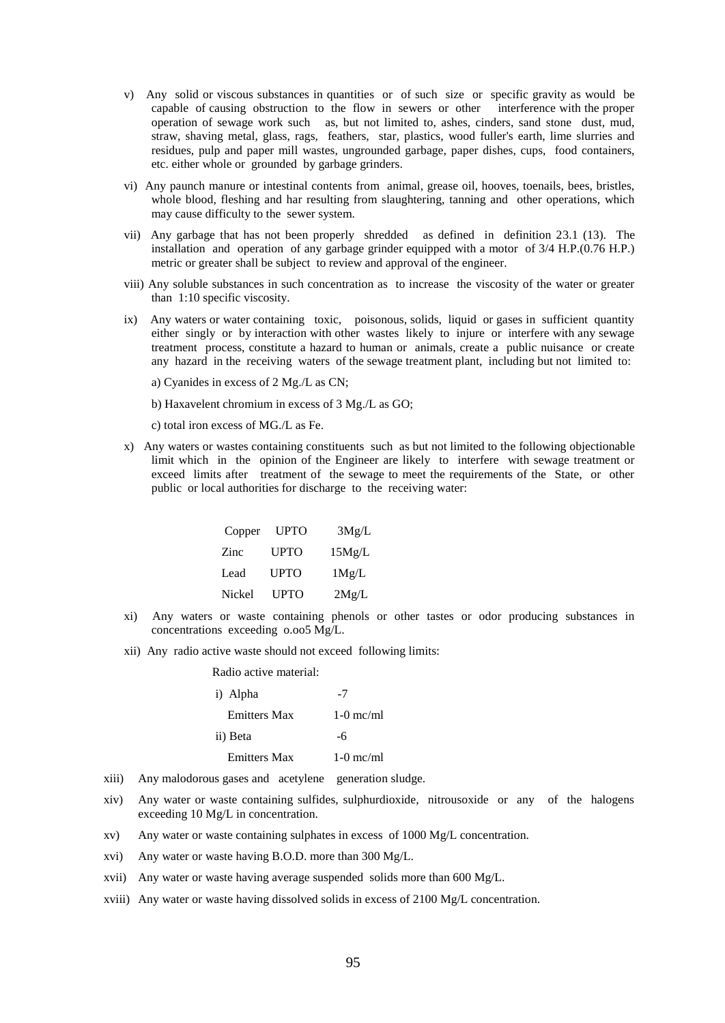- v) Any solid or viscous substances in quantities or of such size or specific gravity as would be capable of causing obstruction to the flow in sewers or other interference with the proper operation of sewage work such as, but not limited to, ashes, cinders, sand stone dust, mud, straw, shaving metal, glass, rags, feathers, star, plastics, wood fuller's earth, lime slurries and residues, pulp and paper mill wastes, ungrounded garbage, paper dishes, cups, food containers, etc. either whole or grounded by garbage grinders.
- vi) Any paunch manure or intestinal contents from animal, grease oil, hooves, toenails, bees, bristles, whole blood, fleshing and har resulting from slaughtering, tanning and other operations, which may cause difficulty to the sewer system.
- vii) Any garbage that has not been properly shredded as defined in definition 23.1 (13). The installation and operation of any garbage grinder equipped with a motor of 3/4 H.P.(0.76 H.P.) metric or greater shall be subject to review and approval of the engineer.
- viii) Any soluble substances in such concentration as to increase the viscosity of the water or greater than 1:10 specific viscosity.
- ix) Any waters or water containing toxic, poisonous, solids, liquid or gases in sufficient quantity either singly or by interaction with other wastes likely to injure or interfere with any sewage treatment process, constitute a hazard to human or animals, create a public nuisance or create any hazard in the receiving waters of the sewage treatment plant, including but not limited to:
	- a) Cyanides in excess of 2 Mg./L as CN;
	- b) Haxavelent chromium in excess of 3 Mg./L as GO;
	- c) total iron excess of MG./L as Fe.
- x) Any waters or wastes containing constituents such as but not limited to the following objectionable limit which in the opinion of the Engineer are likely to interfere with sewage treatment or exceed limits after treatment of the sewage to meet the requirements of the State, or other public or local authorities for discharge to the receiving water:

| Copper UPTO |             | 3Mg/L  |
|-------------|-------------|--------|
| Zinc        | <b>UPTO</b> | 15Mg/L |
| Lead        | <b>UPTO</b> | 1Mg/L  |
| Nickel      | <b>UPTO</b> | 2Mg/L  |

- xi) Any waters or waste containing phenols or other tastes or odor producing substances in concentrations exceeding o.oo5 Mg/L.
- xii) Any radio active waste should not exceed following limits:

Radio active material:

| NAURO ACLIVE HIALEITAL. |             |
|-------------------------|-------------|
| i) Alpha                | $-7$        |
| <b>Emitters Max</b>     | $1-0$ mc/ml |
| ii) Beta                | -6          |
| <b>Emitters Max</b>     | $1-0$ mc/ml |

- xiii) Any malodorous gases and acetylene generation sludge.
- xiv) Any water or waste containing sulfides, sulphurdioxide, nitrousoxide or any of the halogens exceeding 10 Mg/L in concentration.
- xv) Any water or waste containing sulphates in excess of 1000 Mg/L concentration.
- xvi) Any water or waste having B.O.D. more than 300 Mg/L.
- xvii) Any water or waste having average suspended solids more than 600 Mg/L.
- xviii) Any water or waste having dissolved solids in excess of 2100 Mg/L concentration.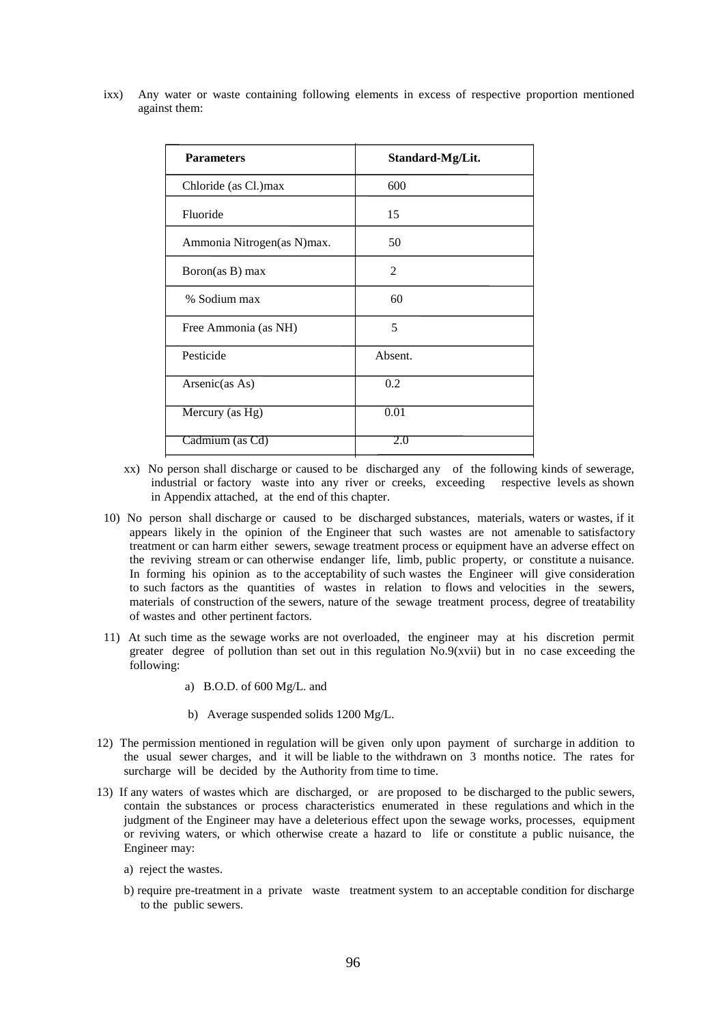ixx) Any water or waste containing following elements in excess of respective proportion mentioned against them:

| <b>Parameters</b>          | Standard-Mg/Lit. |
|----------------------------|------------------|
| Chloride (as Cl.)max       | 600              |
| Fluoride                   | 15               |
| Ammonia Nitrogen(as N)max. | 50               |
| Boron(as B) max            | 2                |
| % Sodium max               | 60               |
| Free Ammonia (as NH)       | 5                |
| Pesticide                  | Absent.          |
| Arsenic(as As)             | 0.2              |
| Mercury (as Hg)            | 0.01             |
| Cadmium (as Cd)            | 2.0              |

- xx) No person shall discharge or caused to be discharged any of the following kinds of sewerage, industrial or factory waste into any river or creeks, exceeding respective levels as shown in Appendix attached, at the end of this chapter.
- 10) No person shall discharge or caused to be discharged substances, materials, waters or wastes, if it appears likely in the opinion of the Engineer that such wastes are not amenable to satisfactory treatment or can harm either sewers, sewage treatment process or equipment have an adverse effect on the reviving stream or can otherwise endanger life, limb, public property, or constitute a nuisance. In forming his opinion as to the acceptability of such wastes the Engineer will give consideration to such factors as the quantities of wastes in relation to flows and velocities in the sewers, materials of construction of the sewers, nature of the sewage treatment process, degree of treatability of wastes and other pertinent factors.
- 11) At such time as the sewage works are not overloaded, the engineer may at his discretion permit greater degree of pollution than set out in this regulation  $No.9(xvii)$  but in no case exceeding the following:
	- a) B.O.D. of 600 Mg/L. and
	- b) Average suspended solids 1200 Mg/L.
- 12) The permission mentioned in regulation will be given only upon payment of surcharge in addition to the usual sewer charges, and it will be liable to the withdrawn on 3 months notice. The rates for surcharge will be decided by the Authority from time to time.
- 13) If any waters of wastes which are discharged, or are proposed to be discharged to the public sewers, contain the substances or process characteristics enumerated in these regulations and which in the judgment of the Engineer may have a deleterious effect upon the sewage works, processes, equipment or reviving waters, or which otherwise create a hazard to life or constitute a public nuisance, the Engineer may:
	- a) reject the wastes.
	- b) require pre-treatment in a private waste treatment system to an acceptable condition for discharge to the public sewers.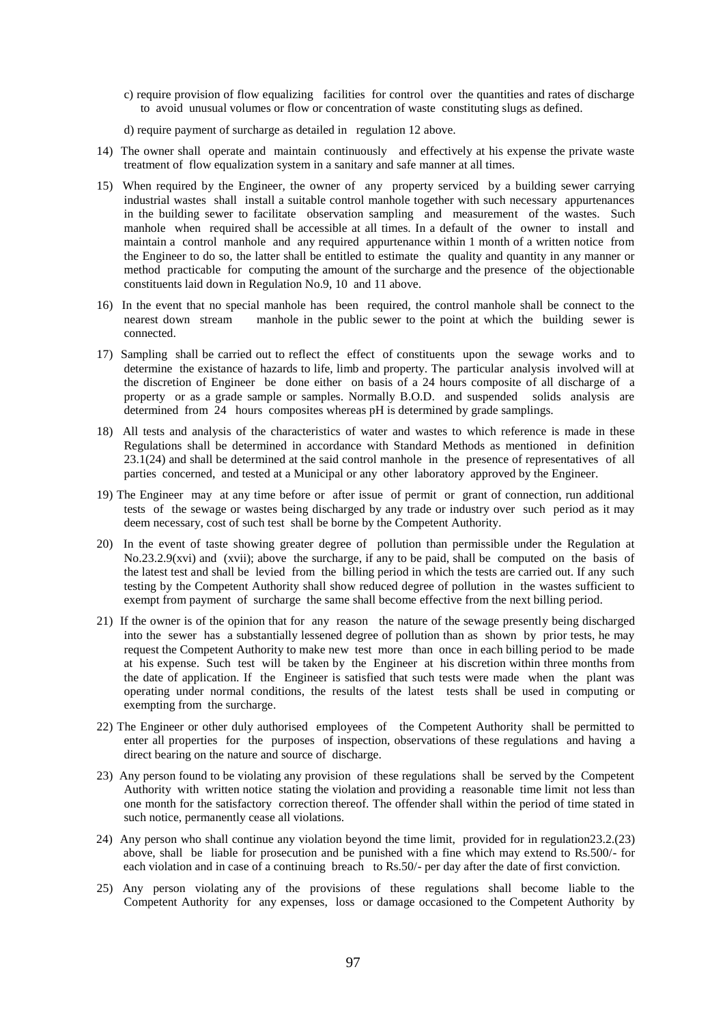c) require provision of flow equalizing facilities for control over the quantities and rates of discharge to avoid unusual volumes or flow or concentration of waste constituting slugs as defined.

d) require payment of surcharge as detailed in regulation 12 above.

- 14) The owner shall operate and maintain continuously and effectively at his expense the private waste treatment of flow equalization system in a sanitary and safe manner at all times.
- 15) When required by the Engineer, the owner of any property serviced by a building sewer carrying industrial wastes shall install a suitable control manhole together with such necessary appurtenances in the building sewer to facilitate observation sampling and measurement of the wastes. Such manhole when required shall be accessible at all times. In a default of the owner to install and maintain a control manhole and any required appurtenance within 1 month of a written notice from the Engineer to do so, the latter shall be entitled to estimate the quality and quantity in any manner or method practicable for computing the amount of the surcharge and the presence of the objectionable constituents laid down in Regulation No.9, 10 and 11 above.
- 16) In the event that no special manhole has been required, the control manhole shall be connect to the nearest down stream manhole in the public sewer to the point at which the building sewer is connected.
- 17) Sampling shall be carried out to reflect the effect of constituents upon the sewage works and to determine the existance of hazards to life, limb and property. The particular analysis involved will at the discretion of Engineer be done either on basis of a 24 hours composite of all discharge of a property or as a grade sample or samples. Normally B.O.D. and suspended solids analysis are determined from 24 hours composites whereas pH is determined by grade samplings.
- 18) All tests and analysis of the characteristics of water and wastes to which reference is made in these Regulations shall be determined in accordance with Standard Methods as mentioned in definition 23.1(24) and shall be determined at the said control manhole in the presence of representatives of all parties concerned, and tested at a Municipal or any other laboratory approved by the Engineer.
- 19) The Engineer may at any time before or after issue of permit or grant of connection, run additional tests of the sewage or wastes being discharged by any trade or industry over such period as it may deem necessary, cost of such test shall be borne by the Competent Authority.
- 20) In the event of taste showing greater degree of pollution than permissible under the Regulation at No.23.2.9(xvi) and (xvii); above the surcharge, if any to be paid, shall be computed on the basis of the latest test and shall be levied from the billing period in which the tests are carried out. If any such testing by the Competent Authority shall show reduced degree of pollution in the wastes sufficient to exempt from payment of surcharge the same shall become effective from the next billing period.
- 21) If the owner is of the opinion that for any reason the nature of the sewage presently being discharged into the sewer has a substantially lessened degree of pollution than as shown by prior tests, he may request the Competent Authority to make new test more than once in each billing period to be made at his expense. Such test will be taken by the Engineer at his discretion within three months from the date of application. If the Engineer is satisfied that such tests were made when the plant was operating under normal conditions, the results of the latest tests shall be used in computing or exempting from the surcharge.
- 22) The Engineer or other duly authorised employees of the Competent Authority shall be permitted to enter all properties for the purposes of inspection, observations of these regulations and having a direct bearing on the nature and source of discharge.
- 23) Any person found to be violating any provision of these regulations shall be served by the Competent Authority with written notice stating the violation and providing a reasonable time limit not less than one month for the satisfactory correction thereof. The offender shall within the period of time stated in such notice, permanently cease all violations.
- 24) Any person who shall continue any violation beyond the time limit, provided for in regulation23.2.(23) above, shall be liable for prosecution and be punished with a fine which may extend to Rs.500/- for each violation and in case of a continuing breach to Rs.50/- per day after the date of first conviction.
- 25) Any person violating any of the provisions of these regulations shall become liable to the Competent Authority for any expenses, loss or damage occasioned to the Competent Authority by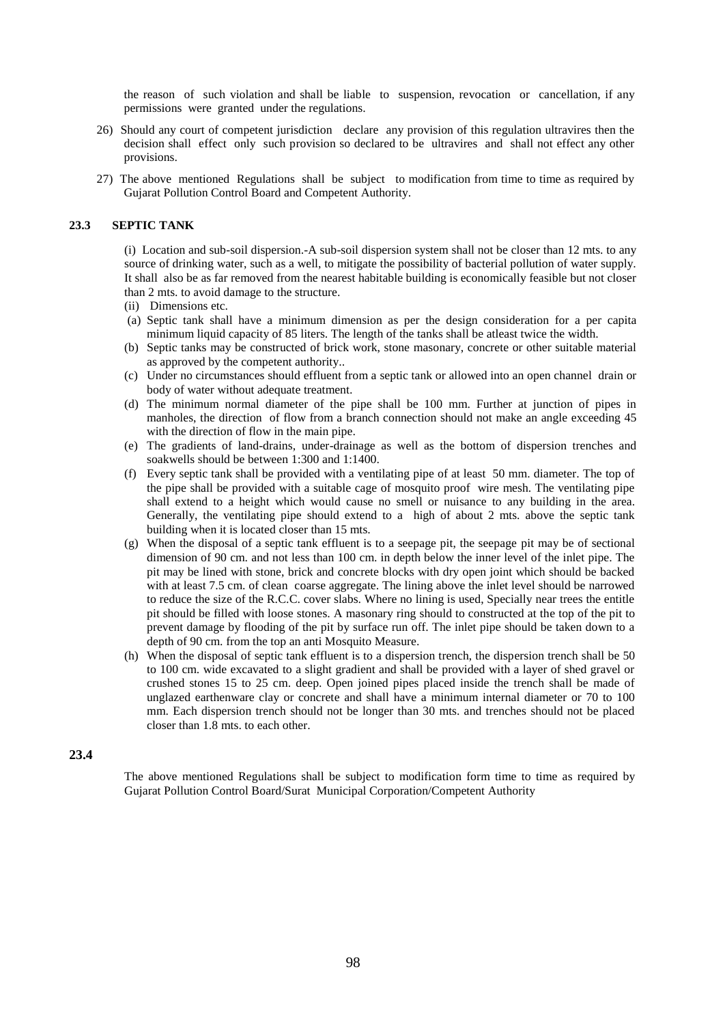the reason of such violation and shall be liable to suspension, revocation or cancellation, if any permissions were granted under the regulations.

- 26) Should any court of competent jurisdiction declare any provision of this regulation ultravires then the decision shall effect only such provision so declared to be ultravires and shall not effect any other provisions.
- 27) The above mentioned Regulations shall be subject to modification from time to time as required by Gujarat Pollution Control Board and Competent Authority.

#### **23.3 SEPTIC TANK**

(i) Location and sub-soil dispersion.-A sub-soil dispersion system shall not be closer than 12 mts. to any source of drinking water, such as a well, to mitigate the possibility of bacterial pollution of water supply. It shall also be as far removed from the nearest habitable building is economically feasible but not closer than 2 mts. to avoid damage to the structure.

- (ii) Dimensions etc.
- (a) Septic tank shall have a minimum dimension as per the design consideration for a per capita minimum liquid capacity of 85 liters. The length of the tanks shall be atleast twice the width.
- (b) Septic tanks may be constructed of brick work, stone masonary, concrete or other suitable material as approved by the competent authority..
- (c) Under no circumstances should effluent from a septic tank or allowed into an open channel drain or body of water without adequate treatment.
- (d) The minimum normal diameter of the pipe shall be 100 mm. Further at junction of pipes in manholes, the direction of flow from a branch connection should not make an angle exceeding 45 with the direction of flow in the main pipe.
- (e) The gradients of land-drains, under-drainage as well as the bottom of dispersion trenches and soakwells should be between 1:300 and 1:1400.
- (f) Every septic tank shall be provided with a ventilating pipe of at least 50 mm. diameter. The top of the pipe shall be provided with a suitable cage of mosquito proof wire mesh. The ventilating pipe shall extend to a height which would cause no smell or nuisance to any building in the area. Generally, the ventilating pipe should extend to a high of about 2 mts. above the septic tank building when it is located closer than 15 mts.
- (g) When the disposal of a septic tank effluent is to a seepage pit, the seepage pit may be of sectional dimension of 90 cm. and not less than 100 cm. in depth below the inner level of the inlet pipe. The pit may be lined with stone, brick and concrete blocks with dry open joint which should be backed with at least 7.5 cm. of clean coarse aggregate. The lining above the inlet level should be narrowed to reduce the size of the R.C.C. cover slabs. Where no lining is used, Specially near trees the entitle pit should be filled with loose stones. A masonary ring should to constructed at the top of the pit to prevent damage by flooding of the pit by surface run off. The inlet pipe should be taken down to a depth of 90 cm. from the top an anti Mosquito Measure.
- (h) When the disposal of septic tank effluent is to a dispersion trench, the dispersion trench shall be 50 to 100 cm. wide excavated to a slight gradient and shall be provided with a layer of shed gravel or crushed stones 15 to 25 cm. deep. Open joined pipes placed inside the trench shall be made of unglazed earthenware clay or concrete and shall have a minimum internal diameter or 70 to 100 mm. Each dispersion trench should not be longer than 30 mts. and trenches should not be placed closer than 1.8 mts. to each other.

### **23.4**

The above mentioned Regulations shall be subject to modification form time to time as required by Gujarat Pollution Control Board/Surat Municipal Corporation/Competent Authority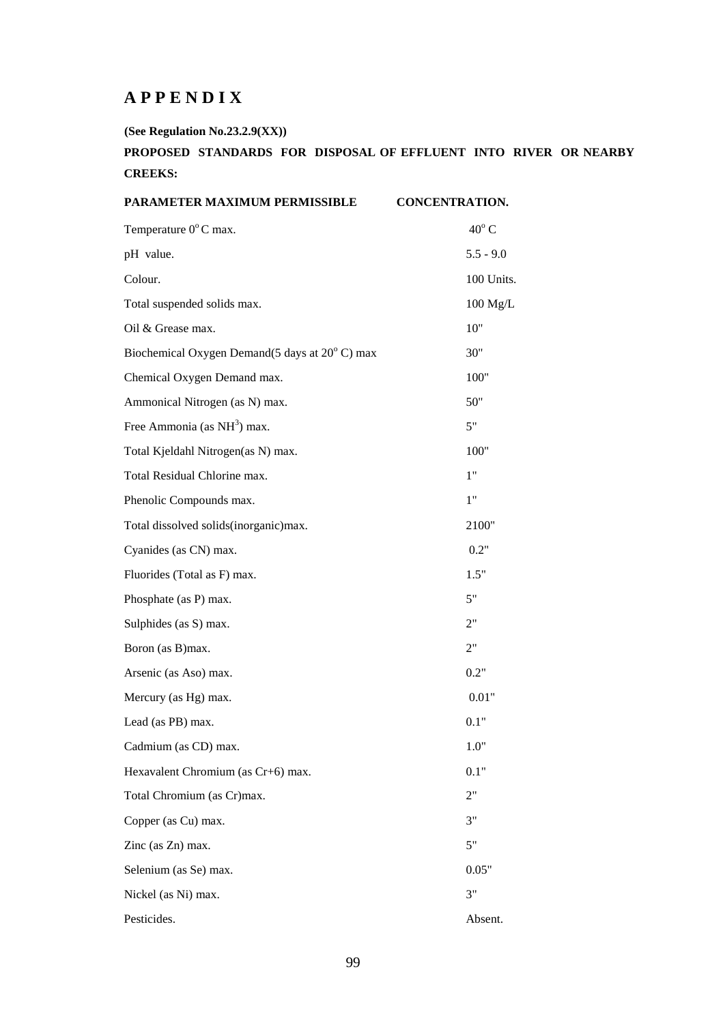# **A P P E N D I X**

**(See Regulation No.23.2.9(XX))** 

# **PROPOSED STANDARDS FOR DISPOSAL OF EFFLUENT INTO RIVER OR NEARBY CREEKS:**

| PARAMETER MAXIMUM PERMISSIBLE                 | <b>CONCENTRATION.</b> |
|-----------------------------------------------|-----------------------|
| Temperature 0°C max.                          | $40^{\circ}$ C        |
| pH value.                                     | $5.5 - 9.0$           |
| Colour.                                       | 100 Units.            |
| Total suspended solids max.                   | $100$ Mg/L            |
| Oil & Grease max.                             | 10"                   |
| Biochemical Oxygen Demand(5 days at 20°C) max | 30"                   |
| Chemical Oxygen Demand max.                   | 100"                  |
| Ammonical Nitrogen (as N) max.                | 50"                   |
| Free Ammonia (as NH <sup>3</sup> ) max.       | 5"                    |
| Total Kjeldahl Nitrogen(as N) max.            | 100"                  |
| Total Residual Chlorine max.                  | 1"                    |
| Phenolic Compounds max.                       | 1"                    |
| Total dissolved solids(inorganic)max.         | 2100"                 |
| Cyanides (as CN) max.                         | 0.2"                  |
| Fluorides (Total as F) max.                   | 1.5"                  |
| Phosphate (as P) max.                         | 5"                    |
| Sulphides (as S) max.                         | 2"                    |
| Boron (as B)max.                              | 2"                    |
| Arsenic (as Aso) max.                         | 0.2"                  |
| Mercury (as Hg) max.                          | $0.01\mathrm{"}$      |
| Lead (as PB) max.                             | 0.1"                  |
| Cadmium (as CD) max.                          | 1.0"                  |
| Hexavalent Chromium (as Cr+6) max.            | 0.1"                  |
| Total Chromium (as Cr)max.                    | 2"                    |
| Copper (as Cu) max.                           | 3"                    |
| Zinc (as Zn) max.                             | 5"                    |
| Selenium (as Se) max.                         | 0.05"                 |
| Nickel (as Ni) max.                           | 3"                    |
| Pesticides.                                   | Absent.               |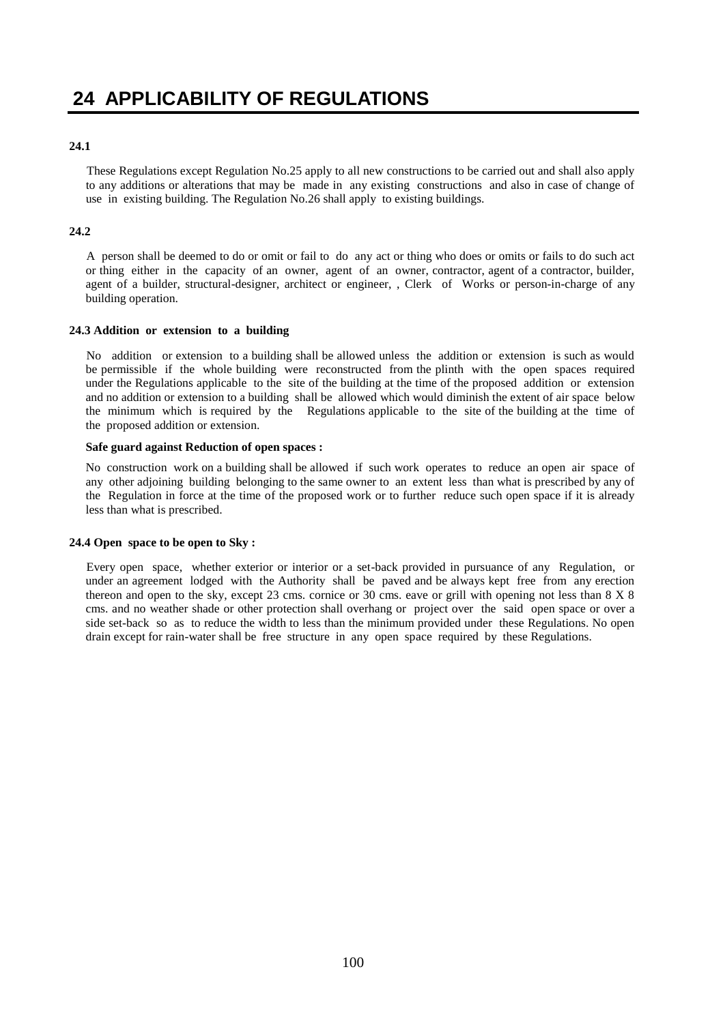### **24.1**

These Regulations except Regulation No.25 apply to all new constructions to be carried out and shall also apply to any additions or alterations that may be made in any existing constructions and also in case of change of use in existing building. The Regulation No.26 shall apply to existing buildings.

### **24.2**

A person shall be deemed to do or omit or fail to do any act or thing who does or omits or fails to do such act or thing either in the capacity of an owner, agent of an owner, contractor, agent of a contractor, builder, agent of a builder, structural-designer, architect or engineer, , Clerk of Works or person-in-charge of any building operation.

### **24.3 Addition or extension to a building**

No addition or extension to a building shall be allowed unless the addition or extension is such as would be permissible if the whole building were reconstructed from the plinth with the open spaces required under the Regulations applicable to the site of the building at the time of the proposed addition or extension and no addition or extension to a building shall be allowed which would diminish the extent of air space below the minimum which is required by the Regulations applicable to the site of the building at the time of the proposed addition or extension.

### **Safe guard against Reduction of open spaces :**

No construction work on a building shall be allowed if such work operates to reduce an open air space of any other adjoining building belonging to the same owner to an extent less than what is prescribed by any of the Regulation in force at the time of the proposed work or to further reduce such open space if it is already less than what is prescribed.

### **24.4 Open space to be open to Sky :**

Every open space, whether exterior or interior or a set-back provided in pursuance of any Regulation, or under an agreement lodged with the Authority shall be paved and be always kept free from any erection thereon and open to the sky, except 23 cms. cornice or 30 cms. eave or grill with opening not less than 8 X 8 cms. and no weather shade or other protection shall overhang or project over the said open space or over a side set-back so as to reduce the width to less than the minimum provided under these Regulations. No open drain except for rain-water shall be free structure in any open space required by these Regulations.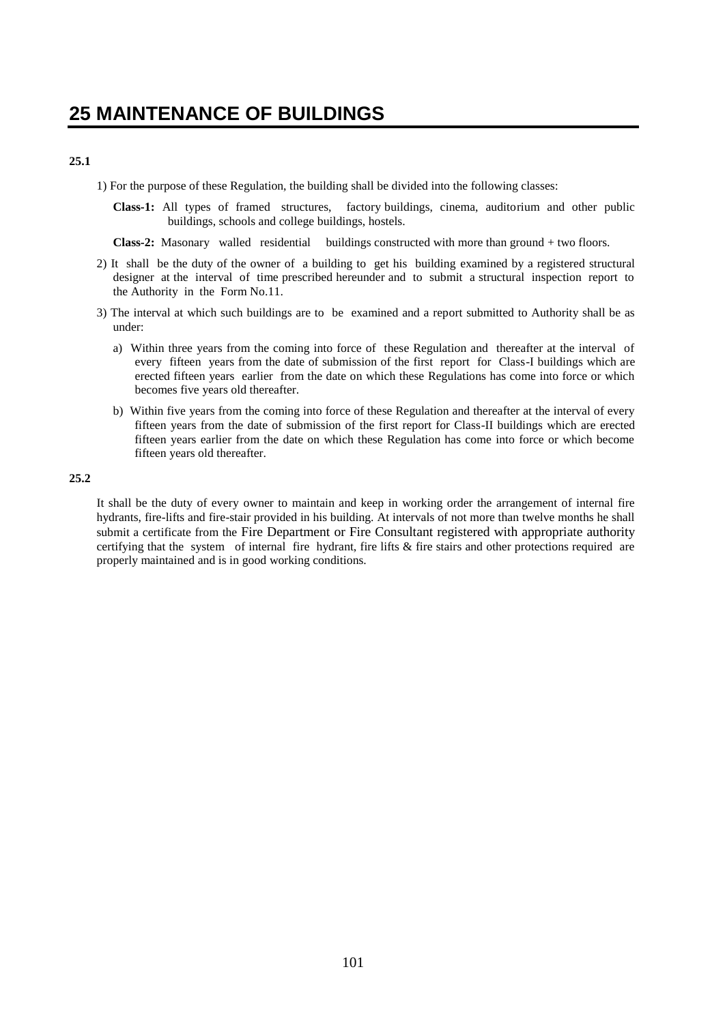### **25.1**

1) For the purpose of these Regulation, the building shall be divided into the following classes:

**Class-1:** All types of framed structures, factory buildings, cinema, auditorium and other public buildings, schools and college buildings, hostels.

**Class-2:** Masonary walled residential buildings constructed with more than ground + two floors.

- 2) It shall be the duty of the owner of a building to get his building examined by a registered structural designer at the interval of time prescribed hereunder and to submit a structural inspection report to the Authority in the Form No.11.
- 3) The interval at which such buildings are to be examined and a report submitted to Authority shall be as under:
	- a) Within three years from the coming into force of these Regulation and thereafter at the interval of every fifteen years from the date of submission of the first report for Class-I buildings which are erected fifteen years earlier from the date on which these Regulations has come into force or which becomes five years old thereafter.
	- b) Within five years from the coming into force of these Regulation and thereafter at the interval of every fifteen years from the date of submission of the first report for Class-II buildings which are erected fifteen years earlier from the date on which these Regulation has come into force or which become fifteen years old thereafter.

#### **25.2**

It shall be the duty of every owner to maintain and keep in working order the arrangement of internal fire hydrants, fire-lifts and fire-stair provided in his building. At intervals of not more than twelve months he shall submit a certificate from the Fire Department or Fire Consultant registered with appropriate authority certifying that the system of internal fire hydrant, fire lifts & fire stairs and other protections required are properly maintained and is in good working conditions.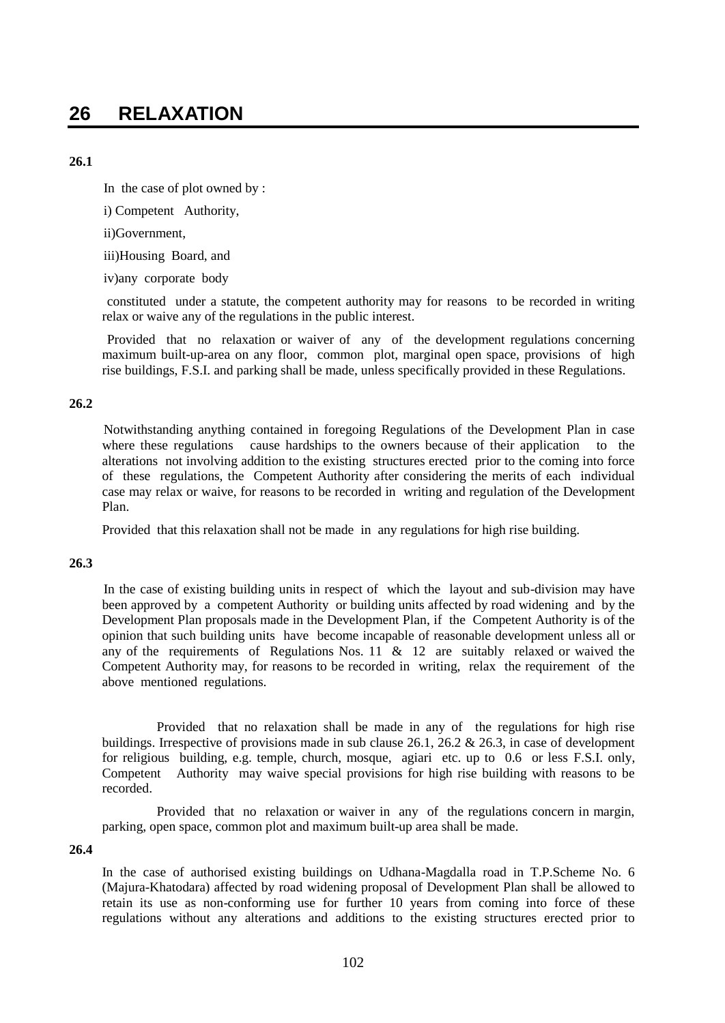# **26.1**

In the case of plot owned by :

i) Competent Authority,

ii)Government,

iii)Housing Board, and

iv)any corporate body

constituted under a statute, the competent authority may for reasons to be recorded in writing relax or waive any of the regulations in the public interest.

Provided that no relaxation or waiver of any of the development regulations concerning maximum built-up-area on any floor, common plot, marginal open space, provisions of high rise buildings, F.S.I. and parking shall be made, unless specifically provided in these Regulations.

# **26.2**

Notwithstanding anything contained in foregoing Regulations of the Development Plan in case where these regulations cause hardships to the owners because of their application to the alterations not involving addition to the existing structures erected prior to the coming into force of these regulations, the Competent Authority after considering the merits of each individual case may relax or waive, for reasons to be recorded in writing and regulation of the Development Plan.

Provided that this relaxation shall not be made in any regulations for high rise building.

# **26.3**

In the case of existing building units in respect of which the layout and sub-division may have been approved by a competent Authority or building units affected by road widening and by the Development Plan proposals made in the Development Plan, if the Competent Authority is of the opinion that such building units have become incapable of reasonable development unless all or any of the requirements of Regulations Nos. 11  $\&$  12 are suitably relaxed or waived the Competent Authority may, for reasons to be recorded in writing, relax the requirement of the above mentioned regulations.

Provided that no relaxation shall be made in any of the regulations for high rise buildings. Irrespective of provisions made in sub clause 26.1, 26.2 & 26.3, in case of development for religious building, e.g. temple, church, mosque, agiari etc. up to 0.6 or less F.S.I. only, Competent Authority may waive special provisions for high rise building with reasons to be recorded.

Provided that no relaxation or waiver in any of the regulations concern in margin, parking, open space, common plot and maximum built-up area shall be made.

# **26.4**

In the case of authorised existing buildings on Udhana-Magdalla road in T.P.Scheme No. 6 (Majura-Khatodara) affected by road widening proposal of Development Plan shall be allowed to retain its use as non-conforming use for further 10 years from coming into force of these regulations without any alterations and additions to the existing structures erected prior to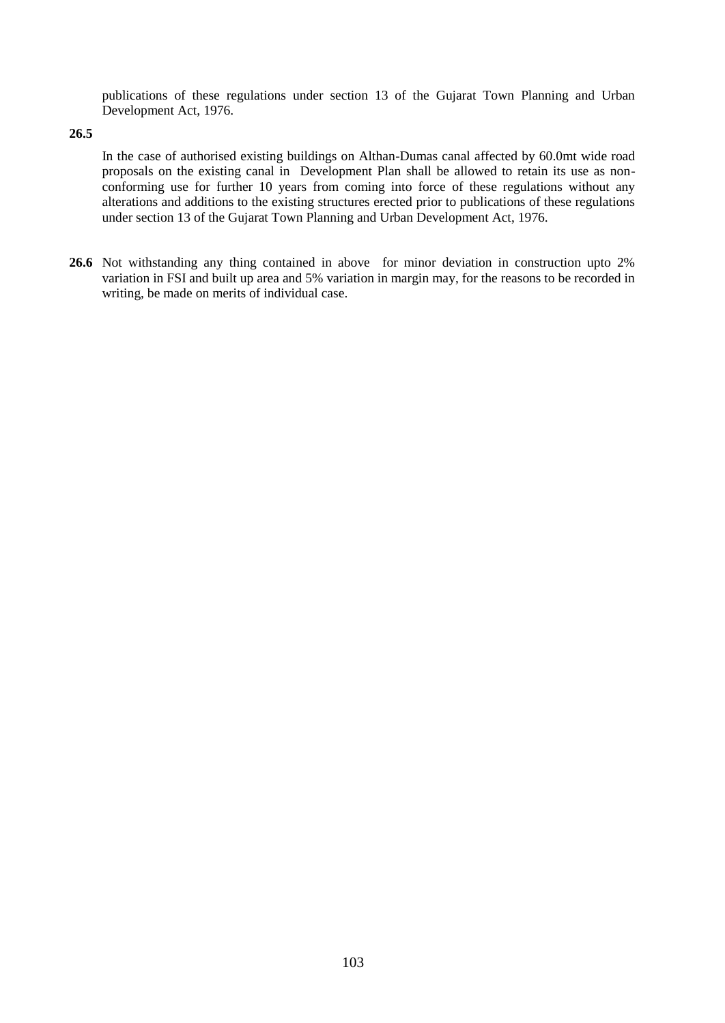publications of these regulations under section 13 of the Gujarat Town Planning and Urban Development Act, 1976.

### **26.5**

In the case of authorised existing buildings on Althan-Dumas canal affected by 60.0mt wide road proposals on the existing canal in Development Plan shall be allowed to retain its use as nonconforming use for further 10 years from coming into force of these regulations without any alterations and additions to the existing structures erected prior to publications of these regulations under section 13 of the Gujarat Town Planning and Urban Development Act, 1976.

**26.6** Not withstanding any thing contained in above for minor deviation in construction upto 2% variation in FSI and built up area and 5% variation in margin may, for the reasons to be recorded in writing, be made on merits of individual case.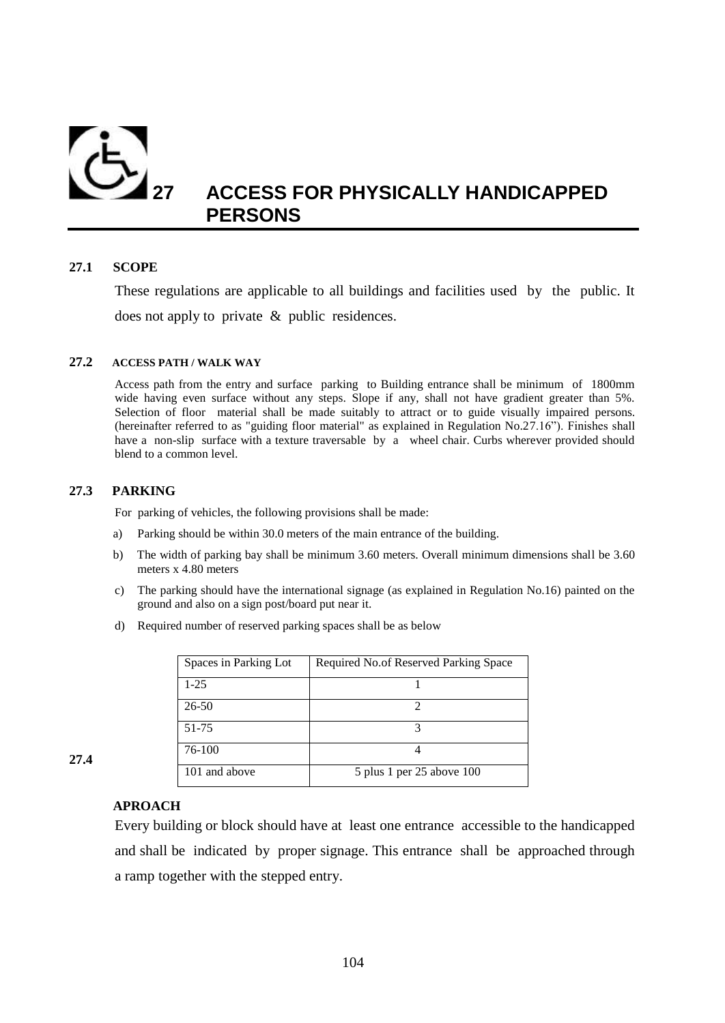

# **27 ACCESS FOR PHYSICALLY HANDICAPPED PERSONS**

# **27.1 SCOPE**

These regulations are applicable to all buildings and facilities used by the public. It does not apply to private & public residences.

# **27.2 ACCESS PATH / WALK WAY**

Access path from the entry and surface parking to Building entrance shall be minimum of 1800mm wide having even surface without any steps. Slope if any, shall not have gradient greater than 5%. Selection of floor material shall be made suitably to attract or to guide visually impaired persons. (hereinafter referred to as "guiding floor material" as explained in Regulation No.27.16"). Finishes shall have a non-slip surface with a texture traversable by a wheel chair. Curbs wherever provided should blend to a common level.

# **27.3 PARKING**

For parking of vehicles, the following provisions shall be made:

- a) Parking should be within 30.0 meters of the main entrance of the building.
- b) The width of parking bay shall be minimum 3.60 meters. Overall minimum dimensions shall be 3.60 meters x 4.80 meters
- c) The parking should have the international signage (as explained in Regulation No.16) painted on the ground and also on a sign post/board put near it.
- d) Required number of reserved parking spaces shall be as below

| Spaces in Parking Lot | Required No. of Reserved Parking Space |
|-----------------------|----------------------------------------|
| $1 - 25$              |                                        |
| $26 - 50$             |                                        |
| 51-75                 |                                        |
| 76-100                |                                        |
| 101 and above         | 5 plus 1 per 25 above 100              |

**27.4**

# **APROACH**

Every building or block should have at least one entrance accessible to the handicapped and shall be indicated by proper signage. This entrance shall be approached through a ramp together with the stepped entry.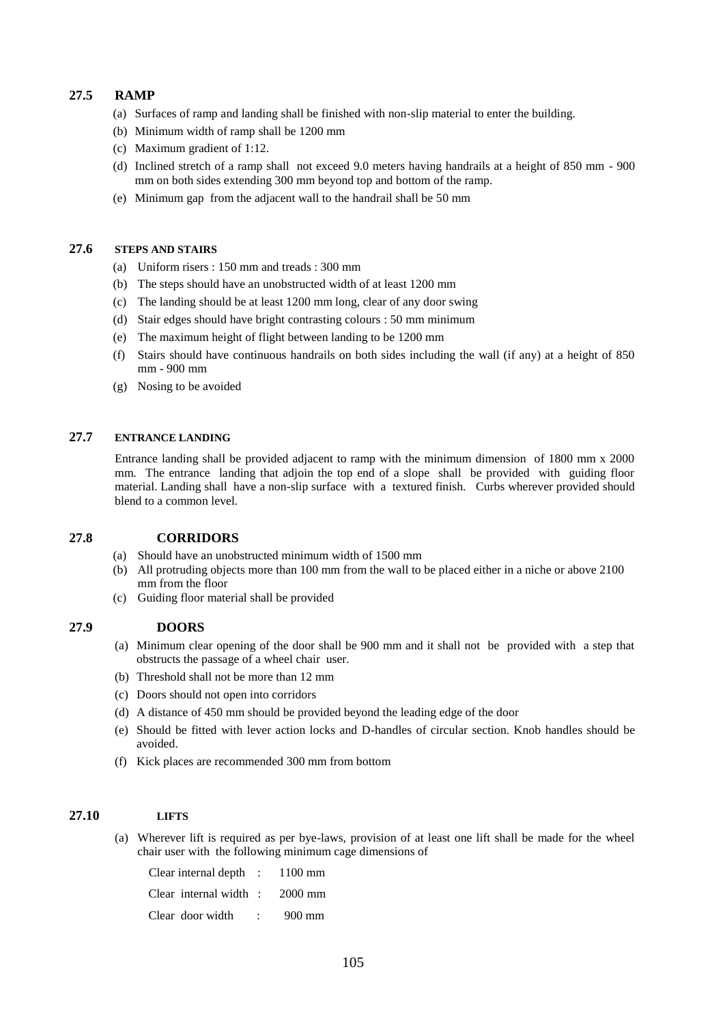# **27.5 RAMP**

- (a) Surfaces of ramp and landing shall be finished with non-slip material to enter the building.
- (b) Minimum width of ramp shall be 1200 mm
- (c) Maximum gradient of 1:12.
- (d) Inclined stretch of a ramp shall not exceed 9.0 meters having handrails at a height of 850 mm 900 mm on both sides extending 300 mm beyond top and bottom of the ramp.
- (e) Minimum gap from the adjacent wall to the handrail shall be 50 mm

### **27.6 STEPS AND STAIRS**

- (a) Uniform risers : 150 mm and treads : 300 mm
- (b) The steps should have an unobstructed width of at least 1200 mm
- (c) The landing should be at least 1200 mm long, clear of any door swing
- (d) Stair edges should have bright contrasting colours : 50 mm minimum
- (e) The maximum height of flight between landing to be 1200 mm
- (f) Stairs should have continuous handrails on both sides including the wall (if any) at a height of 850 mm - 900 mm
- (g) Nosing to be avoided

# **27.7 ENTRANCE LANDING**

Entrance landing shall be provided adjacent to ramp with the minimum dimension of 1800 mm x 2000 mm. The entrance landing that adjoin the top end of a slope shall be provided with guiding floor material. Landing shall have a non-slip surface with a textured finish. Curbs wherever provided should blend to a common level.

### **27.8 CORRIDORS**

- (a) Should have an unobstructed minimum width of 1500 mm
- (b) All protruding objects more than 100 mm from the wall to be placed either in a niche or above 2100 mm from the floor
- (c) Guiding floor material shall be provided

### **27.9 DOORS**

- (a) Minimum clear opening of the door shall be 900 mm and it shall not be provided with a step that obstructs the passage of a wheel chair user.
- (b) Threshold shall not be more than 12 mm
- (c) Doors should not open into corridors
- (d) A distance of 450 mm should be provided beyond the leading edge of the door
- (e) Should be fitted with lever action locks and D-handles of circular section. Knob handles should be avoided.
- (f) Kick places are recommended 300 mm from bottom

### **27.10 LIFTS**

(a) Wherever lift is required as per bye-laws, provision of at least one lift shall be made for the wheel chair user with the following minimum cage dimensions of

| Clear internal depth $\therefore$ 1100 mm |  |
|-------------------------------------------|--|
| Clear internal width $\therefore$ 2000 mm |  |
| Clear door width : 900 mm                 |  |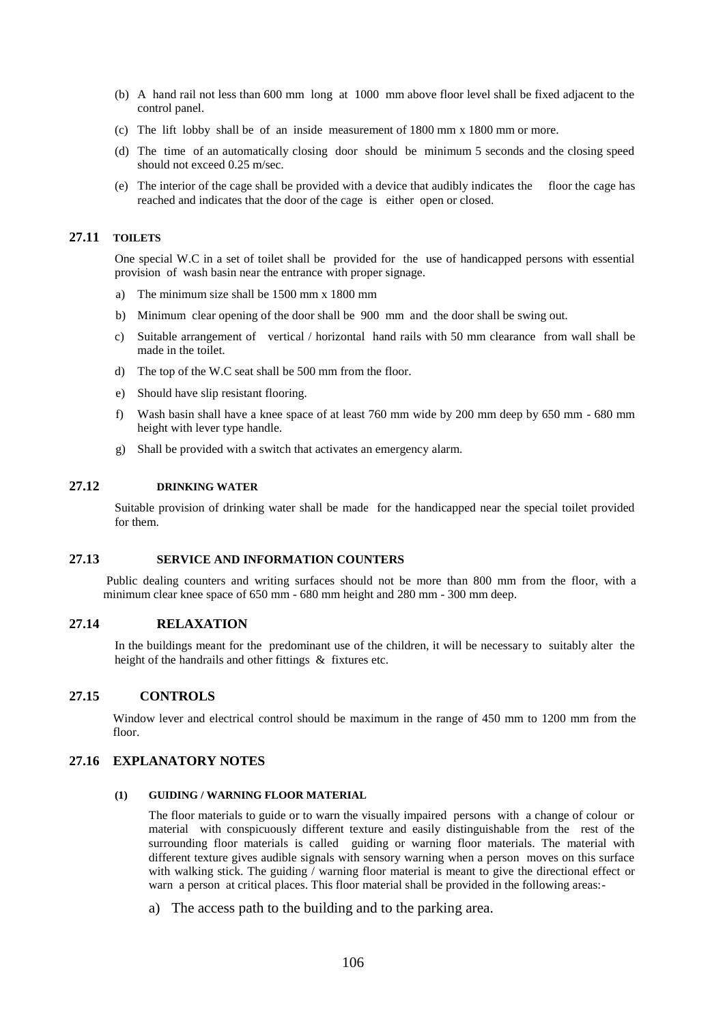- (b) A hand rail not less than 600 mm long at 1000 mm above floor level shall be fixed adjacent to the control panel.
- (c) The lift lobby shall be of an inside measurement of 1800 mm x 1800 mm or more.
- (d) The time of an automatically closing door should be minimum 5 seconds and the closing speed should not exceed 0.25 m/sec.
- (e) The interior of the cage shall be provided with a device that audibly indicates the floor the cage has reached and indicates that the door of the cage is either open or closed.

#### **27.11 TOILETS**

One special W.C in a set of toilet shall be provided for the use of handicapped persons with essential provision of wash basin near the entrance with proper signage.

- a) The minimum size shall be 1500 mm x 1800 mm
- b) Minimum clear opening of the door shall be 900 mm and the door shall be swing out.
- c) Suitable arrangement of vertical / horizontal hand rails with 50 mm clearance from wall shall be made in the toilet.
- d) The top of the W.C seat shall be 500 mm from the floor.
- e) Should have slip resistant flooring.
- f) Wash basin shall have a knee space of at least 760 mm wide by 200 mm deep by 650 mm 680 mm height with lever type handle.
- g) Shall be provided with a switch that activates an emergency alarm.

### **27.12 DRINKING WATER**

Suitable provision of drinking water shall be made for the handicapped near the special toilet provided for them.

# **27.13 SERVICE AND INFORMATION COUNTERS**

Public dealing counters and writing surfaces should not be more than 800 mm from the floor, with a minimum clear knee space of 650 mm - 680 mm height and 280 mm - 300 mm deep.

### **27.14 RELAXATION**

In the buildings meant for the predominant use of the children, it will be necessary to suitably alter the height of the handrails and other fittings & fixtures etc.

### **27.15 CONTROLS**

Window lever and electrical control should be maximum in the range of 450 mm to 1200 mm from the floor.

### **27.16 EXPLANATORY NOTES**

### **(1) GUIDING / WARNING FLOOR MATERIAL**

The floor materials to guide or to warn the visually impaired persons with a change of colour or material with conspicuously different texture and easily distinguishable from the rest of the surrounding floor materials is called guiding or warning floor materials. The material with different texture gives audible signals with sensory warning when a person moves on this surface with walking stick. The guiding / warning floor material is meant to give the directional effect or warn a person at critical places. This floor material shall be provided in the following areas:-

a) The access path to the building and to the parking area.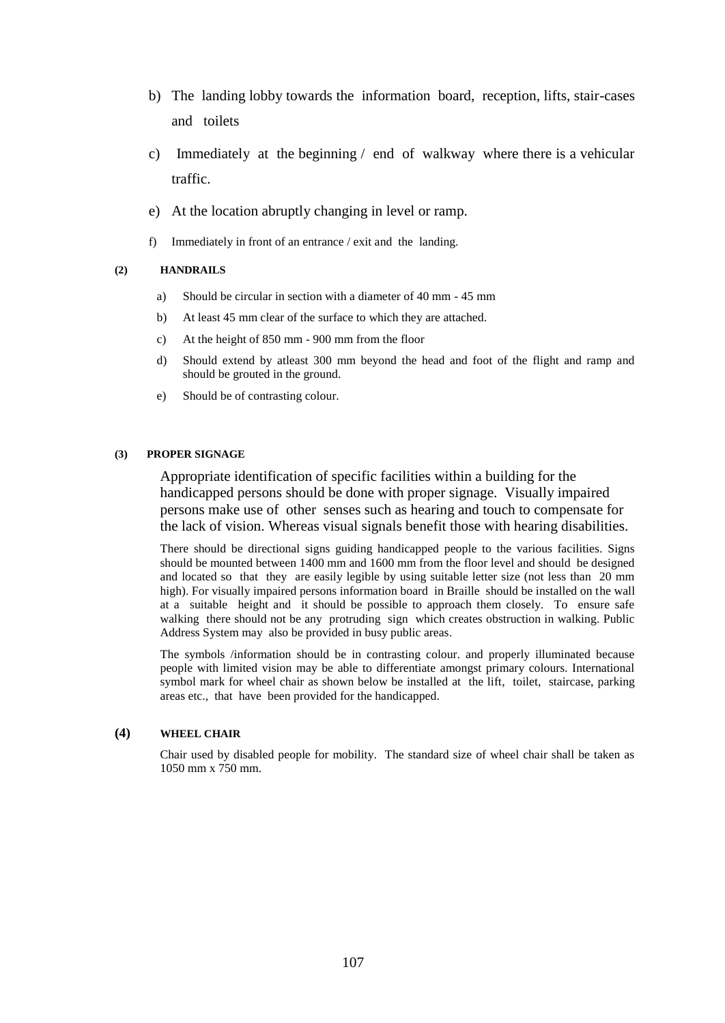- b) The landing lobby towards the information board, reception, lifts, stair-cases and toilets
- c) Immediately at the beginning / end of walkway where there is a vehicular traffic.
- e) At the location abruptly changing in level or ramp.
- f) Immediately in front of an entrance / exit and the landing.

### **(2) HANDRAILS**

- a) Should be circular in section with a diameter of 40 mm 45 mm
- b) At least 45 mm clear of the surface to which they are attached.
- c) At the height of 850 mm 900 mm from the floor
- d) Should extend by atleast 300 mm beyond the head and foot of the flight and ramp and should be grouted in the ground.
- e) Should be of contrasting colour.

#### **(3) PROPER SIGNAGE**

Appropriate identification of specific facilities within a building for the handicapped persons should be done with proper signage. Visually impaired persons make use of other senses such as hearing and touch to compensate for the lack of vision. Whereas visual signals benefit those with hearing disabilities.

There should be directional signs guiding handicapped people to the various facilities. Signs should be mounted between 1400 mm and 1600 mm from the floor level and should be designed and located so that they are easily legible by using suitable letter size (not less than 20 mm high). For visually impaired persons information board in Braille should be installed on the wall at a suitable height and it should be possible to approach them closely. To ensure safe walking there should not be any protruding sign which creates obstruction in walking. Public Address System may also be provided in busy public areas.

The symbols /information should be in contrasting colour. and properly illuminated because people with limited vision may be able to differentiate amongst primary colours. International symbol mark for wheel chair as shown below be installed at the lift, toilet, staircase, parking areas etc., that have been provided for the handicapped.

### **(4) WHEEL CHAIR**

Chair used by disabled people for mobility. The standard size of wheel chair shall be taken as 1050 mm x 750 mm.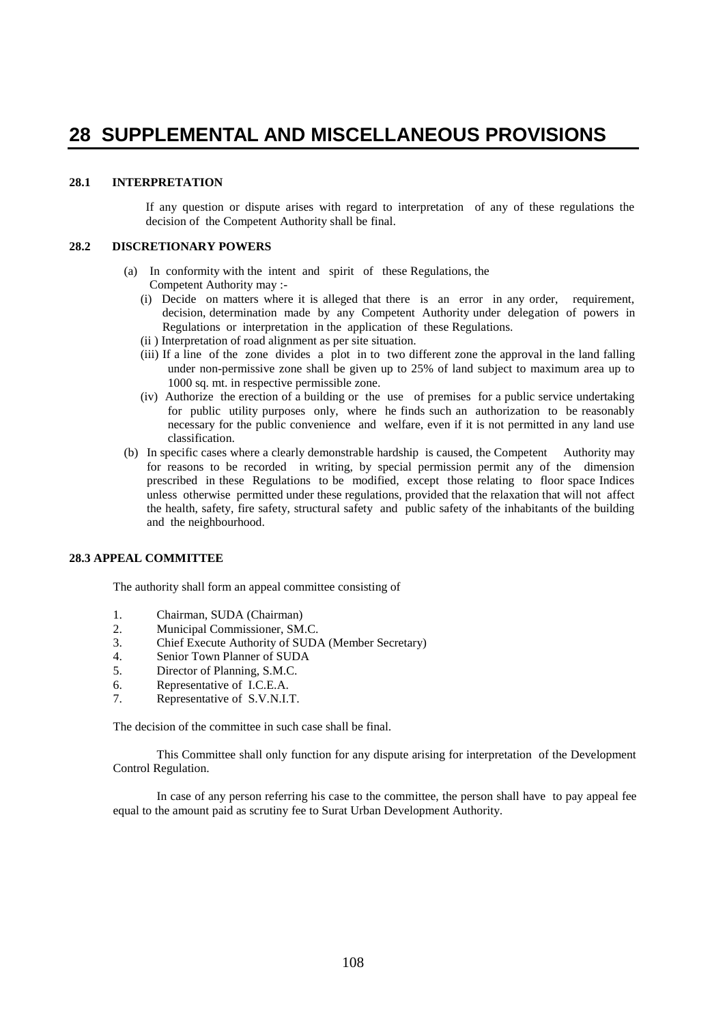# **28 SUPPLEMENTAL AND MISCELLANEOUS PROVISIONS**

# **28.1 INTERPRETATION**

If any question or dispute arises with regard to interpretation of any of these regulations the decision of the Competent Authority shall be final.

### **28.2 DISCRETIONARY POWERS**

- (a)In conformity with the intent and spirit of these Regulations, the Competent Authority may :-
	- (i) Decide on matters where it is alleged that there is an error in any order, requirement, decision, determination made by any Competent Authority under delegation of powers in Regulations or interpretation in the application of these Regulations.
	- (ii ) Interpretation of road alignment as per site situation.
	- (iii) If a line of the zone divides a plot in to two different zone the approval in the land falling under non-permissive zone shall be given up to 25% of land subject to maximum area up to 1000 sq. mt. in respective permissible zone.
	- (iv) Authorize the erection of a building or the use of premises for a public service undertaking for public utility purposes only, where he finds such an authorization to be reasonably necessary for the public convenience and welfare, even if it is not permitted in any land use classification.
- (b) In specific cases where a clearly demonstrable hardship is caused, the Competent Authority may for reasons to be recorded in writing, by special permission permit any of the dimension prescribed in these Regulations to be modified, except those relating to floor space Indices unless otherwise permitted under these regulations, provided that the relaxation that will not affect the health, safety, fire safety, structural safety and public safety of the inhabitants of the building and the neighbourhood.

#### **28.3 APPEAL COMMITTEE**

The authority shall form an appeal committee consisting of

- 1. Chairman, SUDA (Chairman)
- 2. Municipal Commissioner, SM.C.
- 3. Chief Execute Authority of SUDA (Member Secretary)
- 4. Senior Town Planner of SUDA
- 5. Director of Planning, S.M.C.
- 6. Representative of I.C.E.A.
- 7. Representative of S.V.N.I.T.

The decision of the committee in such case shall be final.

This Committee shall only function for any dispute arising for interpretation of the Development Control Regulation.

In case of any person referring his case to the committee, the person shall have to pay appeal fee equal to the amount paid as scrutiny fee to Surat Urban Development Authority.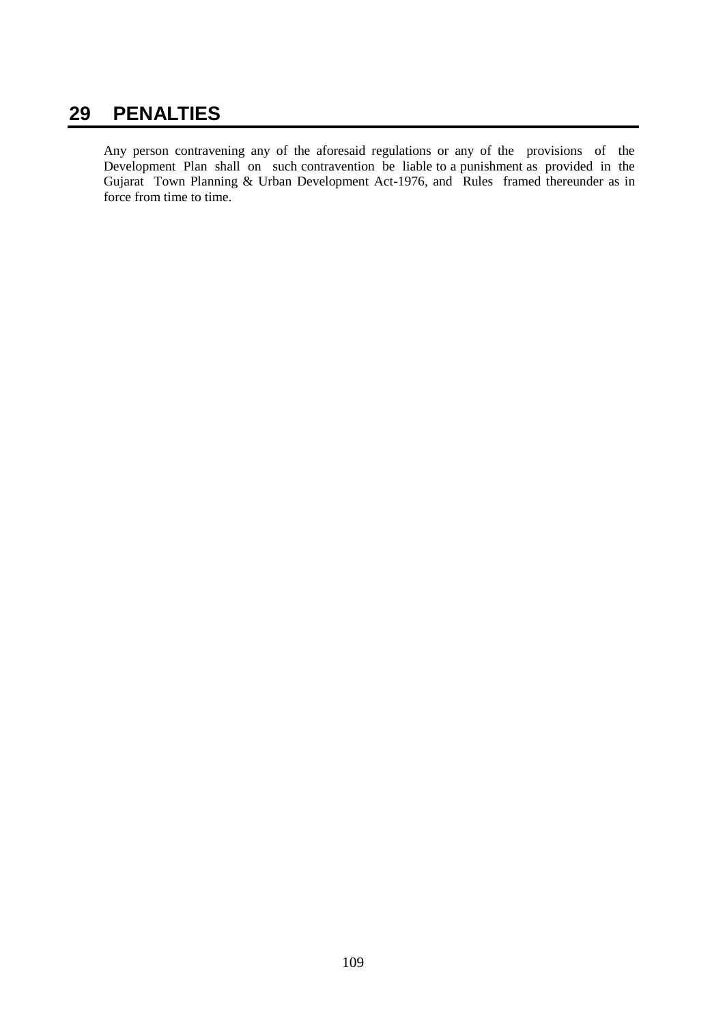## **29 PENALTIES**

Any person contravening any of the aforesaid regulations or any of the provisions of the Development Plan shall on such contravention be liable to a punishment as provided in the Gujarat Town Planning & Urban Development Act-1976, and Rules framed thereunder as in force from time to time.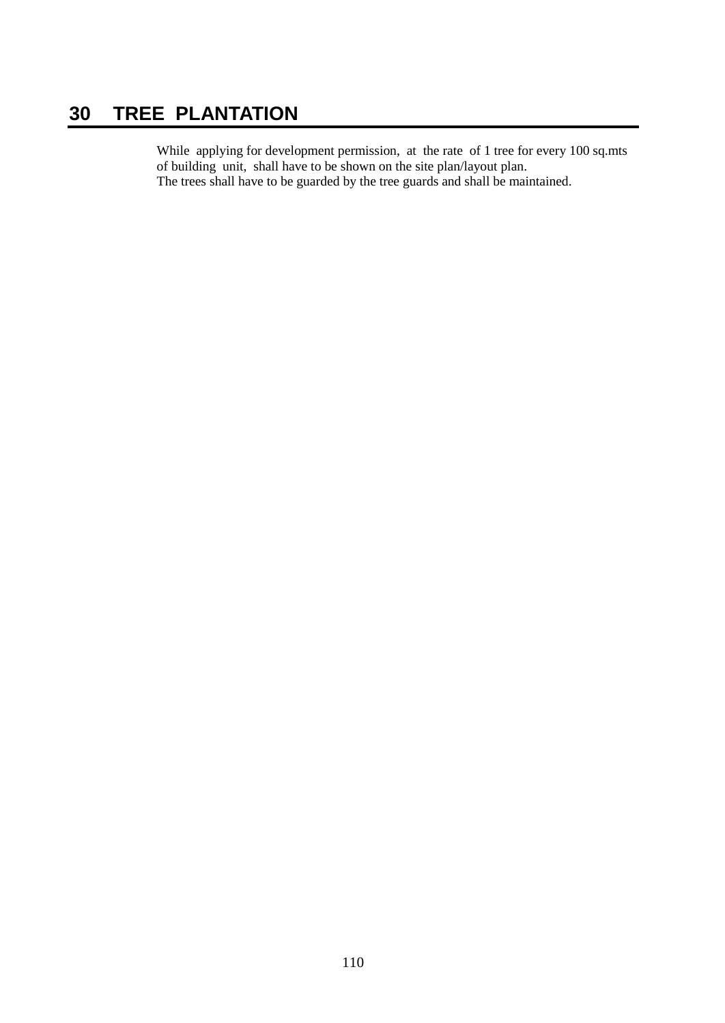## **30 TREE PLANTATION**

While applying for development permission, at the rate of 1 tree for every 100 sq.mts of building unit, shall have to be shown on the site plan/layout plan. The trees shall have to be guarded by the tree guards and shall be maintained.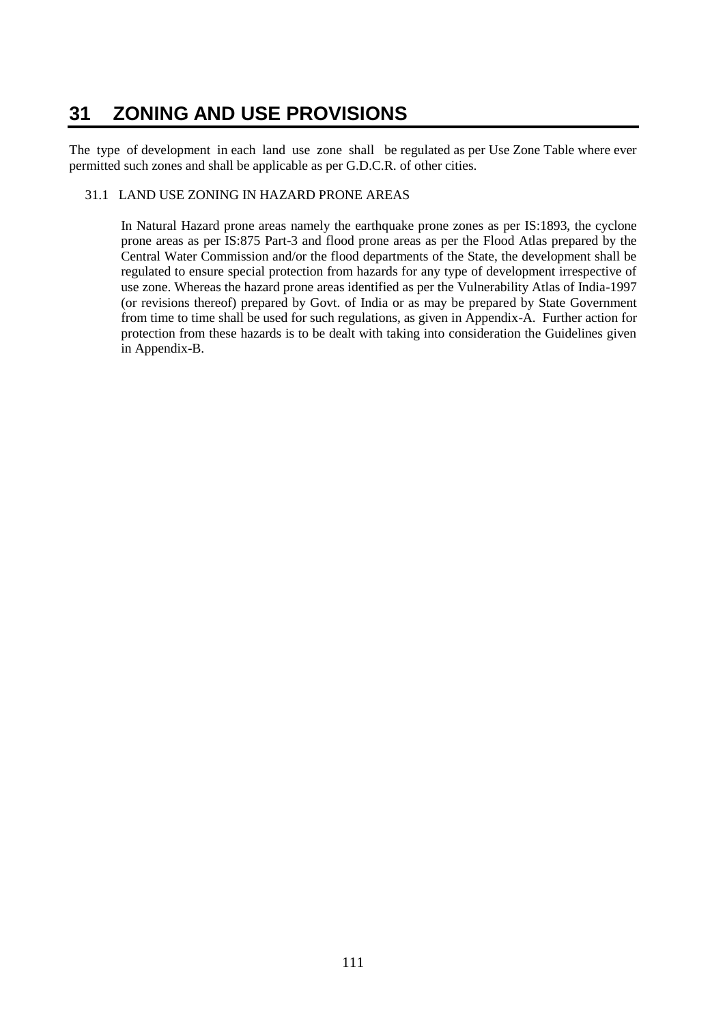## **31 ZONING AND USE PROVISIONS**

The type of development in each land use zone shall be regulated as per Use Zone Table where ever permitted such zones and shall be applicable as per G.D.C.R. of other cities.

#### 31.1 LAND USE ZONING IN HAZARD PRONE AREAS

In Natural Hazard prone areas namely the earthquake prone zones as per IS:1893, the cyclone prone areas as per IS:875 Part-3 and flood prone areas as per the Flood Atlas prepared by the Central Water Commission and/or the flood departments of the State, the development shall be regulated to ensure special protection from hazards for any type of development irrespective of use zone. Whereas the hazard prone areas identified as per the Vulnerability Atlas of India-1997 (or revisions thereof) prepared by Govt. of India or as may be prepared by State Government from time to time shall be used for such regulations, as given in Appendix-A. Further action for protection from these hazards is to be dealt with taking into consideration the Guidelines given in Appendix-B.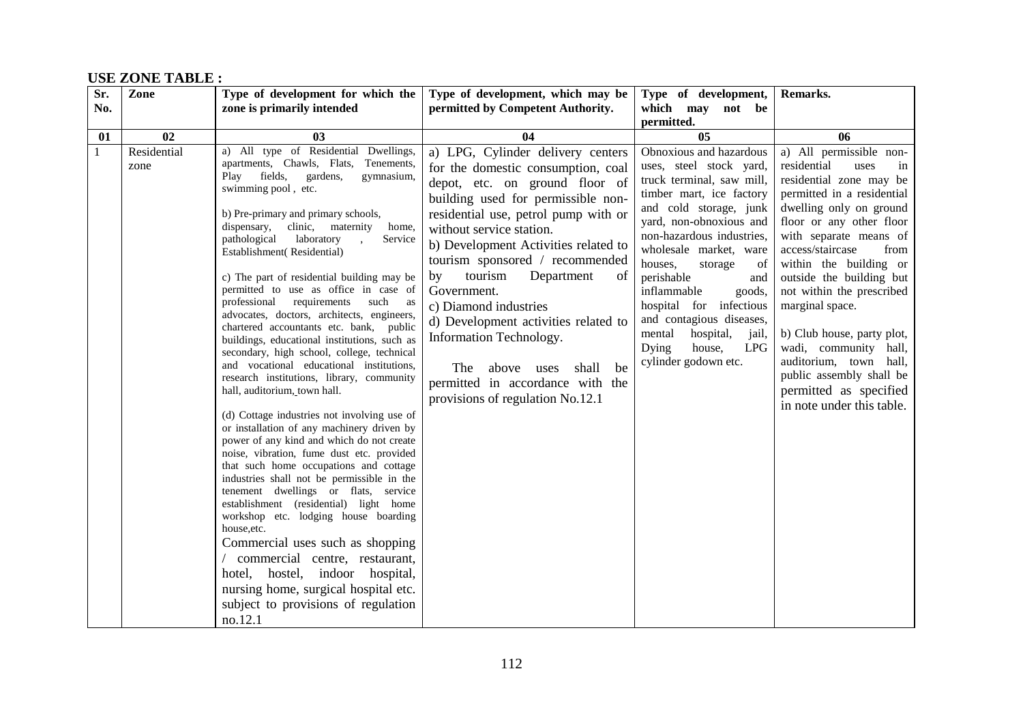#### **Sr. No. Zone Type of development for which the zone is primarily intended Type of development, which may be permitted by Competent Authority. Type of development, which may not be permitted. Remarks. 01 02 03 04 05 06** 1 Residential zone a) All type of Residential Dwellings, apartments, Chawls, Flats, Tenements,<br>Play fields, gardens, gymnasium, Play fields, swimming pool , etc. b) Pre-primary and primary schools, dispensary, clinic, maternity home, pathological laboratory , Service Establishment( Residential) c) The part of residential building may be permitted to use as office in case of professional requirements such as advocates, doctors, architects, engineers, chartered accountants etc. bank, public buildings, educational institutions, such as secondary, high school, college, technical and vocational educational institutions, research institutions, library, community hall, auditorium, town hall. (d) Cottage industries not involving use of or installation of any machinery driven by power of any kind and which do not create noise, vibration, fume dust etc. provided that such home occupations and cottage industries shall not be permissible in the tenement dwellings or flats, service establishment (residential) light home workshop etc. lodging house boarding house,etc. Commercial uses such as shopping / commercial centre, restaurant, hotel, hostel, indoor hospital, nursing home, surgical hospital etc. subject to provisions of regulation no.12.1 a) LPG, Cylinder delivery centers for the domestic consumption, coal depot, etc. on ground floor of building used for permissible nonresidential use, petrol pump with or without service station. b) Development Activities related to tourism sponsored / recommended by tourism Department of Government. c) Diamond industries d) Development activities related to Information Technology. The above uses shall be permitted in accordance with the provisions of regulation No.12.1 Obnoxious and hazardous uses, steel stock yard, truck terminal, saw mill, timber mart, ice factory and cold storage, junk yard, non-obnoxious and non-hazardous industries, wholesale market, ware houses, storage of perishable and inflammable goods, hospital for infectious and contagious diseases, mental hospital, jail, Dying house, LPG cylinder godown etc. a) All permissible nonresidential uses in residential zone may be permitted in a residential dwelling only on ground floor or any other floor with separate means of access/staircase from within the building or outside the building but not within the prescribed marginal space. b) Club house, party plot, wadi, community hall, auditorium, town hall, public assembly shall be permitted as specified in note under this table.

#### **USE ZONE TABLE :**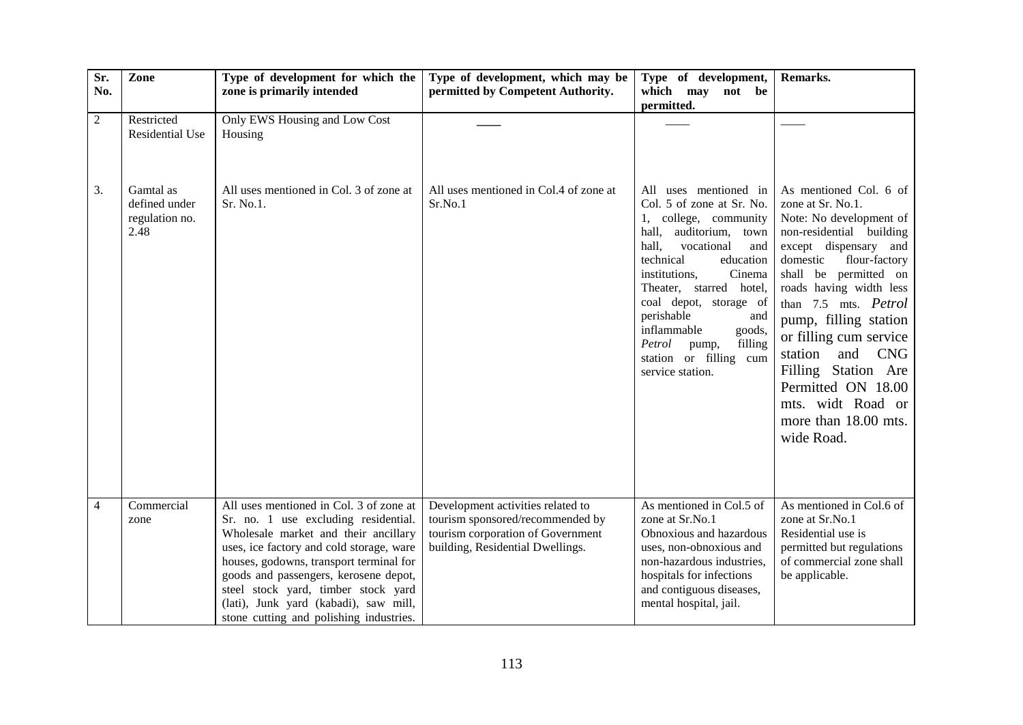| Sr.<br>No.     | Zone                                                 | Type of development for which the<br>zone is primarily intended                                                                                                                                                                                                                                                                                                                    | Type of development, which may be<br>permitted by Competent Authority.                                                                         | Type of development,<br>which may not be<br>permitted.                                                                                                                                                                                                                                                                                                                        | Remarks.                                                                                                                                                                                                                                                                                                                                                                                                                        |
|----------------|------------------------------------------------------|------------------------------------------------------------------------------------------------------------------------------------------------------------------------------------------------------------------------------------------------------------------------------------------------------------------------------------------------------------------------------------|------------------------------------------------------------------------------------------------------------------------------------------------|-------------------------------------------------------------------------------------------------------------------------------------------------------------------------------------------------------------------------------------------------------------------------------------------------------------------------------------------------------------------------------|---------------------------------------------------------------------------------------------------------------------------------------------------------------------------------------------------------------------------------------------------------------------------------------------------------------------------------------------------------------------------------------------------------------------------------|
| $\mathbf{2}$   | Restricted<br>Residential Use                        | Only EWS Housing and Low Cost<br>Housing                                                                                                                                                                                                                                                                                                                                           |                                                                                                                                                |                                                                                                                                                                                                                                                                                                                                                                               |                                                                                                                                                                                                                                                                                                                                                                                                                                 |
| 3.             | Gamtal as<br>defined under<br>regulation no.<br>2.48 | All uses mentioned in Col. 3 of zone at<br>Sr. No.1.                                                                                                                                                                                                                                                                                                                               | All uses mentioned in Col.4 of zone at<br>Sr.No.1                                                                                              | All uses mentioned in<br>Col. 5 of zone at Sr. No.<br>1, college, community<br>hall,<br>auditorium,<br>town<br>hall.<br>vocational<br>and<br>technical<br>education<br>Cinema<br>institutions,<br>Theater, starred hotel,<br>coal depot, storage of<br>perishable<br>and<br>inflammable<br>goods,<br>filling<br>Petrol<br>pump,<br>station or filling cum<br>service station. | As mentioned Col. 6 of<br>zone at Sr. No.1.<br>Note: No development of<br>non-residential building<br>except dispensary and<br>domestic<br>flour-factory<br>shall be permitted on<br>roads having width less<br>than 7.5 mts. Petrol<br>pump, filling station<br>or filling cum service<br><b>CNG</b><br>station<br>and<br>Filling Station Are<br>Permitted ON 18.00<br>mts. widt Road or<br>more than 18.00 mts.<br>wide Road. |
| $\overline{4}$ | Commercial<br>zone                                   | All uses mentioned in Col. 3 of zone at<br>Sr. no. 1 use excluding residential.<br>Wholesale market and their ancillary<br>uses, ice factory and cold storage, ware<br>houses, godowns, transport terminal for<br>goods and passengers, kerosene depot,<br>steel stock yard, timber stock yard<br>(lati), Junk yard (kabadi), saw mill,<br>stone cutting and polishing industries. | Development activities related to<br>tourism sponsored/recommended by<br>tourism corporation of Government<br>building, Residential Dwellings. | As mentioned in Col.5 of<br>zone at Sr.No.1<br>Obnoxious and hazardous<br>uses, non-obnoxious and<br>non-hazardous industries,<br>hospitals for infections<br>and contiguous diseases,<br>mental hospital, jail.                                                                                                                                                              | As mentioned in Col.6 of<br>zone at Sr.No.1<br>Residential use is<br>permitted but regulations<br>of commercial zone shall<br>be applicable.                                                                                                                                                                                                                                                                                    |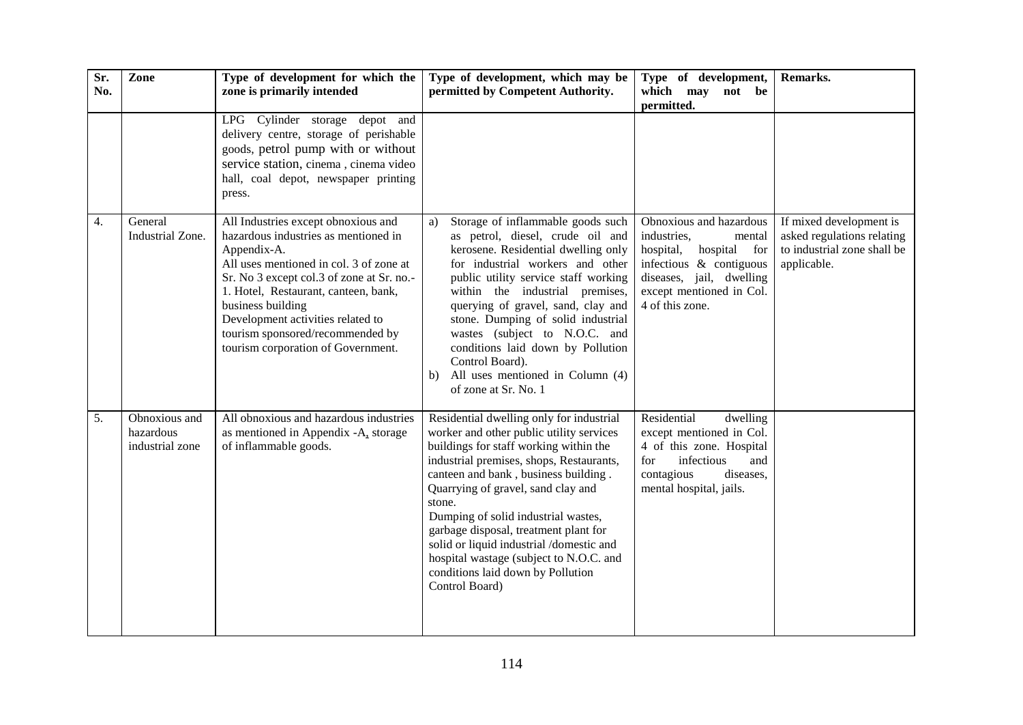| Sr.<br>No. | Zone                                          | Type of development for which the<br>zone is primarily intended                                                                                                                                                                                                                                                                                                | Type of development, which may be<br>permitted by Competent Authority.                                                                                                                                                                                                                                                                                                                                                                                                                           | Type of development,<br>which may not be                                                                                                                                                  | Remarks.                                                                                            |
|------------|-----------------------------------------------|----------------------------------------------------------------------------------------------------------------------------------------------------------------------------------------------------------------------------------------------------------------------------------------------------------------------------------------------------------------|--------------------------------------------------------------------------------------------------------------------------------------------------------------------------------------------------------------------------------------------------------------------------------------------------------------------------------------------------------------------------------------------------------------------------------------------------------------------------------------------------|-------------------------------------------------------------------------------------------------------------------------------------------------------------------------------------------|-----------------------------------------------------------------------------------------------------|
|            |                                               |                                                                                                                                                                                                                                                                                                                                                                |                                                                                                                                                                                                                                                                                                                                                                                                                                                                                                  | permitted.                                                                                                                                                                                |                                                                                                     |
|            |                                               | LPG Cylinder storage depot and<br>delivery centre, storage of perishable<br>goods, petrol pump with or without<br>service station, cinema, cinema video<br>hall, coal depot, newspaper printing<br>press.                                                                                                                                                      |                                                                                                                                                                                                                                                                                                                                                                                                                                                                                                  |                                                                                                                                                                                           |                                                                                                     |
| 4.         | General<br>Industrial Zone.                   | All Industries except obnoxious and<br>hazardous industries as mentioned in<br>Appendix-A.<br>All uses mentioned in col. 3 of zone at<br>Sr. No 3 except col.3 of zone at Sr. no.-<br>1. Hotel, Restaurant, canteen, bank,<br>business building<br>Development activities related to<br>tourism sponsored/recommended by<br>tourism corporation of Government. | Storage of inflammable goods such<br>a)<br>as petrol, diesel, crude oil and<br>kerosene. Residential dwelling only<br>for industrial workers and other<br>public utility service staff working<br>within the industrial premises,<br>querying of gravel, sand, clay and<br>stone. Dumping of solid industrial<br>wastes (subject to N.O.C. and<br>conditions laid down by Pollution<br>Control Board).<br>All uses mentioned in Column (4)<br>b)<br>of zone at Sr. No. 1                         | Obnoxious and hazardous<br>industries,<br>mental<br>hospital<br>hospital,<br>for<br>infectious $\&$ contiguous<br>diseases, jail, dwelling<br>except mentioned in Col.<br>4 of this zone. | If mixed development is<br>asked regulations relating<br>to industrial zone shall be<br>applicable. |
| 5.         | Obnoxious and<br>hazardous<br>industrial zone | All obnoxious and hazardous industries<br>as mentioned in Appendix -A, storage<br>of inflammable goods.                                                                                                                                                                                                                                                        | Residential dwelling only for industrial<br>worker and other public utility services<br>buildings for staff working within the<br>industrial premises, shops, Restaurants,<br>canteen and bank, business building.<br>Quarrying of gravel, sand clay and<br>stone.<br>Dumping of solid industrial wastes,<br>garbage disposal, treatment plant for<br>solid or liquid industrial /domestic and<br>hospital wastage (subject to N.O.C. and<br>conditions laid down by Pollution<br>Control Board) | Residential<br>dwelling<br>except mentioned in Col.<br>4 of this zone. Hospital<br>infectious<br>and<br>for<br>diseases,<br>contagious<br>mental hospital, jails.                         |                                                                                                     |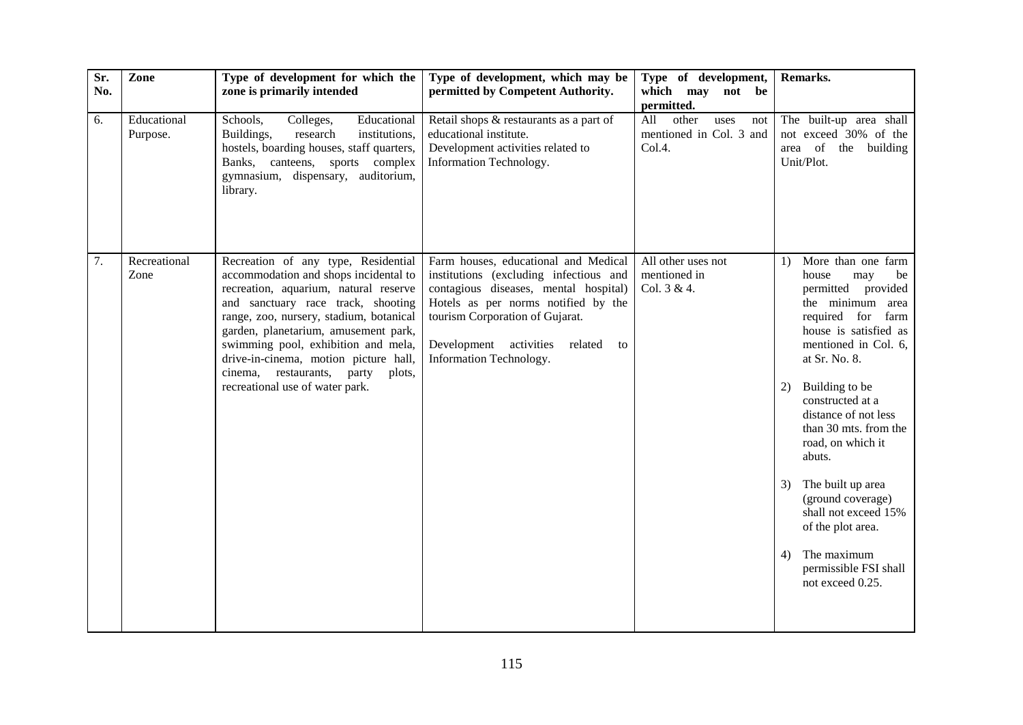| Sr.<br>No. | Zone                    | Type of development for which the<br>zone is primarily intended                                                                                                                                                                                                                                                                                                                                           | Type of development, which may be<br>permitted by Competent Authority.                                                                                                                                                                                                  | Type of development,<br>which may not be                                       | Remarks.                                                                                                                                                                                                                                                                                                                                                                                                                                                                   |
|------------|-------------------------|-----------------------------------------------------------------------------------------------------------------------------------------------------------------------------------------------------------------------------------------------------------------------------------------------------------------------------------------------------------------------------------------------------------|-------------------------------------------------------------------------------------------------------------------------------------------------------------------------------------------------------------------------------------------------------------------------|--------------------------------------------------------------------------------|----------------------------------------------------------------------------------------------------------------------------------------------------------------------------------------------------------------------------------------------------------------------------------------------------------------------------------------------------------------------------------------------------------------------------------------------------------------------------|
| 6.         | Educational<br>Purpose. | Educational<br>Schools,<br>Colleges,<br>Buildings,<br>research<br>institutions,<br>hostels, boarding houses, staff quarters,<br>Banks, canteens, sports complex<br>gymnasium, dispensary, auditorium,<br>library.                                                                                                                                                                                         | Retail shops & restaurants as a part of<br>educational institute.<br>Development activities related to<br>Information Technology.                                                                                                                                       | permitted.<br>All<br>other<br>uses<br>not<br>mentioned in Col. 3 and<br>Col.4. | The built-up area shall<br>not exceed 30% of the<br>area of the building<br>Unit/Plot.                                                                                                                                                                                                                                                                                                                                                                                     |
| 7.         | Recreational<br>Zone    | Recreation of any type, Residential<br>accommodation and shops incidental to<br>recreation, aquarium, natural reserve<br>and sanctuary race track, shooting<br>range, zoo, nursery, stadium, botanical<br>garden, planetarium, amusement park,<br>swimming pool, exhibition and mela,<br>drive-in-cinema, motion picture hall,<br>cinema, restaurants, party<br>plots,<br>recreational use of water park. | Farm houses, educational and Medical<br>institutions (excluding infectious and<br>contagious diseases, mental hospital)<br>Hotels as per norms notified by the<br>tourism Corporation of Gujarat.<br>Development activities<br>related<br>to<br>Information Technology. | All other uses not<br>mentioned in<br>Col. 3 & 4.                              | More than one farm<br>1)<br>house<br>be<br>may<br>permitted provided<br>the minimum area<br>required for farm<br>house is satisfied as<br>mentioned in Col. 6,<br>at Sr. No. 8.<br>Building to be<br>2)<br>constructed at a<br>distance of not less<br>than 30 mts. from the<br>road, on which it<br>abuts.<br>The built up area<br>3)<br>(ground coverage)<br>shall not exceed 15%<br>of the plot area.<br>The maximum<br>4)<br>permissible FSI shall<br>not exceed 0.25. |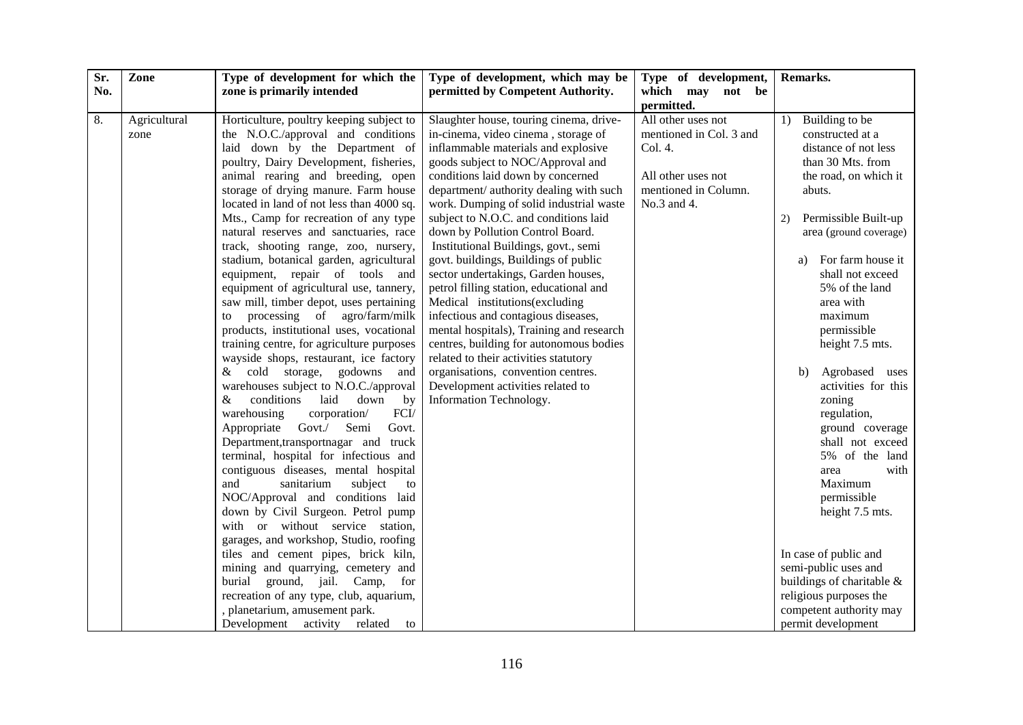| Sr. | Zone         | Type of development for which the                                              | Type of development, which may be        | Type of development,    | Remarks.                            |
|-----|--------------|--------------------------------------------------------------------------------|------------------------------------------|-------------------------|-------------------------------------|
| No. |              | zone is primarily intended                                                     | permitted by Competent Authority.        | which may not be        |                                     |
|     |              |                                                                                |                                          | permitted.              |                                     |
| 8.  | Agricultural | Horticulture, poultry keeping subject to                                       | Slaughter house, touring cinema, drive-  | All other uses not      | 1) Building to be                   |
|     | zone         | the N.O.C./approval and conditions                                             | in-cinema, video cinema, storage of      | mentioned in Col. 3 and | constructed at a                    |
|     |              | laid down by the Department of                                                 | inflammable materials and explosive      | Col. 4.                 | distance of not less                |
|     |              | poultry, Dairy Development, fisheries,                                         | goods subject to NOC/Approval and        |                         | than 30 Mts. from                   |
|     |              | animal rearing and breeding, open                                              | conditions laid down by concerned        | All other uses not      | the road, on which it               |
|     |              | storage of drying manure. Farm house                                           | department/ authority dealing with such  | mentioned in Column.    | abuts.                              |
|     |              | located in land of not less than 4000 sq.                                      | work. Dumping of solid industrial waste  | No.3 and 4.             |                                     |
|     |              | Mts., Camp for recreation of any type                                          | subject to N.O.C. and conditions laid    |                         | Permissible Built-up<br>2)          |
|     |              | natural reserves and sanctuaries, race                                         | down by Pollution Control Board.         |                         | area (ground coverage)              |
|     |              | track, shooting range, zoo, nursery,                                           | Institutional Buildings, govt., semi     |                         |                                     |
|     |              | stadium, botanical garden, agricultural                                        | govt. buildings, Buildings of public     |                         | For farm house it<br>a)             |
|     |              | equipment, repair of tools and                                                 | sector undertakings, Garden houses,      |                         | shall not exceed                    |
|     |              | equipment of agricultural use, tannery,                                        | petrol filling station, educational and  |                         | 5% of the land                      |
|     |              | saw mill, timber depot, uses pertaining                                        | Medical institutions(excluding           |                         | area with                           |
|     |              | processing of agro/farm/milk<br>to                                             | infectious and contagious diseases,      |                         | maximum                             |
|     |              | products, institutional uses, vocational                                       | mental hospitals), Training and research |                         | permissible                         |
|     |              | training centre, for agriculture purposes                                      | centres, building for autonomous bodies  |                         | height 7.5 mts.                     |
|     |              | wayside shops, restaurant, ice factory                                         | related to their activities statutory    |                         |                                     |
|     |              | cold storage, godowns and<br>&                                                 | organisations, convention centres.       |                         | Agrobased uses<br>b)                |
|     |              | warehouses subject to N.O.C./approval                                          | Development activities related to        |                         | activities for this                 |
|     |              | conditions<br>laid<br>down<br>&<br>by                                          | Information Technology.                  |                         | zoning                              |
|     |              | warehousing<br>FCI/<br>corporation/                                            |                                          |                         | regulation,                         |
|     |              | Govt./<br>Appropriate<br>Semi<br>Govt.<br>Department, transportnagar and truck |                                          |                         | ground coverage<br>shall not exceed |
|     |              | terminal, hospital for infectious and                                          |                                          |                         | 5% of the land                      |
|     |              | contiguous diseases, mental hospital                                           |                                          |                         | with<br>area                        |
|     |              | and<br>sanitarium<br>subject<br>to                                             |                                          |                         | Maximum                             |
|     |              | NOC/Approval and conditions laid                                               |                                          |                         | permissible                         |
|     |              | down by Civil Surgeon. Petrol pump                                             |                                          |                         | height 7.5 mts.                     |
|     |              | with or without service station,                                               |                                          |                         |                                     |
|     |              | garages, and workshop, Studio, roofing                                         |                                          |                         |                                     |
|     |              | tiles and cement pipes, brick kiln,                                            |                                          |                         | In case of public and               |
|     |              | mining and quarrying, cemetery and                                             |                                          |                         | semi-public uses and                |
|     |              | burial<br>ground, jail. Camp,<br>for                                           |                                          |                         | buildings of charitable &           |
|     |              | recreation of any type, club, aquarium,                                        |                                          |                         | religious purposes the              |
|     |              | , planetarium, amusement park.                                                 |                                          |                         | competent authority may             |
|     |              | Development activity related<br>to                                             |                                          |                         | permit development                  |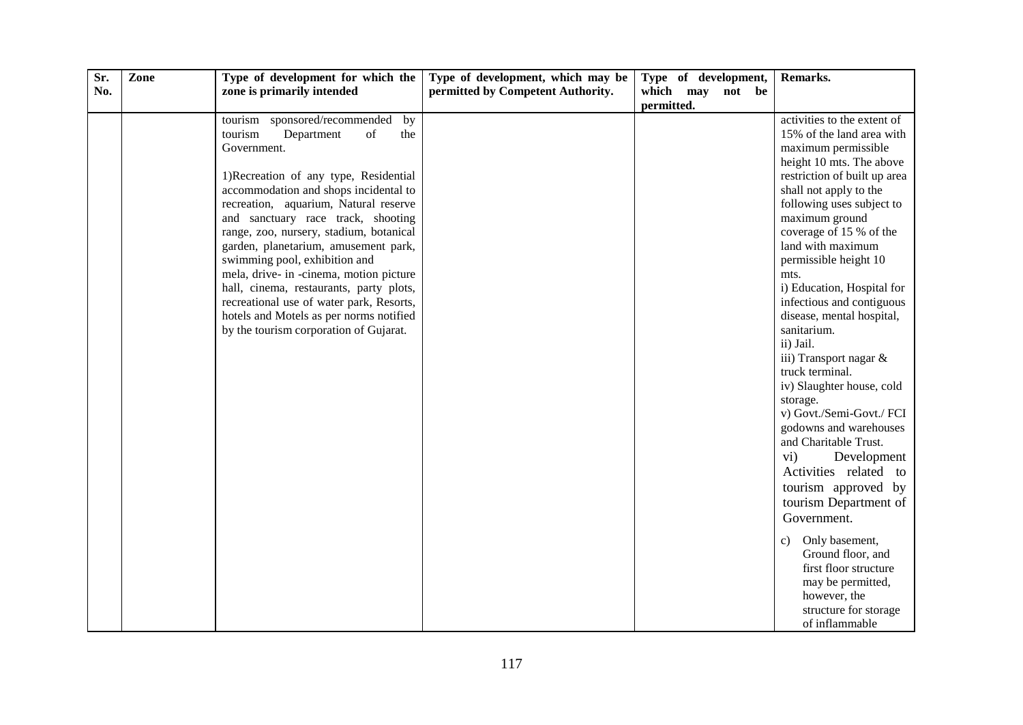| Sr. | Zone | Type of development for which the        | Type of development, which may be | Type of development, | Remarks.                      |
|-----|------|------------------------------------------|-----------------------------------|----------------------|-------------------------------|
| No. |      | zone is primarily intended               | permitted by Competent Authority. | which may<br>not be  |                               |
|     |      |                                          |                                   | permitted.           |                               |
|     |      | tourism sponsored/recommended by         |                                   |                      | activities to the extent of   |
|     |      | tourism<br>Department<br>of<br>the       |                                   |                      | 15% of the land area with     |
|     |      | Government.                              |                                   |                      | maximum permissible           |
|     |      |                                          |                                   |                      | height 10 mts. The above      |
|     |      | 1) Recreation of any type, Residential   |                                   |                      | restriction of built up area  |
|     |      | accommodation and shops incidental to    |                                   |                      | shall not apply to the        |
|     |      | recreation, aquarium, Natural reserve    |                                   |                      | following uses subject to     |
|     |      | and sanctuary race track, shooting       |                                   |                      | maximum ground                |
|     |      | range, zoo, nursery, stadium, botanical  |                                   |                      | coverage of 15 % of the       |
|     |      | garden, planetarium, amusement park,     |                                   |                      | land with maximum             |
|     |      | swimming pool, exhibition and            |                                   |                      | permissible height 10         |
|     |      | mela, drive- in -cinema, motion picture  |                                   |                      | mts.                          |
|     |      | hall, cinema, restaurants, party plots,  |                                   |                      | i) Education, Hospital for    |
|     |      | recreational use of water park, Resorts, |                                   |                      | infectious and contiguous     |
|     |      | hotels and Motels as per norms notified  |                                   |                      | disease, mental hospital,     |
|     |      | by the tourism corporation of Gujarat.   |                                   |                      | sanitarium.                   |
|     |      |                                          |                                   |                      | ii) Jail.                     |
|     |      |                                          |                                   |                      | iii) Transport nagar $\&$     |
|     |      |                                          |                                   |                      | truck terminal.               |
|     |      |                                          |                                   |                      | iv) Slaughter house, cold     |
|     |      |                                          |                                   |                      | storage.                      |
|     |      |                                          |                                   |                      | v) Govt./Semi-Govt./ FCI      |
|     |      |                                          |                                   |                      | godowns and warehouses        |
|     |      |                                          |                                   |                      | and Charitable Trust.         |
|     |      |                                          |                                   |                      | $\mathbf{vi})$<br>Development |
|     |      |                                          |                                   |                      | Activities related to         |
|     |      |                                          |                                   |                      | tourism approved by           |
|     |      |                                          |                                   |                      | tourism Department of         |
|     |      |                                          |                                   |                      | Government.                   |
|     |      |                                          |                                   |                      | Only basement,<br>c)          |
|     |      |                                          |                                   |                      | Ground floor, and             |
|     |      |                                          |                                   |                      | first floor structure         |
|     |      |                                          |                                   |                      | may be permitted,             |
|     |      |                                          |                                   |                      | however, the                  |
|     |      |                                          |                                   |                      | structure for storage         |
|     |      |                                          |                                   |                      | of inflammable                |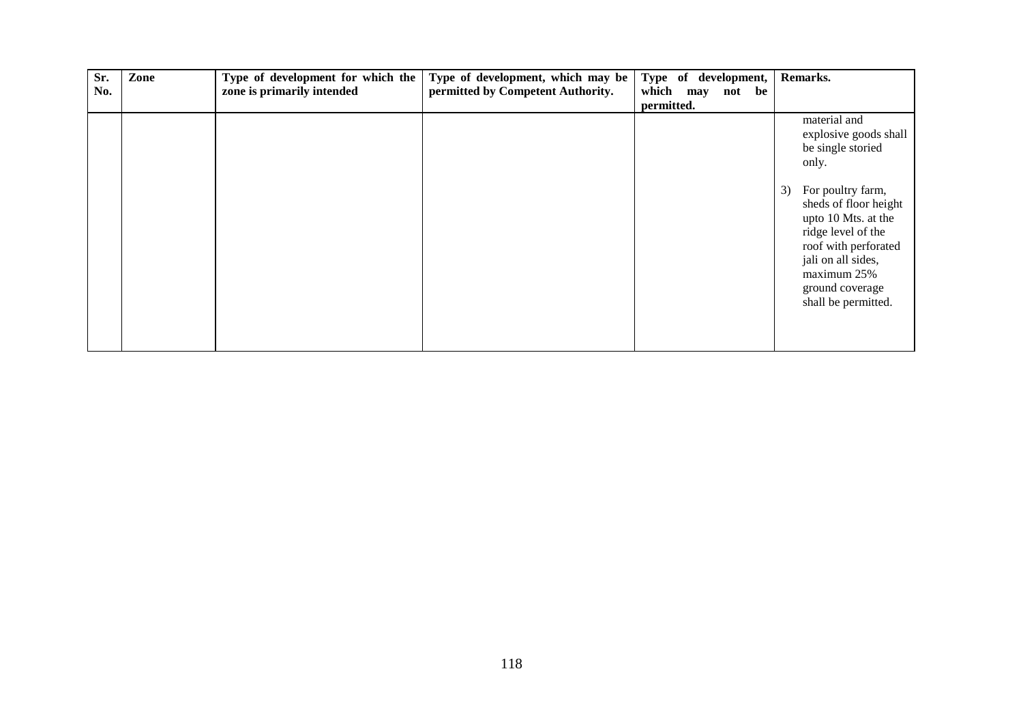| Sr. | Zone | Type of development for which the | Type of development, which may be | Type of development, | Remarks.                                                                                                                                                                                             |
|-----|------|-----------------------------------|-----------------------------------|----------------------|------------------------------------------------------------------------------------------------------------------------------------------------------------------------------------------------------|
| No. |      | zone is primarily intended        | permitted by Competent Authority. | which may not<br>be  |                                                                                                                                                                                                      |
|     |      |                                   |                                   | permitted.           |                                                                                                                                                                                                      |
|     |      |                                   |                                   |                      | material and<br>explosive goods shall<br>be single storied<br>only.                                                                                                                                  |
|     |      |                                   |                                   |                      | For poultry farm,<br>3)<br>sheds of floor height<br>upto 10 Mts. at the<br>ridge level of the<br>roof with perforated<br>jali on all sides,<br>maximum 25%<br>ground coverage<br>shall be permitted. |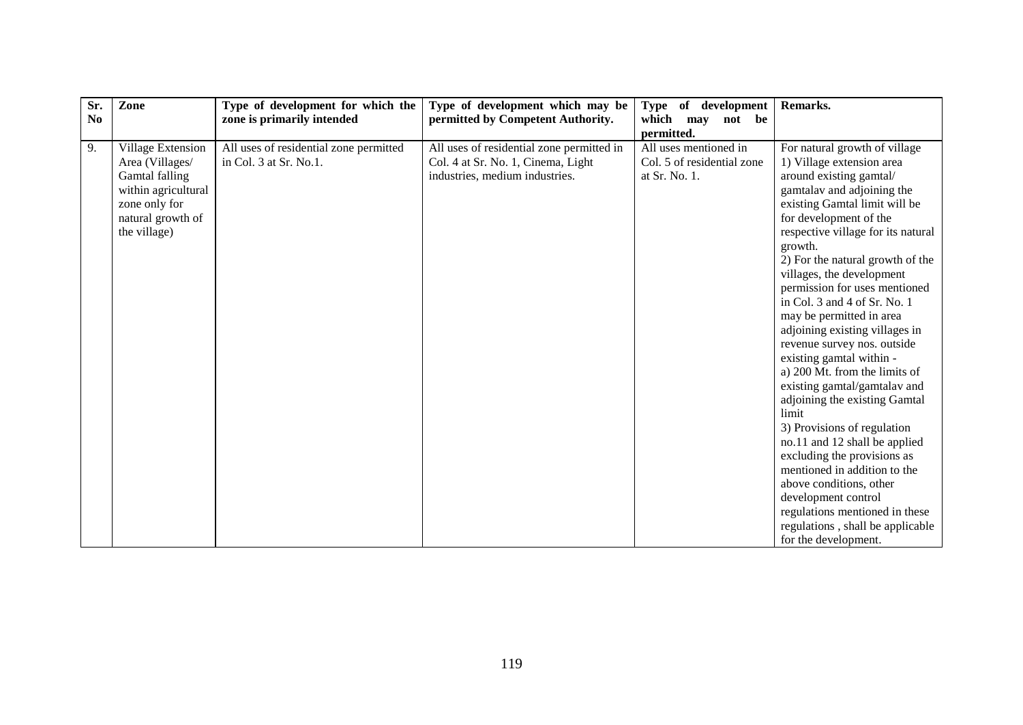| Sr.<br>N <sub>0</sub> | Zone                                                                                                                                | Type of development for which the<br>zone is primarily intended  | Type of development which may be<br>permitted by Competent Authority.                                             | Type of development<br>which may<br>not be                           | Remarks.                                                                                                                                                                                                                                                                                                                                                                                                                                                                                                                                                                                                                                                                                                                                                                                                                                                                             |
|-----------------------|-------------------------------------------------------------------------------------------------------------------------------------|------------------------------------------------------------------|-------------------------------------------------------------------------------------------------------------------|----------------------------------------------------------------------|--------------------------------------------------------------------------------------------------------------------------------------------------------------------------------------------------------------------------------------------------------------------------------------------------------------------------------------------------------------------------------------------------------------------------------------------------------------------------------------------------------------------------------------------------------------------------------------------------------------------------------------------------------------------------------------------------------------------------------------------------------------------------------------------------------------------------------------------------------------------------------------|
|                       |                                                                                                                                     |                                                                  |                                                                                                                   | permitted.                                                           |                                                                                                                                                                                                                                                                                                                                                                                                                                                                                                                                                                                                                                                                                                                                                                                                                                                                                      |
| 9.                    | Village Extension<br>Area (Villages/<br>Gamtal falling<br>within agricultural<br>zone only for<br>natural growth of<br>the village) | All uses of residential zone permitted<br>in Col. 3 at Sr. No.1. | All uses of residential zone permitted in<br>Col. 4 at Sr. No. 1, Cinema, Light<br>industries, medium industries. | All uses mentioned in<br>Col. 5 of residential zone<br>at Sr. No. 1. | For natural growth of village<br>1) Village extension area<br>around existing gamtal/<br>gamtalav and adjoining the<br>existing Gamtal limit will be<br>for development of the<br>respective village for its natural<br>growth.<br>2) For the natural growth of the<br>villages, the development<br>permission for uses mentioned<br>in Col. 3 and 4 of Sr. No. 1<br>may be permitted in area<br>adjoining existing villages in<br>revenue survey nos. outside<br>existing gamtal within -<br>a) 200 Mt. from the limits of<br>existing gamtal/gamtalav and<br>adjoining the existing Gamtal<br>limit<br>3) Provisions of regulation<br>no.11 and 12 shall be applied<br>excluding the provisions as<br>mentioned in addition to the<br>above conditions, other<br>development control<br>regulations mentioned in these<br>regulations, shall be applicable<br>for the development. |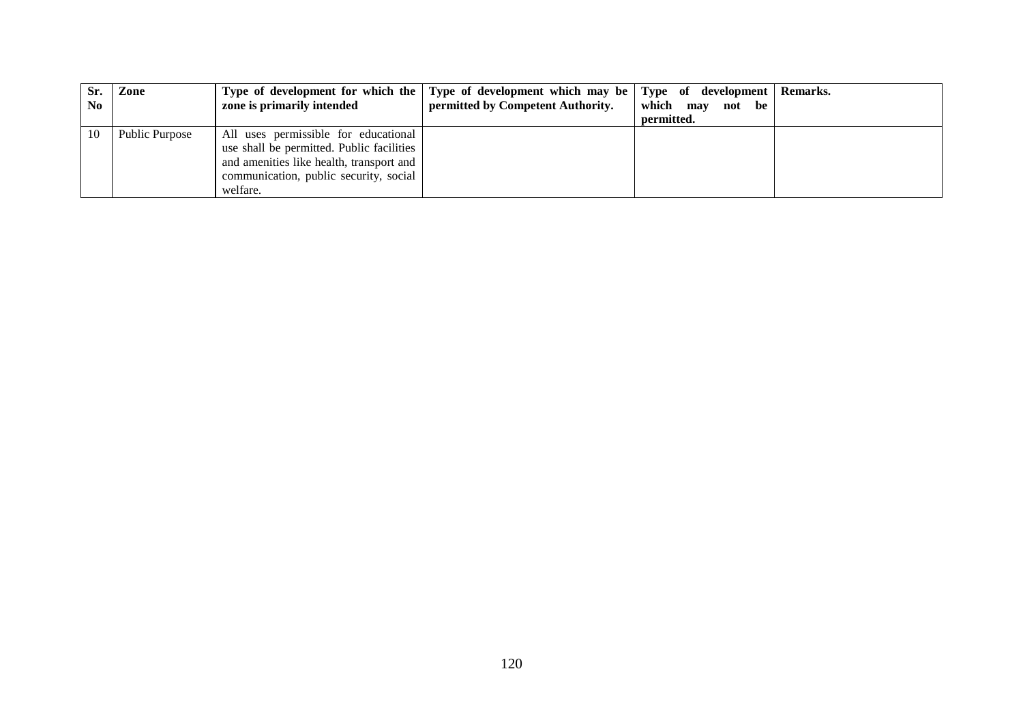| Sr. | Zone           |                                           | Type of development for which the Type of development which may be Type of development |                  | Remarks. |
|-----|----------------|-------------------------------------------|----------------------------------------------------------------------------------------|------------------|----------|
| No. |                | zone is primarily intended                | permitted by Competent Authority.                                                      | which may not be |          |
|     |                |                                           |                                                                                        | permitted.       |          |
| 10  | Public Purpose | All uses permissible for educational      |                                                                                        |                  |          |
|     |                | use shall be permitted. Public facilities |                                                                                        |                  |          |
|     |                | and amenities like health, transport and  |                                                                                        |                  |          |
|     |                | communication, public security, social    |                                                                                        |                  |          |
|     |                | welfare.                                  |                                                                                        |                  |          |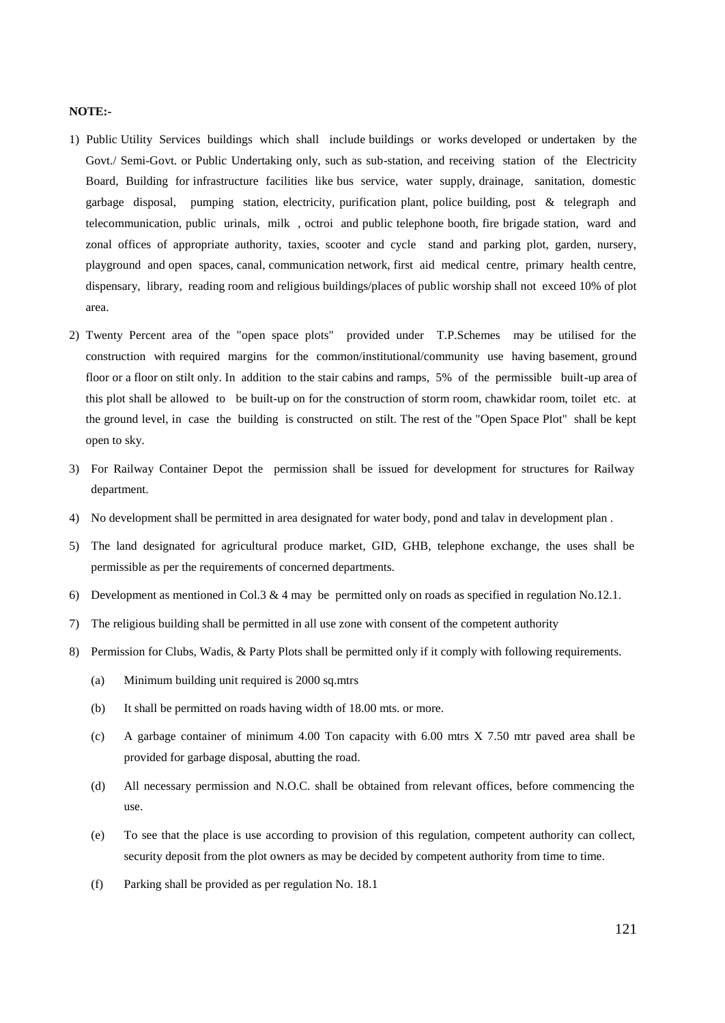#### **NOTE:-**

- 1) Public Utility Services buildings which shall include buildings or works developed or undertaken by the Govt./ Semi-Govt. or Public Undertaking only, such as sub-station, and receiving station of the Electricity Board, Building for infrastructure facilities like bus service, water supply, drainage, sanitation, domestic garbage disposal, pumping station, electricity, purification plant, police building, post & telegraph and telecommunication, public urinals, milk , octroi and public telephone booth, fire brigade station, ward and zonal offices of appropriate authority, taxies, scooter and cycle stand and parking plot, garden, nursery, playground and open spaces, canal, communication network, first aid medical centre, primary health centre, dispensary, library, reading room and religious buildings/places of public worship shall not exceed 10% of plot area.
- 2) Twenty Percent area of the "open space plots" provided under T.P.Schemes may be utilised for the construction with required margins for the common/institutional/community use having basement, ground floor or a floor on stilt only. In addition to the stair cabins and ramps, 5% of the permissible built-up area of this plot shall be allowed to be built-up on for the construction of storm room, chawkidar room, toilet etc. at the ground level, in case the building is constructed on stilt. The rest of the "Open Space Plot" shall be kept open to sky.
- 3) For Railway Container Depot the permission shall be issued for development for structures for Railway department.
- 4) No development shall be permitted in area designated for water body, pond and talav in development plan .
- 5) The land designated for agricultural produce market, GID, GHB, telephone exchange, the uses shall be permissible as per the requirements of concerned departments.
- 6) Development as mentioned in Col.3 & 4 may be permitted only on roads as specified in regulation No.12.1.
- 7) The religious building shall be permitted in all use zone with consent of the competent authority
- 8) Permission for Clubs, Wadis, & Party Plots shall be permitted only if it comply with following requirements.
	- (a) Minimum building unit required is 2000 sq.mtrs
	- (b) It shall be permitted on roads having width of 18.00 mts. or more.
	- (c) A garbage container of minimum 4.00 Ton capacity with 6.00 mtrs X 7.50 mtr paved area shall be provided for garbage disposal, abutting the road.
	- (d) All necessary permission and N.O.C. shall be obtained from relevant offices, before commencing the use.
	- (e) To see that the place is use according to provision of this regulation, competent authority can collect, security deposit from the plot owners as may be decided by competent authority from time to time.
	- (f) Parking shall be provided as per regulation No. 18.1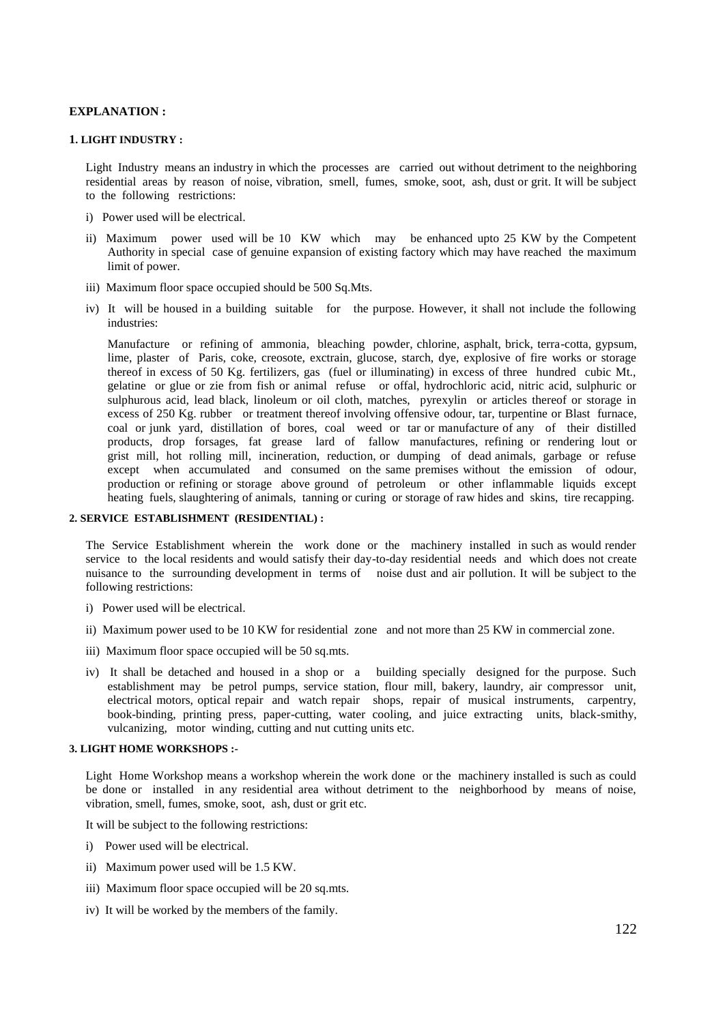#### **EXPLANATION :**

#### **1. LIGHT INDUSTRY :**

Light Industry means an industry in which the processes are carried out without detriment to the neighboring residential areas by reason of noise, vibration, smell, fumes, smoke, soot, ash, dust or grit. It will be subject to the following restrictions:

- i) Power used will be electrical.
- ii) Maximum power used will be 10 KW which may be enhanced upto 25 KW by the Competent Authority in special case of genuine expansion of existing factory which may have reached the maximum limit of power.
- iii) Maximum floor space occupied should be 500 Sq.Mts.
- iv) It will be housed in a building suitable for the purpose. However, it shall not include the following industries:

Manufacture or refining of ammonia, bleaching powder, chlorine, asphalt, brick, terra-cotta, gypsum, lime, plaster of Paris, coke, creosote, exctrain, glucose, starch, dye, explosive of fire works or storage thereof in excess of 50 Kg. fertilizers, gas (fuel or illuminating) in excess of three hundred cubic Mt., gelatine or glue or zie from fish or animal refuse or offal, hydrochloric acid, nitric acid, sulphuric or sulphurous acid, lead black, linoleum or oil cloth, matches, pyrexylin or articles thereof or storage in excess of 250 Kg. rubber or treatment thereof involving offensive odour, tar, turpentine or Blast furnace, coal or junk yard, distillation of bores, coal weed or tar or manufacture of any of their distilled products, drop forsages, fat grease lard of fallow manufactures, refining or rendering lout or grist mill, hot rolling mill, incineration, reduction, or dumping of dead animals, garbage or refuse except when accumulated and consumed on the same premises without the emission of odour, production or refining or storage above ground of petroleum or other inflammable liquids except heating fuels, slaughtering of animals, tanning or curing or storage of raw hides and skins, tire recapping.

#### **2. SERVICE ESTABLISHMENT (RESIDENTIAL) :**

The Service Establishment wherein the work done or the machinery installed in such as would render service to the local residents and would satisfy their day-to-day residential needs and which does not create nuisance to the surrounding development in terms of noise dust and air pollution. It will be subject to the following restrictions:

- i) Power used will be electrical.
- ii) Maximum power used to be 10 KW for residential zone and not more than 25 KW in commercial zone.
- iii) Maximum floor space occupied will be 50 sq.mts.
- iv) It shall be detached and housed in a shop or a building specially designed for the purpose. Such establishment may be petrol pumps, service station, flour mill, bakery, laundry, air compressor unit, electrical motors, optical repair and watch repair shops, repair of musical instruments, carpentry, book-binding, printing press, paper-cutting, water cooling, and juice extracting units, black-smithy, vulcanizing, motor winding, cutting and nut cutting units etc.

#### **3. LIGHT HOME WORKSHOPS :-**

Light Home Workshop means a workshop wherein the work done or the machinery installed is such as could be done or installed in any residential area without detriment to the neighborhood by means of noise, vibration, smell, fumes, smoke, soot, ash, dust or grit etc.

It will be subject to the following restrictions:

- i) Power used will be electrical.
- ii) Maximum power used will be 1.5 KW.
- iii) Maximum floor space occupied will be 20 sq.mts.
- iv) It will be worked by the members of the family.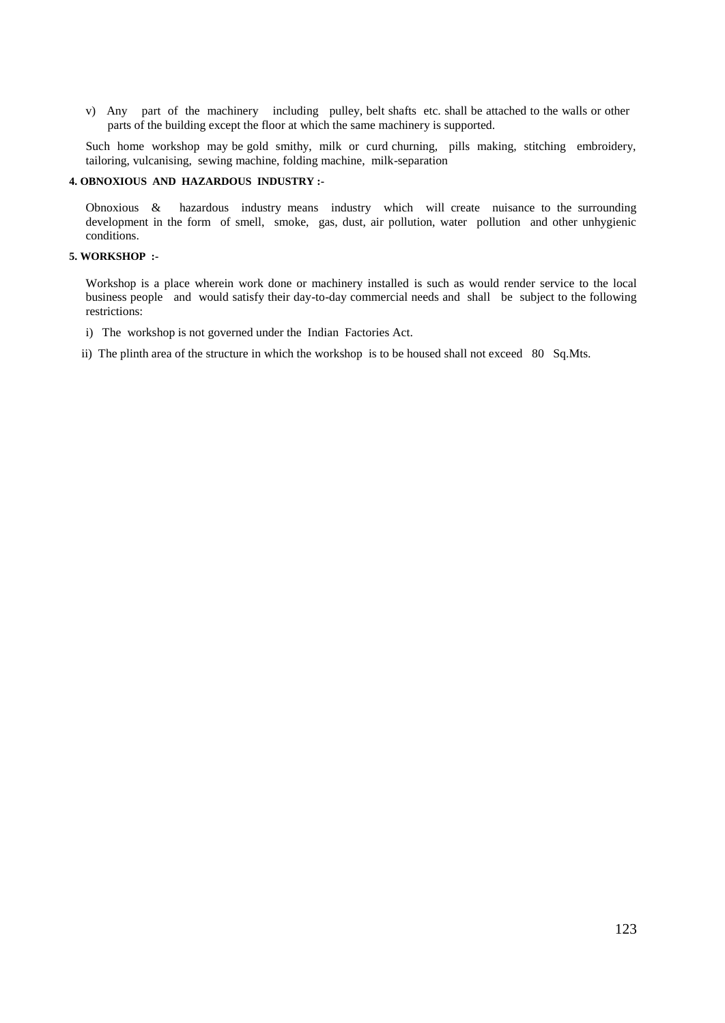v) Any part of the machinery including pulley, belt shafts etc. shall be attached to the walls or other parts of the building except the floor at which the same machinery is supported.

Such home workshop may be gold smithy, milk or curd churning, pills making, stitching embroidery, tailoring, vulcanising, sewing machine, folding machine, milk-separation

#### **4. OBNOXIOUS AND HAZARDOUS INDUSTRY :-**

Obnoxious & hazardous industry means industry which will create nuisance to the surrounding development in the form of smell, smoke, gas, dust, air pollution, water pollution and other unhygienic conditions.

#### **5. WORKSHOP :-**

Workshop is a place wherein work done or machinery installed is such as would render service to the local business people and would satisfy their day-to-day commercial needs and shall be subject to the following restrictions:

- i) The workshop is not governed under the Indian Factories Act.
- ii) The plinth area of the structure in which the workshop is to be housed shall not exceed 80 Sq.Mts.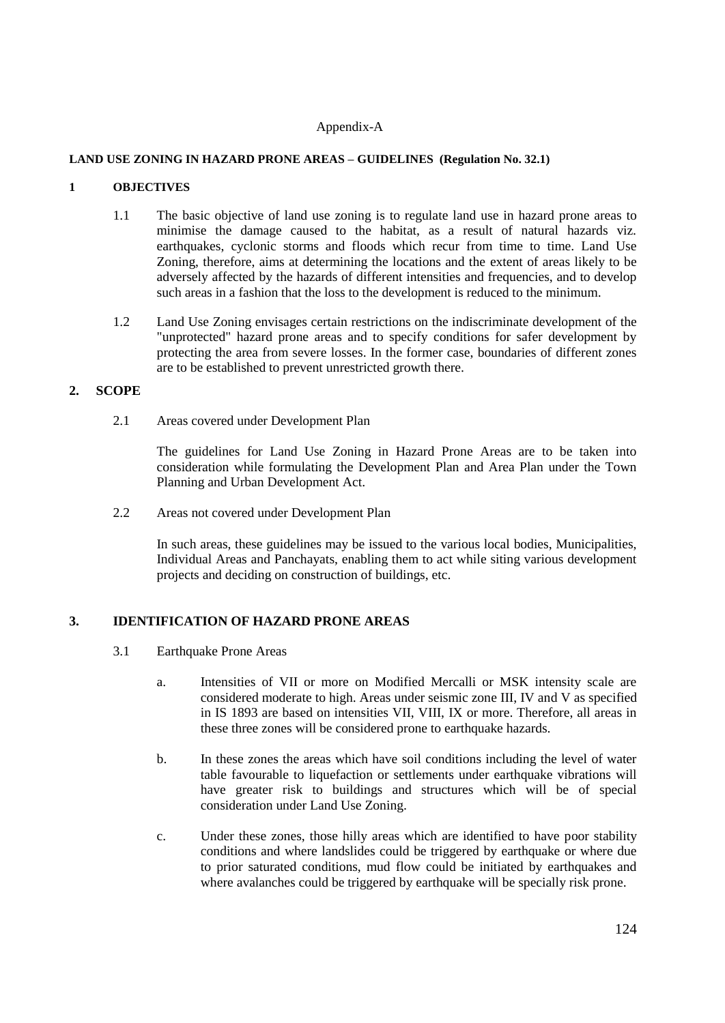#### Appendix-A

#### **LAND USE ZONING IN HAZARD PRONE AREAS – GUIDELINES (Regulation No. 32.1)**

#### **1 OBJECTIVES**

- 1.1 The basic objective of land use zoning is to regulate land use in hazard prone areas to minimise the damage caused to the habitat, as a result of natural hazards viz. earthquakes, cyclonic storms and floods which recur from time to time. Land Use Zoning, therefore, aims at determining the locations and the extent of areas likely to be adversely affected by the hazards of different intensities and frequencies, and to develop such areas in a fashion that the loss to the development is reduced to the minimum.
- 1.2 Land Use Zoning envisages certain restrictions on the indiscriminate development of the "unprotected" hazard prone areas and to specify conditions for safer development by protecting the area from severe losses. In the former case, boundaries of different zones are to be established to prevent unrestricted growth there.

#### **2. SCOPE**

2.1 Areas covered under Development Plan

The guidelines for Land Use Zoning in Hazard Prone Areas are to be taken into consideration while formulating the Development Plan and Area Plan under the Town Planning and Urban Development Act.

2.2 Areas not covered under Development Plan

In such areas, these guidelines may be issued to the various local bodies, Municipalities, Individual Areas and Panchayats, enabling them to act while siting various development projects and deciding on construction of buildings, etc.

#### **3. IDENTIFICATION OF HAZARD PRONE AREAS**

- 3.1 Earthquake Prone Areas
	- a. Intensities of VII or more on Modified Mercalli or MSK intensity scale are considered moderate to high. Areas under seismic zone III, IV and V as specified in IS 1893 are based on intensities VII, VIII, IX or more. Therefore, all areas in these three zones will be considered prone to earthquake hazards.
	- b. In these zones the areas which have soil conditions including the level of water table favourable to liquefaction or settlements under earthquake vibrations will have greater risk to buildings and structures which will be of special consideration under Land Use Zoning.
	- c. Under these zones, those hilly areas which are identified to have poor stability conditions and where landslides could be triggered by earthquake or where due to prior saturated conditions, mud flow could be initiated by earthquakes and where avalanches could be triggered by earthquake will be specially risk prone.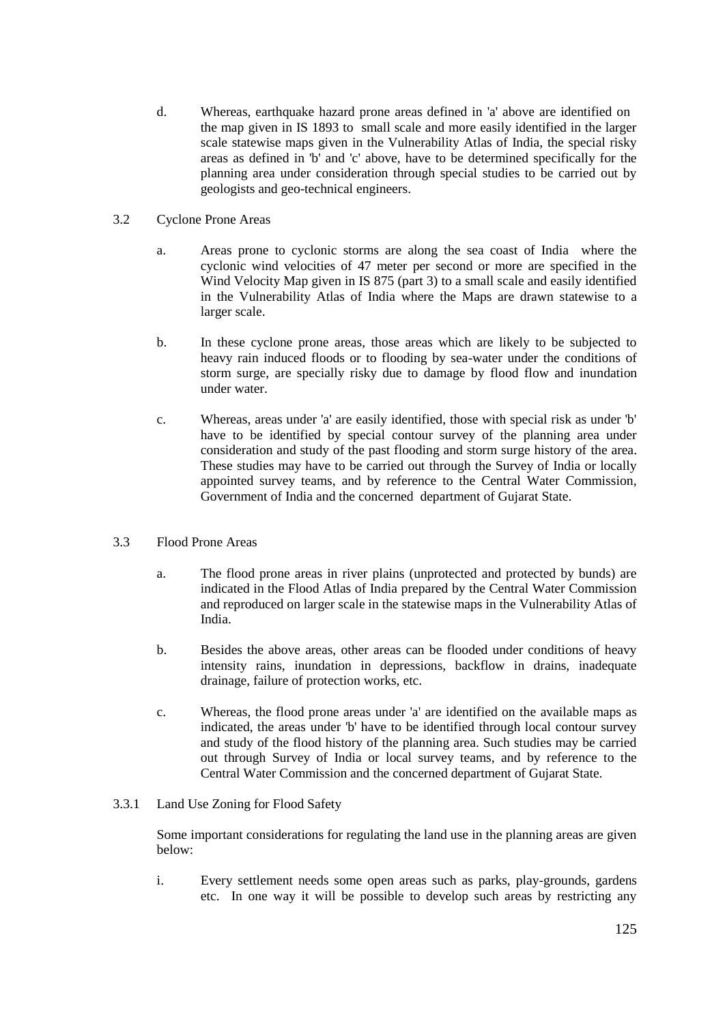- d. Whereas, earthquake hazard prone areas defined in 'a' above are identified on the map given in IS 1893 to small scale and more easily identified in the larger scale statewise maps given in the Vulnerability Atlas of India, the special risky areas as defined in 'b' and 'c' above, have to be determined specifically for the planning area under consideration through special studies to be carried out by geologists and geo-technical engineers.
- 3.2 Cyclone Prone Areas
	- a. Areas prone to cyclonic storms are along the sea coast of India where the cyclonic wind velocities of 47 meter per second or more are specified in the Wind Velocity Map given in IS 875 (part 3) to a small scale and easily identified in the Vulnerability Atlas of India where the Maps are drawn statewise to a larger scale.
	- b. In these cyclone prone areas, those areas which are likely to be subjected to heavy rain induced floods or to flooding by sea-water under the conditions of storm surge, are specially risky due to damage by flood flow and inundation under water.
	- c. Whereas, areas under 'a' are easily identified, those with special risk as under 'b' have to be identified by special contour survey of the planning area under consideration and study of the past flooding and storm surge history of the area. These studies may have to be carried out through the Survey of India or locally appointed survey teams, and by reference to the Central Water Commission, Government of India and the concerned department of Gujarat State.
- 3.3 Flood Prone Areas
	- a. The flood prone areas in river plains (unprotected and protected by bunds) are indicated in the Flood Atlas of India prepared by the Central Water Commission and reproduced on larger scale in the statewise maps in the Vulnerability Atlas of India.
	- b. Besides the above areas, other areas can be flooded under conditions of heavy intensity rains, inundation in depressions, backflow in drains, inadequate drainage, failure of protection works, etc.
	- c. Whereas, the flood prone areas under 'a' are identified on the available maps as indicated, the areas under 'b' have to be identified through local contour survey and study of the flood history of the planning area. Such studies may be carried out through Survey of India or local survey teams, and by reference to the Central Water Commission and the concerned department of Gujarat State.

#### 3.3.1 Land Use Zoning for Flood Safety

Some important considerations for regulating the land use in the planning areas are given below:

i. Every settlement needs some open areas such as parks, play-grounds, gardens etc. In one way it will be possible to develop such areas by restricting any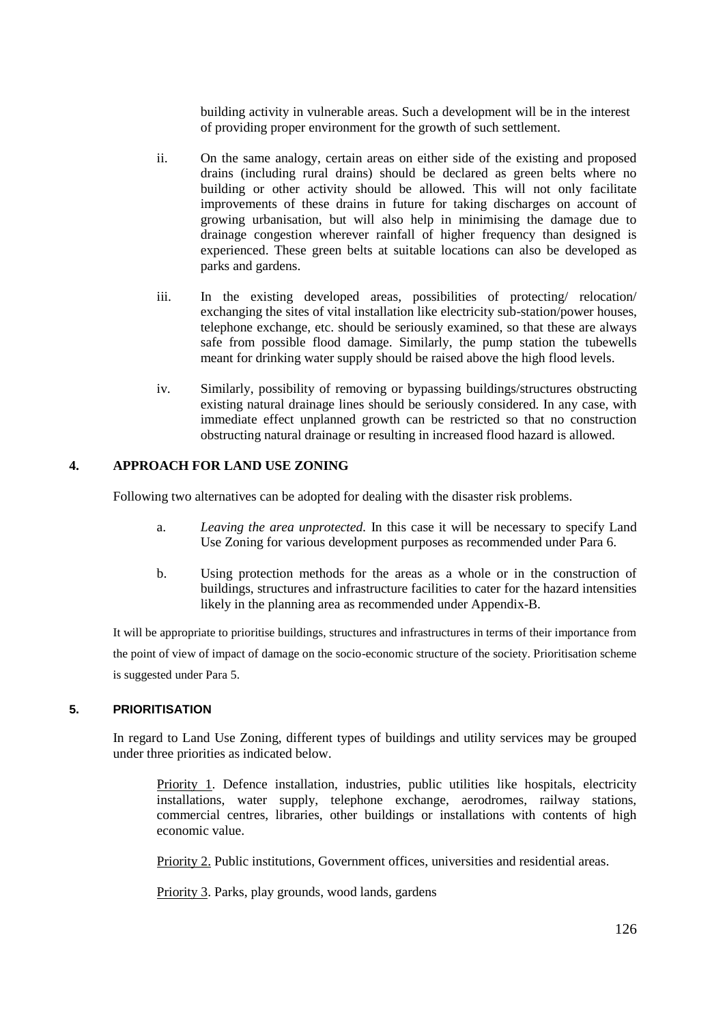building activity in vulnerable areas. Such a development will be in the interest of providing proper environment for the growth of such settlement.

- ii. On the same analogy, certain areas on either side of the existing and proposed drains (including rural drains) should be declared as green belts where no building or other activity should be allowed. This will not only facilitate improvements of these drains in future for taking discharges on account of growing urbanisation, but will also help in minimising the damage due to drainage congestion wherever rainfall of higher frequency than designed is experienced. These green belts at suitable locations can also be developed as parks and gardens.
- iii. In the existing developed areas, possibilities of protecting/ relocation/ exchanging the sites of vital installation like electricity sub-station/power houses, telephone exchange, etc. should be seriously examined, so that these are always safe from possible flood damage. Similarly, the pump station the tubewells meant for drinking water supply should be raised above the high flood levels.
- iv. Similarly, possibility of removing or bypassing buildings/structures obstructing existing natural drainage lines should be seriously considered. In any case, with immediate effect unplanned growth can be restricted so that no construction obstructing natural drainage or resulting in increased flood hazard is allowed.

#### **4. APPROACH FOR LAND USE ZONING**

Following two alternatives can be adopted for dealing with the disaster risk problems.

- a. *Leaving the area unprotected.* In this case it will be necessary to specify Land Use Zoning for various development purposes as recommended under Para 6.
- b. Using protection methods for the areas as a whole or in the construction of buildings, structures and infrastructure facilities to cater for the hazard intensities likely in the planning area as recommended under Appendix-B.

It will be appropriate to prioritise buildings, structures and infrastructures in terms of their importance from the point of view of impact of damage on the socio-economic structure of the society. Prioritisation scheme is suggested under Para 5.

#### **5. PRIORITISATION**

In regard to Land Use Zoning, different types of buildings and utility services may be grouped under three priorities as indicated below.

Priority 1. Defence installation, industries, public utilities like hospitals, electricity installations, water supply, telephone exchange, aerodromes, railway stations, commercial centres, libraries, other buildings or installations with contents of high economic value.

Priority 2. Public institutions, Government offices, universities and residential areas.

Priority 3. Parks, play grounds, wood lands, gardens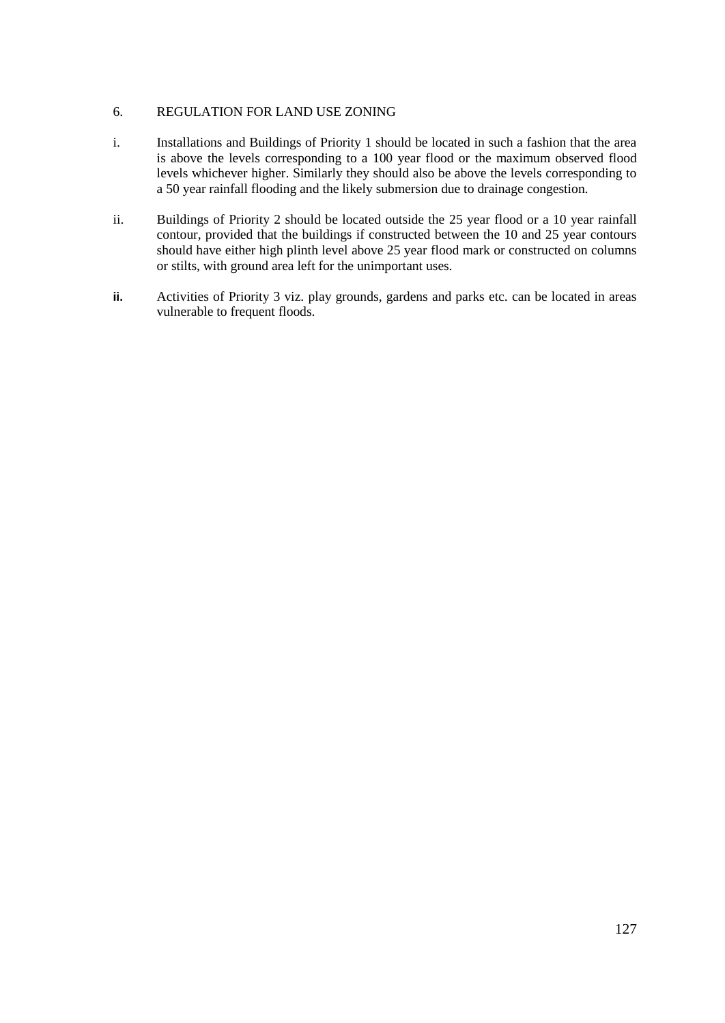#### 6. REGULATION FOR LAND USE ZONING

- i. Installations and Buildings of Priority 1 should be located in such a fashion that the area is above the levels corresponding to a 100 year flood or the maximum observed flood levels whichever higher. Similarly they should also be above the levels corresponding to a 50 year rainfall flooding and the likely submersion due to drainage congestion.
- ii. Buildings of Priority 2 should be located outside the 25 year flood or a 10 year rainfall contour, provided that the buildings if constructed between the 10 and 25 year contours should have either high plinth level above 25 year flood mark or constructed on columns or stilts, with ground area left for the unimportant uses.
- **ii.** Activities of Priority 3 viz. play grounds, gardens and parks etc. can be located in areas vulnerable to frequent floods.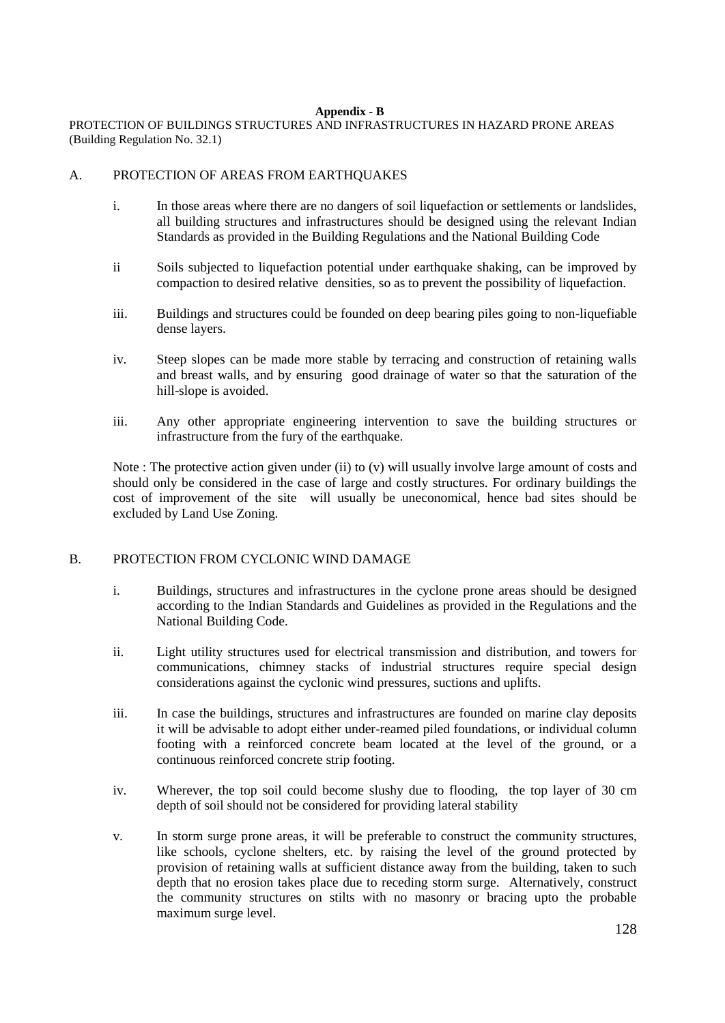#### **Appendix - B**

PROTECTION OF BUILDINGS STRUCTURES AND INFRASTRUCTURES IN HAZARD PRONE AREAS (Building Regulation No. 32.1)

#### A. PROTECTION OF AREAS FROM EARTHQUAKES

- i. In those areas where there are no dangers of soil liquefaction or settlements or landslides, all building structures and infrastructures should be designed using the relevant Indian Standards as provided in the Building Regulations and the National Building Code
- ii Soils subjected to liquefaction potential under earthquake shaking, can be improved by compaction to desired relative densities, so as to prevent the possibility of liquefaction.
- iii. Buildings and structures could be founded on deep bearing piles going to non-liquefiable dense layers.
- iv. Steep slopes can be made more stable by terracing and construction of retaining walls and breast walls, and by ensuring good drainage of water so that the saturation of the hill-slope is avoided.
- iii. Any other appropriate engineering intervention to save the building structures or infrastructure from the fury of the earthquake.

Note : The protective action given under (ii) to (v) will usually involve large amount of costs and should only be considered in the case of large and costly structures. For ordinary buildings the cost of improvement of the site will usually be uneconomical, hence bad sites should be excluded by Land Use Zoning.

#### B. PROTECTION FROM CYCLONIC WIND DAMAGE

- i. Buildings, structures and infrastructures in the cyclone prone areas should be designed according to the Indian Standards and Guidelines as provided in the Regulations and the National Building Code.
- ii. Light utility structures used for electrical transmission and distribution, and towers for communications, chimney stacks of industrial structures require special design considerations against the cyclonic wind pressures, suctions and uplifts.
- iii. In case the buildings, structures and infrastructures are founded on marine clay deposits it will be advisable to adopt either under-reamed piled foundations, or individual column footing with a reinforced concrete beam located at the level of the ground, or a continuous reinforced concrete strip footing.
- iv. Wherever, the top soil could become slushy due to flooding, the top layer of 30 cm depth of soil should not be considered for providing lateral stability
- v. In storm surge prone areas, it will be preferable to construct the community structures, like schools, cyclone shelters, etc. by raising the level of the ground protected by provision of retaining walls at sufficient distance away from the building, taken to such depth that no erosion takes place due to receding storm surge. Alternatively, construct the community structures on stilts with no masonry or bracing upto the probable maximum surge level.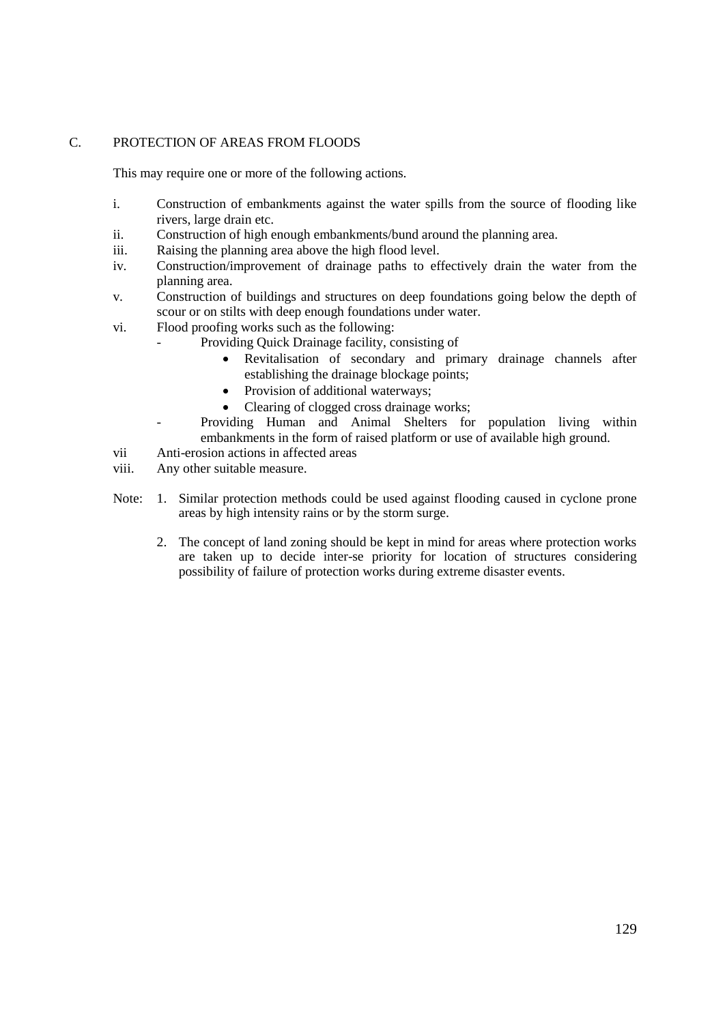#### C. PROTECTION OF AREAS FROM FLOODS

This may require one or more of the following actions.

- i. Construction of embankments against the water spills from the source of flooding like rivers, large drain etc.
- ii. Construction of high enough embankments/bund around the planning area.
- iii. Raising the planning area above the high flood level.
- iv. Construction/improvement of drainage paths to effectively drain the water from the planning area.
- v. Construction of buildings and structures on deep foundations going below the depth of scour or on stilts with deep enough foundations under water.
- vi. Flood proofing works such as the following:
	- Providing Quick Drainage facility, consisting of
		- Revitalisation of secondary and primary drainage channels after establishing the drainage blockage points;
		- Provision of additional waterways;
		- Clearing of clogged cross drainage works;
	- Providing Human and Animal Shelters for population living within embankments in the form of raised platform or use of available high ground.
- vii Anti-erosion actions in affected areas
- viii. Any other suitable measure.
- Note: 1. Similar protection methods could be used against flooding caused in cyclone prone areas by high intensity rains or by the storm surge.
	- 2. The concept of land zoning should be kept in mind for areas where protection works are taken up to decide inter-se priority for location of structures considering possibility of failure of protection works during extreme disaster events.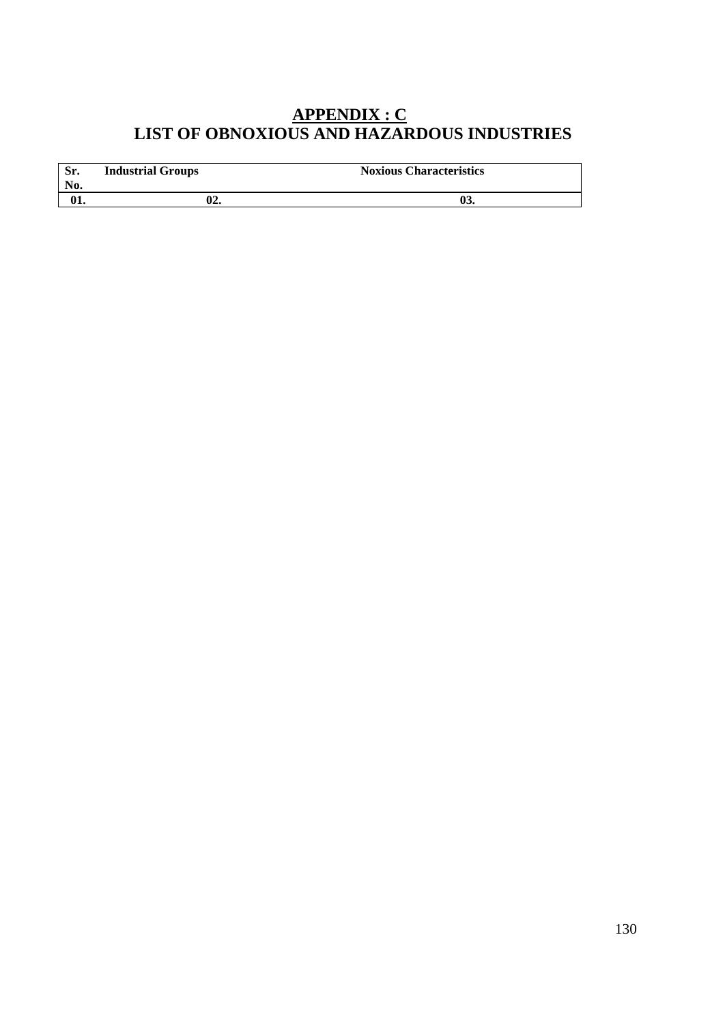### **APPENDIX : C LIST OF OBNOXIOUS AND HAZARDOUS INDUSTRIES**

| Sr.<br>No. | <b>Industrial Groups</b> | <b>Noxious Characteristics</b> |
|------------|--------------------------|--------------------------------|
|            | 02.                      | UJ.                            |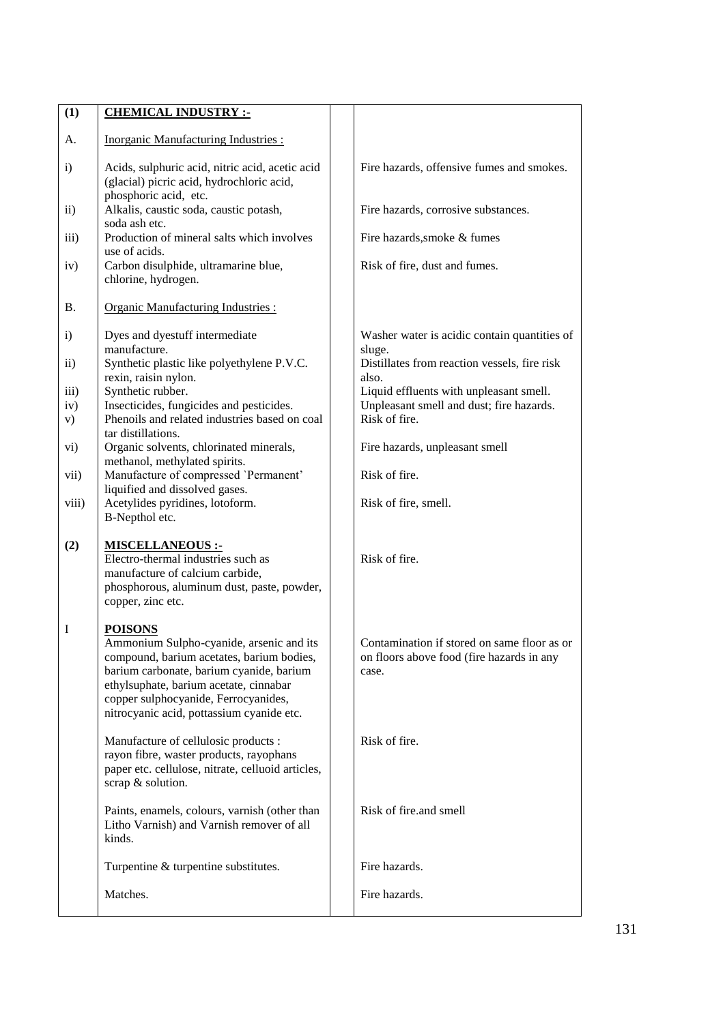| (1)                                                                                       | <b>CHEMICAL INDUSTRY :-</b>                                                                                                                                                                                                                                                                                                                                                                                                                                              |                                                                                                                                                                                                                                                                                                    |
|-------------------------------------------------------------------------------------------|--------------------------------------------------------------------------------------------------------------------------------------------------------------------------------------------------------------------------------------------------------------------------------------------------------------------------------------------------------------------------------------------------------------------------------------------------------------------------|----------------------------------------------------------------------------------------------------------------------------------------------------------------------------------------------------------------------------------------------------------------------------------------------------|
| A.                                                                                        | <b>Inorganic Manufacturing Industries:</b>                                                                                                                                                                                                                                                                                                                                                                                                                               |                                                                                                                                                                                                                                                                                                    |
| $\ddot{\mathbf{i}}$                                                                       | Acids, sulphuric acid, nitric acid, acetic acid<br>(glacial) picric acid, hydrochloric acid,                                                                                                                                                                                                                                                                                                                                                                             | Fire hazards, offensive fumes and smokes.                                                                                                                                                                                                                                                          |
| $\rm ii)$                                                                                 | phosphoric acid, etc.<br>Alkalis, caustic soda, caustic potash,                                                                                                                                                                                                                                                                                                                                                                                                          | Fire hazards, corrosive substances.                                                                                                                                                                                                                                                                |
| $\overline{iii}$ )                                                                        | soda ash etc.<br>Production of mineral salts which involves<br>use of acids.                                                                                                                                                                                                                                                                                                                                                                                             | Fire hazards, smoke & fumes                                                                                                                                                                                                                                                                        |
| iv)                                                                                       | Carbon disulphide, ultramarine blue,<br>chlorine, hydrogen.                                                                                                                                                                                                                                                                                                                                                                                                              | Risk of fire, dust and fumes.                                                                                                                                                                                                                                                                      |
| <b>B.</b>                                                                                 | <b>Organic Manufacturing Industries:</b>                                                                                                                                                                                                                                                                                                                                                                                                                                 |                                                                                                                                                                                                                                                                                                    |
| $\mathbf{i}$<br>$\ddot{\text{1}}$<br>iii)<br>iv)<br>V)<br>$\mathbf{vi})$<br>vii)<br>viii) | Dyes and dyestuff intermediate<br>manufacture.<br>Synthetic plastic like polyethylene P.V.C.<br>rexin, raisin nylon.<br>Synthetic rubber.<br>Insecticides, fungicides and pesticides.<br>Phenoils and related industries based on coal<br>tar distillations.<br>Organic solvents, chlorinated minerals,<br>methanol, methylated spirits.<br>Manufacture of compressed 'Permanent'<br>liquified and dissolved gases.<br>Acetylides pyridines, lotoform.<br>B-Nepthol etc. | Washer water is acidic contain quantities of<br>sluge.<br>Distillates from reaction vessels, fire risk<br>also.<br>Liquid effluents with unpleasant smell.<br>Unpleasant smell and dust; fire hazards.<br>Risk of fire.<br>Fire hazards, unpleasant smell<br>Risk of fire.<br>Risk of fire, smell. |
| (2)                                                                                       | <b>MISCELLANEOUS :-</b><br>Electro-thermal industries such as<br>manufacture of calcium carbide,<br>phosphorous, aluminum dust, paste, powder,<br>copper, zinc etc.                                                                                                                                                                                                                                                                                                      | Risk of fire.                                                                                                                                                                                                                                                                                      |
| I                                                                                         | <u>POISONS</u><br>Ammonium Sulpho-cyanide, arsenic and its<br>compound, barium acetates, barium bodies,<br>barium carbonate, barium cyanide, barium<br>ethylsuphate, barium acetate, cinnabar<br>copper sulphocyanide, Ferrocyanides,<br>nitrocyanic acid, pottassium cyanide etc.                                                                                                                                                                                       | Contamination if stored on same floor as or<br>on floors above food (fire hazards in any<br>case.                                                                                                                                                                                                  |
|                                                                                           | Manufacture of cellulosic products :<br>rayon fibre, waster products, rayophans<br>paper etc. cellulose, nitrate, celluoid articles,<br>scrap & solution.                                                                                                                                                                                                                                                                                                                | Risk of fire.                                                                                                                                                                                                                                                                                      |
|                                                                                           | Paints, enamels, colours, varnish (other than<br>Litho Varnish) and Varnish remover of all<br>kinds.                                                                                                                                                                                                                                                                                                                                                                     | Risk of fire.and smell                                                                                                                                                                                                                                                                             |
|                                                                                           | Turpentine & turpentine substitutes.                                                                                                                                                                                                                                                                                                                                                                                                                                     | Fire hazards.                                                                                                                                                                                                                                                                                      |
|                                                                                           | Matches.                                                                                                                                                                                                                                                                                                                                                                                                                                                                 | Fire hazards.                                                                                                                                                                                                                                                                                      |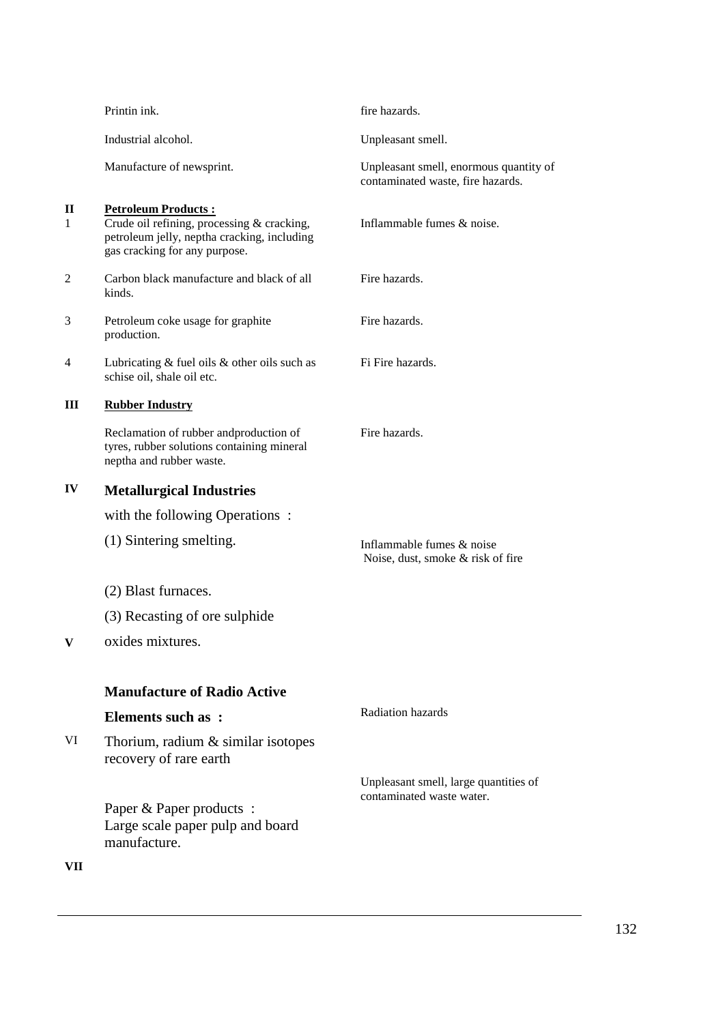|        | Printin ink.                                                                                                                                             | fire hazards.                                                               |
|--------|----------------------------------------------------------------------------------------------------------------------------------------------------------|-----------------------------------------------------------------------------|
|        | Industrial alcohol.                                                                                                                                      | Unpleasant smell.                                                           |
|        | Manufacture of newsprint.                                                                                                                                | Unpleasant smell, enormous quantity of<br>contaminated waste, fire hazards. |
| П<br>1 | <b>Petroleum Products:</b><br>Crude oil refining, processing & cracking,<br>petroleum jelly, neptha cracking, including<br>gas cracking for any purpose. | Inflammable fumes & noise.                                                  |
| 2      | Carbon black manufacture and black of all<br>kinds.                                                                                                      | Fire hazards.                                                               |
| 3      | Petroleum coke usage for graphite<br>production.                                                                                                         | Fire hazards.                                                               |
| 4      | Lubricating $&$ fuel oils $&$ other oils such as<br>schise oil, shale oil etc.                                                                           | Fi Fire hazards.                                                            |
| Ш      | <b>Rubber Industry</b>                                                                                                                                   |                                                                             |
|        | Reclamation of rubber and production of<br>tyres, rubber solutions containing mineral<br>neptha and rubber waste.                                        | Fire hazards.                                                               |
| IV     | <b>Metallurgical Industries</b>                                                                                                                          |                                                                             |
|        | with the following Operations:                                                                                                                           |                                                                             |
|        | (1) Sintering smelting.                                                                                                                                  | Inflammable fumes & noise<br>Noise, dust, smoke & risk of fire              |
|        | (2) Blast furnaces.                                                                                                                                      |                                                                             |
|        | (3) Recasting of ore sulphide                                                                                                                            |                                                                             |
|        | oxides mixtures.                                                                                                                                         |                                                                             |
|        | <b>Manufacture of Radio Active</b>                                                                                                                       |                                                                             |
|        | <b>Elements such as:</b>                                                                                                                                 | <b>Radiation hazards</b>                                                    |
| VI     | Thorium, radium $&$ similar isotopes<br>recovery of rare earth                                                                                           |                                                                             |
|        | Paper & Paper products:<br>Large scale paper pulp and board<br>manufacture.                                                                              | Unpleasant smell, large quantities of<br>contaminated waste water.          |
| VII    |                                                                                                                                                          |                                                                             |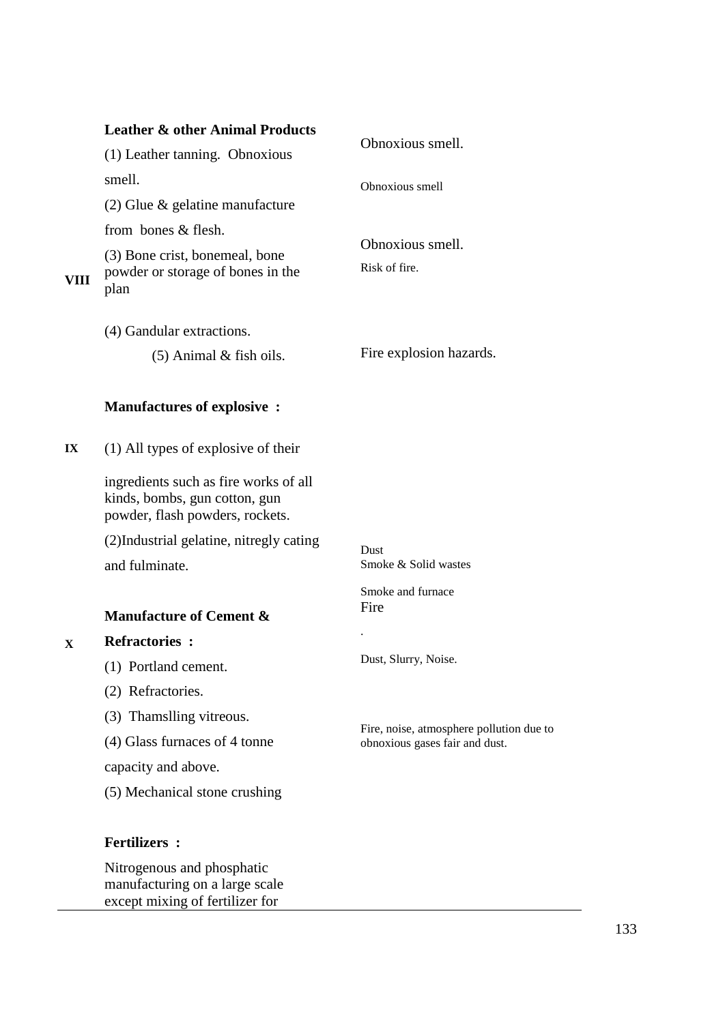| <b>Leather &amp; other Animal Products</b>                                                                | Obnoxious smell.                         |
|-----------------------------------------------------------------------------------------------------------|------------------------------------------|
| (1) Leather tanning. Obnoxious                                                                            |                                          |
| smell.                                                                                                    | Obnoxious smell                          |
| $(2)$ Glue & gelatine manufacture                                                                         |                                          |
| from bones & flesh.                                                                                       |                                          |
| (3) Bone crist, bonemeal, bone<br>powder or storage of bones in the<br>plan                               | Obnoxious smell.<br>Risk of fire.        |
| (4) Gandular extractions.                                                                                 |                                          |
| $(5)$ Animal & fish oils.                                                                                 | Fire explosion hazards.                  |
| <b>Manufactures of explosive:</b>                                                                         |                                          |
| $(1)$ All types of explosive of their                                                                     |                                          |
| ingredients such as fire works of all<br>kinds, bombs, gun cotton, gun<br>powder, flash powders, rockets. |                                          |
| (2) Industrial gelatine, nitregly cating                                                                  | <b>Dust</b>                              |
| and fulminate.                                                                                            | Smoke & Solid wastes                     |
| <b>Manufacture of Cement &amp;</b>                                                                        | Smoke and furnace<br>Fire                |
| <b>Refractories:</b>                                                                                      |                                          |
| (1) Portland cement.                                                                                      | Dust, Slurry, Noise.                     |
| (2) Refractories.                                                                                         |                                          |
| (3) Thamslling vitreous.                                                                                  | Fire, noise, atmosphere pollution due to |
| (4) Glass furnaces of 4 tonne                                                                             | obnoxious gases fair and dust.           |
| capacity and above.                                                                                       |                                          |
| (5) Mechanical stone crushing                                                                             |                                          |
| <b>Fertilizers:</b>                                                                                       |                                          |
|                                                                                                           |                                          |

Nitrogenous and phosphatic manufacturing on a large scale except mixing of fertilizer for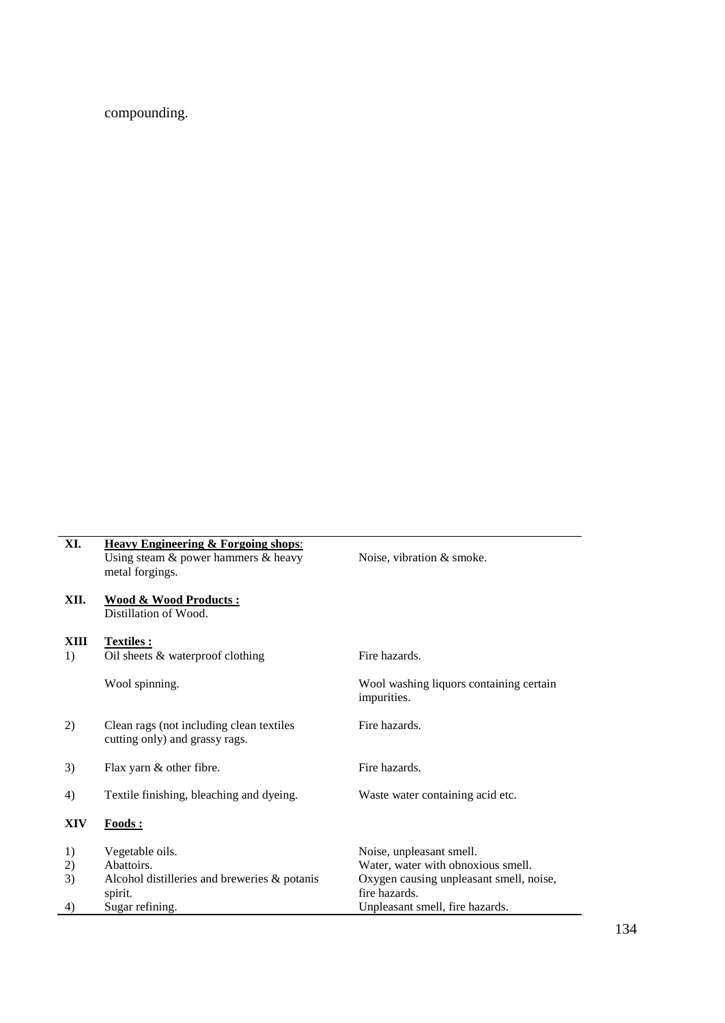compounding.

| XI.        | <b>Heavy Engineering &amp; Forgoing shops:</b><br>Using steam $&$ power hammers $&$ heavy<br>metal forgings. | Noise, vibration & smoke.                                |
|------------|--------------------------------------------------------------------------------------------------------------|----------------------------------------------------------|
| XII.       | <b>Wood &amp; Wood Products:</b><br>Distillation of Wood.                                                    |                                                          |
| XIII<br>1) | Textiles :<br>Oil sheets & waterproof clothing                                                               | Fire hazards.                                            |
|            | Wool spinning.                                                                                               | Wool washing liquors containing certain<br>impurities.   |
| 2)         | Clean rags (not including clean textiles)<br>cutting only) and grassy rags.                                  | Fire hazards.                                            |
| 3)         | Flax yarn & other fibre.                                                                                     | Fire hazards.                                            |
| 4)         | Textile finishing, bleaching and dyeing.                                                                     | Waste water containing acid etc.                         |
| XIV        | <b>Foods:</b>                                                                                                |                                                          |
| 1)         | Vegetable oils.                                                                                              | Noise, unpleasant smell.                                 |
| 2)         | Abattoirs.                                                                                                   | Water, water with obnoxious smell.                       |
| 3)         | Alcohol distilleries and breweries & potanis<br>spirit.                                                      | Oxygen causing unpleasant smell, noise,<br>fire hazards. |
| 4)         | Sugar refining.                                                                                              | Unpleasant smell, fire hazards.                          |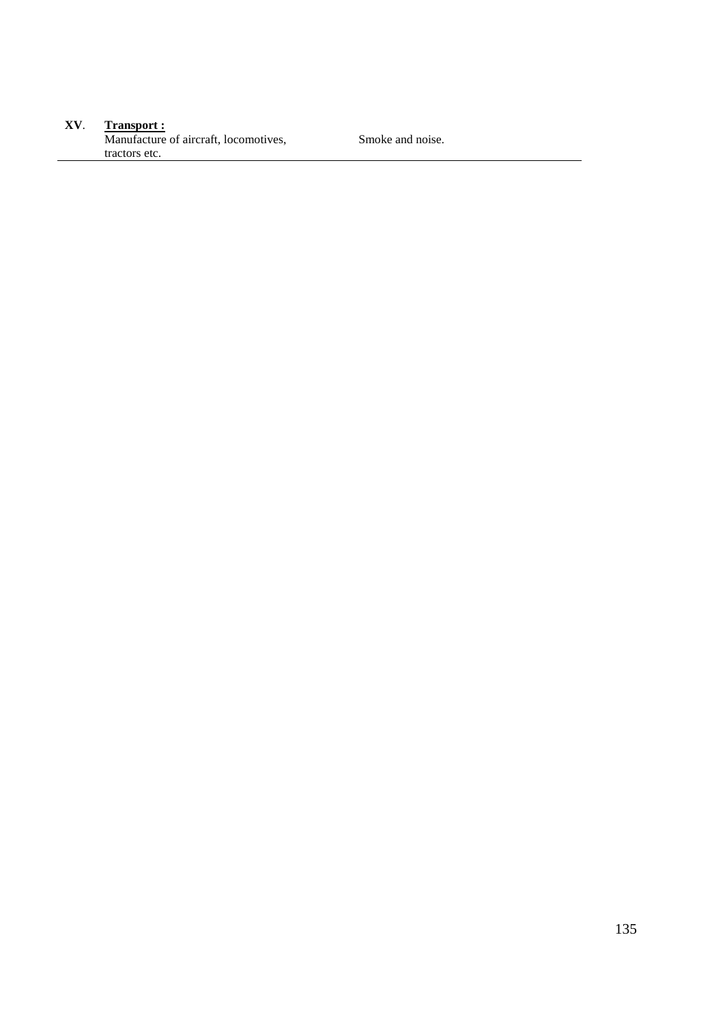#### **XV**. **Transport :** Manufacture of aircraft, locomotives, tractors etc.

Smoke and noise.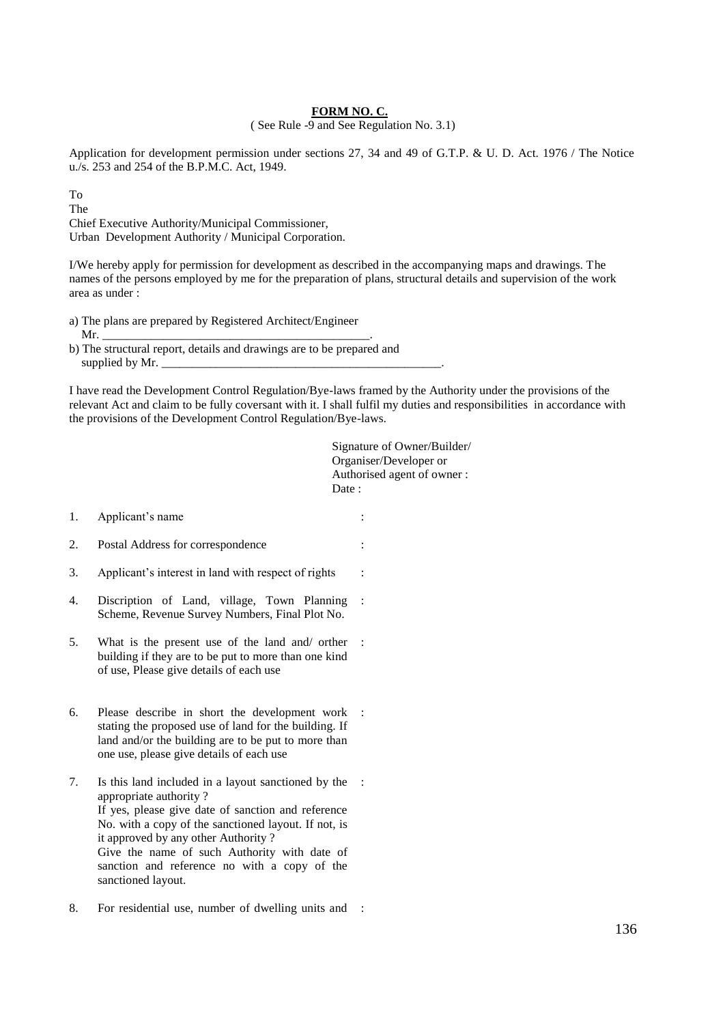#### **FORM NO. C.**

( See Rule -9 and See Regulation No. 3.1)

Application for development permission under sections 27, 34 and 49 of G.T.P. & U. D. Act. 1976 / The Notice u./s. 253 and 254 of the B.P.M.C. Act, 1949.

To

The

Chief Executive Authority/Municipal Commissioner, Urban Development Authority / Municipal Corporation.

I/We hereby apply for permission for development as described in the accompanying maps and drawings. The names of the persons employed by me for the preparation of plans, structural details and supervision of the work area as under :

- a) The plans are prepared by Registered Architect/Engineer
- Mr. \_\_\_\_\_\_\_\_\_\_\_\_\_\_\_\_\_\_\_\_\_\_\_\_\_\_\_\_\_\_\_\_\_\_\_\_\_\_\_\_\_\_\_\_.

I have read the Development Control Regulation/Bye-laws framed by the Authority under the provisions of the relevant Act and claim to be fully coversant with it. I shall fulfil my duties and responsibilities in accordance with the provisions of the Development Control Regulation/Bye-laws.

|    |                                                                                                                                                                                                                                                                                                                                                          | Signature of Owner/Builder/<br>Organiser/Developer or<br>Authorised agent of owner:<br>Date: |  |
|----|----------------------------------------------------------------------------------------------------------------------------------------------------------------------------------------------------------------------------------------------------------------------------------------------------------------------------------------------------------|----------------------------------------------------------------------------------------------|--|
| 1. | Applicant's name                                                                                                                                                                                                                                                                                                                                         |                                                                                              |  |
| 2. | Postal Address for correspondence                                                                                                                                                                                                                                                                                                                        |                                                                                              |  |
| 3. | Applicant's interest in land with respect of rights                                                                                                                                                                                                                                                                                                      |                                                                                              |  |
| 4. | Discription of Land, village, Town Planning<br>Scheme, Revenue Survey Numbers, Final Plot No.                                                                                                                                                                                                                                                            |                                                                                              |  |
| 5. | What is the present use of the land and/ orther<br>building if they are to be put to more than one kind<br>of use, Please give details of each use                                                                                                                                                                                                       |                                                                                              |  |
| 6. | Please describe in short the development work<br>stating the proposed use of land for the building. If<br>land and/or the building are to be put to more than<br>one use, please give details of each use                                                                                                                                                |                                                                                              |  |
| 7. | Is this land included in a layout sanctioned by the<br>appropriate authority?<br>If yes, please give date of sanction and reference<br>No. with a copy of the sanctioned layout. If not, is<br>it approved by any other Authority?<br>Give the name of such Authority with date of<br>sanction and reference no with a copy of the<br>sanctioned layout. |                                                                                              |  |
| 8. | For residential use, number of dwelling units and                                                                                                                                                                                                                                                                                                        |                                                                                              |  |

b) The structural report, details and drawings are to be prepared and supplied by Mr.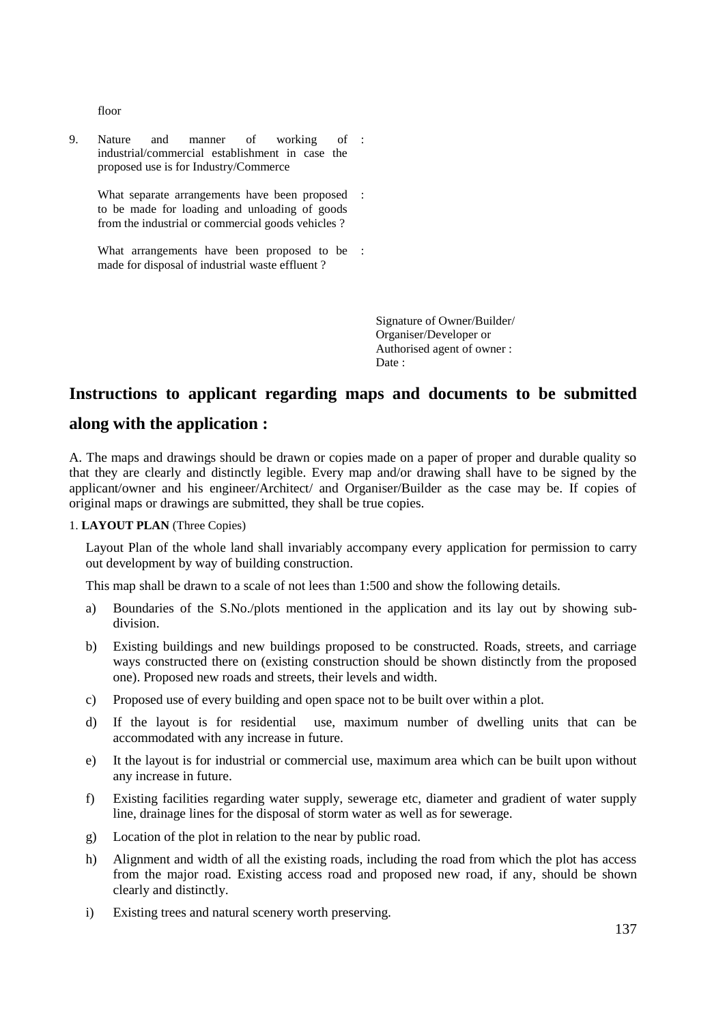floor

9. Nature and manner of working of industrial/commercial establishment in case the proposed use is for Industry/Commerce :

What separate arrangements have been proposed : to be made for loading and unloading of goods from the industrial or commercial goods vehicles ?

What arrangements have been proposed to be : made for disposal of industrial waste effluent ?

> Signature of Owner/Builder/ Organiser/Developer or Authorised agent of owner : Date :

# **Instructions to applicant regarding maps and documents to be submitted**

#### **along with the application :**

A. The maps and drawings should be drawn or copies made on a paper of proper and durable quality so that they are clearly and distinctly legible. Every map and/or drawing shall have to be signed by the applicant/owner and his engineer/Architect/ and Organiser/Builder as the case may be. If copies of original maps or drawings are submitted, they shall be true copies.

#### 1. **LAYOUT PLAN** (Three Copies)

Layout Plan of the whole land shall invariably accompany every application for permission to carry out development by way of building construction.

This map shall be drawn to a scale of not lees than 1:500 and show the following details.

- a) Boundaries of the S.No./plots mentioned in the application and its lay out by showing subdivision.
- b) Existing buildings and new buildings proposed to be constructed. Roads, streets, and carriage ways constructed there on (existing construction should be shown distinctly from the proposed one). Proposed new roads and streets, their levels and width.
- c) Proposed use of every building and open space not to be built over within a plot.
- d) If the layout is for residential use, maximum number of dwelling units that can be accommodated with any increase in future.
- e) It the layout is for industrial or commercial use, maximum area which can be built upon without any increase in future.
- f) Existing facilities regarding water supply, sewerage etc, diameter and gradient of water supply line, drainage lines for the disposal of storm water as well as for sewerage.
- g) Location of the plot in relation to the near by public road.
- h) Alignment and width of all the existing roads, including the road from which the plot has access from the major road. Existing access road and proposed new road, if any, should be shown clearly and distinctly.
- i) Existing trees and natural scenery worth preserving.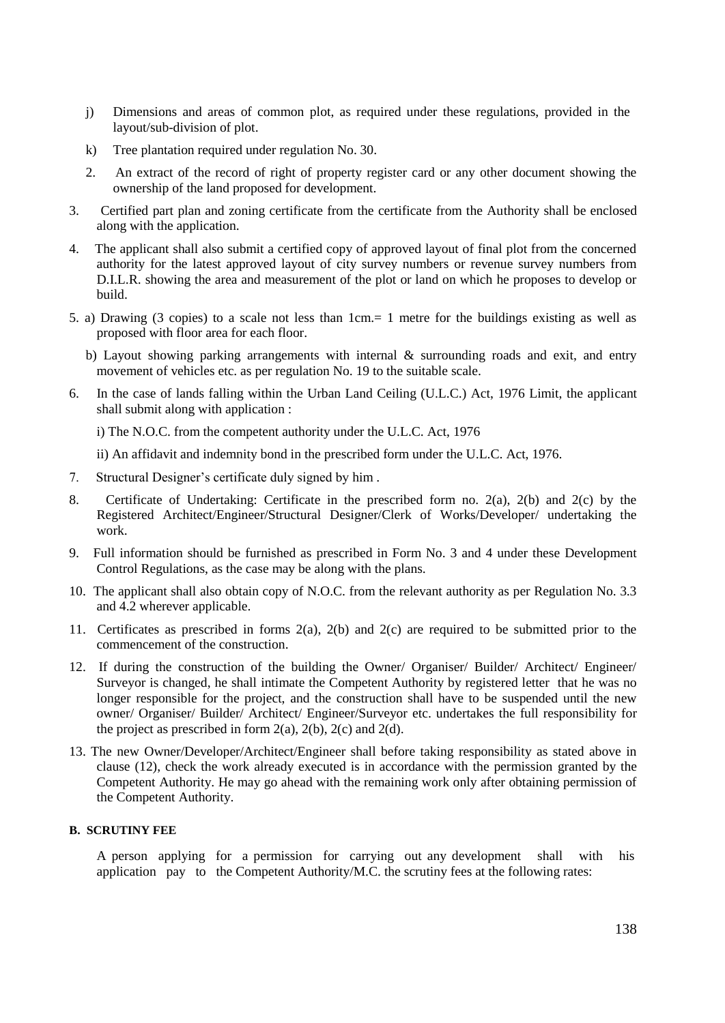- j) Dimensions and areas of common plot, as required under these regulations, provided in the layout/sub-division of plot.
- k) Tree plantation required under regulation No. 30.
- 2. An extract of the record of right of property register card or any other document showing the ownership of the land proposed for development.
- 3. Certified part plan and zoning certificate from the certificate from the Authority shall be enclosed along with the application.
- 4. The applicant shall also submit a certified copy of approved layout of final plot from the concerned authority for the latest approved layout of city survey numbers or revenue survey numbers from D.I.L.R. showing the area and measurement of the plot or land on which he proposes to develop or build.
- 5. a) Drawing (3 copies) to a scale not less than 1cm.= 1 metre for the buildings existing as well as proposed with floor area for each floor.
	- b) Layout showing parking arrangements with internal & surrounding roads and exit, and entry movement of vehicles etc. as per regulation No. 19 to the suitable scale.
- 6. In the case of lands falling within the Urban Land Ceiling (U.L.C.) Act, 1976 Limit, the applicant shall submit along with application :

i) The N.O.C. from the competent authority under the U.L.C. Act, 1976

ii) An affidavit and indemnity bond in the prescribed form under the U.L.C. Act, 1976.

- 7. Structural Designer's certificate duly signed by him .
- 8. Certificate of Undertaking: Certificate in the prescribed form no. 2(a), 2(b) and 2(c) by the Registered Architect/Engineer/Structural Designer/Clerk of Works/Developer/ undertaking the work.
- 9. Full information should be furnished as prescribed in Form No. 3 and 4 under these Development Control Regulations, as the case may be along with the plans.
- 10. The applicant shall also obtain copy of N.O.C. from the relevant authority as per Regulation No. 3.3 and 4.2 wherever applicable.
- 11. Certificates as prescribed in forms 2(a), 2(b) and 2(c) are required to be submitted prior to the commencement of the construction.
- 12. If during the construction of the building the Owner/ Organiser/ Builder/ Architect/ Engineer/ Surveyor is changed, he shall intimate the Competent Authority by registered letter that he was no longer responsible for the project, and the construction shall have to be suspended until the new owner/ Organiser/ Builder/ Architect/ Engineer/Surveyor etc. undertakes the full responsibility for the project as prescribed in form  $2(a)$ ,  $2(b)$ ,  $2(c)$  and  $2(d)$ .
- 13. The new Owner/Developer/Architect/Engineer shall before taking responsibility as stated above in clause (12), check the work already executed is in accordance with the permission granted by the Competent Authority. He may go ahead with the remaining work only after obtaining permission of the Competent Authority.

#### **B. SCRUTINY FEE**

A person applying for a permission for carrying out any development shall with his application pay to the Competent Authority/M.C. the scrutiny fees at the following rates: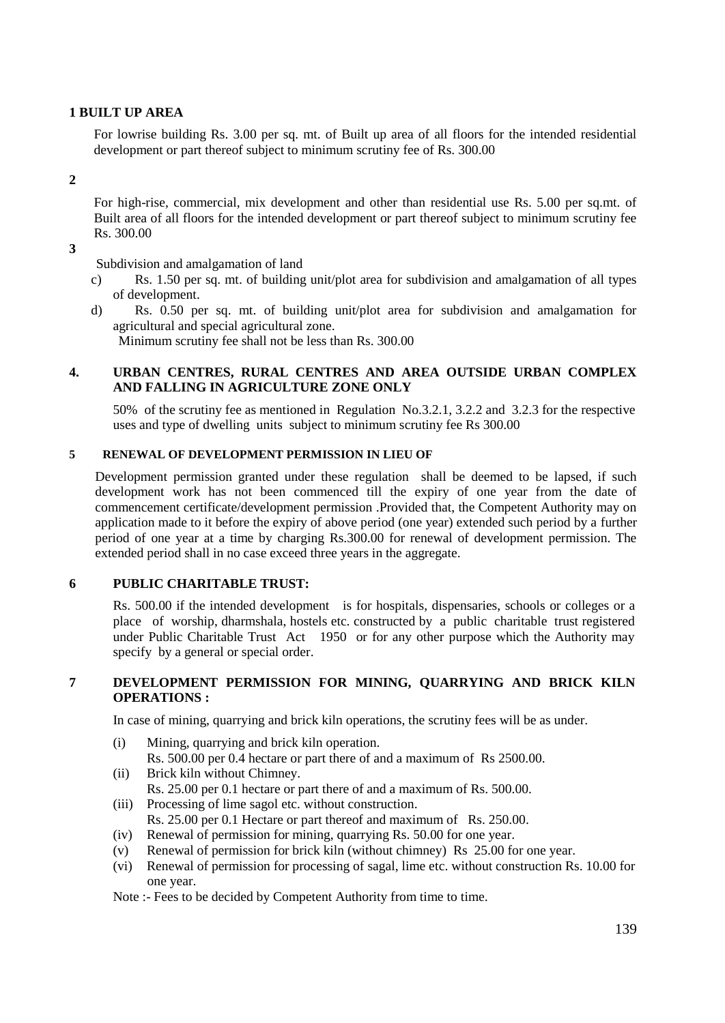#### **1 BUILT UP AREA**

For lowrise building Rs. 3.00 per sq. mt. of Built up area of all floors for the intended residential development or part thereof subject to minimum scrutiny fee of Rs. 300.00

#### **2**

For high-rise, commercial, mix development and other than residential use Rs. 5.00 per sq.mt. of Built area of all floors for the intended development or part thereof subject to minimum scrutiny fee Rs. 300.00

**3**

Subdivision and amalgamation of land

- c) Rs. 1.50 per sq. mt. of building unit/plot area for subdivision and amalgamation of all types of development.
- d) Rs. 0.50 per sq. mt. of building unit/plot area for subdivision and amalgamation for agricultural and special agricultural zone.

Minimum scrutiny fee shall not be less than Rs. 300.00

#### **4. URBAN CENTRES, RURAL CENTRES AND AREA OUTSIDE URBAN COMPLEX AND FALLING IN AGRICULTURE ZONE ONLY**

50% of the scrutiny fee as mentioned in Regulation No.3.2.1, 3.2.2 and 3.2.3 for the respective uses and type of dwelling units subject to minimum scrutiny fee Rs 300.00

#### **5 RENEWAL OF DEVELOPMENT PERMISSION IN LIEU OF**

Development permission granted under these regulation shall be deemed to be lapsed, if such development work has not been commenced till the expiry of one year from the date of commencement certificate/development permission .Provided that, the Competent Authority may on application made to it before the expiry of above period (one year) extended such period by a further period of one year at a time by charging Rs.300.00 for renewal of development permission. The extended period shall in no case exceed three years in the aggregate.

#### **6 PUBLIC CHARITABLE TRUST:**

Rs. 500.00 if the intended development is for hospitals, dispensaries, schools or colleges or a place of worship, dharmshala, hostels etc. constructed by a public charitable trust registered under Public Charitable Trust Act 1950 or for any other purpose which the Authority may specify by a general or special order.

#### **7 DEVELOPMENT PERMISSION FOR MINING, QUARRYING AND BRICK KILN OPERATIONS :**

In case of mining, quarrying and brick kiln operations, the scrutiny fees will be as under.

- (i) Mining, quarrying and brick kiln operation.
	- Rs. 500.00 per 0.4 hectare or part there of and a maximum of Rs 2500.00.
- (ii) Brick kiln without Chimney. Rs. 25.00 per 0.1 hectare or part there of and a maximum of Rs. 500.00.
- (iii) Processing of lime sagol etc. without construction. Rs. 25.00 per 0.1 Hectare or part thereof and maximum of Rs. 250.00.
- (iv) Renewal of permission for mining, quarrying Rs. 50.00 for one year.
- (v) Renewal of permission for brick kiln (without chimney) Rs 25.00 for one year.
- (vi) Renewal of permission for processing of sagal, lime etc. without construction Rs. 10.00 for one year.
- Note :- Fees to be decided by Competent Authority from time to time.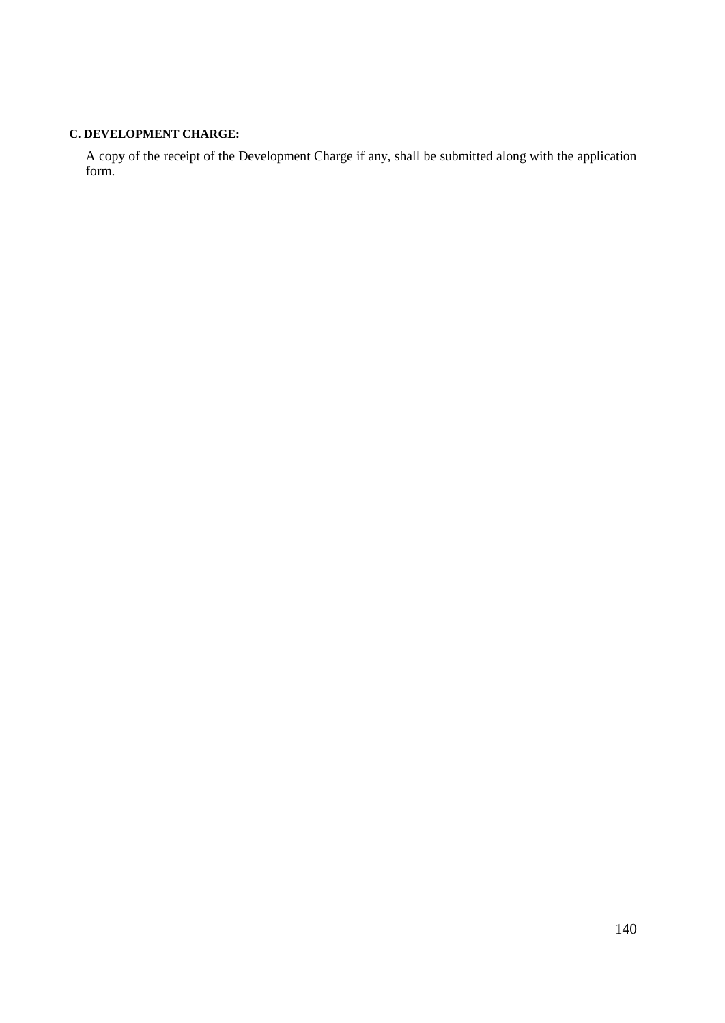#### **C. DEVELOPMENT CHARGE:**

A copy of the receipt of the Development Charge if any, shall be submitted along with the application form.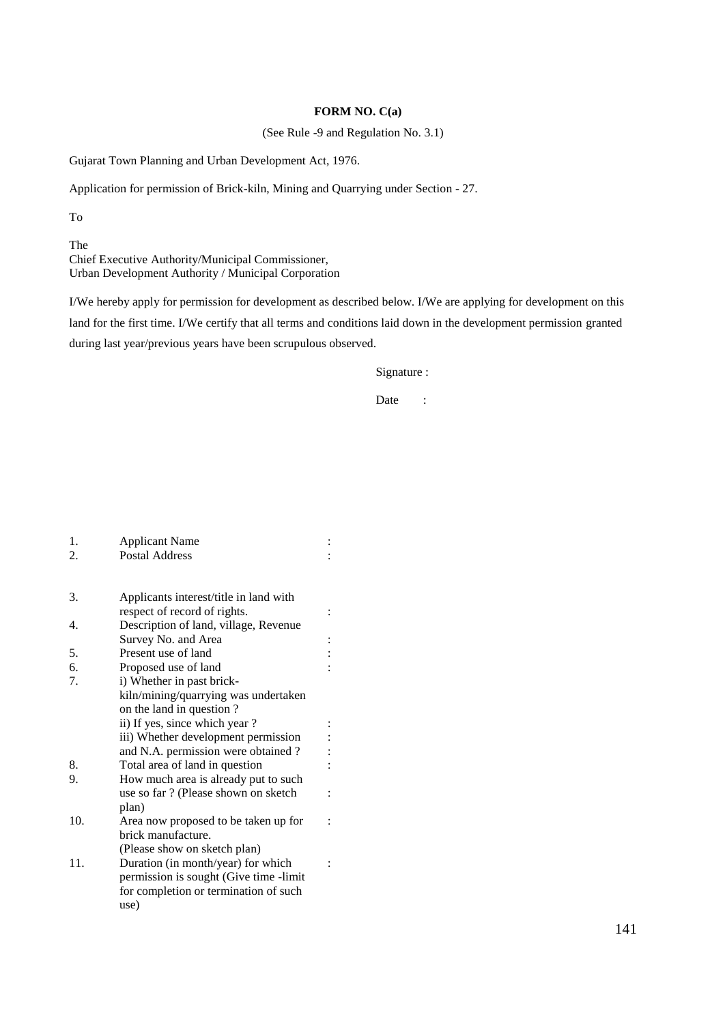#### **FORM NO. C(a)**

(See Rule -9 and Regulation No. 3.1)

Gujarat Town Planning and Urban Development Act, 1976.

Application for permission of Brick-kiln, Mining and Quarrying under Section - 27.

To

The Chief Executive Authority/Municipal Commissioner, Urban Development Authority / Municipal Corporation

I/We hereby apply for permission for development as described below. I/We are applying for development on this land for the first time. I/We certify that all terms and conditions laid down in the development permission granted during last year/previous years have been scrupulous observed.

#### Signature :

Date :

| 1.  | <b>Applicant Name</b>                  |  |
|-----|----------------------------------------|--|
| 2.  | <b>Postal Address</b>                  |  |
|     |                                        |  |
| 3.  | Applicants interest/title in land with |  |
|     | respect of record of rights.           |  |
| 4.  | Description of land, village, Revenue  |  |
|     | Survey No. and Area                    |  |
| 5.  | Present use of land                    |  |
| 6.  | Proposed use of land                   |  |
| 7.  | i) Whether in past brick-              |  |
|     | kiln/mining/quarrying was undertaken   |  |
|     | on the land in question?               |  |
|     | ii) If yes, since which year?          |  |
|     | iii) Whether development permission    |  |
|     | and N.A. permission were obtained?     |  |
| 8.  | Total area of land in question         |  |
| 9.  | How much area is already put to such   |  |
|     | use so far ? (Please shown on sketch   |  |
|     | plan)                                  |  |
| 10. | Area now proposed to be taken up for   |  |
|     | brick manufacture.                     |  |
|     | (Please show on sketch plan)           |  |
| 11. | Duration (in month/year) for which     |  |
|     | permission is sought (Give time -limit |  |
|     | for completion or termination of such  |  |
|     | use)                                   |  |
|     |                                        |  |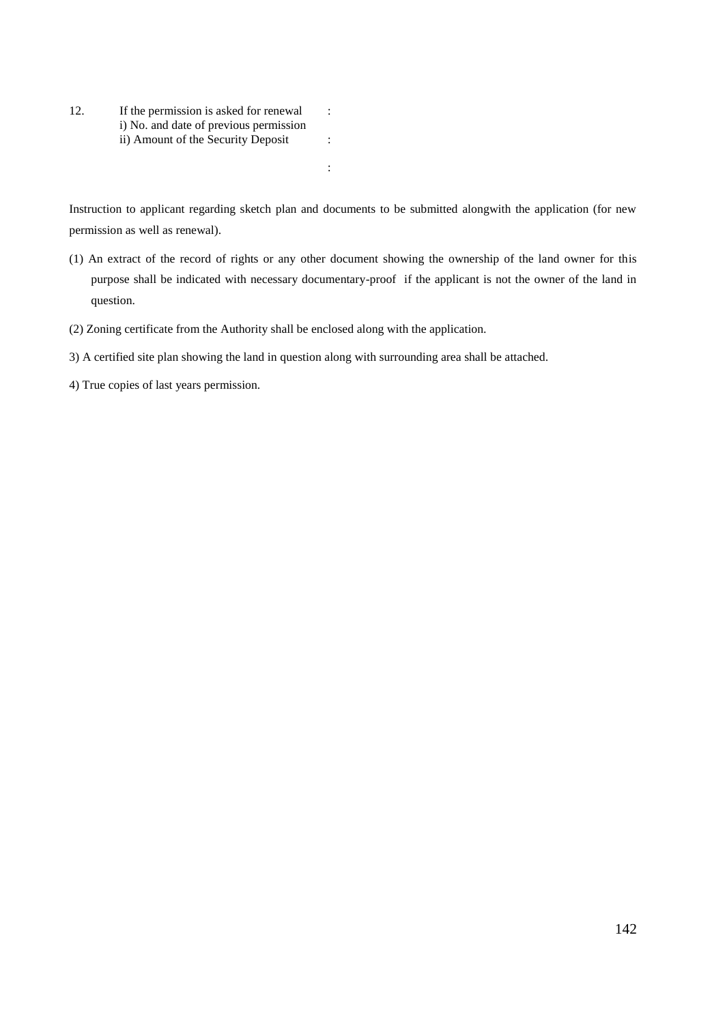12. If the permission is asked for renewal i) No. and date of previous permission ii) Amount of the Security Deposit : :

Instruction to applicant regarding sketch plan and documents to be submitted alongwith the application (for new permission as well as renewal).

:

- (1) An extract of the record of rights or any other document showing the ownership of the land owner for this purpose shall be indicated with necessary documentary-proof if the applicant is not the owner of the land in question.
- (2) Zoning certificate from the Authority shall be enclosed along with the application.
- 3) A certified site plan showing the land in question along with surrounding area shall be attached.

4) True copies of last years permission.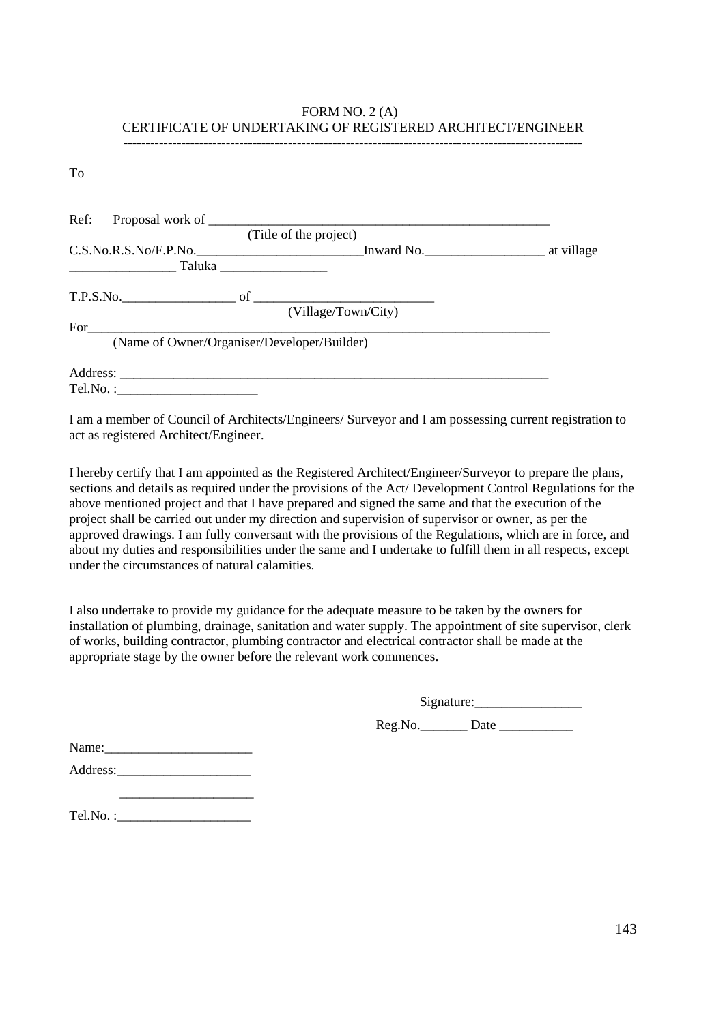#### FORM NO. 2 (A) CERTIFICATE OF UNDERTAKING OF REGISTERED ARCHITECT/ENGINEER -------------------------------------------------------------------------------------------------------

To

|                                             | (Title of the project) |            |
|---------------------------------------------|------------------------|------------|
| C.S.No.R.S.No/F.P.No.                       | Inward No.             | at village |
|                                             |                        |            |
|                                             |                        |            |
|                                             | (Village/Town/City)    |            |
| $For \_\_$                                  |                        |            |
| (Name of Owner/Organiser/Developer/Builder) |                        |            |
|                                             |                        |            |
|                                             |                        |            |

I am a member of Council of Architects/Engineers/ Surveyor and I am possessing current registration to act as registered Architect/Engineer.

I hereby certify that I am appointed as the Registered Architect/Engineer/Surveyor to prepare the plans, sections and details as required under the provisions of the Act/ Development Control Regulations for the above mentioned project and that I have prepared and signed the same and that the execution of the project shall be carried out under my direction and supervision of supervisor or owner, as per the approved drawings. I am fully conversant with the provisions of the Regulations, which are in force, and about my duties and responsibilities under the same and I undertake to fulfill them in all respects, except under the circumstances of natural calamities.

I also undertake to provide my guidance for the adequate measure to be taken by the owners for installation of plumbing, drainage, sanitation and water supply. The appointment of site supervisor, clerk of works, building contractor, plumbing contractor and electrical contractor shall be made at the appropriate stage by the owner before the relevant work commences.

Signature:\_\_\_\_\_\_\_\_\_\_\_\_\_\_\_\_

Reg.No. Date Date

| Name:    |  |  |
|----------|--|--|
| Address: |  |  |

| Tel.No. |
|---------|
|---------|

 $\overline{\phantom{a}}$  , which is a set of the set of the set of the set of the set of the set of the set of the set of the set of the set of the set of the set of the set of the set of the set of the set of the set of the set of th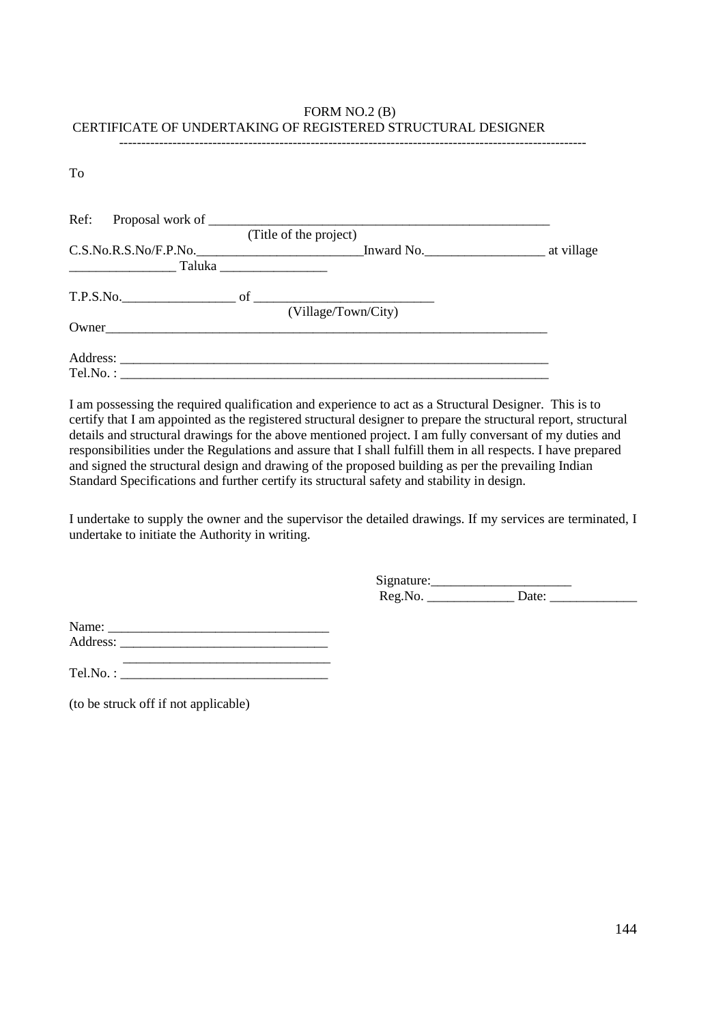#### FORM NO.2 (B) CERTIFICATE OF UNDERTAKING OF REGISTERED STRUCTURAL DESIGNER ---------------------------------------------------------------------------------------------------------

To

|                                                                                                                       | (Title of the project)                                                                              |  |
|-----------------------------------------------------------------------------------------------------------------------|-----------------------------------------------------------------------------------------------------|--|
| <u> 1999 - Johann Harry Harry Harry Harry Harry Harry Harry Harry Harry Harry Harry Harry Harry Harry Harry Harry</u> | C.S.No.R.S.No/F.P.No. Inward No. The Law and No. The Law at village<br>Taluka _____________________ |  |
|                                                                                                                       | (Village/Town/City)                                                                                 |  |
| Owner                                                                                                                 |                                                                                                     |  |
| Tel.No.:                                                                                                              |                                                                                                     |  |

I am possessing the required qualification and experience to act as a Structural Designer. This is to certify that I am appointed as the registered structural designer to prepare the structural report, structural details and structural drawings for the above mentioned project. I am fully conversant of my duties and responsibilities under the Regulations and assure that I shall fulfill them in all respects. I have prepared and signed the structural design and drawing of the proposed building as per the prevailing Indian Standard Specifications and further certify its structural safety and stability in design.

I undertake to supply the owner and the supervisor the detailed drawings. If my services are terminated, I undertake to initiate the Authority in writing.

> Signature:\_\_\_\_\_\_\_\_\_\_\_\_\_\_\_\_\_\_\_\_\_ Reg.No. \_\_\_\_\_\_\_\_\_\_\_\_\_ Date: \_\_\_\_\_\_\_\_\_\_\_\_\_

Name: \_\_\_\_\_\_\_\_\_\_\_\_\_\_\_\_\_\_\_\_\_\_\_\_\_\_\_\_\_\_\_\_\_ Address: \_\_\_\_\_\_\_\_\_\_\_\_\_\_\_\_\_\_\_\_\_\_\_\_\_\_\_\_\_\_\_

Tel.No. : \_\_\_\_\_\_\_\_\_\_\_\_\_\_\_\_\_\_\_\_\_\_\_\_\_\_\_\_\_\_\_

(to be struck off if not applicable)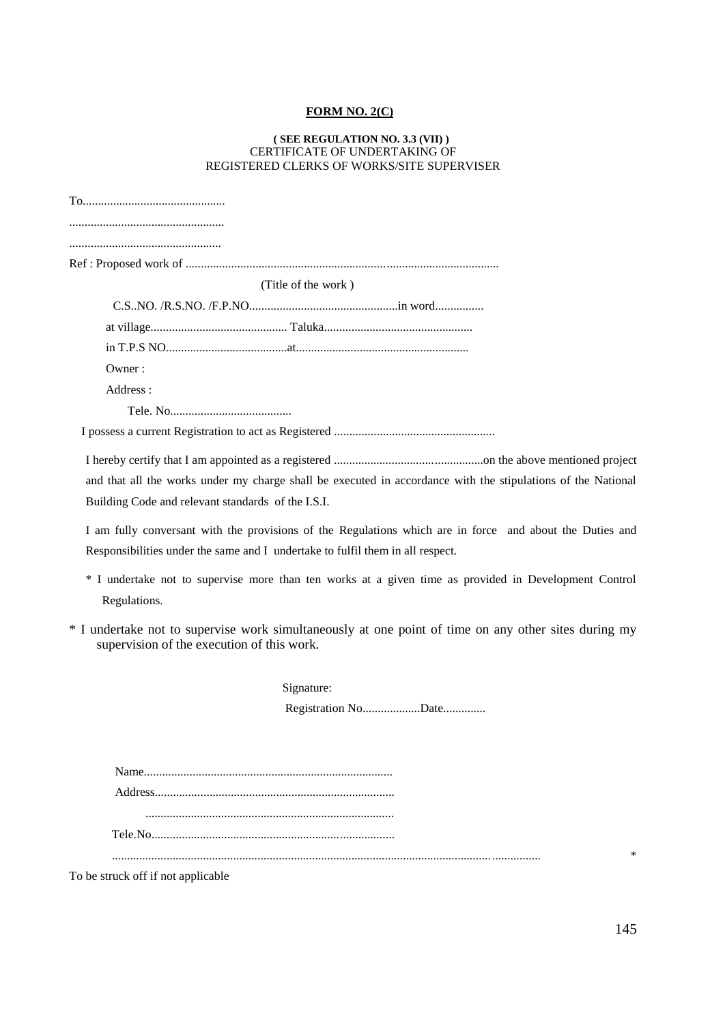## **FORM NO. 2(C)**

### **( SEE REGULATION NO. 3.3 (VII) )** CERTIFICATE OF UNDERTAKING OF REGISTERED CLERKS OF WORKS/SITE SUPERVISER

| (Title of the work)                                                                                                                                                                        |
|--------------------------------------------------------------------------------------------------------------------------------------------------------------------------------------------|
|                                                                                                                                                                                            |
|                                                                                                                                                                                            |
|                                                                                                                                                                                            |
| Owner:                                                                                                                                                                                     |
| Address:                                                                                                                                                                                   |
|                                                                                                                                                                                            |
|                                                                                                                                                                                            |
| and that all the works under my charge shall be executed in accordance with the stipulations of the National<br>Building Code and relevant standards of the I.S.I.                         |
| I am fully conversant with the provisions of the Regulations which are in force and about the Duties and<br>Responsibilities under the same and I undertake to fulfil them in all respect. |
| * I undertake not to supervise more than ten works at a given time as provided in Development Control<br>Regulations.                                                                      |
| * I undertake not to supervise work simultaneously at one point of time on any other sites during my<br>supervision of the execution of this work.                                         |
| Signature:                                                                                                                                                                                 |
| Registration NoDate                                                                                                                                                                        |

To be struck off if not applicable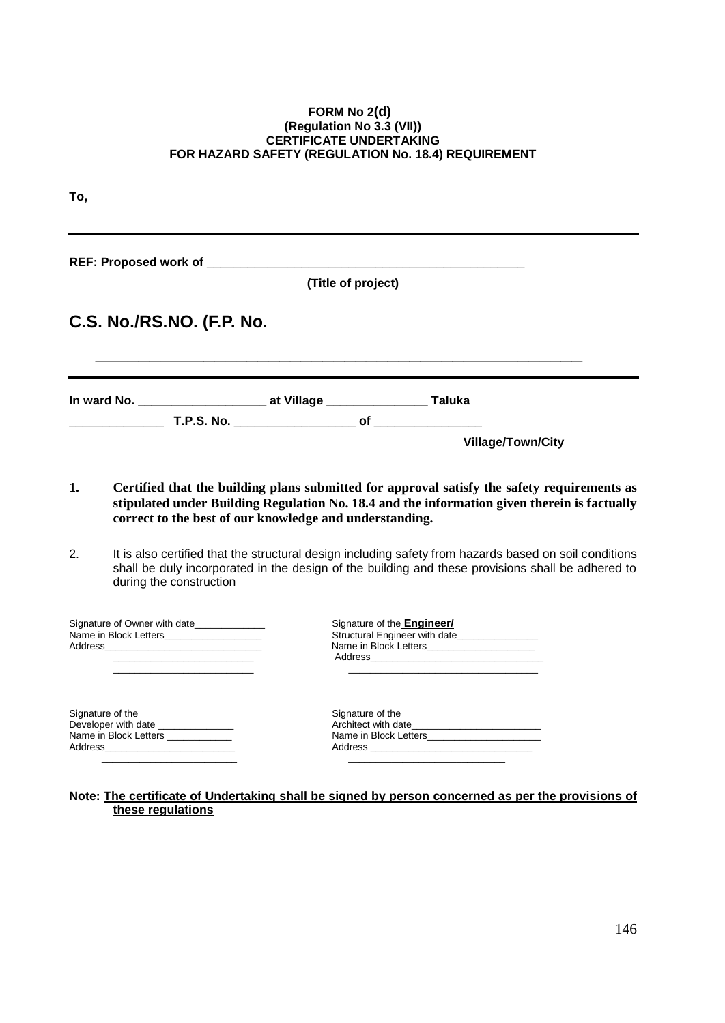### **FORM No 2(d) (Regulation No 3.3 (VII)) CERTIFICATE UNDERTAKING FOR HAZARD SAFETY (REGULATION No. 18.4) REQUIREMENT**

| To,              |                                                                                                                                                                                                                                                                                                            |                                                                                                                                                                                                                                                                                                                                                                                                                                                                       |                                                                    |                   |
|------------------|------------------------------------------------------------------------------------------------------------------------------------------------------------------------------------------------------------------------------------------------------------------------------------------------------------|-----------------------------------------------------------------------------------------------------------------------------------------------------------------------------------------------------------------------------------------------------------------------------------------------------------------------------------------------------------------------------------------------------------------------------------------------------------------------|--------------------------------------------------------------------|-------------------|
|                  |                                                                                                                                                                                                                                                                                                            |                                                                                                                                                                                                                                                                                                                                                                                                                                                                       |                                                                    |                   |
|                  |                                                                                                                                                                                                                                                                                                            | (Title of project)                                                                                                                                                                                                                                                                                                                                                                                                                                                    |                                                                    |                   |
|                  | C.S. No./RS.NO. (F.P. No.                                                                                                                                                                                                                                                                                  |                                                                                                                                                                                                                                                                                                                                                                                                                                                                       |                                                                    |                   |
|                  |                                                                                                                                                                                                                                                                                                            |                                                                                                                                                                                                                                                                                                                                                                                                                                                                       |                                                                    |                   |
|                  |                                                                                                                                                                                                                                                                                                            |                                                                                                                                                                                                                                                                                                                                                                                                                                                                       |                                                                    | Village/Town/City |
| 1.<br>2.         | during the construction                                                                                                                                                                                                                                                                                    | Certified that the building plans submitted for approval satisfy the safety requirements as<br>stipulated under Building Regulation No. 18.4 and the information given therein is factually<br>correct to the best of our knowledge and understanding.<br>It is also certified that the structural design including safety from hazards based on soil conditions<br>shall be duly incorporated in the design of the building and these provisions shall be adhered to |                                                                    |                   |
|                  | Signature of Owner with date<br>Name in Block Letters_____________________<br>Address Address Address Address Address Address Address Address Address Address Address Address Address Address A<br>the control of the control of the control of the                                                        |                                                                                                                                                                                                                                                                                                                                                                                                                                                                       | Signature of the <b>Engineer/</b><br>Structural Engineer with date |                   |
| Signature of the | Developer with date _______________<br>Name in Block Letters ___________<br>Address and the contract of the contract of the contract of the contract of the contract of the contract of the contract of the contract of the contract of the contract of the contract of the contract of the contract of th | Signature of the                                                                                                                                                                                                                                                                                                                                                                                                                                                      |                                                                    |                   |

**Note: The certificate of Undertaking shall be signed by person concerned as per the provisions of these regulations**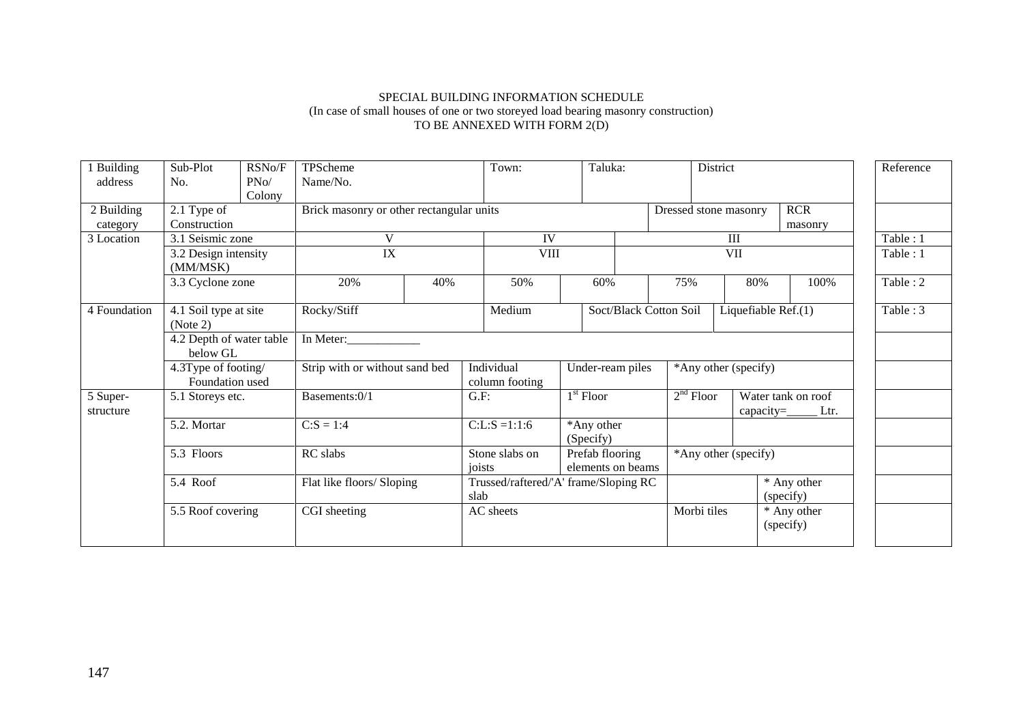## SPECIAL BUILDING INFORMATION SCHEDULE (In case of small houses of one or two storeyed load bearing masonry construction) TO BE ANNEXED WITH FORM 2(D)

| Building<br>address    | Sub-Plot<br>No.                        | RSNo/F<br>PNo/ | TPScheme<br>Name/No.                     |     | Town:                                            |                                                        | Taluka:                |                       | District                                                  |                          | Reference |
|------------------------|----------------------------------------|----------------|------------------------------------------|-----|--------------------------------------------------|--------------------------------------------------------|------------------------|-----------------------|-----------------------------------------------------------|--------------------------|-----------|
| 2 Building<br>category | 2.1 Type of<br>Construction            | Colony         | Brick masonry or other rectangular units |     |                                                  |                                                        |                        | Dressed stone masonry |                                                           | <b>RCR</b><br>masonry    |           |
| 3 Location             | 3.1 Seismic zone                       |                | V                                        |     |                                                  | IV                                                     |                        |                       | III                                                       |                          | Table: 1  |
|                        | 3.2 Design intensity<br>(MM/MSK)       |                |                                          | IX  |                                                  | <b>VIII</b>                                            |                        | <b>VII</b>            |                                                           |                          | Table: 1  |
|                        | 3.3 Cyclone zone                       |                | 20%                                      | 40% | 50%                                              | 60%                                                    |                        | 75%                   | 80%                                                       | 100%                     | Table: 2  |
| 4 Foundation           | 4.1 Soil type at site<br>(Note 2)      |                | Rocky/Stiff                              |     | Medium                                           |                                                        | Soct/Black Cotton Soil |                       | Liquefiable Ref.(1)                                       |                          | Table: 3  |
|                        | 4.2 Depth of water table<br>below GL   |                | In Meter:                                |     |                                                  |                                                        |                        |                       |                                                           |                          |           |
|                        | 4.3Type of footing/<br>Foundation used |                | Strip with or without sand bed           |     | Individual<br>Under-ream piles<br>column footing |                                                        |                        | *Any other (specify)  |                                                           |                          |           |
| 5 Super-<br>structure  | 5.1 Storeys etc.                       |                | Basements:0/1                            |     | G.F:                                             | $1st$ Floor                                            |                        | $2nd$ Floor           | Water tank on roof<br>capacity= $\rule{1em}{0.15mm}$ Ltr. |                          |           |
|                        | 5.2. Mortar                            |                | $C: S = 1:4$                             |     | $C: L: S = 1:1:6$                                | *Any other<br>(Specify)                                |                        |                       |                                                           |                          |           |
|                        | 5.3 Floors                             |                | RC slabs                                 |     |                                                  | Stone slabs on<br>Prefab flooring<br>elements on beams |                        | *Any other (specify)  |                                                           |                          |           |
|                        | 5.4 Roof                               |                | Flat like floors/ Sloping                |     | Trussed/raftered/'A' frame/Sloping RC<br>slab    |                                                        |                        |                       |                                                           | * Any other<br>(specify) |           |
|                        | 5.5 Roof covering                      |                | CGI sheeting                             |     | AC sheets                                        |                                                        |                        | Morbi tiles           |                                                           | * Any other<br>(specify) |           |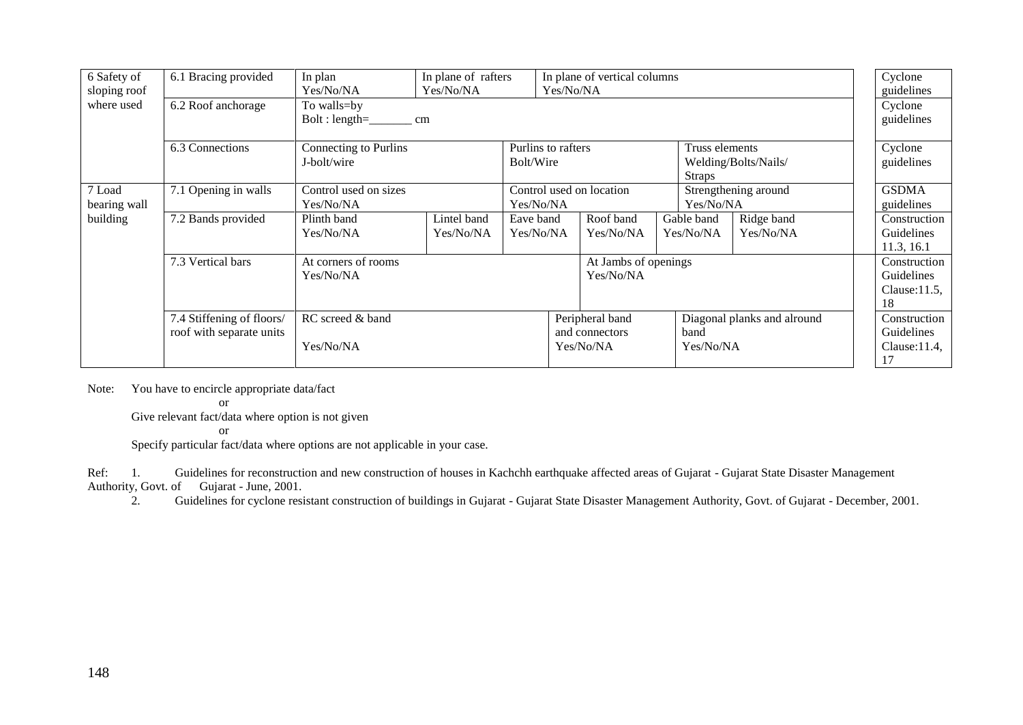| 6 Safety of<br>sloping roof | 6.1 Bracing provided                                  | In plane of rafters<br>In plan<br>In plane of vertical columns<br>Yes/No/NA<br>Yes/No/NA<br>Yes/No/NA |                                 |                                                    |  |                        |                                                         | Cyclone<br>guidelines   |                            |                                                      |  |
|-----------------------------|-------------------------------------------------------|-------------------------------------------------------------------------------------------------------|---------------------------------|----------------------------------------------------|--|------------------------|---------------------------------------------------------|-------------------------|----------------------------|------------------------------------------------------|--|
| where used                  | 6.2 Roof anchorage                                    | To walls=by                                                                                           | $Bolt: length = \_$ cm          |                                                    |  |                        |                                                         |                         |                            |                                                      |  |
|                             | 6.3 Connections                                       | Connecting to Purlins<br>J-bolt/wire                                                                  | Purlins to rafters<br>Bolt/Wire |                                                    |  |                        | Truss elements<br>Welding/Bolts/Nails/<br><b>Straps</b> |                         |                            | Cyclone<br>guidelines                                |  |
| 7 Load<br>bearing wall      | 7.1 Opening in walls                                  | Control used on sizes<br>Yes/No/NA                                                                    |                                 | Control used on location<br>Yes/No/NA<br>Yes/No/NA |  |                        | Strengthening around                                    |                         | <b>GSDMA</b><br>guidelines |                                                      |  |
| building                    | 7.2 Bands provided                                    | Plinth band<br>Yes/No/NA                                                                              | Lintel band<br>Yes/No/NA        | Eave band<br>Yes/No/NA                             |  | Roof band<br>Yes/No/NA | Gable band<br>Yes/No/NA                                 | Ridge band<br>Yes/No/NA |                            | Construction<br>Guidelines<br>11.3, 16.1             |  |
|                             | 7.3 Vertical bars                                     | At corners of rooms<br>At Jambs of openings<br>Yes/No/NA<br>Yes/No/NA                                 |                                 |                                                    |  |                        |                                                         |                         |                            | Construction<br>Guidelines<br>Clause: $11.5$ ,<br>18 |  |
|                             | 7.4 Stiffening of floors/<br>roof with separate units | RC screed & band<br>Yes/No/NA                                                                         |                                 | Peripheral band<br>and connectors<br>band          |  |                        | Diagonal planks and alround                             |                         | Construction<br>Guidelines |                                                      |  |
|                             |                                                       |                                                                                                       |                                 | Yes/No/NA                                          |  |                        | Yes/No/NA                                               |                         | $Clause:11.4$ ,<br>17      |                                                      |  |

Note: You have to encircle appropriate data/fact

or

Give relevant fact/data where option is not given

or

Specify particular fact/data where options are not applicable in your case.

Ref: 1. Guidelines for reconstruction and new construction of houses in Kachchh earthquake affected areas of Gujarat - Gujarat State Disaster Management Authority, Govt. of Gujarat - June, 2001. ty, Govt. of Gujarat - June, 2001.<br>2. Guidelines for cyclone resi

2. Guidelines for cyclone resistant construction of buildings in Gujarat - Gujarat State Disaster Management Authority, Govt. of Gujarat - December, 2001.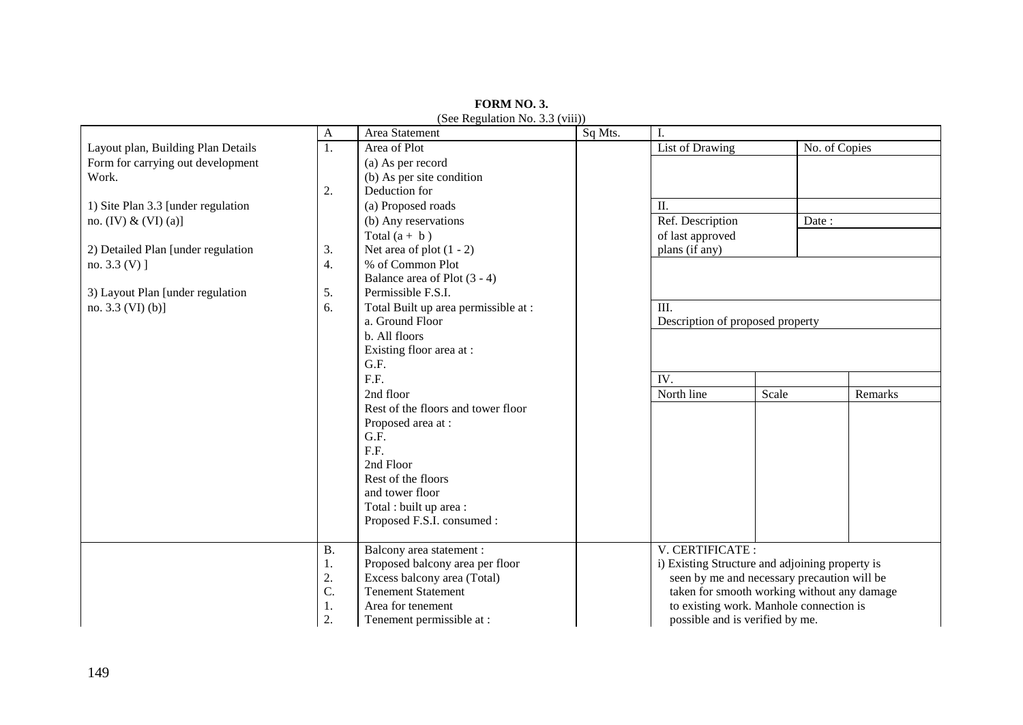|                                    | A         | Area Statement                       | Sq Mts.                                 | I.                                              |       |                                             |  |
|------------------------------------|-----------|--------------------------------------|-----------------------------------------|-------------------------------------------------|-------|---------------------------------------------|--|
| Layout plan, Building Plan Details | 1.        | Area of Plot                         |                                         | List of Drawing                                 |       | No. of Copies                               |  |
| Form for carrying out development  |           | (a) As per record                    |                                         |                                                 |       |                                             |  |
| Work.                              |           | (b) As per site condition            |                                         |                                                 |       |                                             |  |
|                                    | 2.        | Deduction for                        |                                         |                                                 |       |                                             |  |
| 1) Site Plan 3.3 [under regulation |           | (a) Proposed roads                   |                                         | П.                                              |       |                                             |  |
| no. (IV) & (VI) (a)]               |           | (b) Any reservations                 |                                         | Ref. Description                                |       | Date:                                       |  |
|                                    |           | Total $(a + b)$                      |                                         | of last approved                                |       |                                             |  |
| 2) Detailed Plan [under regulation | 3.        | Net area of plot $(1 - 2)$           |                                         | plans (if any)                                  |       |                                             |  |
| no. $3.3 (V)$ ]                    | 4.        | % of Common Plot                     |                                         |                                                 |       |                                             |  |
|                                    |           | Balance area of Plot (3 - 4)         |                                         |                                                 |       |                                             |  |
| 3) Layout Plan [under regulation   | 5.        | Permissible F.S.I.                   |                                         |                                                 |       |                                             |  |
| no. $3.3$ (VI) (b)]                | 6.        | Total Built up area permissible at : |                                         | III.                                            |       |                                             |  |
|                                    |           | a. Ground Floor                      |                                         | Description of proposed property                |       |                                             |  |
|                                    |           | b. All floors                        |                                         |                                                 |       |                                             |  |
|                                    |           | Existing floor area at:              |                                         |                                                 |       |                                             |  |
|                                    |           | G.F.                                 |                                         |                                                 |       |                                             |  |
|                                    |           | F.F.                                 |                                         | IV.                                             |       |                                             |  |
|                                    |           | 2nd floor                            |                                         | North line                                      | Scale | Remarks                                     |  |
|                                    |           | Rest of the floors and tower floor   |                                         |                                                 |       |                                             |  |
|                                    |           | Proposed area at:                    |                                         |                                                 |       |                                             |  |
|                                    |           | G.F.                                 |                                         |                                                 |       |                                             |  |
|                                    |           | F.F.                                 |                                         |                                                 |       |                                             |  |
|                                    |           | 2nd Floor                            |                                         |                                                 |       |                                             |  |
|                                    |           | Rest of the floors                   |                                         |                                                 |       |                                             |  |
|                                    |           | and tower floor                      |                                         |                                                 |       |                                             |  |
|                                    |           | Total : built up area :              |                                         |                                                 |       |                                             |  |
|                                    |           | Proposed F.S.I. consumed :           |                                         |                                                 |       |                                             |  |
|                                    |           |                                      |                                         |                                                 |       |                                             |  |
|                                    | <b>B.</b> | Balcony area statement :             |                                         | V. CERTIFICATE:                                 |       |                                             |  |
|                                    | 1.        | Proposed balcony area per floor      |                                         | i) Existing Structure and adjoining property is |       |                                             |  |
|                                    | 2.        | Excess balcony area (Total)          |                                         | seen by me and necessary precaution will be     |       |                                             |  |
|                                    | C.        | <b>Tenement Statement</b>            |                                         |                                                 |       | taken for smooth working without any damage |  |
|                                    | 1.        | Area for tenement                    | to existing work. Manhole connection is |                                                 |       |                                             |  |
|                                    | 2.        | Tenement permissible at :            |                                         | possible and is verified by me.                 |       |                                             |  |

**FORM NO. 3.** (See Regulation No. 3.3 (viii))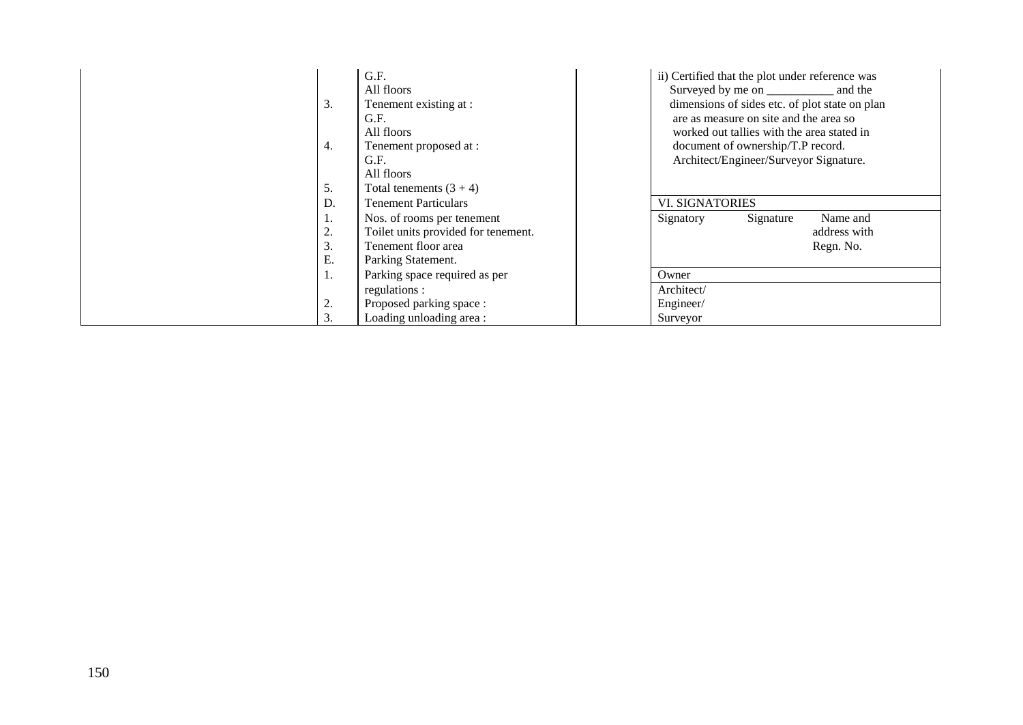| 3.<br>4.<br>5.       | G.F.<br>All floors<br>Tenement existing at :<br>G.F.<br>All floors<br>Tenement proposed at:<br>G.F.<br>All floors<br>Total tenements $(3 + 4)$ | ii) Certified that the plot under reference was<br>dimensions of sides etc. of plot state on plan<br>are as measure on site and the area so<br>worked out tallies with the area stated in<br>document of ownership/T.P record.<br>Architect/Engineer/Surveyor Signature. |  |  |  |  |
|----------------------|------------------------------------------------------------------------------------------------------------------------------------------------|--------------------------------------------------------------------------------------------------------------------------------------------------------------------------------------------------------------------------------------------------------------------------|--|--|--|--|
| D.                   | <b>Tenement Particulars</b>                                                                                                                    | <b>VI. SIGNATORIES</b>                                                                                                                                                                                                                                                   |  |  |  |  |
| 1.<br>2.<br>3.<br>Ε. | Nos. of rooms per tenement<br>Toilet units provided for tenement.<br>Tenement floor area<br>Parking Statement.                                 | Signatory<br>Name and<br>Signature<br>address with<br>Regn. No.                                                                                                                                                                                                          |  |  |  |  |
| ı.                   | Parking space required as per                                                                                                                  | Owner                                                                                                                                                                                                                                                                    |  |  |  |  |
|                      | regulations :                                                                                                                                  | Architect/                                                                                                                                                                                                                                                               |  |  |  |  |
| 2.                   | Proposed parking space:                                                                                                                        | Engineer/                                                                                                                                                                                                                                                                |  |  |  |  |
| 3.                   | Loading unloading area:                                                                                                                        | Surveyor                                                                                                                                                                                                                                                                 |  |  |  |  |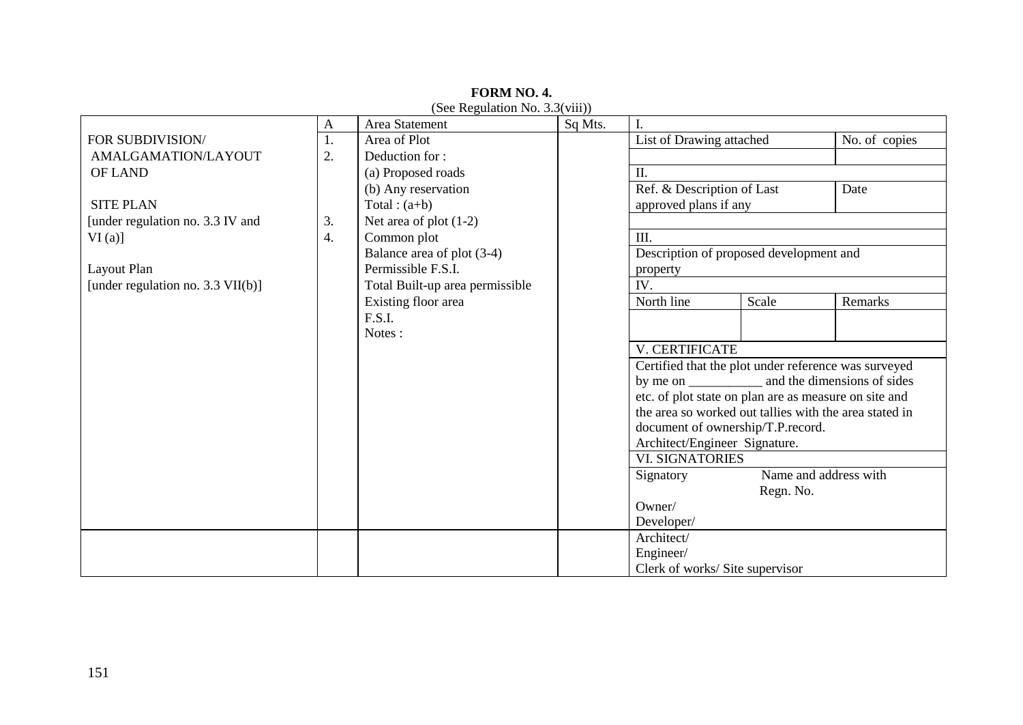|                                      | $\mathbf{A}$     | Area Statement                  | Sq Mts. | I.                                                         |                       |                             |
|--------------------------------------|------------------|---------------------------------|---------|------------------------------------------------------------|-----------------------|-----------------------------|
| FOR SUBDIVISION/                     | 1.               | Area of Plot                    |         | List of Drawing attached                                   |                       | No. of copies               |
| AMALGAMATION/LAYOUT                  | 2.               | Deduction for:                  |         |                                                            |                       |                             |
| <b>OF LAND</b>                       |                  | (a) Proposed roads              |         | Π.                                                         |                       |                             |
|                                      |                  | (b) Any reservation             |         | Ref. & Description of Last                                 |                       | Date                        |
| <b>SITE PLAN</b>                     |                  | Total : $(a+b)$                 |         | approved plans if any                                      |                       |                             |
| [under regulation no. 3.3 IV and     | 3.               | Net area of plot $(1-2)$        |         |                                                            |                       |                             |
| $VI(a)$ ]                            | $\overline{4}$ . | Common plot                     |         | III.                                                       |                       |                             |
|                                      |                  | Balance area of plot (3-4)      |         | Description of proposed development and                    |                       |                             |
| Layout Plan                          |                  | Permissible F.S.I.              |         | property                                                   |                       |                             |
| [under regulation no. 3.3 $VII(b)$ ] |                  | Total Built-up area permissible |         | IV.                                                        |                       |                             |
|                                      |                  | Existing floor area             |         | North line                                                 | Scale                 | Remarks                     |
|                                      |                  | F.S.I.                          |         |                                                            |                       |                             |
|                                      |                  | Notes:                          |         |                                                            |                       |                             |
|                                      |                  |                                 |         | V. CERTIFICATE                                             |                       |                             |
|                                      |                  |                                 |         | Certified that the plot under reference was surveyed       |                       |                             |
|                                      |                  |                                 |         | by me on $\qquad$                                          |                       | and the dimensions of sides |
|                                      |                  |                                 |         | etc. of plot state on plan are as measure on site and      |                       |                             |
|                                      |                  |                                 |         | the area so worked out tallies with the area stated in     |                       |                             |
|                                      |                  |                                 |         | document of ownership/T.P.record.                          |                       |                             |
|                                      |                  |                                 |         | Architect/Engineer Signature.                              |                       |                             |
|                                      |                  |                                 |         | <b>VI. SIGNATORIES</b>                                     |                       |                             |
|                                      |                  |                                 |         | Signatory                                                  | Name and address with |                             |
|                                      |                  |                                 |         |                                                            | Regn. No.             |                             |
|                                      |                  |                                 |         | Owner/                                                     |                       |                             |
|                                      |                  |                                 |         | Developer/                                                 |                       |                             |
|                                      |                  |                                 |         |                                                            |                       |                             |
|                                      |                  |                                 |         |                                                            |                       |                             |
|                                      |                  |                                 |         | Architect/<br>Engineer/<br>Clerk of works/ Site supervisor |                       |                             |

**FORM NO. 4.** (See Regulation No. 3.3(viii))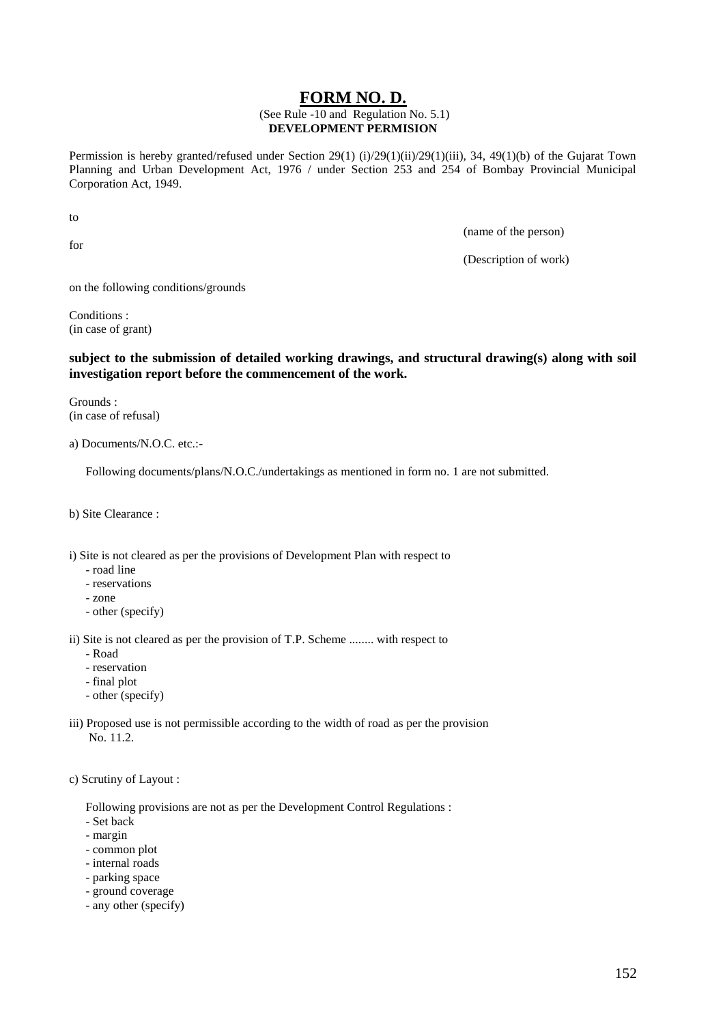# **FORM NO. D.**

### (See Rule -10 and Regulation No. 5.1) **DEVELOPMENT PERMISION**

Permission is hereby granted/refused under Section 29(1) (i)/29(1)(ii)/29(1)(iii), 34, 49(1)(b) of the Gujarat Town Planning and Urban Development Act, 1976 / under Section 253 and 254 of Bombay Provincial Municipal Corporation Act, 1949.

to

for

(name of the person)

(Description of work)

on the following conditions/grounds

Conditions : (in case of grant)

# **subject to the submission of detailed working drawings, and structural drawing(s) along with soil investigation report before the commencement of the work.**

Grounds : (in case of refusal)

a) Documents/N.O.C. etc.:-

Following documents/plans/N.O.C./undertakings as mentioned in form no. 1 are not submitted.

b) Site Clearance :

i) Site is not cleared as per the provisions of Development Plan with respect to

- road line
- reservations
- zone
- other (specify)

ii) Site is not cleared as per the provision of T.P. Scheme ........ with respect to

- Road
- reservation
- final plot
- other (specify)
- iii) Proposed use is not permissible according to the width of road as per the provision No. 11.2.

c) Scrutiny of Layout :

Following provisions are not as per the Development Control Regulations :

- Set back
- margin
- common plot
- internal roads
- parking space
- ground coverage
- any other (specify)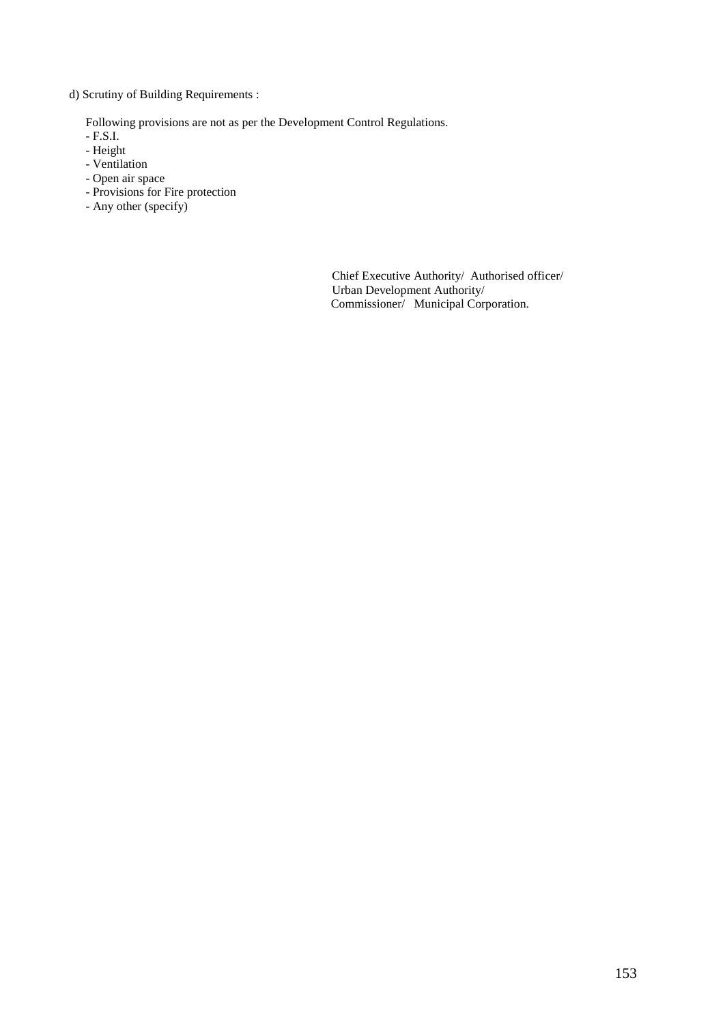d) Scrutiny of Building Requirements :

Following provisions are not as per the Development Control Regulations.

- F.S.I.
- Height
- Ventilation
- Open air space
- Provisions for Fire protection
- Any other (specify)

Chief Executive Authority/ Authorised officer/ Urban Development Authority/ Commissioner/ Municipal Corporation.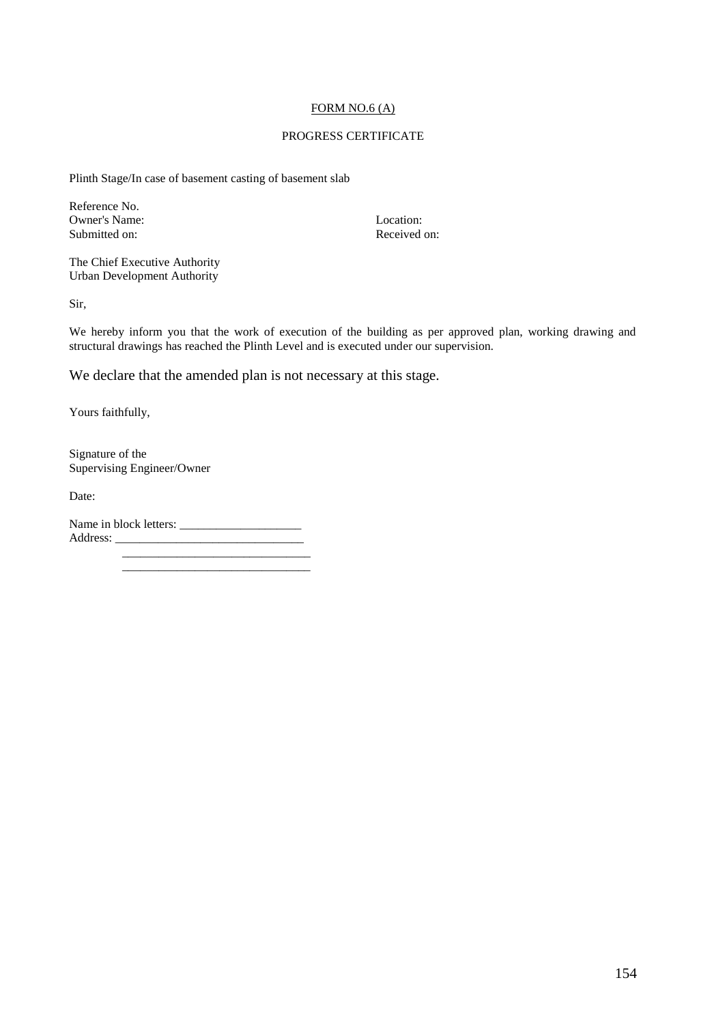### FORM NO.6 (A)

### PROGRESS CERTIFICATE

Plinth Stage/In case of basement casting of basement slab

Reference No. Owner's Name:<br>
Submitted on:<br>
Submitted on:<br>
Received on: Submitted on:

The Chief Executive Authority Urban Development Authority

Sir,

We hereby inform you that the work of execution of the building as per approved plan, working drawing and structural drawings has reached the Plinth Level and is executed under our supervision.

We declare that the amended plan is not necessary at this stage.

Yours faithfully,

Signature of the Supervising Engineer/Owner

Date:

Name in block letters: \_\_\_\_\_\_\_\_\_\_\_\_\_\_\_\_\_\_\_\_ Address: \_\_\_\_\_\_\_\_\_\_\_\_\_\_\_\_\_\_\_\_\_\_\_\_\_\_\_\_\_\_\_ \_\_\_\_\_\_\_\_\_\_\_\_\_\_\_\_\_\_\_\_\_\_\_\_\_\_\_\_\_\_\_

\_\_\_\_\_\_\_\_\_\_\_\_\_\_\_\_\_\_\_\_\_\_\_\_\_\_\_\_\_\_\_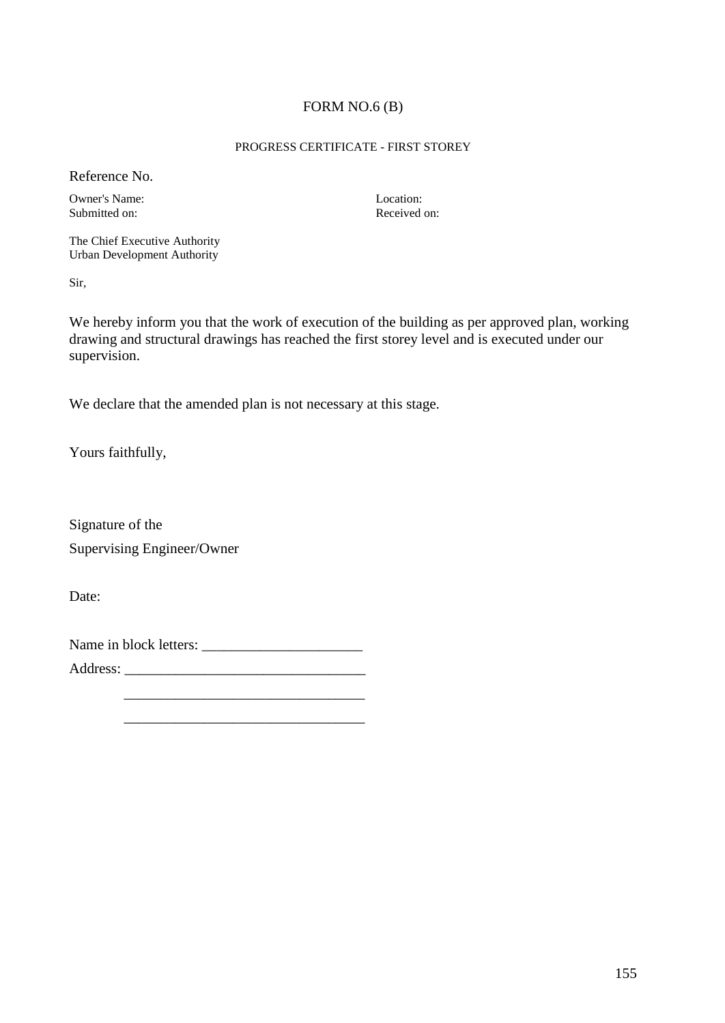# FORM NO.6 (B)

## PROGRESS CERTIFICATE - FIRST STOREY

Reference No.

Owner's Name: Location: Location: Location: Location: Received on: Submitted on:

The Chief Executive Authority Urban Development Authority

Sir,

We hereby inform you that the work of execution of the building as per approved plan, working drawing and structural drawings has reached the first storey level and is executed under our supervision.

We declare that the amended plan is not necessary at this stage.

Yours faithfully,

Signature of the Supervising Engineer/Owner

Date:

Name in block letters: \_\_\_\_\_\_\_\_\_\_\_\_\_\_\_\_\_\_\_\_\_\_

Address: \_\_\_\_\_\_\_\_\_\_\_\_\_\_\_\_\_\_\_\_\_\_\_\_\_\_\_\_\_\_\_\_\_

 \_\_\_\_\_\_\_\_\_\_\_\_\_\_\_\_\_\_\_\_\_\_\_\_\_\_\_\_\_\_\_\_\_ \_\_\_\_\_\_\_\_\_\_\_\_\_\_\_\_\_\_\_\_\_\_\_\_\_\_\_\_\_\_\_\_\_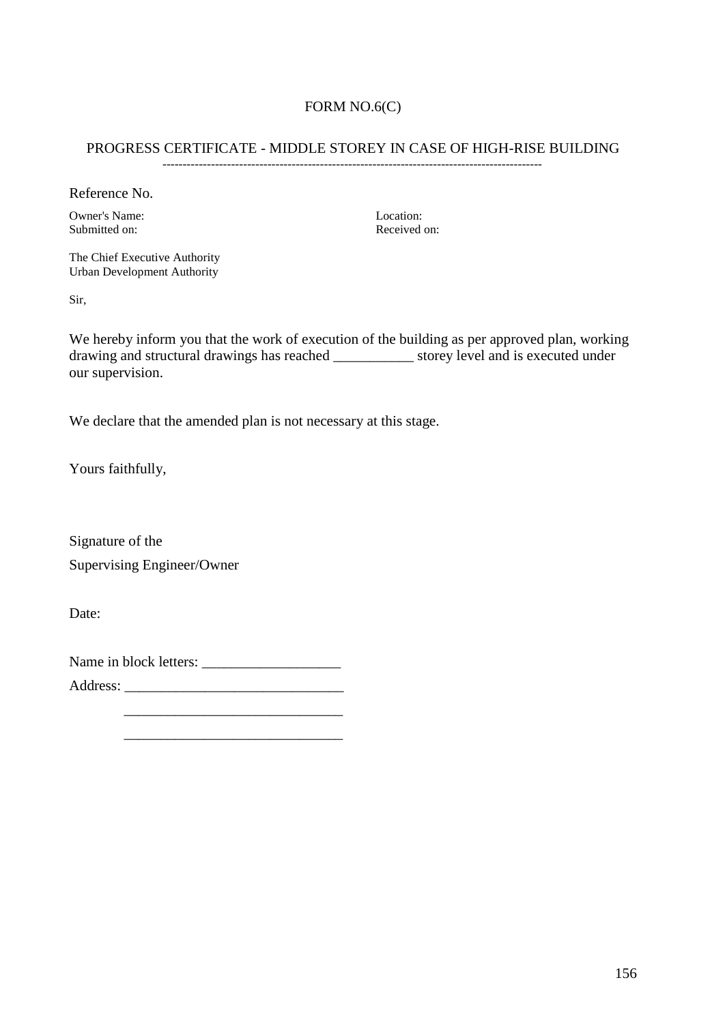# FORM NO.6(C)

# PROGRESS CERTIFICATE - MIDDLE STOREY IN CASE OF HIGH-RISE BUILDING

----------------------------------------------------------------------------------------------

Reference No.

Owner's Name:<br>
Submitted on:<br>
Submitted on:<br>
Received on: Submitted on:

The Chief Executive Authority Urban Development Authority

Sir,

We hereby inform you that the work of execution of the building as per approved plan, working drawing and structural drawings has reached \_\_\_\_\_\_\_\_\_\_\_ storey level and is executed under our supervision.

We declare that the amended plan is not necessary at this stage.

Yours faithfully,

Signature of the Supervising Engineer/Owner

Date:

Name in block letters: \_\_\_\_\_\_\_\_\_\_\_\_\_\_\_\_\_\_\_

 $\overline{\phantom{a}}$  , which is the contract of the contract of the contract of the contract of the contract of the contract of the contract of the contract of the contract of the contract of the contract of the contract of the co  $\overline{\phantom{a}}$  , which is the contract of the contract of the contract of the contract of the contract of the contract of the contract of the contract of the contract of the contract of the contract of the contract of the co

Address: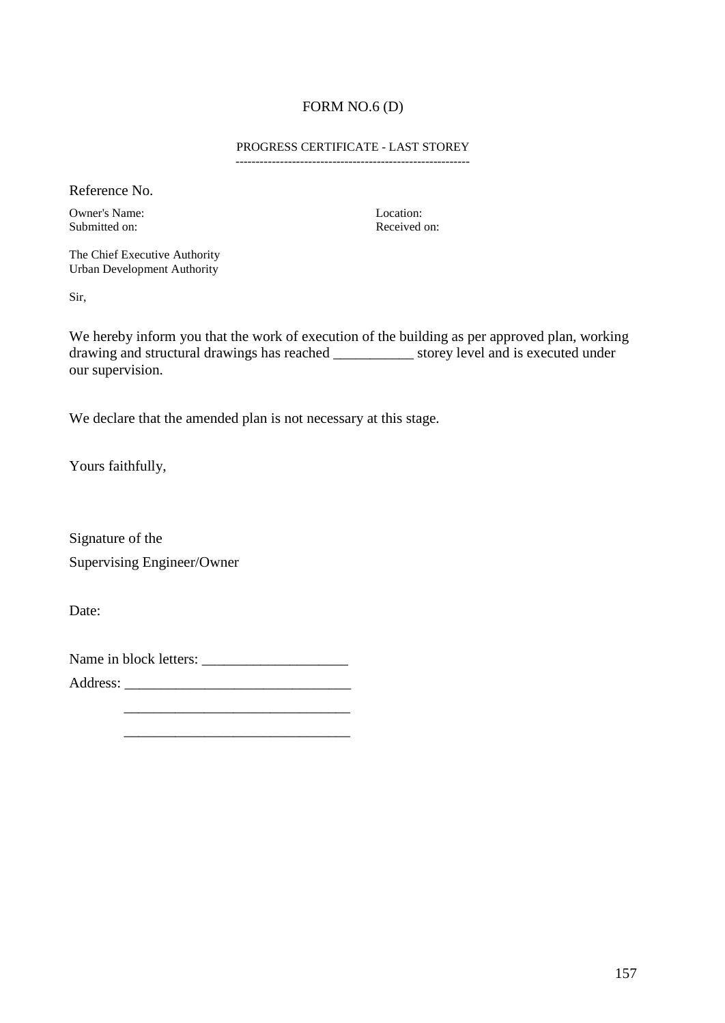# FORM NO.6 (D)

#### PROGRESS CERTIFICATE - LAST STOREY ----------------------------------------------------------

Reference No.

Owner's Name: Location: Location: Location: Received on: Submitted on:

The Chief Executive Authority Urban Development Authority

Sir,

We hereby inform you that the work of execution of the building as per approved plan, working drawing and structural drawings has reached \_\_\_\_\_\_\_\_\_\_\_ storey level and is executed under our supervision.

We declare that the amended plan is not necessary at this stage.

Yours faithfully,

Signature of the Supervising Engineer/Owner

Date:

Name in block letters: \_\_\_\_\_\_\_\_\_\_\_\_\_\_\_\_\_\_\_\_

 \_\_\_\_\_\_\_\_\_\_\_\_\_\_\_\_\_\_\_\_\_\_\_\_\_\_\_\_\_\_\_ \_\_\_\_\_\_\_\_\_\_\_\_\_\_\_\_\_\_\_\_\_\_\_\_\_\_\_\_\_\_\_

Address: \_\_\_\_\_\_\_\_\_\_\_\_\_\_\_\_\_\_\_\_\_\_\_\_\_\_\_\_\_\_\_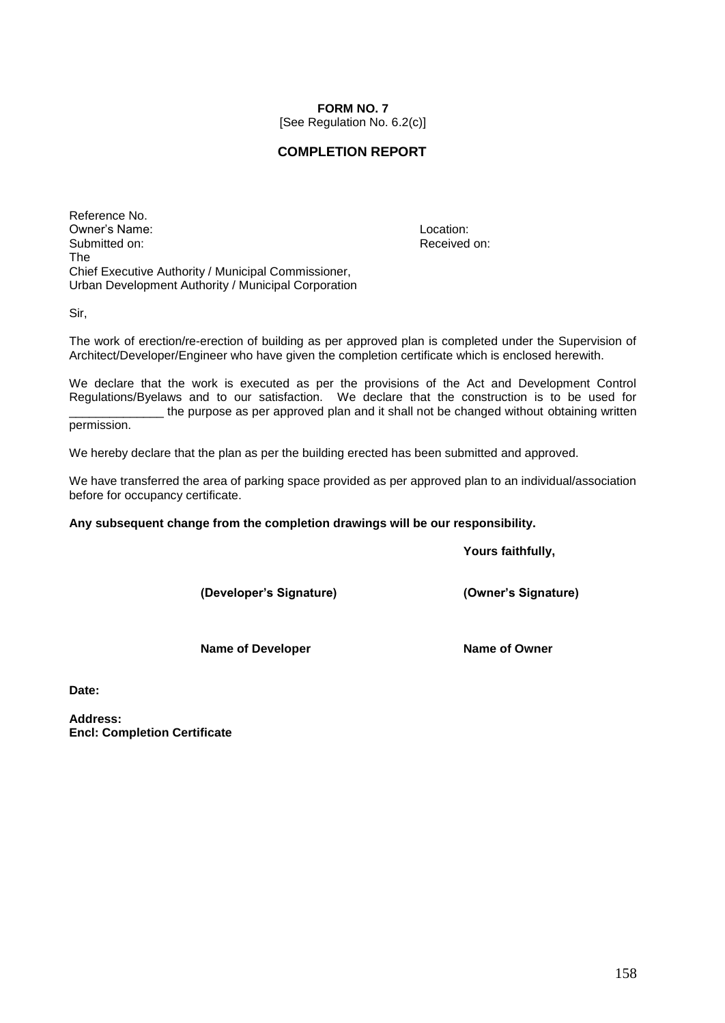# **FORM NO. 7**

[See Regulation No. 6.2(c)]

# **COMPLETION REPORT**

Reference No. Owner's Name: Location: Submitted on: Submitted on: Received on: Received on: Received on: Received on: The Chief Executive Authority / Municipal Commissioner, Urban Development Authority / Municipal Corporation

Sir,

The work of erection/re-erection of building as per approved plan is completed under the Supervision of Architect/Developer/Engineer who have given the completion certificate which is enclosed herewith.

We declare that the work is executed as per the provisions of the Act and Development Control Regulations/Byelaws and to our satisfaction. We declare that the construction is to be used for \_\_\_\_\_\_\_\_\_\_\_\_\_\_ the purpose as per approved plan and it shall not be changed without obtaining written

permission.

We hereby declare that the plan as per the building erected has been submitted and approved.

We have transferred the area of parking space provided as per approved plan to an individual/association before for occupancy certificate.

**Any subsequent change from the completion drawings will be our responsibility.**

**Yours faithfully,**

**(Developer's Signature) (Owner's Signature)**

**Name of Developer Name of Owner** 

**Date:**

**Address: Encl: Completion Certificate**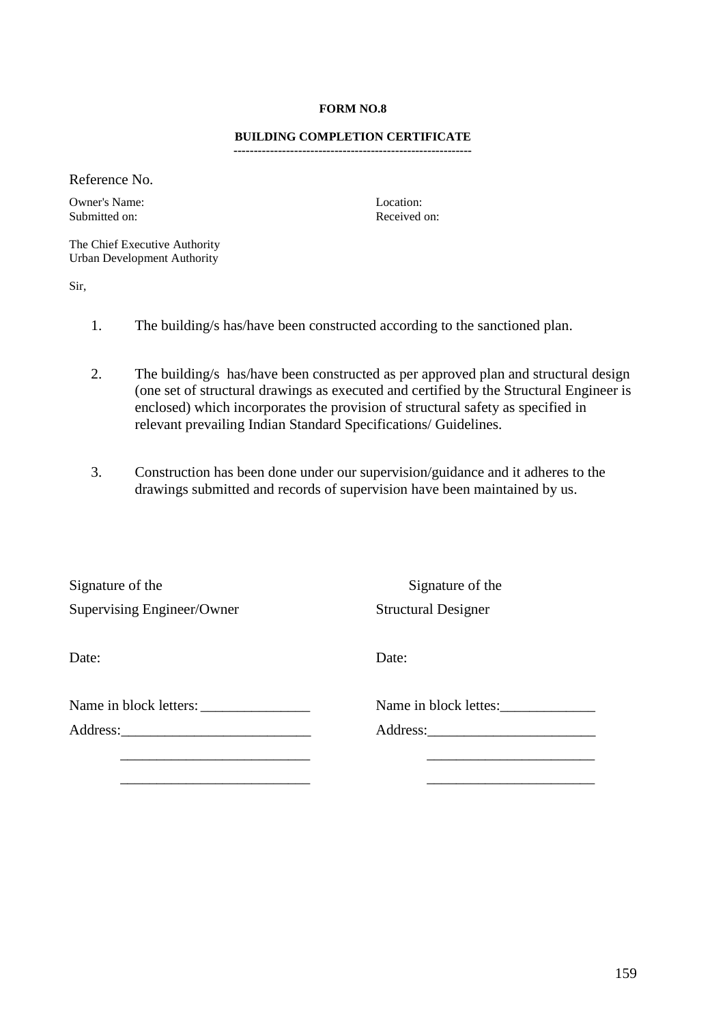## **FORM NO.8**

#### **BUILDING COMPLETION CERTIFICATE -----------------------------------------------------------**

Reference No.

Owner's Name: Location: Submitted on: Received on:

The Chief Executive Authority Urban Development Authority

Sir,

- 1. The building/s has/have been constructed according to the sanctioned plan.
- 2. The building/s has/have been constructed as per approved plan and structural design (one set of structural drawings as executed and certified by the Structural Engineer is enclosed) which incorporates the provision of structural safety as specified in relevant prevailing Indian Standard Specifications/ Guidelines.
- 3. Construction has been done under our supervision/guidance and it adheres to the drawings submitted and records of supervision have been maintained by us.

| Signature of the           | Signature of the           |
|----------------------------|----------------------------|
| Supervising Engineer/Owner | <b>Structural Designer</b> |
|                            |                            |
| Date:                      | Date:                      |
|                            |                            |
| Name in block letters:     | Name in block lettes:      |
|                            | Address:                   |
|                            |                            |
|                            |                            |
|                            |                            |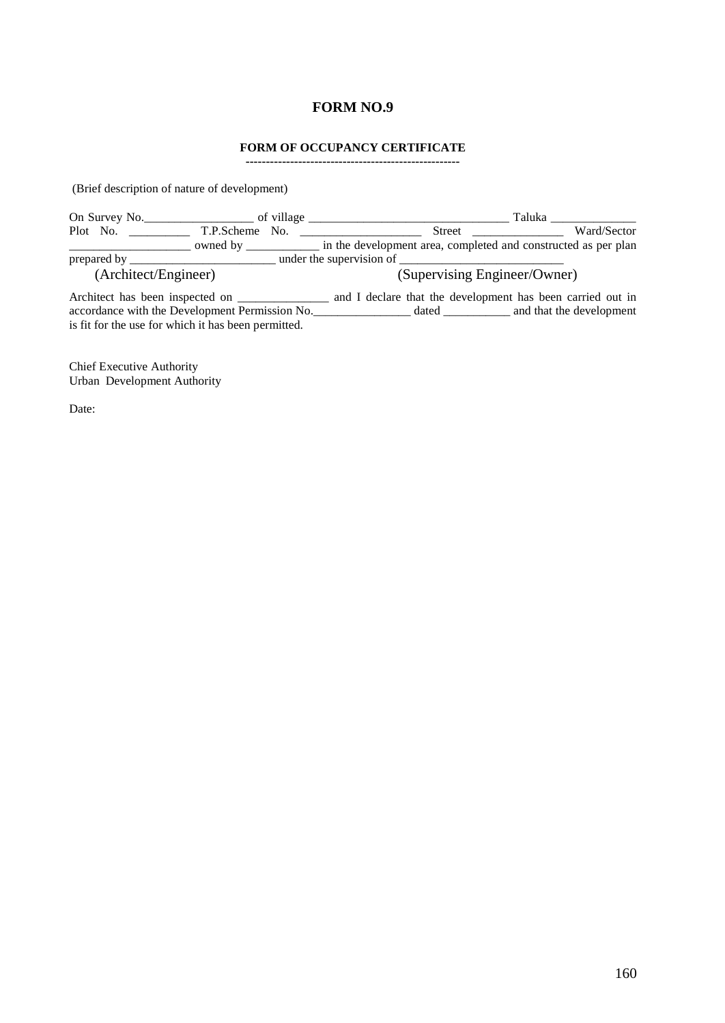# **FORM NO.9**

## **FORM OF OCCUPANCY CERTIFICATE**

**-----------------------------------------------------**

(Brief description of nature of development)

| On Survey No.        |                   | of village | Taluka                                                         |             |
|----------------------|-------------------|------------|----------------------------------------------------------------|-------------|
| Plot No.             | T.P.Scheme No.    |            | Street                                                         | Ward/Sector |
|                      | owned by $\equiv$ |            | in the development area, completed and constructed as per plan |             |
| prepared by _        |                   |            | under the supervision of                                       |             |
| (Architect/Engineer) |                   |            | (Supervising Engineer/Owner)                                   |             |

Architect has been inspected on \_\_\_\_\_\_\_\_\_\_\_\_\_\_\_\_ and I declare that the development has been carried out in accordance with the Development Permission No.\_\_\_\_\_\_\_\_\_\_\_\_\_\_\_\_ dated \_\_\_\_\_\_\_\_\_\_\_ and that the development is fit for the use for which it has been permitted.

Chief Executive Authority Urban Development Authority

Date: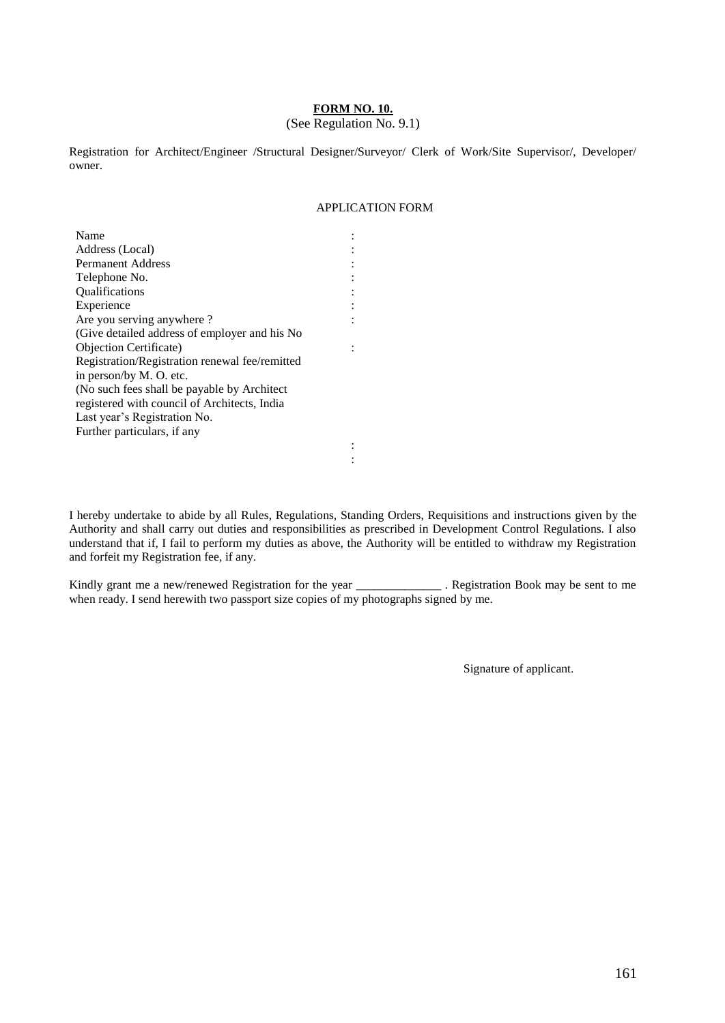## **FORM NO. 10.**

### (See Regulation No. 9.1)

Registration for Architect/Engineer /Structural Designer/Surveyor/ Clerk of Work/Site Supervisor/, Developer/ owner.

> : : : : : : :

:

## APPLICATION FORM

| Name                                           |
|------------------------------------------------|
| Address (Local)                                |
| Permanent Address                              |
| Telephone No.                                  |
| <b>Oualifications</b>                          |
| Experience                                     |
| Are you serving anywhere?                      |
| (Give detailed address of employer and his No  |
| <b>Objection Certificate</b> )                 |
| Registration/Registration renewal fee/remitted |
| in person/by M. O. etc.                        |
| (No such fees shall be payable by Architect)   |
| registered with council of Architects, India   |
| Last year's Registration No.                   |
| Further particulars, if any                    |
|                                                |

I hereby undertake to abide by all Rules, Regulations, Standing Orders, Requisitions and instructions given by the Authority and shall carry out duties and responsibilities as prescribed in Development Control Regulations. I also understand that if, I fail to perform my duties as above, the Authority will be entitled to withdraw my Registration and forfeit my Registration fee, if any.

: :

Kindly grant me a new/renewed Registration for the year \_\_\_\_\_\_\_\_\_\_\_\_\_\_ . Registration Book may be sent to me when ready. I send herewith two passport size copies of my photographs signed by me.

Signature of applicant.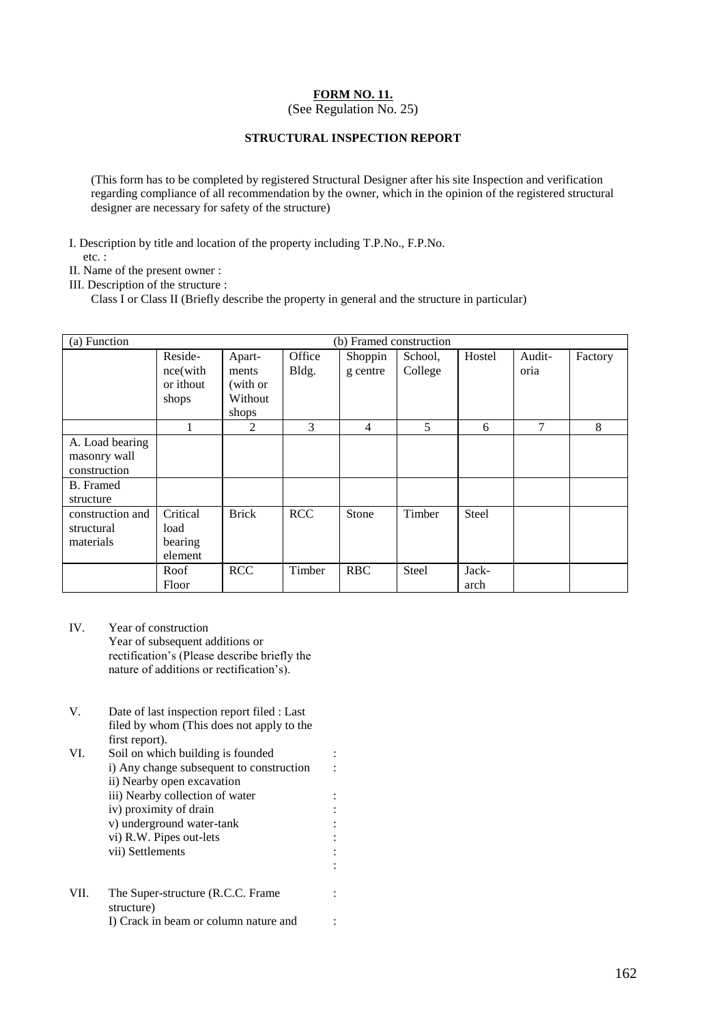# **FORM NO. 11.**

(See Regulation No. 25)

# **STRUCTURAL INSPECTION REPORT**

(This form has to be completed by registered Structural Designer after his site Inspection and verification regarding compliance of all recommendation by the owner, which in the opinion of the registered structural designer are necessary for safety of the structure)

I. Description by title and location of the property including T.P.No., F.P.No.

etc. :

II. Name of the present owner :

III. Description of the structure :

Class I or Class II (Briefly describe the property in general and the structure in particular)

| (a) Function<br>(b) Framed construction |           |              |            |                |              |              |        |         |  |
|-----------------------------------------|-----------|--------------|------------|----------------|--------------|--------------|--------|---------|--|
|                                         | Reside-   | Apart-       | Office     | Shoppin        | School,      | Hostel       | Audit- | Factory |  |
|                                         | nce(with  | ments        | Bldg.      | g centre       | College      |              | oria   |         |  |
|                                         | or ithout | (with or     |            |                |              |              |        |         |  |
|                                         | shops     | Without      |            |                |              |              |        |         |  |
|                                         |           | shops        |            |                |              |              |        |         |  |
|                                         |           | 2            | 3          | $\overline{4}$ | 5            | 6            | 7      | 8       |  |
| A. Load bearing                         |           |              |            |                |              |              |        |         |  |
| masonry wall                            |           |              |            |                |              |              |        |         |  |
| construction                            |           |              |            |                |              |              |        |         |  |
| B. Framed                               |           |              |            |                |              |              |        |         |  |
| structure                               |           |              |            |                |              |              |        |         |  |
| construction and                        | Critical  | <b>Brick</b> | <b>RCC</b> | Stone          | Timber       | <b>Steel</b> |        |         |  |
| structural                              | load      |              |            |                |              |              |        |         |  |
| materials                               | bearing   |              |            |                |              |              |        |         |  |
|                                         | element   |              |            |                |              |              |        |         |  |
|                                         | Roof      | <b>RCC</b>   | Timber     | <b>RBC</b>     | <b>Steel</b> | Jack-        |        |         |  |
|                                         | Floor     |              |            |                |              | arch         |        |         |  |

IV. Year of construction Year of subsequent additions or rectification's (Please describe briefly the nature of additions or rectification's).

| V.   | Date of last inspection report filed : Last |  |
|------|---------------------------------------------|--|
|      | filed by whom (This does not apply to the   |  |
|      | first report).                              |  |
| VI.  | Soil on which building is founded           |  |
|      | i) Any change subsequent to construction    |  |
|      | ii) Nearby open excavation                  |  |
|      | iii) Nearby collection of water             |  |
|      | iv) proximity of drain                      |  |
|      | v) underground water-tank                   |  |
|      | vi) R.W. Pipes out-lets                     |  |
|      | vii) Settlements                            |  |
|      |                                             |  |
| VII. | The Super-structure (R.C.C. Frame)          |  |
|      | structure)                                  |  |
|      | I) Crack in beam or column nature and       |  |